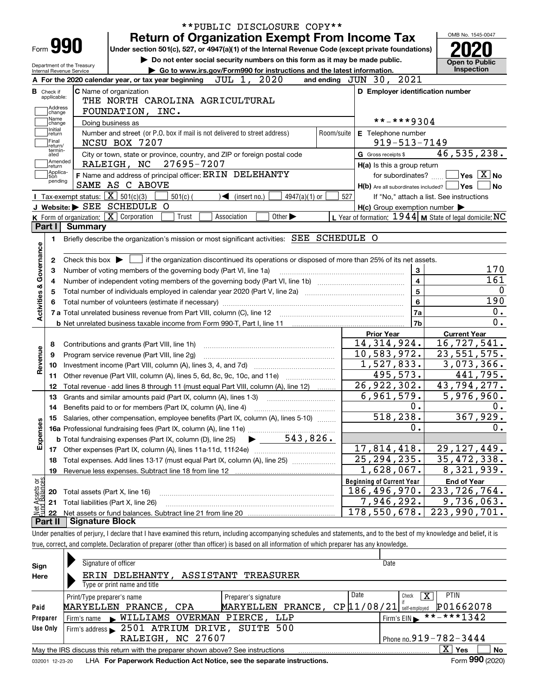|                                      | **PUBLIC DISCLOSURE COPY**                                                                                                                                                 |            |                                                     |                                                                                                        |
|--------------------------------------|----------------------------------------------------------------------------------------------------------------------------------------------------------------------------|------------|-----------------------------------------------------|--------------------------------------------------------------------------------------------------------|
|                                      | <b>Return of Organization Exempt From Income Tax</b>                                                                                                                       |            |                                                     | OMB No. 1545-0047                                                                                      |
| Form 990                             | Under section 501(c), 527, or 4947(a)(1) of the Internal Revenue Code (except private foundations)                                                                         |            |                                                     |                                                                                                        |
| Department of the Treasury           | Do not enter social security numbers on this form as it may be made public.                                                                                                |            |                                                     | <b>Open to Public</b>                                                                                  |
| Internal Revenue Service             | Go to www.irs.gov/Form990 for instructions and the latest information.                                                                                                     |            |                                                     | Inspection                                                                                             |
|                                      | JUL 1, 2020<br>A For the 2020 calendar year, or tax year beginning                                                                                                         |            | and ending JUN 30, 2021                             |                                                                                                        |
| <b>B</b> Check if<br>applicable:     | <b>C</b> Name of organization                                                                                                                                              |            | D Employer identification number                    |                                                                                                        |
| Address                              | THE NORTH CAROLINA AGRICULTURAL                                                                                                                                            |            |                                                     |                                                                                                        |
| change                               | FOUNDATION, INC.                                                                                                                                                           |            |                                                     |                                                                                                        |
| Name<br>change                       | Doing business as                                                                                                                                                          |            | **-***9304                                          |                                                                                                        |
| Initial<br>return                    | Number and street (or P.O. box if mail is not delivered to street address)                                                                                                 | Room/suite | E Telephone number                                  |                                                                                                        |
| Final<br>return/<br>termin-          | NCSU BOX 7207                                                                                                                                                              |            | $919 - 513 - 7149$                                  |                                                                                                        |
| ated                                 | City or town, state or province, country, and ZIP or foreign postal code                                                                                                   |            | G Gross receipts \$                                 | 46,535,238.                                                                                            |
| Amended<br> return                   | 27695-7207<br>RALEIGH, NC                                                                                                                                                  |            | H(a) Is this a group return                         |                                                                                                        |
| Applica-<br>tion<br>pending          | F Name and address of principal officer: ERIN DELEHANTY                                                                                                                    |            | for subordinates?                                   | $\sqrt{}$ Yes $\sqrt{}$ $\overline{\rm X}$ $\sqrt{}$ No                                                |
|                                      | SAME AS C ABOVE                                                                                                                                                            |            | $H(b)$ Are all subordinates included? $\Box$ Yes    | No                                                                                                     |
|                                      | <b>I</b> Tax-exempt status: $\boxed{\mathbf{X}}$ 501(c)(3)<br>$501(c)$ (<br>4947(a)(1) or<br>$\triangleleft$ (insert no.)                                                  | 527        |                                                     | If "No," attach a list. See instructions                                                               |
|                                      | J Website: > SEE SCHEDULE O                                                                                                                                                |            | $H(c)$ Group exemption number $\blacktriangleright$ |                                                                                                        |
|                                      | K Form of organization: X Corporation<br>Trust<br>Association<br>Other $\blacktriangleright$                                                                               |            |                                                     | L Year of formation: $1944$ M State of legal domicile: NC                                              |
| Part I                               | Summary                                                                                                                                                                    |            |                                                     |                                                                                                        |
| 1.                                   | Briefly describe the organization's mission or most significant activities: SEE SCHEDULE O                                                                                 |            |                                                     |                                                                                                        |
|                                      |                                                                                                                                                                            |            |                                                     |                                                                                                        |
| 2                                    | Check this box $\blacktriangleright$ $\Box$ if the organization discontinued its operations or disposed of more than 25% of its net assets.                                |            |                                                     |                                                                                                        |
| з                                    | Number of voting members of the governing body (Part VI, line 1a)                                                                                                          |            | 3                                                   | 170                                                                                                    |
| 4                                    |                                                                                                                                                                            |            | $\overline{4}$                                      | 161                                                                                                    |
|                                      |                                                                                                                                                                            |            | 5                                                   |                                                                                                        |
| Activities & Governance              |                                                                                                                                                                            |            | 6                                                   | 190                                                                                                    |
|                                      |                                                                                                                                                                            |            | 7a                                                  | 0.                                                                                                     |
|                                      |                                                                                                                                                                            |            | 7b                                                  | 0.                                                                                                     |
|                                      |                                                                                                                                                                            |            | <b>Prior Year</b>                                   | <b>Current Year</b>                                                                                    |
| 8                                    | Contributions and grants (Part VIII, line 1h)                                                                                                                              |            | 14, 314, 924.                                       | 16,727,541.                                                                                            |
| 9                                    | Program service revenue (Part VIII, line 2g)                                                                                                                               |            | 10,583,972.                                         | 23, 551, 575.                                                                                          |
| Revenue<br>10                        |                                                                                                                                                                            |            | $\overline{1}$ , 527, 833.                          | 3,073,366.                                                                                             |
| 11                                   | Other revenue (Part VIII, column (A), lines 5, 6d, 8c, 9c, 10c, and 11e)                                                                                                   |            | 495,573.                                            | 441,795.                                                                                               |
|                                      | Total revenue - add lines 8 through 11 (must equal Part VIII, column (A), line 12)                                                                                         |            | 26, 922, 302.                                       | $\overline{43,794,277}$ .                                                                              |
| 12                                   | Grants and similar amounts paid (Part IX, column (A), lines 1-3)                                                                                                           |            |                                                     |                                                                                                        |
| 13                                   |                                                                                                                                                                            |            | 6,961,579.                                          |                                                                                                        |
| 14                                   | Benefits paid to or for members (Part IX, column (A), line 4)                                                                                                              |            | 0.                                                  |                                                                                                        |
|                                      | 15 Salaries, other compensation, employee benefits (Part IX, column (A), lines 5-10)                                                                                       |            | 518, 238.                                           |                                                                                                        |
|                                      |                                                                                                                                                                            |            | 0.                                                  |                                                                                                        |
|                                      | 543,826.<br><b>b</b> Total fundraising expenses (Part IX, column (D), line 25)                                                                                             |            |                                                     |                                                                                                        |
| 17                                   |                                                                                                                                                                            |            | 17,814,418.                                         |                                                                                                        |
| 18                                   | Total expenses. Add lines 13-17 (must equal Part IX, column (A), line 25)                                                                                                  |            | 25, 294, 235.                                       |                                                                                                        |
| 19                                   | Revenue less expenses. Subtract line 18 from line 12                                                                                                                       |            | $\overline{1}$ , 628, 067.                          |                                                                                                        |
|                                      |                                                                                                                                                                            |            | <b>Beginning of Current Year</b>                    | 5,976,960.<br>0.<br>367,929.<br>0.<br>29, 127, 449.<br>35,472,338.<br>8,321,939.<br><b>End of Year</b> |
| 20                                   |                                                                                                                                                                            |            |                                                     |                                                                                                        |
| Expenses<br>21                       | Total assets (Part X, line 16)<br>Total liabilities (Part X, line 26)                                                                                                      |            | 186,496,970.                                        | 233,726,764.<br>9,736,063.                                                                             |
| Net Assets or<br>Fund Balances<br>22 |                                                                                                                                                                            |            | 7,946,292.<br>178,550,678.                          | 223,990,701.                                                                                           |
| Part II                              | <b>Signature Block</b>                                                                                                                                                     |            |                                                     |                                                                                                        |
|                                      | Under penalties of perjury, I declare that I have examined this return, including accompanying schedules and statements, and to the best of my knowledge and belief, it is |            |                                                     |                                                                                                        |

| Sign<br>Here | Signature of officer<br>DELEHANTY, ASSISTANT TREASURER<br>ERIN                  |                      | Date                        |                             |  |  |  |  |  |  |
|--------------|---------------------------------------------------------------------------------|----------------------|-----------------------------|-----------------------------|--|--|--|--|--|--|
|              | Type or print name and title                                                    |                      |                             |                             |  |  |  |  |  |  |
|              | Print/Type preparer's name                                                      | Preparer's signature | Date<br>x<br>Check          | <b>PTIN</b>                 |  |  |  |  |  |  |
| Paid         | MARYELLEN PRANCE, CPA                                                           | MARYELLEN PRANCE,    | CP11/08/21<br>self-emploved | P01662078                   |  |  |  |  |  |  |
| Preparer     | WILLIAMS OVERMAN PIERCE,<br>$\mathbf{K}$<br>Firm's name                         | LLP                  | Firm's $EIN$                | **-***1342                  |  |  |  |  |  |  |
| Use Only     | Firm's address > 2501 ATRIUM DRIVE, SUITE 500                                   |                      |                             |                             |  |  |  |  |  |  |
|              | Phone no. $919 - 782 - 3444$<br>RALEIGH, NC 27607                               |                      |                             |                             |  |  |  |  |  |  |
|              | May the IRS discuss this return with the preparer shown above? See instructions |                      |                             | X <sub>1</sub><br>No<br>Yes |  |  |  |  |  |  |
|              |                                                                                 |                      |                             | $000 \div 200$              |  |  |  |  |  |  |

032001 12-23-20 LHA **For Paperwork Reduction Act Notice, see the separate instructions.** Form 990 (2020)

**990**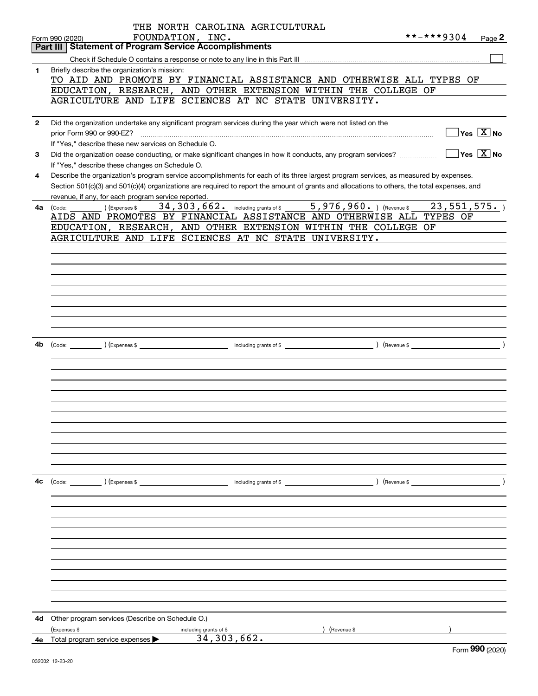|              | THE NORTH CAROLINA AGRICULTURAL                                                                                                              |             |                                        |
|--------------|----------------------------------------------------------------------------------------------------------------------------------------------|-------------|----------------------------------------|
|              | FOUNDATION, INC.<br>Form 990 (2020)                                                                                                          | **-***9304  | Page 2                                 |
|              | <b>Statement of Program Service Accomplishments</b><br>Part III                                                                              |             |                                        |
|              |                                                                                                                                              |             |                                        |
| $\mathbf{1}$ | Briefly describe the organization's mission:<br>TO AID AND PROMOTE BY FINANCIAL ASSISTANCE AND OTHERWISE ALL TYPES OF                        |             |                                        |
|              | EDUCATION, RESEARCH, AND OTHER EXTENSION WITHIN THE COLLEGE OF                                                                               |             |                                        |
|              | AGRICULTURE AND LIFE SCIENCES AT NC STATE UNIVERSITY.                                                                                        |             |                                        |
|              |                                                                                                                                              |             |                                        |
| $\mathbf{2}$ | Did the organization undertake any significant program services during the year which were not listed on the                                 |             |                                        |
|              |                                                                                                                                              |             | $\overline{Y}$ es $\overline{X}$ No    |
|              | If "Yes." describe these new services on Schedule O.                                                                                         |             |                                        |
| 3            | Did the organization cease conducting, or make significant changes in how it conducts, any program services?                                 |             | $\sqrt{}$ Yes $\sqrt{}$ X $\sqrt{}$ No |
|              | If "Yes," describe these changes on Schedule O.                                                                                              |             |                                        |
| 4            | Describe the organization's program service accomplishments for each of its three largest program services, as measured by expenses.         |             |                                        |
|              | Section 501(c)(3) and 501(c)(4) organizations are required to report the amount of grants and allocations to others, the total expenses, and |             |                                        |
|              | revenue, if any, for each program service reported.                                                                                          |             |                                        |
| 4a           | 34, 303, 662. including grants of \$ 5, 976, 960. ) (Revenue \$<br>(Expenses \$<br>(Code:                                                    | 23,551,575. |                                        |
|              | AIDS AND PROMOTES BY FINANCIAL ASSISTANCE AND OTHERWISE ALL TYPES OF                                                                         |             |                                        |
|              | EDUCATION, RESEARCH, AND OTHER EXTENSION WITHIN THE COLLEGE OF<br>AGRICULTURE AND LIFE SCIENCES AT NC STATE UNIVERSITY.                      |             |                                        |
|              |                                                                                                                                              |             |                                        |
|              |                                                                                                                                              |             |                                        |
|              |                                                                                                                                              |             |                                        |
|              |                                                                                                                                              |             |                                        |
|              |                                                                                                                                              |             |                                        |
|              |                                                                                                                                              |             |                                        |
|              |                                                                                                                                              |             |                                        |
|              |                                                                                                                                              |             |                                        |
|              |                                                                                                                                              |             |                                        |
| 4b           | (Code: (Code: ) (Expenses \$ ) (Revenue \$ _ ) (Revenue \$ _ ) (Revenue \$ _ ) (Revenue \$ _ ) (Revenue \$ _ ) (Revenue \$ _ )               |             |                                        |
|              |                                                                                                                                              |             |                                        |
|              |                                                                                                                                              |             |                                        |
|              |                                                                                                                                              |             |                                        |
|              |                                                                                                                                              |             |                                        |
|              |                                                                                                                                              |             |                                        |
|              |                                                                                                                                              |             |                                        |
|              |                                                                                                                                              |             |                                        |
|              |                                                                                                                                              |             |                                        |
|              |                                                                                                                                              |             |                                        |
|              |                                                                                                                                              |             |                                        |
|              |                                                                                                                                              |             |                                        |
|              |                                                                                                                                              |             |                                        |
| 4c           |                                                                                                                                              |             |                                        |
|              |                                                                                                                                              |             |                                        |
|              |                                                                                                                                              |             |                                        |
|              |                                                                                                                                              |             |                                        |
|              |                                                                                                                                              |             |                                        |
|              |                                                                                                                                              |             |                                        |
|              |                                                                                                                                              |             |                                        |
|              |                                                                                                                                              |             |                                        |
|              |                                                                                                                                              |             |                                        |
|              |                                                                                                                                              |             |                                        |
|              |                                                                                                                                              |             |                                        |
|              |                                                                                                                                              |             |                                        |
|              |                                                                                                                                              |             |                                        |
| 4d -         | Other program services (Describe on Schedule O.)                                                                                             |             |                                        |
|              | (Revenue \$<br>(Expenses \$<br>including grants of \$                                                                                        |             |                                        |
|              | 34, 303, 662.<br>4e Total program service expenses $\blacktriangleright$                                                                     |             | $\overline{on}$ .                      |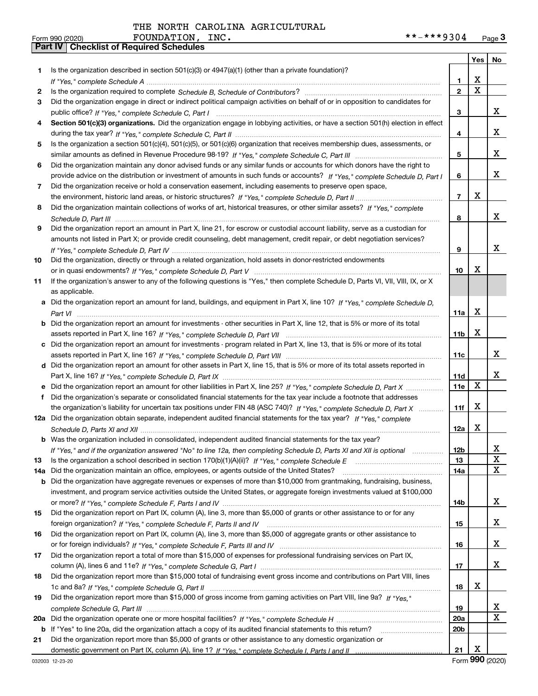|     |                                                                                                                                  |                 | Yes $ $     | No |
|-----|----------------------------------------------------------------------------------------------------------------------------------|-----------------|-------------|----|
| 1   | Is the organization described in section $501(c)(3)$ or $4947(a)(1)$ (other than a private foundation)?                          |                 |             |    |
|     | If "Yes," complete Schedule A measured and the complete schedule A measured and the Schedule A measured and the                  | 1.              | х           |    |
| 2   |                                                                                                                                  | $\mathbf{2}$    | $\mathbf X$ |    |
| 3   | Did the organization engage in direct or indirect political campaign activities on behalf of or in opposition to candidates for  |                 |             |    |
|     |                                                                                                                                  | 3               |             | x  |
| 4   | Section 501(c)(3) organizations. Did the organization engage in lobbying activities, or have a section 501(h) election in effect |                 |             |    |
|     |                                                                                                                                  | 4               |             | x  |
| 5   | Is the organization a section 501(c)(4), 501(c)(5), or 501(c)(6) organization that receives membership dues, assessments, or     |                 |             |    |
|     |                                                                                                                                  | 5               |             | x  |
| 6   | Did the organization maintain any donor advised funds or any similar funds or accounts for which donors have the right to        |                 |             |    |
|     | provide advice on the distribution or investment of amounts in such funds or accounts? If "Yes," complete Schedule D, Part I     | 6               |             | x  |
| 7   | Did the organization receive or hold a conservation easement, including easements to preserve open space,                        |                 |             |    |
|     |                                                                                                                                  | $\overline{7}$  | х           |    |
| 8   | Did the organization maintain collections of works of art, historical treasures, or other similar assets? If "Yes," complete     |                 |             |    |
|     |                                                                                                                                  | 8               |             | x  |
| 9   | Did the organization report an amount in Part X, line 21, for escrow or custodial account liability, serve as a custodian for    |                 |             |    |
|     | amounts not listed in Part X; or provide credit counseling, debt management, credit repair, or debt negotiation services?        |                 |             |    |
|     |                                                                                                                                  | 9               |             | x  |
| 10  | Did the organization, directly or through a related organization, hold assets in donor-restricted endowments                     |                 |             |    |
|     |                                                                                                                                  | 10              | х           |    |
| 11  | If the organization's answer to any of the following questions is "Yes," then complete Schedule D, Parts VI, VII, VIII, IX, or X |                 |             |    |
|     | as applicable.                                                                                                                   |                 |             |    |
|     | a Did the organization report an amount for land, buildings, and equipment in Part X, line 10? If "Yes," complete Schedule D.    |                 |             |    |
|     |                                                                                                                                  | 11a             | х           |    |
|     | Did the organization report an amount for investments - other securities in Part X, line 12, that is 5% or more of its total     |                 |             |    |
|     |                                                                                                                                  | 11 <sub>b</sub> | х           |    |
|     | c Did the organization report an amount for investments - program related in Part X, line 13, that is 5% or more of its total    |                 |             |    |
|     |                                                                                                                                  | 11c             |             | x  |
|     | d Did the organization report an amount for other assets in Part X, line 15, that is 5% or more of its total assets reported in  |                 |             |    |
|     |                                                                                                                                  | 11d             |             | x  |
|     |                                                                                                                                  | <b>11e</b>      | X           |    |
| f   | Did the organization's separate or consolidated financial statements for the tax year include a footnote that addresses          |                 |             |    |
|     | the organization's liability for uncertain tax positions under FIN 48 (ASC 740)? If "Yes," complete Schedule D, Part X           | 11f             | X           |    |
|     | 12a Did the organization obtain separate, independent audited financial statements for the tax year? If "Yes," complete          |                 |             |    |
|     |                                                                                                                                  | 12a             | х           |    |
|     | <b>b</b> Was the organization included in consolidated, independent audited financial statements for the tax year?               |                 |             |    |
|     | If "Yes," and if the organization answered "No" to line 12a, then completing Schedule D, Parts XI and XII is optional            | 12 <sub>b</sub> |             | 47 |
| 13  |                                                                                                                                  | 13              |             | X  |
| 14a | Did the organization maintain an office, employees, or agents outside of the United States?                                      | 14a             |             | X  |
| b   | Did the organization have aggregate revenues or expenses of more than \$10,000 from grantmaking, fundraising, business,          |                 |             |    |
|     | investment, and program service activities outside the United States, or aggregate foreign investments valued at \$100,000       |                 |             |    |
|     |                                                                                                                                  | 14b             |             | x  |
| 15  | Did the organization report on Part IX, column (A), line 3, more than \$5,000 of grants or other assistance to or for any        |                 |             |    |
|     |                                                                                                                                  | 15              |             | x  |
| 16  | Did the organization report on Part IX, column (A), line 3, more than \$5,000 of aggregate grants or other assistance to         |                 |             |    |
|     |                                                                                                                                  | 16              |             | x  |
| 17  | Did the organization report a total of more than \$15,000 of expenses for professional fundraising services on Part IX,          |                 |             |    |
|     |                                                                                                                                  | 17              |             | x  |
| 18  | Did the organization report more than \$15,000 total of fundraising event gross income and contributions on Part VIII, lines     |                 |             |    |
|     |                                                                                                                                  | 18              | X           |    |
| 19  | Did the organization report more than \$15,000 of gross income from gaming activities on Part VIII, line 9a? If "Yes."           |                 |             |    |
|     |                                                                                                                                  | 19              |             | X  |
| 20a |                                                                                                                                  | 20a             |             | X  |
| b   | If "Yes" to line 20a, did the organization attach a copy of its audited financial statements to this return?                     | 20b             |             |    |
| 21  | Did the organization report more than \$5,000 of grants or other assistance to any domestic organization or                      |                 |             |    |
|     |                                                                                                                                  | 21              | Х           |    |

Form (2020) **990**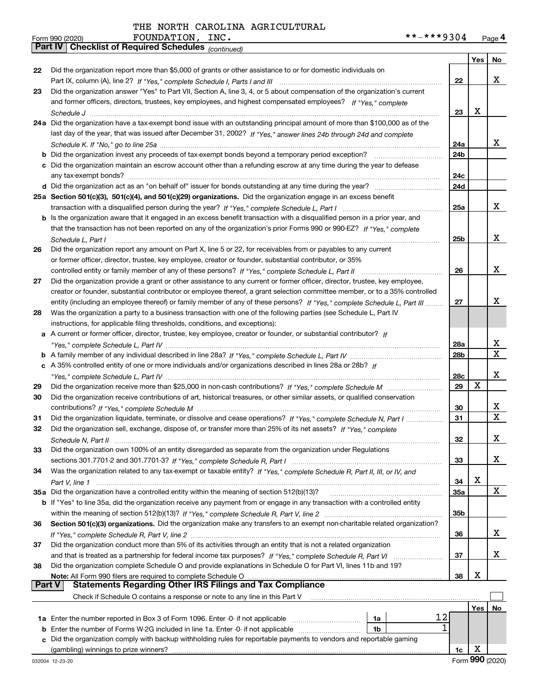|          | <b>Part IV</b>   GNECKIISTOI REQUITED SCNEDUIES $_{(Continued)}$                                                                                                                                                                                      |                 |     |             |
|----------|-------------------------------------------------------------------------------------------------------------------------------------------------------------------------------------------------------------------------------------------------------|-----------------|-----|-------------|
|          |                                                                                                                                                                                                                                                       |                 | Yes | No.         |
| 22       | Did the organization report more than \$5,000 of grants or other assistance to or for domestic individuals on                                                                                                                                         |                 |     |             |
|          |                                                                                                                                                                                                                                                       | 22              |     | x           |
| 23       | Did the organization answer "Yes" to Part VII, Section A, line 3, 4, or 5 about compensation of the organization's current                                                                                                                            |                 |     |             |
|          | and former officers, directors, trustees, key employees, and highest compensated employees? If "Yes," complete                                                                                                                                        |                 |     |             |
|          |                                                                                                                                                                                                                                                       | 23              | x   |             |
|          | 24a Did the organization have a tax-exempt bond issue with an outstanding principal amount of more than \$100,000 as of the                                                                                                                           |                 |     |             |
|          | last day of the year, that was issued after December 31, 2002? If "Yes," answer lines 24b through 24d and complete                                                                                                                                    |                 |     |             |
|          |                                                                                                                                                                                                                                                       | 24a             |     | х           |
|          | <b>b</b> Did the organization invest any proceeds of tax-exempt bonds beyond a temporary period exception?                                                                                                                                            | 24 <sub>b</sub> |     |             |
|          | c Did the organization maintain an escrow account other than a refunding escrow at any time during the year to defease                                                                                                                                |                 |     |             |
|          |                                                                                                                                                                                                                                                       | 24c<br>24d      |     |             |
|          |                                                                                                                                                                                                                                                       |                 |     |             |
|          | 25a Section 501(c)(3), 501(c)(4), and 501(c)(29) organizations. Did the organization engage in an excess benefit                                                                                                                                      | 25a             |     | х           |
|          |                                                                                                                                                                                                                                                       |                 |     |             |
|          | b Is the organization aware that it engaged in an excess benefit transaction with a disqualified person in a prior year, and<br>that the transaction has not been reported on any of the organization's prior Forms 990 or 990-EZ? If "Yes," complete |                 |     |             |
|          |                                                                                                                                                                                                                                                       | 25b             |     | x           |
| 26       | Schedule L, Part I<br>Did the organization report any amount on Part X, line 5 or 22, for receivables from or payables to any current                                                                                                                 |                 |     |             |
|          | or former officer, director, trustee, key employee, creator or founder, substantial contributor, or 35%                                                                                                                                               |                 |     |             |
|          |                                                                                                                                                                                                                                                       | 26              |     | x           |
| 27       | Did the organization provide a grant or other assistance to any current or former officer, director, trustee, key employee,                                                                                                                           |                 |     |             |
|          | creator or founder, substantial contributor or employee thereof, a grant selection committee member, or to a 35% controlled                                                                                                                           |                 |     |             |
|          | entity (including an employee thereof) or family member of any of these persons? If "Yes," complete Schedule L, Part III                                                                                                                              | 27              |     | x           |
| 28       | Was the organization a party to a business transaction with one of the following parties (see Schedule L, Part IV                                                                                                                                     |                 |     |             |
|          | instructions, for applicable filing thresholds, conditions, and exceptions):                                                                                                                                                                          |                 |     |             |
|          | a A current or former officer, director, trustee, key employee, creator or founder, or substantial contributor? If                                                                                                                                    |                 |     |             |
|          |                                                                                                                                                                                                                                                       | 28a             |     | x           |
|          |                                                                                                                                                                                                                                                       | 28 <sub>b</sub> |     | $\mathbf X$ |
|          | c A 35% controlled entity of one or more individuals and/or organizations described in lines 28a or 28b? If                                                                                                                                           |                 |     |             |
|          |                                                                                                                                                                                                                                                       | 28c             |     | x           |
| 29       |                                                                                                                                                                                                                                                       | 29              | X   |             |
| 30       | Did the organization receive contributions of art, historical treasures, or other similar assets, or qualified conservation                                                                                                                           |                 |     |             |
|          |                                                                                                                                                                                                                                                       | 30              |     | х           |
| 31       | Did the organization liquidate, terminate, or dissolve and cease operations? If "Yes," complete Schedule N, Part I                                                                                                                                    | 31              |     | x           |
| 32       | Did the organization sell, exchange, dispose of, or transfer more than 25% of its net assets? If "Yes," complete                                                                                                                                      |                 |     |             |
|          | Schedule N. Part II                                                                                                                                                                                                                                   | 32              |     | х           |
| 33       | Did the organization own 100% of an entity disregarded as separate from the organization under Regulations                                                                                                                                            |                 |     |             |
|          |                                                                                                                                                                                                                                                       | 33              |     | x           |
| 34       | Was the organization related to any tax-exempt or taxable entity? If "Yes," complete Schedule R, Part II, III, or IV, and                                                                                                                             |                 |     |             |
|          |                                                                                                                                                                                                                                                       | 34              | X   |             |
|          | 35a Did the organization have a controlled entity within the meaning of section 512(b)(13)?                                                                                                                                                           | 35a             |     | X           |
|          | <b>b</b> If "Yes" to line 35a, did the organization receive any payment from or engage in any transaction with a controlled entity                                                                                                                    |                 |     |             |
|          |                                                                                                                                                                                                                                                       | 35 <sub>b</sub> |     |             |
| 36       | Section 501(c)(3) organizations. Did the organization make any transfers to an exempt non-charitable related organization?                                                                                                                            |                 |     |             |
|          |                                                                                                                                                                                                                                                       | 36              |     | X           |
| 37       | Did the organization conduct more than 5% of its activities through an entity that is not a related organization                                                                                                                                      |                 |     | х           |
|          |                                                                                                                                                                                                                                                       | 37              |     |             |
| 38       | Did the organization complete Schedule O and provide explanations in Schedule O for Part VI, lines 11b and 19?                                                                                                                                        |                 | х   |             |
| ∣ Part V | Note: All Form 990 filers are required to complete Schedule O<br><b>Statements Regarding Other IRS Filings and Tax Compliance</b>                                                                                                                     | 38              |     |             |
|          | Check if Schedule O contains a response or note to any line in this Part V                                                                                                                                                                            |                 |     |             |
|          |                                                                                                                                                                                                                                                       |                 | Yes | No          |
|          | 12<br>1a Enter the number reported in Box 3 of Form 1096. Enter -0- if not applicable<br>1a                                                                                                                                                           |                 |     |             |
|          | <b>b</b> Enter the number of Forms W-2G included in line 1a. Enter -0- if not applicable<br>1b                                                                                                                                                        |                 |     |             |
|          | c Did the organization comply with backup withholding rules for reportable payments to vendors and reportable gaming                                                                                                                                  |                 |     |             |

(gambling) winnings to prize winners?

**1c**X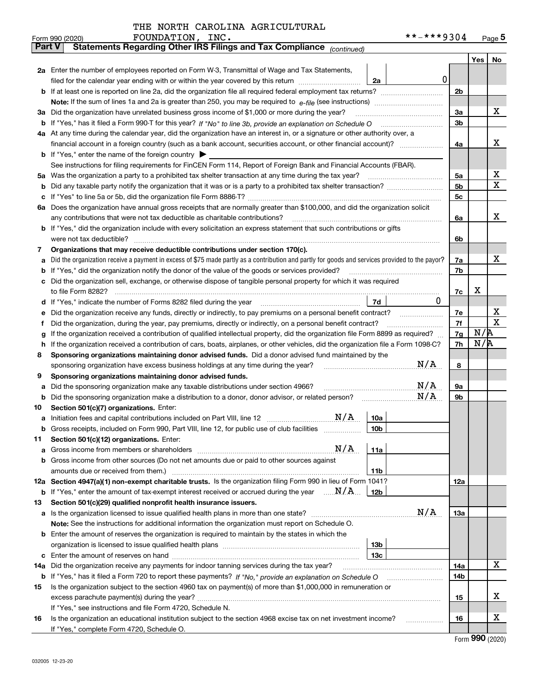|  | THE NORTH CAROLINA AGRICULTURAL |
|--|---------------------------------|
|  |                                 |

|        | FOUNDATION, INC.<br>Form 990 (2020)                                                                                                                                                                                              |                 | **-***9304 |     |     | Page $5$    |
|--------|----------------------------------------------------------------------------------------------------------------------------------------------------------------------------------------------------------------------------------|-----------------|------------|-----|-----|-------------|
| Part V | Statements Regarding Other IRS Filings and Tax Compliance (continued)                                                                                                                                                            |                 |            |     |     |             |
|        |                                                                                                                                                                                                                                  |                 |            |     | Yes | No          |
|        | 2a Enter the number of employees reported on Form W-3, Transmittal of Wage and Tax Statements,                                                                                                                                   |                 |            |     |     |             |
|        | filed for the calendar year ending with or within the year covered by this return <i>manumumumum</i>                                                                                                                             | 2a              | 0          |     |     |             |
| b      |                                                                                                                                                                                                                                  |                 |            | 2b  |     |             |
|        |                                                                                                                                                                                                                                  |                 |            |     |     |             |
| За     | Did the organization have unrelated business gross income of \$1,000 or more during the year?                                                                                                                                    |                 |            | 3a  |     | х           |
| b      |                                                                                                                                                                                                                                  |                 |            | 3b  |     |             |
|        | 4a At any time during the calendar year, did the organization have an interest in, or a signature or other authority over, a                                                                                                     |                 |            |     |     |             |
|        |                                                                                                                                                                                                                                  |                 |            | 4a  |     | х           |
|        | <b>b</b> If "Yes," enter the name of the foreign country $\blacktriangleright$                                                                                                                                                   |                 |            |     |     |             |
|        | See instructions for filing requirements for FinCEN Form 114, Report of Foreign Bank and Financial Accounts (FBAR).                                                                                                              |                 |            |     |     |             |
| 5а     | Was the organization a party to a prohibited tax shelter transaction at any time during the tax year?                                                                                                                            |                 |            | 5а  |     | х           |
| b      |                                                                                                                                                                                                                                  |                 |            | 5b  |     | X           |
| c      |                                                                                                                                                                                                                                  |                 |            | 5c  |     |             |
|        | 6a Does the organization have annual gross receipts that are normally greater than \$100,000, and did the organization solicit                                                                                                   |                 |            |     |     | х           |
|        | any contributions that were not tax deductible as charitable contributions?                                                                                                                                                      |                 |            | 6a  |     |             |
|        | b If "Yes," did the organization include with every solicitation an express statement that such contributions or gifts                                                                                                           |                 |            |     |     |             |
|        | were not tax deductible?                                                                                                                                                                                                         |                 |            | 6b  |     |             |
| 7<br>a | Organizations that may receive deductible contributions under section 170(c).<br>Did the organization receive a payment in excess of \$75 made partly as a contribution and partly for goods and services provided to the payor? |                 |            | 7a  |     | х           |
| b      | If "Yes," did the organization notify the donor of the value of the goods or services provided?                                                                                                                                  |                 |            | 7b  |     |             |
|        | Did the organization sell, exchange, or otherwise dispose of tangible personal property for which it was required                                                                                                                |                 |            |     |     |             |
|        |                                                                                                                                                                                                                                  |                 |            | 7c  | х   |             |
| d      |                                                                                                                                                                                                                                  | 7d              | 0          |     |     |             |
| е      | Did the organization receive any funds, directly or indirectly, to pay premiums on a personal benefit contract?                                                                                                                  |                 |            | 7е  |     | х           |
| f      | Did the organization, during the year, pay premiums, directly or indirectly, on a personal benefit contract?                                                                                                                     |                 |            | 7f  |     | $\mathbf X$ |
| g      | If the organization received a contribution of qualified intellectual property, did the organization file Form 8899 as required?                                                                                                 |                 |            | 7g  | N/R |             |
| h      | If the organization received a contribution of cars, boats, airplanes, or other vehicles, did the organization file a Form 1098-C?                                                                                               |                 |            | 7h  | N/R |             |
| 8      | Sponsoring organizations maintaining donor advised funds. Did a donor advised fund maintained by the                                                                                                                             |                 |            |     |     |             |
|        | sponsoring organization have excess business holdings at any time during the year?                                                                                                                                               |                 | N/A        | 8   |     |             |
| 9      | Sponsoring organizations maintaining donor advised funds.                                                                                                                                                                        |                 |            |     |     |             |
| a      | Did the sponsoring organization make any taxable distributions under section 4966?                                                                                                                                               |                 | N/A        | 9а  |     |             |
| b      | Did the sponsoring organization make a distribution to a donor, donor advisor, or related person?                                                                                                                                |                 | N/A        | 9b  |     |             |
| 10     | Section 501(c)(7) organizations. Enter:                                                                                                                                                                                          |                 |            |     |     |             |
|        | N/A<br>a Initiation fees and capital contributions included on Part VIII, line 12 [111] [11] [11] Initiation fees and capital contributions included on Part VIII, line 12                                                       | 10a             |            |     |     |             |
|        | Gross receipts, included on Form 990, Part VIII, line 12, for public use of club facilities                                                                                                                                      | 10 <sub>b</sub> |            |     |     |             |
| 11     | Section 501(c)(12) organizations. Enter:                                                                                                                                                                                         |                 |            |     |     |             |
| а      | N/A<br>Gross income from members or shareholders                                                                                                                                                                                 | 11a             |            |     |     |             |
| b      | Gross income from other sources (Do not net amounts due or paid to other sources against                                                                                                                                         |                 |            |     |     |             |
|        | amounts due or received from them.)                                                                                                                                                                                              | 11 <sub>b</sub> |            |     |     |             |
|        | 12a Section 4947(a)(1) non-exempt charitable trusts. Is the organization filing Form 990 in lieu of Form 1041?                                                                                                                   |                 |            | 12a |     |             |
|        | <b>b</b> If "Yes," enter the amount of tax-exempt interest received or accrued during the year $\ldots \mathbf{N}/\mathbf{A}$                                                                                                    | 12b             |            |     |     |             |
| 13     | Section 501(c)(29) qualified nonprofit health insurance issuers.                                                                                                                                                                 |                 | N/A        |     |     |             |
|        | <b>a</b> Is the organization licensed to issue qualified health plans in more than one state?                                                                                                                                    |                 |            | 13a |     |             |
|        | Note: See the instructions for additional information the organization must report on Schedule O.<br><b>b</b> Enter the amount of reserves the organization is required to maintain by the states in which the                   |                 |            |     |     |             |
|        |                                                                                                                                                                                                                                  | 13 <sub>b</sub> |            |     |     |             |
| с      |                                                                                                                                                                                                                                  | 13с             |            |     |     |             |
| 14a    | Did the organization receive any payments for indoor tanning services during the tax year?                                                                                                                                       |                 |            | 14a |     | х           |
|        | <b>b</b> If "Yes," has it filed a Form 720 to report these payments? If "No," provide an explanation on Schedule O                                                                                                               |                 |            | 14b |     |             |
| 15     | Is the organization subject to the section 4960 tax on payment(s) of more than \$1,000,000 in remuneration or                                                                                                                    |                 |            |     |     |             |
|        |                                                                                                                                                                                                                                  |                 |            | 15  |     | x           |
|        | If "Yes," see instructions and file Form 4720, Schedule N.                                                                                                                                                                       |                 |            |     |     |             |
| 16     | Is the organization an educational institution subject to the section 4968 excise tax on net investment income?                                                                                                                  |                 |            | 16  |     | X           |
|        | If "Yes," complete Form 4720, Schedule O.                                                                                                                                                                                        |                 |            |     |     |             |

Form (2020) **990**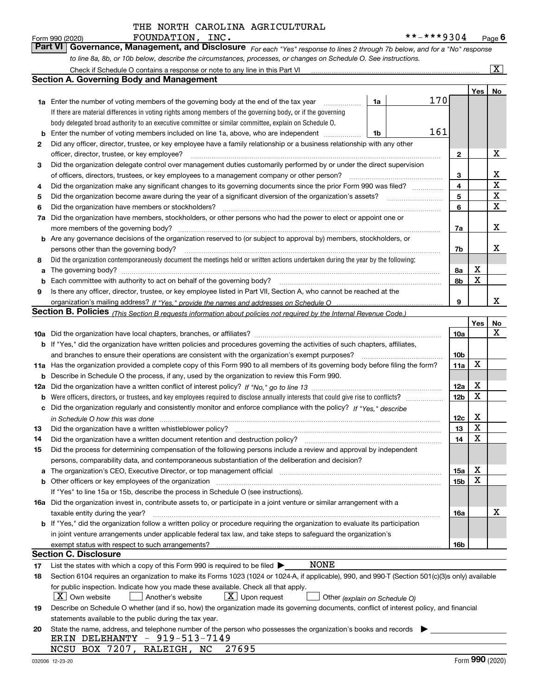| Form 990 (2020) | FOUNDATION, INC. | **-***9304                                                                                                                  | $P$ age $6$ |
|-----------------|------------------|-----------------------------------------------------------------------------------------------------------------------------|-------------|
|                 |                  | Part VI Governance, Management, and Disclosure For each "Yes" response to lines 2 through 7b below, and for a "No" response |             |
|                 |                  | to line 8a, 8b, or 10b below, describe the circumstances, processes, or changes on Schedule O. See instructions.            |             |

|     | Check if Schedule O contains a response or note to any line in this Part VI                                                                                                                                                                      |    |  |     |                        |        | x           |  |
|-----|--------------------------------------------------------------------------------------------------------------------------------------------------------------------------------------------------------------------------------------------------|----|--|-----|------------------------|--------|-------------|--|
|     | <b>Section A. Governing Body and Management</b>                                                                                                                                                                                                  |    |  |     |                        |        |             |  |
|     |                                                                                                                                                                                                                                                  |    |  |     |                        | Yes    | No          |  |
|     | 1a Enter the number of voting members of the governing body at the end of the tax year                                                                                                                                                           | 1a |  | 170 |                        |        |             |  |
|     | If there are material differences in voting rights among members of the governing body, or if the governing                                                                                                                                      |    |  |     |                        |        |             |  |
|     | body delegated broad authority to an executive committee or similar committee, explain on Schedule O.                                                                                                                                            |    |  |     |                        |        |             |  |
| b   | Enter the number of voting members included on line 1a, above, who are independent                                                                                                                                                               | 1b |  | 161 |                        |        |             |  |
| 2   | Did any officer, director, trustee, or key employee have a family relationship or a business relationship with any other                                                                                                                         |    |  |     |                        |        |             |  |
|     | officer, director, trustee, or key employee?                                                                                                                                                                                                     |    |  |     | $\mathbf{2}$           |        | X           |  |
| 3   | Did the organization delegate control over management duties customarily performed by or under the direct supervision                                                                                                                            |    |  |     |                        |        |             |  |
|     | of officers, directors, trustees, or key employees to a management company or other person?                                                                                                                                                      |    |  |     | 3                      |        | x           |  |
| 4   | Did the organization make any significant changes to its governing documents since the prior Form 990 was filed?                                                                                                                                 |    |  |     | $\overline{4}$         |        | $\mathbf X$ |  |
| 5   |                                                                                                                                                                                                                                                  |    |  |     | 5                      |        | $\mathbf X$ |  |
| 6   | Did the organization have members or stockholders?                                                                                                                                                                                               |    |  |     | 6                      |        | $\mathbf X$ |  |
| 7a  | Did the organization have members, stockholders, or other persons who had the power to elect or appoint one or                                                                                                                                   |    |  |     |                        |        |             |  |
|     | more members of the governing body?                                                                                                                                                                                                              |    |  |     | 7a                     |        | х           |  |
|     | <b>b</b> Are any governance decisions of the organization reserved to (or subject to approval by) members, stockholders, or                                                                                                                      |    |  |     |                        |        |             |  |
|     | persons other than the governing body?                                                                                                                                                                                                           |    |  |     | 7b                     |        | x           |  |
| 8   | Did the organization contemporaneously document the meetings held or written actions undertaken during the year by the following:                                                                                                                |    |  |     |                        |        |             |  |
| a   | The governing body?                                                                                                                                                                                                                              |    |  |     | 8a                     | х      |             |  |
| b   |                                                                                                                                                                                                                                                  |    |  |     | 8b                     | X      |             |  |
| 9   | Is there any officer, director, trustee, or key employee listed in Part VII, Section A, who cannot be reached at the                                                                                                                             |    |  |     |                        |        |             |  |
|     |                                                                                                                                                                                                                                                  |    |  |     | 9                      |        | x           |  |
|     | <b>Section B. Policies</b> (This Section B requests information about policies not required by the Internal Revenue Code.)                                                                                                                       |    |  |     |                        |        |             |  |
|     |                                                                                                                                                                                                                                                  |    |  |     |                        | Yes    | No          |  |
|     |                                                                                                                                                                                                                                                  |    |  |     | 10a                    |        | х           |  |
|     | <b>b</b> If "Yes," did the organization have written policies and procedures governing the activities of such chapters, affiliates,                                                                                                              |    |  |     |                        |        |             |  |
|     | and branches to ensure their operations are consistent with the organization's exempt purposes?                                                                                                                                                  |    |  |     | 10 <sub>b</sub><br>11a | X      |             |  |
|     | 11a Has the organization provided a complete copy of this Form 990 to all members of its governing body before filing the form?                                                                                                                  |    |  |     |                        |        |             |  |
| b   | Describe in Schedule O the process, if any, used by the organization to review this Form 990.                                                                                                                                                    |    |  |     |                        |        |             |  |
| 12a |                                                                                                                                                                                                                                                  |    |  |     | 12a                    | X      |             |  |
| b   |                                                                                                                                                                                                                                                  |    |  |     | 12 <sub>b</sub>        | X      |             |  |
| с   | Did the organization regularly and consistently monitor and enforce compliance with the policy? If "Yes." describe                                                                                                                               |    |  |     |                        |        |             |  |
|     | in Schedule O how this was done measured and the control of the control of the state of the control of the control of the control of the control of the control of the control of the control of the control of the control of                   |    |  |     | 12c                    | х      |             |  |
| 13  | Did the organization have a written whistleblower policy?                                                                                                                                                                                        |    |  |     | 13                     | X      |             |  |
| 14  | Did the organization have a written document retention and destruction policy?                                                                                                                                                                   |    |  |     | 14                     | X      |             |  |
| 15  | Did the process for determining compensation of the following persons include a review and approval by independent                                                                                                                               |    |  |     |                        |        |             |  |
|     | persons, comparability data, and contemporaneous substantiation of the deliberation and decision?                                                                                                                                                |    |  |     |                        |        |             |  |
| a   | The organization's CEO, Executive Director, or top management official manufactured content of the organization's CEO, Executive Director, or top management official                                                                            |    |  |     | 15a                    | х<br>X |             |  |
|     | <b>b</b> Other officers or key employees of the organization                                                                                                                                                                                     |    |  |     | 15b                    |        |             |  |
|     | If "Yes" to line 15a or 15b, describe the process in Schedule O (see instructions).                                                                                                                                                              |    |  |     |                        |        |             |  |
|     | 16a Did the organization invest in, contribute assets to, or participate in a joint venture or similar arrangement with a                                                                                                                        |    |  |     |                        |        | х           |  |
|     | taxable entity during the year?                                                                                                                                                                                                                  |    |  |     | 16a                    |        |             |  |
|     | b If "Yes," did the organization follow a written policy or procedure requiring the organization to evaluate its participation<br>in joint venture arrangements under applicable federal tax law, and take steps to safeguard the organization's |    |  |     |                        |        |             |  |
|     |                                                                                                                                                                                                                                                  |    |  |     |                        |        |             |  |
|     | exempt status with respect to such arrangements?<br><b>Section C. Disclosure</b>                                                                                                                                                                 |    |  |     | 16b                    |        |             |  |
| 17  | NONE<br>List the states with which a copy of this Form 990 is required to be filed $\blacktriangleright$                                                                                                                                         |    |  |     |                        |        |             |  |
| 18  | Section 6104 requires an organization to make its Forms 1023 (1024 or 1024-A, if applicable), 990, and 990-T (Section 501(c)(3)s only) available                                                                                                 |    |  |     |                        |        |             |  |
|     | for public inspection. Indicate how you made these available. Check all that apply.                                                                                                                                                              |    |  |     |                        |        |             |  |
|     | $X$ Own website<br>$X$ Upon request<br>Another's website<br>Other (explain on Schedule O)                                                                                                                                                        |    |  |     |                        |        |             |  |
| 19  | Describe on Schedule O whether (and if so, how) the organization made its governing documents, conflict of interest policy, and financial                                                                                                        |    |  |     |                        |        |             |  |
|     | statements available to the public during the tax year.                                                                                                                                                                                          |    |  |     |                        |        |             |  |
| 20  | State the name, address, and telephone number of the person who possesses the organization's books and records                                                                                                                                   |    |  |     |                        |        |             |  |
|     | ERIN DELEHANTY - 919-513-7149                                                                                                                                                                                                                    |    |  |     |                        |        |             |  |
|     | NCSU BOX 7207, RALEIGH, NC 27695                                                                                                                                                                                                                 |    |  |     |                        |        |             |  |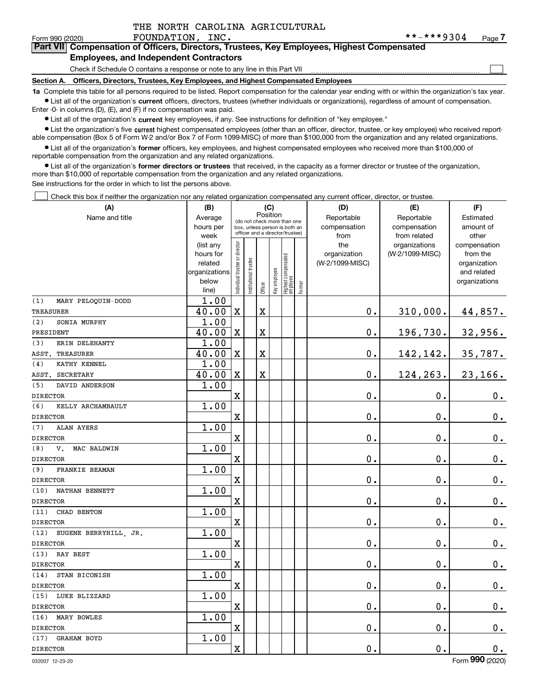| THE NORTH CAROLINA AGRICULTURAL |  |
|---------------------------------|--|
|                                 |  |

 $\mathcal{L}^{\text{max}}$ 

### Form 990 (2020) **FOUNDATION, INC.** \* \* - \* \* \* 9 3 0 4 <sub>Page</sub> **7Part VII Compensation of Officers, Directors, Trustees, Key Employees, Highest Compensated Employees, and Independent Contractors**

# Check if Schedule O contains a response or note to any line in this Part VII

**Section A. Officers, Directors, Trustees, Key Employees, and Highest Compensated Employees**

**1a**  Complete this table for all persons required to be listed. Report compensation for the calendar year ending with or within the organization's tax year. **•** List all of the organization's current officers, directors, trustees (whether individuals or organizations), regardless of amount of compensation. Enter -0- in columns (D), (E), and (F) if no compensation was paid.

 $\bullet$  List all of the organization's  $\,$ current key employees, if any. See instructions for definition of "key employee."

**•** List the organization's five current highest compensated employees (other than an officer, director, trustee, or key employee) who received reportable compensation (Box 5 of Form W-2 and/or Box 7 of Form 1099-MISC) of more than \$100,000 from the organization and any related organizations.

**•** List all of the organization's former officers, key employees, and highest compensated employees who received more than \$100,000 of reportable compensation from the organization and any related organizations.

**former directors or trustees**  ¥ List all of the organization's that received, in the capacity as a former director or trustee of the organization, more than \$10,000 of reportable compensation from the organization and any related organizations.

See instructions for the order in which to list the persons above.

Check this box if neither the organization nor any related organization compensated any current officer, director, or trustee.  $\mathcal{L}^{\text{max}}$ 

| (A)                                 | (B)                    |                               |                                                                  | (C)                     |              |                                   |        | (D)             | (E)                              | (F)                      |
|-------------------------------------|------------------------|-------------------------------|------------------------------------------------------------------|-------------------------|--------------|-----------------------------------|--------|-----------------|----------------------------------|--------------------------|
| Name and title                      | Average                |                               | (do not check more than one                                      | Position                |              |                                   |        | Reportable      | Reportable                       | Estimated                |
|                                     | hours per              |                               | box, unless person is both an<br>officer and a director/trustee) |                         |              |                                   |        | compensation    | compensation                     | amount of                |
|                                     | week                   |                               |                                                                  |                         |              |                                   |        | from<br>the     | from related                     | other                    |
|                                     | (list any<br>hours for | ndividual trustee or director |                                                                  |                         |              |                                   |        | organization    | organizations<br>(W-2/1099-MISC) | compensation<br>from the |
|                                     | related                |                               |                                                                  |                         |              |                                   |        | (W-2/1099-MISC) |                                  | organization             |
|                                     | organizations          |                               |                                                                  |                         |              |                                   |        |                 |                                  | and related              |
|                                     | below                  |                               | nstitutional trustee                                             |                         | Key employee |                                   |        |                 |                                  | organizations            |
|                                     | line)                  |                               |                                                                  | Officer                 |              | Highest compensated<br>  employee | Former |                 |                                  |                          |
| (1)<br>MARY PELOQUIN-DODD           | 1.00                   |                               |                                                                  |                         |              |                                   |        |                 |                                  |                          |
| <b>TREASURER</b>                    | 40.00                  | $\mathbf X$                   |                                                                  | $\overline{\textbf{X}}$ |              |                                   |        | 0.              | 310,000.                         | 44,857.                  |
| (2)<br>SONIA MURPHY                 | 1.00                   |                               |                                                                  |                         |              |                                   |        |                 |                                  |                          |
| PRESIDENT                           | 40.00                  | $\overline{\mathbf{X}}$       |                                                                  | $\overline{\textbf{X}}$ |              |                                   |        | $\mathbf 0$ .   | 196,730.                         | 32,956.                  |
| (3)<br>ERIN DELEHANTY               | 1.00                   |                               |                                                                  |                         |              |                                   |        |                 |                                  |                          |
| TREASURER<br>ASST.                  | 40.00                  | $\mathbf X$                   |                                                                  | $\overline{\textbf{X}}$ |              |                                   |        | 0.              | 142,142.                         | 35,787.                  |
| KATHY KENNEL<br>(4)                 | 1.00                   |                               |                                                                  |                         |              |                                   |        |                 |                                  |                          |
| ASST. SECRETARY                     | 40.00                  | $\mathbf X$                   |                                                                  | $\overline{\textbf{X}}$ |              |                                   |        | $\mathbf 0$ .   | 124,263.                         | 23,166.                  |
| (5)<br>DAVID ANDERSON               | 1.00                   |                               |                                                                  |                         |              |                                   |        |                 |                                  |                          |
| <b>DIRECTOR</b>                     |                        | X                             |                                                                  |                         |              |                                   |        | $\mathbf 0$ .   | 0.                               | $0_{.}$                  |
| (6)<br>KELLY ARCHAMBAULT            | 1.00                   |                               |                                                                  |                         |              |                                   |        |                 |                                  |                          |
| <b>DIRECTOR</b>                     |                        | X                             |                                                                  |                         |              |                                   |        | $\mathbf 0$ .   | $\mathbf 0$ .                    | $0_{.}$                  |
| (7)<br><b>ALAN AYERS</b>            | 1.00                   |                               |                                                                  |                         |              |                                   |        |                 |                                  |                          |
| <b>DIRECTOR</b>                     |                        | $\overline{\textbf{X}}$       |                                                                  |                         |              |                                   |        | $\mathbf 0$ .   | $\mathbf 0$ .                    | $\mathbf 0$ .            |
| (8)<br>$\mathtt{v}.$<br>MAC BALDWIN | 1.00                   |                               |                                                                  |                         |              |                                   |        |                 |                                  |                          |
| <b>DIRECTOR</b>                     |                        | $\overline{\mathbf{X}}$       |                                                                  |                         |              |                                   |        | $\mathbf 0$ .   | $\mathbf 0$ .                    | $\mathbf 0$ .            |
| (9)<br>FRANKIE BEAMAN               | 1.00                   |                               |                                                                  |                         |              |                                   |        |                 |                                  |                          |
| <b>DIRECTOR</b>                     |                        | $\overline{\textbf{X}}$       |                                                                  |                         |              |                                   |        | $\mathbf 0$ .   | $\mathbf 0$ .                    | $\mathbf 0$ .            |
| (10)<br>NATHAN BENNETT              | 1.00                   |                               |                                                                  |                         |              |                                   |        |                 |                                  |                          |
| <b>DIRECTOR</b>                     |                        | X                             |                                                                  |                         |              |                                   |        | $\mathbf 0$ .   | $\mathbf 0$ .                    | $0_{.}$                  |
| CHAD BENTON<br>(11)                 | 1.00                   |                               |                                                                  |                         |              |                                   |        |                 |                                  |                          |
| <b>DIRECTOR</b>                     |                        | $\mathbf X$                   |                                                                  |                         |              |                                   |        | $\mathbf 0$ .   | $\mathbf 0$ .                    | $\mathbf 0$ .            |
| (12)<br>EUGENE BERRYHILL, JR.       | 1.00                   |                               |                                                                  |                         |              |                                   |        |                 |                                  |                          |
| <b>DIRECTOR</b>                     |                        | $\overline{\mathbf{X}}$       |                                                                  |                         |              |                                   |        | $\mathbf 0$ .   | $\mathbf 0$ .                    | $\mathbf 0$ .            |
| (13)<br><b>RAY BEST</b>             | 1.00                   |                               |                                                                  |                         |              |                                   |        |                 |                                  |                          |
| <b>DIRECTOR</b>                     |                        | $\mathbf X$                   |                                                                  |                         |              |                                   |        | 0.              | $\mathbf 0$ .                    | 0.                       |
| (14)<br>STAN BICONISH               | 1.00                   |                               |                                                                  |                         |              |                                   |        |                 |                                  |                          |
| <b>DIRECTOR</b>                     |                        | X                             |                                                                  |                         |              |                                   |        | $\mathbf 0$ .   | $\mathbf 0$ .                    | $0_{.}$                  |
| (15)<br>LUKE BLIZZARD               | 1.00                   |                               |                                                                  |                         |              |                                   |        |                 |                                  |                          |
| <b>DIRECTOR</b>                     |                        | $\rm X$                       |                                                                  |                         |              |                                   |        | $\mathbf 0$ .   | $\mathbf 0$ .                    | $\mathbf 0$ .            |
| (16)<br>MARY BOWLES                 | 1.00                   |                               |                                                                  |                         |              |                                   |        |                 |                                  |                          |
| <b>DIRECTOR</b>                     |                        | X                             |                                                                  |                         |              |                                   |        | 0.              | 0.                               | $\mathbf 0$ .            |
| (17)<br><b>GRAHAM BOYD</b>          | 1.00                   |                               |                                                                  |                         |              |                                   |        |                 |                                  |                          |
| <b>DIRECTOR</b>                     |                        | $\rm X$                       |                                                                  |                         |              |                                   |        | 0.              | 0.                               | 0.                       |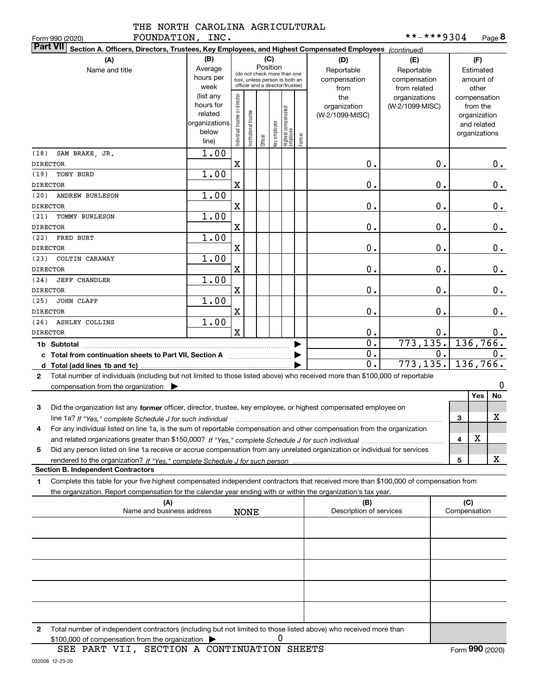| IND NOVIU   |  |  |  |
|-------------|--|--|--|
| ----------- |  |  |  |

FOUNDATION, INC.

| FOUNDATION, INC.<br>Form 990 (2020)                                                                                                          |                      |                               |                                                              |          |              |                                   |        |                         | **-***9304      |              |                              | Page <b>ö</b> |
|----------------------------------------------------------------------------------------------------------------------------------------------|----------------------|-------------------------------|--------------------------------------------------------------|----------|--------------|-----------------------------------|--------|-------------------------|-----------------|--------------|------------------------------|---------------|
| <b>Part VII</b><br>Section A. Officers, Directors, Trustees, Key Employees, and Highest Compensated Employees (continued)                    |                      |                               |                                                              |          |              |                                   |        |                         |                 |              |                              |               |
| (A)                                                                                                                                          | (B)                  |                               |                                                              | (C)      |              |                                   |        | (D)                     | (E)             |              | (F)                          |               |
| Name and title                                                                                                                               | Average              |                               |                                                              | Position |              |                                   |        | Reportable              | Reportable      |              | Estimated                    |               |
|                                                                                                                                              | hours per            |                               | (do not check more than one<br>box, unless person is both an |          |              |                                   |        | compensation            | compensation    |              | amount of                    |               |
|                                                                                                                                              | week                 |                               | officer and a director/trustee)                              |          |              |                                   |        | from                    | from related    |              | other                        |               |
|                                                                                                                                              | (list any            |                               |                                                              |          |              |                                   |        | the                     | organizations   |              | compensation                 |               |
|                                                                                                                                              | hours for<br>related |                               |                                                              |          |              |                                   |        | organization            | (W-2/1099-MISC) |              | from the                     |               |
|                                                                                                                                              | organizations        |                               |                                                              |          |              |                                   |        | (W-2/1099-MISC)         |                 |              | organization                 |               |
|                                                                                                                                              | below                |                               |                                                              |          |              |                                   |        |                         |                 |              | and related<br>organizations |               |
|                                                                                                                                              | line)                | ndividual trustee or director | nstitutional trustee                                         | Officer  | Key employee | Highest compensated<br>  employee | Former |                         |                 |              |                              |               |
| (18)<br>SAM BRAKE, JR.                                                                                                                       | 1.00                 |                               |                                                              |          |              |                                   |        |                         |                 |              |                              |               |
| <b>DIRECTOR</b>                                                                                                                              |                      | X                             |                                                              |          |              |                                   |        | 0.                      | 0.              |              |                              | $0_{.}$       |
| (19)<br>TONY BURD                                                                                                                            | 1.00                 |                               |                                                              |          |              |                                   |        |                         |                 |              |                              |               |
| <b>DIRECTOR</b>                                                                                                                              |                      | X                             |                                                              |          |              |                                   |        | 0.                      | 0.              |              |                              | 0.            |
| (20)<br><b>ANDREW BURLESON</b>                                                                                                               | 1.00                 |                               |                                                              |          |              |                                   |        |                         |                 |              |                              |               |
| <b>DIRECTOR</b>                                                                                                                              |                      | X                             |                                                              |          |              |                                   |        | 0.                      | 0.              |              |                              | 0.            |
| (21)<br><b>TOMMY BURLESON</b>                                                                                                                | 1.00                 |                               |                                                              |          |              |                                   |        |                         |                 |              |                              |               |
| <b>DIRECTOR</b>                                                                                                                              |                      | X                             |                                                              |          |              |                                   |        | 0.                      | 0.              |              |                              | $\mathbf 0$ . |
| (22)<br>FRED BURT                                                                                                                            | 1.00                 |                               |                                                              |          |              |                                   |        |                         |                 |              |                              |               |
| <b>DIRECTOR</b>                                                                                                                              |                      | X                             |                                                              |          |              |                                   |        | 0.                      | 0.              |              |                              | $\mathbf 0$ . |
| (23)<br>COLTIN CARAWAY                                                                                                                       | 1.00                 |                               |                                                              |          |              |                                   |        |                         |                 |              |                              |               |
| <b>DIRECTOR</b>                                                                                                                              |                      | X                             |                                                              |          |              |                                   |        | 0.                      | 0.              |              |                              | 0.            |
| (24)<br>JEFF CHANDLER                                                                                                                        | 1.00                 |                               |                                                              |          |              |                                   |        |                         |                 |              |                              |               |
| <b>DIRECTOR</b>                                                                                                                              |                      | $\mathbf X$                   |                                                              |          |              |                                   |        | 0.                      | 0.              |              |                              | $\mathbf 0$ . |
| (25)<br>JOHN CLAPP                                                                                                                           | 1.00                 |                               |                                                              |          |              |                                   |        |                         |                 |              |                              |               |
| <b>DIRECTOR</b>                                                                                                                              |                      | $\mathbf X$                   |                                                              |          |              |                                   |        | 0.                      | 0.              |              |                              | 0.            |
| (26)<br><b>ASHLEY COLLINS</b>                                                                                                                | 1.00                 |                               |                                                              |          |              |                                   |        |                         |                 |              |                              |               |
| <b>DIRECTOR</b>                                                                                                                              |                      | $\mathbf x$                   |                                                              |          |              |                                   |        | 0.                      | 0.              |              |                              | $0$ .         |
|                                                                                                                                              |                      |                               |                                                              |          |              |                                   |        | 0.                      | 773,135.        |              | 136,766.                     |               |
| c Total from continuation sheets to Part VII, Section A                                                                                      |                      |                               |                                                              |          |              |                                   |        | 0.                      | 0.              |              |                              | 0.            |
|                                                                                                                                              |                      |                               |                                                              |          |              |                                   |        | 0.                      | 773,135.        |              | 136,766.                     |               |
| Total number of individuals (including but not limited to those listed above) who received more than \$100,000 of reportable<br>$\mathbf{2}$ |                      |                               |                                                              |          |              |                                   |        |                         |                 |              |                              |               |
| compensation from the organization $\blacktriangleright$                                                                                     |                      |                               |                                                              |          |              |                                   |        |                         |                 |              |                              | 0             |
|                                                                                                                                              |                      |                               |                                                              |          |              |                                   |        |                         |                 |              | Yes                          | No            |
| 3<br>Did the organization list any former officer, director, trustee, key employee, or highest compensated employee on                       |                      |                               |                                                              |          |              |                                   |        |                         |                 |              |                              |               |
| line 1a? If "Yes," complete Schedule J for such individual manufactured contained and the Ves," complete Schedule J for such individual      |                      |                               |                                                              |          |              |                                   |        |                         |                 | 3            |                              | х             |
| For any individual listed on line 1a, is the sum of reportable compensation and other compensation from the organization                     |                      |                               |                                                              |          |              |                                   |        |                         |                 |              |                              |               |
|                                                                                                                                              |                      |                               |                                                              |          |              |                                   |        |                         |                 | 4            | X                            |               |
| Did any person listed on line 1a receive or accrue compensation from any unrelated organization or individual for services<br>5              |                      |                               |                                                              |          |              |                                   |        |                         |                 |              |                              |               |
|                                                                                                                                              |                      |                               |                                                              |          |              |                                   |        |                         |                 | 5            |                              | x             |
| <b>Section B. Independent Contractors</b>                                                                                                    |                      |                               |                                                              |          |              |                                   |        |                         |                 |              |                              |               |
| Complete this table for your five highest compensated independent contractors that received more than \$100,000 of compensation from<br>1.   |                      |                               |                                                              |          |              |                                   |        |                         |                 |              |                              |               |
| the organization. Report compensation for the calendar year ending with or within the organization's tax year.                               |                      |                               |                                                              |          |              |                                   |        |                         |                 |              |                              |               |
| (A)                                                                                                                                          |                      |                               |                                                              |          |              |                                   |        | (B)                     |                 | (C)          |                              |               |
| Name and business address                                                                                                                    |                      |                               | <b>NONE</b>                                                  |          |              |                                   |        | Description of services |                 | Compensation |                              |               |
|                                                                                                                                              |                      |                               |                                                              |          |              |                                   |        |                         |                 |              |                              |               |
|                                                                                                                                              |                      |                               |                                                              |          |              |                                   |        |                         |                 |              |                              |               |
|                                                                                                                                              |                      |                               |                                                              |          |              |                                   |        |                         |                 |              |                              |               |
|                                                                                                                                              |                      |                               |                                                              |          |              |                                   |        |                         |                 |              |                              |               |
|                                                                                                                                              |                      |                               |                                                              |          |              |                                   |        |                         |                 |              |                              |               |
|                                                                                                                                              |                      |                               |                                                              |          |              |                                   |        |                         |                 |              |                              |               |

| Total number of independent contractors (including but not limited to those listed above) who received more than |  |  |
|------------------------------------------------------------------------------------------------------------------|--|--|
| $$100,000$ of compensation from the organization $\triangleright$                                                |  |  |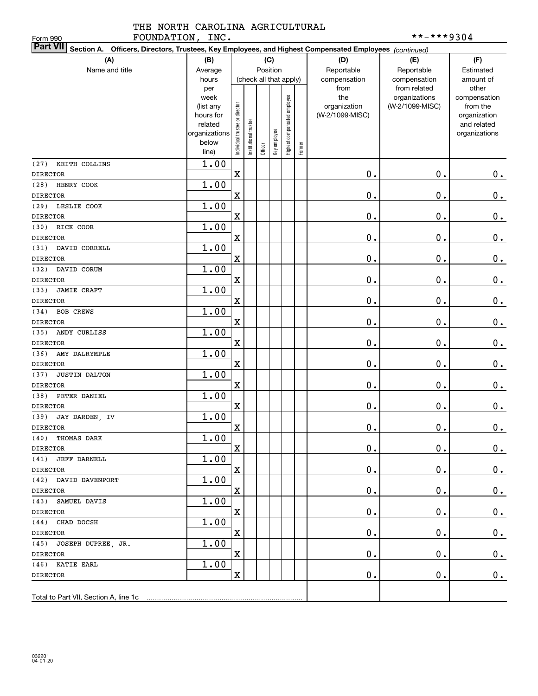| FOUNDATION, INC.<br>Form 990                                                                                              |                      |                                |                        |         |              |                              |        |                 | **-***9304      |                             |
|---------------------------------------------------------------------------------------------------------------------------|----------------------|--------------------------------|------------------------|---------|--------------|------------------------------|--------|-----------------|-----------------|-----------------------------|
| <b>Part VII</b><br>Section A. Officers, Directors, Trustees, Key Employees, and Highest Compensated Employees (continued) |                      |                                |                        |         |              |                              |        |                 |                 |                             |
| (A)                                                                                                                       | (B)                  |                                |                        |         | (C)          |                              |        | (D)             | (E)             | (F)                         |
| Name and title                                                                                                            | Average              |                                |                        |         | Position     |                              |        | Reportable      | Reportable      | Estimated                   |
|                                                                                                                           | hours                |                                | (check all that apply) |         |              |                              |        | compensation    | compensation    | amount of                   |
|                                                                                                                           | per                  |                                |                        |         |              |                              |        | from            | from related    | other                       |
|                                                                                                                           | week                 |                                |                        |         |              |                              |        | the             | organizations   | compensation                |
|                                                                                                                           | (list any            |                                |                        |         |              |                              |        | organization    | (W-2/1099-MISC) | from the                    |
|                                                                                                                           | hours for<br>related |                                |                        |         |              |                              |        | (W-2/1099-MISC) |                 | organization<br>and related |
|                                                                                                                           | organizations        | Individual trustee or director | nstitutional trustee   |         |              |                              |        |                 |                 | organizations               |
|                                                                                                                           | below                |                                |                        |         |              |                              |        |                 |                 |                             |
|                                                                                                                           | line)                |                                |                        | Officer | Key employee | Highest compensated employee | Former |                 |                 |                             |
| KEITH COLLINS<br>(27)                                                                                                     | 1.00                 |                                |                        |         |              |                              |        |                 |                 |                             |
| <b>DIRECTOR</b>                                                                                                           |                      | $\mathbf X$                    |                        |         |              |                              |        | 0.              | 0.              | $0$ .                       |
| (28)<br>HENRY COOK                                                                                                        | 1.00                 |                                |                        |         |              |                              |        |                 |                 |                             |
| <b>DIRECTOR</b>                                                                                                           |                      | $\mathbf X$                    |                        |         |              |                              |        | 0.              | 0.              | $\mathbf 0$ .               |
| (29)<br>LESLIE COOK                                                                                                       | 1.00                 |                                |                        |         |              |                              |        |                 |                 |                             |
| <b>DIRECTOR</b>                                                                                                           |                      | $\mathbf x$                    |                        |         |              |                              |        | 0.              | 0.              | $\mathbf 0$ .               |
| RICK COOR<br>(30)                                                                                                         | 1.00                 |                                |                        |         |              |                              |        |                 |                 |                             |
| <b>DIRECTOR</b>                                                                                                           |                      | $\mathbf X$                    |                        |         |              |                              |        | 0.              | 0.              | $\mathbf 0$ .               |
| DAVID CORRELL<br>(31)                                                                                                     | 1.00                 |                                |                        |         |              |                              |        |                 |                 |                             |
| <b>DIRECTOR</b>                                                                                                           |                      | $\mathbf X$                    |                        |         |              |                              |        | 0.              | 0.              | $\mathbf 0$ .               |
| (32)<br>DAVID CORUM                                                                                                       | 1.00                 |                                |                        |         |              |                              |        |                 |                 |                             |
| <b>DIRECTOR</b>                                                                                                           |                      | $\mathbf x$                    |                        |         |              |                              |        | 0.              | 0.              | $\mathbf 0$ .               |
| (33)<br><b>JAMIE CRAFT</b>                                                                                                | 1.00                 |                                |                        |         |              |                              |        |                 |                 |                             |
| <b>DIRECTOR</b>                                                                                                           |                      | $\mathbf X$                    |                        |         |              |                              |        | 0.              | 0.              | $\mathbf 0$ .               |
| (34)<br><b>BOB CREWS</b>                                                                                                  | 1.00                 |                                |                        |         |              |                              |        |                 |                 |                             |
| <b>DIRECTOR</b>                                                                                                           |                      | $\mathbf X$                    |                        |         |              |                              |        | 0.              | 0.              | $\mathbf 0$ .               |
| (35)<br>ANDY CURLISS                                                                                                      | 1.00                 |                                |                        |         |              |                              |        |                 |                 |                             |
| <b>DIRECTOR</b>                                                                                                           |                      | $\mathbf x$                    |                        |         |              |                              |        | 0.              | 0.              | $\mathbf 0$ .               |
| (36)<br>AMY DALRYMPLE                                                                                                     | 1.00                 |                                |                        |         |              |                              |        |                 |                 |                             |
| <b>DIRECTOR</b>                                                                                                           |                      | $\mathbf X$                    |                        |         |              |                              |        | 0.              | 0.              | $0$ .                       |
| (37)<br><b>JUSTIN DALTON</b>                                                                                              | 1.00                 |                                |                        |         |              |                              |        |                 |                 |                             |
| <b>DIRECTOR</b>                                                                                                           |                      | $\mathbf X$                    |                        |         |              |                              |        | 0.              | 0.              | $0$ .                       |
| (38)<br>PETER DANIEL                                                                                                      | 1.00                 |                                |                        |         |              |                              |        |                 |                 |                             |
| <b>DIRECTOR</b>                                                                                                           |                      | $\mathbf X$                    |                        |         |              |                              |        | 0.              | 0.              | $0$ .                       |
| (39) JAY DARDEN, IV                                                                                                       | 1.00                 |                                |                        |         |              |                              |        |                 |                 |                             |
| <b>DIRECTOR</b>                                                                                                           |                      | $\mathbf X$                    |                        |         |              |                              |        | $\mathbf 0$ .   | $\mathbf 0$ .   | 0.                          |
| (40) THOMAS DARK                                                                                                          | 1.00                 |                                |                        |         |              |                              |        |                 |                 |                             |
| DIRECTOR                                                                                                                  |                      | X                              |                        |         |              |                              |        | $\mathbf 0$ .   | $\mathbf 0$ .   | 0.                          |
| (41) JEFF DARNELL                                                                                                         | 1.00                 |                                |                        |         |              |                              |        |                 |                 |                             |
| <b>DIRECTOR</b>                                                                                                           |                      | $\mathbf X$                    |                        |         |              |                              |        | $\mathbf 0$ .   | $\mathbf 0$ .   | 0.                          |
| (42) DAVID DAVENPORT                                                                                                      | 1.00                 |                                |                        |         |              |                              |        |                 |                 |                             |
| DIRECTOR                                                                                                                  |                      | $\mathbf X$                    |                        |         |              |                              |        | $\mathbf 0$ .   | $\mathbf 0$ .   | 0.                          |
| (43) SAMUEL DAVIS                                                                                                         | 1.00                 |                                |                        |         |              |                              |        |                 |                 |                             |
| DIRECTOR                                                                                                                  |                      | $\mathbf X$                    |                        |         |              |                              |        | $\mathbf 0$ .   | $\mathbf 0$ .   | 0.                          |
| (44) CHAD DOCSH                                                                                                           | 1.00                 |                                |                        |         |              |                              |        |                 |                 |                             |
| DIRECTOR                                                                                                                  |                      | $\mathbf X$                    |                        |         |              |                              |        | $\mathbf 0$ .   | $\mathbf 0$ .   | 0.                          |
| (45) JOSEPH DUPREE, JR.                                                                                                   | 1.00                 |                                |                        |         |              |                              |        |                 |                 |                             |
| DIRECTOR                                                                                                                  |                      | $\mathbf X$                    |                        |         |              |                              |        | 0.              | 0.              | $\mathbf 0$ .               |
| (46) KATIE EARL                                                                                                           | 1.00                 | $\mathbf X$                    |                        |         |              |                              |        |                 |                 |                             |
| DIRECTOR                                                                                                                  |                      |                                |                        |         |              |                              |        | $\mathbf 0$ .   | $\mathbf 0$ .   | 0.                          |
| Total to Part VII, Section A, line 1c                                                                                     |                      |                                |                        |         |              |                              |        |                 |                 |                             |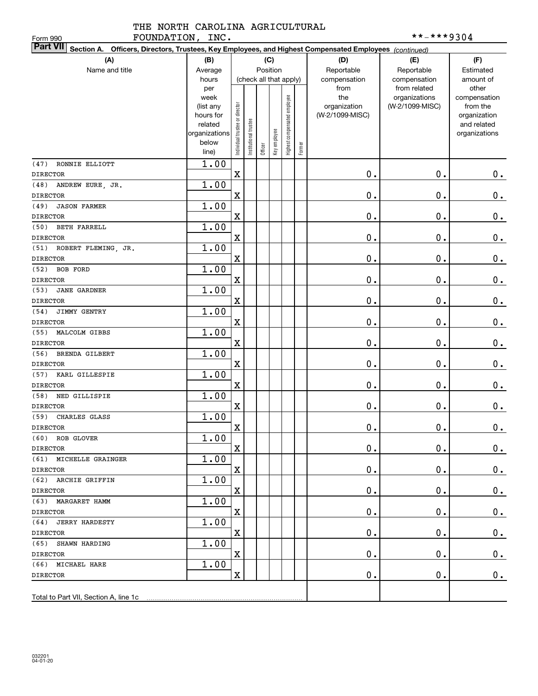| FOUNDATION, INC.<br>Form 990                                                                                              |                        |                                |                        |         |              |                              |        |                 | **-***9304                    |                       |
|---------------------------------------------------------------------------------------------------------------------------|------------------------|--------------------------------|------------------------|---------|--------------|------------------------------|--------|-----------------|-------------------------------|-----------------------|
| <b>Part VII</b><br>Section A. Officers, Directors, Trustees, Key Employees, and Highest Compensated Employees (continued) |                        |                                |                        |         |              |                              |        |                 |                               |                       |
| (A)                                                                                                                       | (B)                    |                                |                        |         | (C)          |                              |        | (D)             | (E)                           | (F)                   |
| Name and title                                                                                                            | Average                |                                |                        |         | Position     |                              |        | Reportable      | Reportable                    | Estimated             |
|                                                                                                                           | hours                  |                                | (check all that apply) |         |              |                              |        | compensation    | compensation                  | amount of             |
|                                                                                                                           | per<br>week            |                                |                        |         |              |                              |        | from<br>the     | from related<br>organizations | other<br>compensation |
|                                                                                                                           | (list any              |                                |                        |         |              |                              |        | organization    | (W-2/1099-MISC)               | from the              |
|                                                                                                                           | hours for              |                                |                        |         |              |                              |        | (W-2/1099-MISC) |                               | organization          |
|                                                                                                                           | related                |                                |                        |         |              |                              |        |                 |                               | and related           |
|                                                                                                                           | organizations<br>below |                                |                        |         |              |                              |        |                 |                               | organizations         |
|                                                                                                                           | line)                  | Individual trustee or director | nstitutional trustee   | Officer | Key employee | Highest compensated employee | Former |                 |                               |                       |
| RONNIE ELLIOTT<br>(47)                                                                                                    | 1.00                   |                                |                        |         |              |                              |        |                 |                               |                       |
| <b>DIRECTOR</b>                                                                                                           |                        | $\mathbf X$                    |                        |         |              |                              |        | 0.              | 0.                            | 0.                    |
| ANDREW EURE, JR.<br>(48)                                                                                                  | 1.00                   |                                |                        |         |              |                              |        |                 |                               |                       |
| <b>DIRECTOR</b>                                                                                                           |                        | $\mathbf X$                    |                        |         |              |                              |        | 0.              | 0.                            | $\mathbf 0$ .         |
| <b>JASON FARMER</b><br>(49)                                                                                               | 1.00                   |                                |                        |         |              |                              |        |                 |                               |                       |
| <b>DIRECTOR</b>                                                                                                           |                        | $\mathbf X$                    |                        |         |              |                              |        | 0.              | 0.                            | 0.                    |
| <b>BETH FARRELL</b><br>(50)                                                                                               | 1.00                   |                                |                        |         |              |                              |        |                 |                               |                       |
| <b>DIRECTOR</b>                                                                                                           |                        | $\mathbf X$                    |                        |         |              |                              |        | 0.              | 0.                            | 0.                    |
| (51)<br>ROBERT FLEMING, JR.                                                                                               | 1.00                   |                                |                        |         |              |                              |        |                 |                               |                       |
| <b>DIRECTOR</b>                                                                                                           |                        | $\mathbf X$                    |                        |         |              |                              |        | 0.              | 0.                            | 0.                    |
| <b>BOB FORD</b><br>(52)                                                                                                   | 1.00                   |                                |                        |         |              |                              |        |                 |                               |                       |
| <b>DIRECTOR</b>                                                                                                           |                        | $\mathbf X$                    |                        |         |              |                              |        | 0.              | 0.                            | $\mathbf 0$ .         |
| <b>JANE GARDNER</b><br>(53)                                                                                               | 1.00                   |                                |                        |         |              |                              |        |                 |                               |                       |
| <b>DIRECTOR</b>                                                                                                           |                        | $\mathbf X$                    |                        |         |              |                              |        | 0.              | 0.                            | $0$ .                 |
| JIMMY GENTRY<br>(54)                                                                                                      | 1.00                   |                                |                        |         |              |                              |        |                 |                               |                       |
| <b>DIRECTOR</b>                                                                                                           | 1.00                   | $\mathbf X$                    |                        |         |              |                              |        | 0.              | 0.                            | 0.                    |
| (55)<br>MALCOLM GIBBS<br><b>DIRECTOR</b>                                                                                  |                        | $\mathbf X$                    |                        |         |              |                              |        | 0.              | 0.                            |                       |
| (56)<br><b>BRENDA GILBERT</b>                                                                                             | 1.00                   |                                |                        |         |              |                              |        |                 |                               | $\mathbf 0$ .         |
| <b>DIRECTOR</b>                                                                                                           |                        | $\mathbf X$                    |                        |         |              |                              |        | 0.              | 0.                            | $\mathbf 0$ .         |
| KARL GILLESPIE<br>(57)                                                                                                    | 1.00                   |                                |                        |         |              |                              |        |                 |                               |                       |
| <b>DIRECTOR</b>                                                                                                           |                        | $\mathbf X$                    |                        |         |              |                              |        | 0.              | 0.                            | $0$ .                 |
| (58) NED GILLISPIE                                                                                                        | 1.00                   |                                |                        |         |              |                              |        |                 |                               |                       |
| <b>DIRECTOR</b>                                                                                                           |                        | $\mathbf X$                    |                        |         |              |                              |        | 0.              | 0.                            | 0.                    |
| (59) CHARLES GLASS                                                                                                        | 1.00                   |                                |                        |         |              |                              |        |                 |                               |                       |
| DIRECTOR                                                                                                                  |                        | $\mathbf X$                    |                        |         |              |                              |        | $\mathbf 0$ .   | $\mathbf 0$ .                 | 0.                    |
| (60) ROB GLOVER                                                                                                           | 1.00                   |                                |                        |         |              |                              |        |                 |                               |                       |
| DIRECTOR                                                                                                                  |                        | $\mathbf X$                    |                        |         |              |                              |        | 0.              | $0$ .                         | 0.                    |
| (61) MICHELLE GRAINGER                                                                                                    | 1.00                   |                                |                        |         |              |                              |        |                 |                               |                       |
| DIRECTOR                                                                                                                  |                        | $\mathbf X$                    |                        |         |              |                              |        | $\mathbf 0$ .   | 0.                            | $0_{.}$               |
| (62) ARCHIE GRIFFIN                                                                                                       | 1.00                   |                                |                        |         |              |                              |        |                 |                               |                       |
| DIRECTOR                                                                                                                  |                        | $\mathbf X$                    |                        |         |              |                              |        | $\mathbf 0$ .   | 0.                            | $0\cdot$              |
| (63) MARGARET HAMM                                                                                                        | 1.00                   |                                |                        |         |              |                              |        |                 |                               |                       |
| DIRECTOR                                                                                                                  |                        | $\mathbf X$                    |                        |         |              |                              |        | $\mathbf 0$ .   | 0.                            | $0\cdot$              |
| (64) JERRY HARDESTY                                                                                                       | 1.00                   |                                |                        |         |              |                              |        |                 |                               |                       |
| DIRECTOR                                                                                                                  |                        | $\mathbf X$                    |                        |         |              |                              |        | $\mathbf 0$ .   | 0.                            | $0\cdot$              |
| (65) SHAWN HARDING                                                                                                        | 1.00                   |                                |                        |         |              |                              |        |                 |                               |                       |
| DIRECTOR                                                                                                                  |                        | $\mathbf X$                    |                        |         |              |                              |        | $\mathbf 0$ .   | 0.                            | $0$ .                 |
| (66) MICHAEL HARE                                                                                                         | 1.00                   |                                |                        |         |              |                              |        |                 |                               |                       |
| DIRECTOR                                                                                                                  |                        | X                              |                        |         |              |                              |        | $\mathbf 0$ .   | 0.                            | 0.                    |
|                                                                                                                           |                        |                                |                        |         |              |                              |        |                 |                               |                       |
|                                                                                                                           |                        |                                |                        |         |              |                              |        |                 |                               |                       |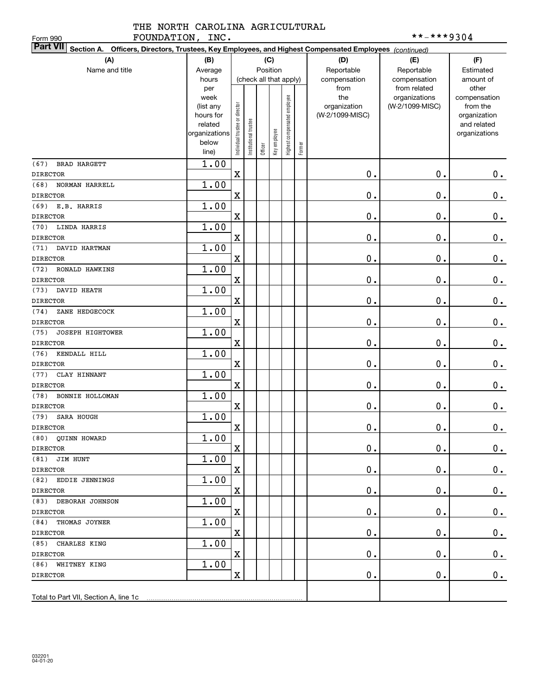| FOUNDATION, INC.<br>Form 990                                                                                              |                        |                                |                       |         |              |                              |        |                 | **-***9304                    |                       |
|---------------------------------------------------------------------------------------------------------------------------|------------------------|--------------------------------|-----------------------|---------|--------------|------------------------------|--------|-----------------|-------------------------------|-----------------------|
| <b>Part VII</b><br>Section A. Officers, Directors, Trustees, Key Employees, and Highest Compensated Employees (continued) |                        |                                |                       |         |              |                              |        |                 |                               |                       |
| (A)                                                                                                                       | (B)                    |                                |                       |         | (C)          |                              |        | (D)             | (E)                           | (F)                   |
| Name and title                                                                                                            | Average                |                                |                       |         | Position     |                              |        | Reportable      | Reportable                    | Estimated             |
|                                                                                                                           | hours                  |                                |                       |         |              | (check all that apply)       |        | compensation    | compensation                  | amount of             |
|                                                                                                                           | per<br>week            |                                |                       |         |              |                              |        | from<br>the     | from related<br>organizations | other<br>compensation |
|                                                                                                                           | (list any              |                                |                       |         |              |                              |        | organization    | (W-2/1099-MISC)               | from the              |
|                                                                                                                           | hours for              |                                |                       |         |              |                              |        | (W-2/1099-MISC) |                               | organization          |
|                                                                                                                           | related                |                                |                       |         |              |                              |        |                 |                               | and related           |
|                                                                                                                           | organizations<br>below |                                |                       |         |              |                              |        |                 |                               | organizations         |
|                                                                                                                           | line)                  | Individual trustee or director | Institutional trustee | Officer | Key employee | Highest compensated employee | Former |                 |                               |                       |
| <b>BRAD HARGETT</b><br>(67)                                                                                               | 1.00                   |                                |                       |         |              |                              |        |                 |                               |                       |
| <b>DIRECTOR</b>                                                                                                           |                        | $\mathbf X$                    |                       |         |              |                              |        | 0.              | 0.                            | 0.                    |
| NORMAN HARRELL<br>(68)                                                                                                    | 1.00                   |                                |                       |         |              |                              |        |                 |                               |                       |
| <b>DIRECTOR</b>                                                                                                           |                        | $\mathbf X$                    |                       |         |              |                              |        | $\mathbf 0$ .   | $\mathbf 0$ .                 | $\mathbf 0$ .         |
| E.B. HARRIS<br>(69)                                                                                                       | 1.00                   |                                |                       |         |              |                              |        |                 |                               |                       |
| <b>DIRECTOR</b>                                                                                                           |                        | $\mathbf X$                    |                       |         |              |                              |        | $\mathbf 0$ .   | $\mathbf 0$ .                 | $\mathbf 0$ .         |
| <b>LINDA HARRIS</b><br>(70)                                                                                               | 1.00                   |                                |                       |         |              |                              |        |                 |                               |                       |
| <b>DIRECTOR</b>                                                                                                           |                        | $\mathbf X$                    |                       |         |              |                              |        | $\mathbf 0$ .   | 0.                            | $\mathbf 0$ .         |
| (71)<br>DAVID HARTMAN                                                                                                     | 1.00                   |                                |                       |         |              |                              |        |                 |                               |                       |
| <b>DIRECTOR</b>                                                                                                           |                        | $\mathbf X$                    |                       |         |              |                              |        | $\mathbf 0$ .   | $\mathbf 0$ .                 | $\mathbf 0$ .         |
| RONALD HAWKINS<br>(72)                                                                                                    | 1.00                   |                                |                       |         |              |                              |        |                 |                               |                       |
| <b>DIRECTOR</b>                                                                                                           |                        | $\mathbf X$                    |                       |         |              |                              |        | $\mathbf 0$ .   | $\mathbf 0$ .                 | $\mathbf 0$ .         |
| (73)<br><b>DAVID HEATH</b>                                                                                                | 1.00                   |                                |                       |         |              |                              |        |                 |                               |                       |
| <b>DIRECTOR</b>                                                                                                           | 1.00                   | $\mathbf X$                    |                       |         |              |                              |        | 0.              | $\mathbf 0$ .                 | $\mathbf 0$ .         |
| (74)<br>ZANE HEDGECOCK<br><b>DIRECTOR</b>                                                                                 |                        | $\mathbf X$                    |                       |         |              |                              |        | 0.              | $\mathbf 0$ .                 | $\mathbf 0$ .         |
| <b>JOSEPH HIGHTOWER</b><br>(75)                                                                                           | 1.00                   |                                |                       |         |              |                              |        |                 |                               |                       |
| <b>DIRECTOR</b>                                                                                                           |                        | $\mathbf X$                    |                       |         |              |                              |        | 0.              | $\mathbf 0$ .                 | $\mathbf 0$ .         |
| KENDALL HILL<br>(76)                                                                                                      | 1.00                   |                                |                       |         |              |                              |        |                 |                               |                       |
| <b>DIRECTOR</b>                                                                                                           |                        | $\mathbf X$                    |                       |         |              |                              |        | $\mathbf 0$ .   | $\mathbf 0$ .                 | $0$ .                 |
| CLAY HINNANT<br>(77)                                                                                                      | 1.00                   |                                |                       |         |              |                              |        |                 |                               |                       |
| <b>DIRECTOR</b>                                                                                                           |                        | $\mathbf X$                    |                       |         |              |                              |        | $\mathbf 0$ .   | $\mathbf 0$ .                 | $0$ .                 |
| <b>BONNIE HOLLOMAN</b><br>(78)                                                                                            | 1.00                   |                                |                       |         |              |                              |        |                 |                               |                       |
| <b>DIRECTOR</b>                                                                                                           |                        | $\mathbf X$                    |                       |         |              |                              |        | 0.              | $\mathbf 0$ .                 | $0$ .                 |
| (79) SARA HOUGH                                                                                                           | 1.00                   |                                |                       |         |              |                              |        |                 |                               |                       |
| DIRECTOR                                                                                                                  |                        | $\mathbf X$                    |                       |         |              |                              |        | $\mathbf 0$ .   | $\mathbf 0$ .                 | 0.                    |
| (80) QUINN HOWARD                                                                                                         | 1.00                   |                                |                       |         |              |                              |        |                 |                               |                       |
| <b>DIRECTOR</b>                                                                                                           |                        | $\mathbf X$                    |                       |         |              |                              |        | $\mathbf 0$ .   | 0.                            | 0.                    |
| $(81)$ JIM HUNT                                                                                                           | 1.00                   |                                |                       |         |              |                              |        |                 |                               |                       |
| DIRECTOR                                                                                                                  |                        | $\mathbf X$                    |                       |         |              |                              |        | $\mathbf 0$ .   | 0.                            | $\mathbf 0$ .         |
| (82) EDDIE JENNINGS                                                                                                       | 1.00                   |                                |                       |         |              |                              |        |                 |                               |                       |
| DIRECTOR                                                                                                                  |                        | $\mathbf X$                    |                       |         |              |                              |        | $\mathbf 0$ .   | 0.                            | $\mathbf 0$ .         |
| (83) DEBORAH JOHNSON                                                                                                      | 1.00                   |                                |                       |         |              |                              |        |                 |                               |                       |
| DIRECTOR                                                                                                                  |                        | $\mathbf X$                    |                       |         |              |                              |        | $\mathbf 0$ .   | 0.                            | $\mathbf 0$ .         |
| (84) THOMAS JOYNER                                                                                                        | 1.00                   |                                |                       |         |              |                              |        |                 |                               |                       |
| <b>DIRECTOR</b>                                                                                                           |                        | $\mathbf X$                    |                       |         |              |                              |        | $\mathbf 0$ .   | 0.                            | $0_{.}$               |
| (85) CHARLES KING                                                                                                         | 1.00                   |                                |                       |         |              |                              |        |                 |                               |                       |
| DIRECTOR                                                                                                                  |                        | $\mathbf X$                    |                       |         |              |                              |        | $\mathbf 0$ .   | 0.                            | 0.                    |
| (86) WHITNEY KING                                                                                                         | 1.00                   |                                |                       |         |              |                              |        |                 | $\mathbf 0$ .                 |                       |
| DIRECTOR                                                                                                                  |                        | $\mathbf X$                    |                       |         |              |                              |        | $\mathbf 0$ .   |                               | 0.                    |
| Total to Part VII, Section A, line 1c                                                                                     |                        |                                |                       |         |              |                              |        |                 |                               |                       |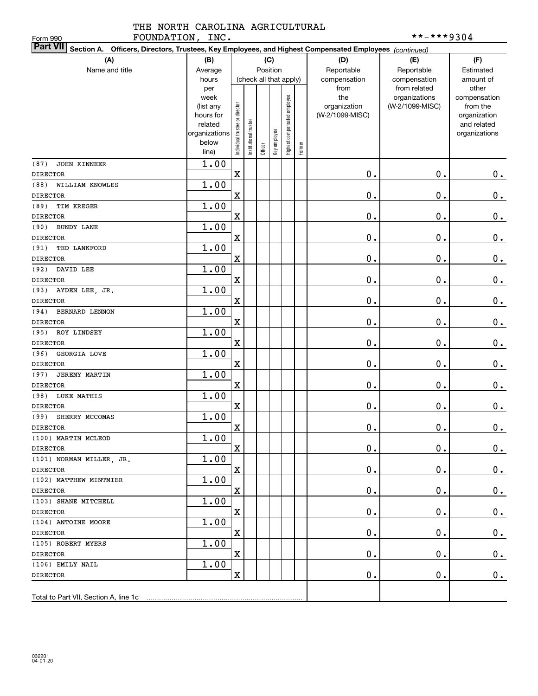| FOUNDATION, INC.<br>Form 990                                                                                              |                   |                                |                       |         |              |                              |        |                     | **-***9304                       |                          |
|---------------------------------------------------------------------------------------------------------------------------|-------------------|--------------------------------|-----------------------|---------|--------------|------------------------------|--------|---------------------|----------------------------------|--------------------------|
| <b>Part VII</b><br>Section A. Officers, Directors, Trustees, Key Employees, and Highest Compensated Employees (continued) |                   |                                |                       |         |              |                              |        |                     |                                  |                          |
| (A)                                                                                                                       | (B)               |                                |                       |         | (C)          |                              |        | (D)                 | (E)                              | (F)                      |
| Name and title                                                                                                            | Average           |                                |                       |         | Position     |                              |        | Reportable          | Reportable                       | Estimated                |
|                                                                                                                           | hours             |                                |                       |         |              | (check all that apply)       |        | compensation        | compensation                     | amount of                |
|                                                                                                                           | per               |                                |                       |         |              |                              |        | from                | from related                     | other                    |
|                                                                                                                           | week<br>(list any |                                |                       |         |              |                              |        | the<br>organization | organizations<br>(W-2/1099-MISC) | compensation<br>from the |
|                                                                                                                           | hours for         |                                |                       |         |              |                              |        | (W-2/1099-MISC)     |                                  | organization             |
|                                                                                                                           | related           |                                |                       |         |              |                              |        |                     |                                  | and related              |
|                                                                                                                           | organizations     |                                |                       |         |              |                              |        |                     |                                  | organizations            |
|                                                                                                                           | below             | Individual trustee or director | Institutional trustee | Officer | Key employee | Highest compensated employee | Former |                     |                                  |                          |
|                                                                                                                           | line)             |                                |                       |         |              |                              |        |                     |                                  |                          |
| JOHN KINNEER<br>(87)                                                                                                      | 1.00              |                                |                       |         |              |                              |        |                     |                                  |                          |
| <b>DIRECTOR</b>                                                                                                           |                   | $\mathbf X$                    |                       |         |              |                              |        | 0.                  | 0.                               | 0.                       |
| (88)<br>WILLIAM KNOWLES                                                                                                   | 1.00              |                                |                       |         |              |                              |        |                     |                                  |                          |
| <b>DIRECTOR</b>                                                                                                           |                   | $\mathbf X$                    |                       |         |              |                              |        | 0.                  | 0.                               | $\mathbf 0$ .            |
| (89)<br>TIM KREGER                                                                                                        | 1.00              |                                |                       |         |              |                              |        |                     |                                  |                          |
| <b>DIRECTOR</b>                                                                                                           |                   | $\mathbf X$                    |                       |         |              |                              |        | 0.                  | 0.                               | $\mathbf 0$ .            |
| <b>BUNDY LANE</b><br>(90)                                                                                                 | 1.00              |                                |                       |         |              |                              |        |                     |                                  |                          |
| <b>DIRECTOR</b>                                                                                                           |                   | $\mathbf X$                    |                       |         |              |                              |        | 0.                  | 0.                               | $\mathbf 0$ .            |
| TED LANKFORD<br>(91)                                                                                                      | 1.00              |                                |                       |         |              |                              |        |                     |                                  |                          |
| <b>DIRECTOR</b>                                                                                                           |                   | $\mathbf X$                    |                       |         |              |                              |        | 0.                  | 0.                               | $\mathbf 0$ .            |
| DAVID LEE<br>(92)                                                                                                         | 1.00              |                                |                       |         |              |                              |        |                     |                                  |                          |
| <b>DIRECTOR</b>                                                                                                           |                   | $\mathbf X$                    |                       |         |              |                              |        | 0.                  | 0.                               | $\mathbf 0$ .            |
| (93) AYDEN LEE, JR.                                                                                                       | 1.00              |                                |                       |         |              |                              |        |                     |                                  |                          |
| <b>DIRECTOR</b>                                                                                                           |                   | $\mathbf X$                    |                       |         |              |                              |        | 0.                  | $\mathbf 0$ .                    | $\mathbf 0$ .            |
| BERNARD LENNON<br>(94)                                                                                                    | 1.00              |                                |                       |         |              |                              |        |                     |                                  |                          |
| <b>DIRECTOR</b>                                                                                                           | 1.00              | $\mathbf X$                    |                       |         |              |                              |        | 0.                  | $\mathbf 0$ .                    | $\mathbf 0$ .            |
| (95) ROY LINDSEY<br><b>DIRECTOR</b>                                                                                       |                   | $\mathbf X$                    |                       |         |              |                              |        | $\mathbf 0$ .       | $\mathbf 0$ .                    | $\mathbf 0$ .            |
| GEORGIA LOVE<br>(96)                                                                                                      | 1.00              |                                |                       |         |              |                              |        |                     |                                  |                          |
| <b>DIRECTOR</b>                                                                                                           |                   | $\mathbf X$                    |                       |         |              |                              |        | $\mathbf 0$ .       | $\mathbf 0$ .                    | $\mathbf 0$ .            |
| (97)<br><b>JEREMY MARTIN</b>                                                                                              | 1.00              |                                |                       |         |              |                              |        |                     |                                  |                          |
| <b>DIRECTOR</b>                                                                                                           |                   | $\mathbf X$                    |                       |         |              |                              |        | $\mathbf 0$ .       | $\mathbf 0$ .                    | $\mathbf 0$ .            |
| (98) LUKE MATHIS                                                                                                          | 1.00              |                                |                       |         |              |                              |        |                     |                                  |                          |
| <b>DIRECTOR</b>                                                                                                           |                   | $\mathbf X$                    |                       |         |              |                              |        | 0.                  | $\mathbf 0$ .                    | $0$ .                    |
| (99) SHERRY MCCOMAS                                                                                                       | 1.00              |                                |                       |         |              |                              |        |                     |                                  |                          |
| DIRECTOR                                                                                                                  |                   | $\mathbf X$                    |                       |         |              |                              |        | $\mathbf 0$ .       | $\mathbf 0$ .                    | 0.                       |
| (100) MARTIN MCLEOD                                                                                                       | 1.00              |                                |                       |         |              |                              |        |                     |                                  |                          |
| <b>DIRECTOR</b>                                                                                                           |                   | $\mathbf X$                    |                       |         |              |                              |        | 0.                  | 0.                               | 0.                       |
| (101) NORMAN MILLER, JR.                                                                                                  | 1.00              |                                |                       |         |              |                              |        |                     |                                  |                          |
| <b>DIRECTOR</b>                                                                                                           |                   | $\mathbf X$                    |                       |         |              |                              |        | $\mathbf 0$ .       | 0.                               | 0.                       |
| (102) MATTHEW MINTMIER                                                                                                    | 1.00              |                                |                       |         |              |                              |        |                     |                                  |                          |
| <b>DIRECTOR</b>                                                                                                           |                   | $\mathbf X$                    |                       |         |              |                              |        | $\mathbf 0$ .       | 0.                               | 0.                       |
| (103) SHANE MITCHELL                                                                                                      | 1.00              |                                |                       |         |              |                              |        |                     |                                  |                          |
| <b>DIRECTOR</b>                                                                                                           |                   | $\mathbf X$                    |                       |         |              |                              |        | $\mathbf 0$ .       | 0.                               | 0.                       |
| (104) ANTOINE MOORE                                                                                                       | 1.00              |                                |                       |         |              |                              |        |                     |                                  |                          |
| <b>DIRECTOR</b>                                                                                                           |                   | $\mathbf X$                    |                       |         |              |                              |        | $\mathbf 0$ .       | 0.                               | 0.                       |
| (105) ROBERT MYERS                                                                                                        | 1.00              |                                |                       |         |              |                              |        |                     |                                  |                          |
| <b>DIRECTOR</b>                                                                                                           |                   | $\mathbf X$                    |                       |         |              |                              |        | $\mathbf 0$ .       | 0.                               | 0.                       |
| (106) EMILY NAIL                                                                                                          | 1.00              |                                |                       |         |              |                              |        |                     |                                  |                          |
| <b>DIRECTOR</b>                                                                                                           |                   | X                              |                       |         |              |                              |        | $\mathbf 0$ .       | 0.                               | 0.                       |
|                                                                                                                           |                   |                                |                       |         |              |                              |        |                     |                                  |                          |
| Total to Part VII, Section A, line 1c                                                                                     |                   |                                |                       |         |              |                              |        |                     |                                  |                          |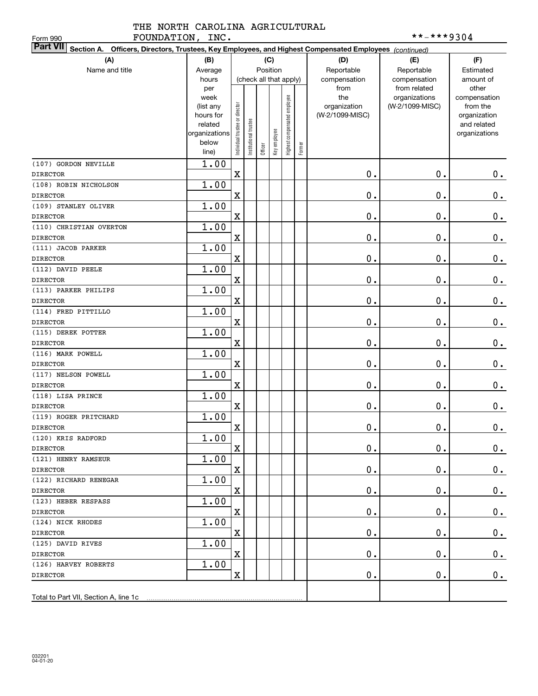| FOUNDATION, INC.<br>Form 990                                                                                              |                   |                                |                       |         |                        |                              |        |                     | **-***9304                       |                          |
|---------------------------------------------------------------------------------------------------------------------------|-------------------|--------------------------------|-----------------------|---------|------------------------|------------------------------|--------|---------------------|----------------------------------|--------------------------|
| <b>Part VII</b><br>Section A. Officers, Directors, Trustees, Key Employees, and Highest Compensated Employees (continued) |                   |                                |                       |         |                        |                              |        |                     |                                  |                          |
| (A)                                                                                                                       | (B)               |                                |                       |         | (C)                    |                              |        | (D)                 | (E)                              | (F)                      |
| Name and title                                                                                                            | Average           |                                |                       |         | Position               |                              |        | Reportable          | Reportable                       | Estimated                |
|                                                                                                                           | hours             |                                |                       |         | (check all that apply) |                              |        | compensation        | compensation                     | amount of                |
|                                                                                                                           | per               |                                |                       |         |                        |                              |        | from                | from related                     | other                    |
|                                                                                                                           | week<br>(list any |                                |                       |         |                        | Highest compensated employee |        | the<br>organization | organizations<br>(W-2/1099-MISC) | compensation<br>from the |
|                                                                                                                           | hours for         |                                |                       |         |                        |                              |        | (W-2/1099-MISC)     |                                  | organization             |
|                                                                                                                           | related           |                                |                       |         |                        |                              |        |                     |                                  | and related              |
|                                                                                                                           | organizations     |                                |                       |         |                        |                              |        |                     |                                  | organizations            |
|                                                                                                                           | below             | Individual trustee or director | Institutional trustee | Officer | Key employee           |                              | Former |                     |                                  |                          |
|                                                                                                                           | line)             |                                |                       |         |                        |                              |        |                     |                                  |                          |
| (107) GORDON NEVILLE                                                                                                      | 1.00              |                                |                       |         |                        |                              |        |                     |                                  |                          |
| <b>DIRECTOR</b>                                                                                                           |                   | $\rm X$                        |                       |         |                        |                              |        | 0.                  | $0$ .                            | 0.                       |
| (108) ROBIN NICHOLSON                                                                                                     | 1.00              |                                |                       |         |                        |                              |        |                     |                                  |                          |
| <b>DIRECTOR</b>                                                                                                           |                   | $\mathbf X$                    |                       |         |                        |                              |        | 0.                  | 0.                               | $\mathbf 0$ .            |
| (109) STANLEY OLIVER                                                                                                      | 1.00              |                                |                       |         |                        |                              |        |                     |                                  |                          |
| <b>DIRECTOR</b>                                                                                                           |                   | $\mathbf X$                    |                       |         |                        |                              |        | 0.                  | 0.                               | $\mathbf 0$ .            |
| (110) CHRISTIAN OVERTON                                                                                                   | 1.00              |                                |                       |         |                        |                              |        |                     |                                  |                          |
| <b>DIRECTOR</b>                                                                                                           |                   | $\mathbf X$                    |                       |         |                        |                              |        | 0.                  | 0.                               | $\mathbf 0$ .            |
| (111) JACOB PARKER                                                                                                        | 1.00              |                                |                       |         |                        |                              |        |                     |                                  |                          |
| <b>DIRECTOR</b>                                                                                                           |                   | $\mathbf X$                    |                       |         |                        |                              |        | 0.                  | 0.                               | $\mathbf 0$ .            |
| (112) DAVID PEELE                                                                                                         | 1.00              |                                |                       |         |                        |                              |        |                     |                                  |                          |
| <b>DIRECTOR</b>                                                                                                           |                   | $\mathbf X$                    |                       |         |                        |                              |        | 0.                  | 0.                               | $\mathbf 0$ .            |
| (113) PARKER PHILIPS                                                                                                      | 1.00              |                                |                       |         |                        |                              |        |                     |                                  |                          |
| <b>DIRECTOR</b>                                                                                                           |                   | $\mathbf X$                    |                       |         |                        |                              |        | 0.                  | $\mathbf 0$ .                    | $\mathbf 0$ .            |
| (114) FRED PITTILLO<br><b>DIRECTOR</b>                                                                                    | 1.00              | $\mathbf X$                    |                       |         |                        |                              |        | 0.                  | $\mathbf 0$ .                    |                          |
| (115) DEREK POTTER                                                                                                        | 1.00              |                                |                       |         |                        |                              |        |                     |                                  | $\mathbf 0$ .            |
| <b>DIRECTOR</b>                                                                                                           |                   | $\mathbf X$                    |                       |         |                        |                              |        | $\mathbf 0$ .       | 0.                               | $\mathbf 0$ .            |
| (116) MARK POWELL                                                                                                         | 1.00              |                                |                       |         |                        |                              |        |                     |                                  |                          |
| <b>DIRECTOR</b>                                                                                                           |                   | $\mathbf X$                    |                       |         |                        |                              |        | $\mathbf 0$ .       | $\mathbf 0$ .                    | $\mathbf 0$ .            |
| (117) NELSON POWELL                                                                                                       | 1.00              |                                |                       |         |                        |                              |        |                     |                                  |                          |
| <b>DIRECTOR</b>                                                                                                           |                   | $\mathbf X$                    |                       |         |                        |                              |        | $\mathbf 0$ .       | $\mathbf 0$ .                    | $0$ .                    |
| (118) LISA PRINCE                                                                                                         | 1.00              |                                |                       |         |                        |                              |        |                     |                                  |                          |
| <b>DIRECTOR</b>                                                                                                           |                   | $\mathbf X$                    |                       |         |                        |                              |        | 0.                  | $\mathbf 0$ .                    | $0$ .                    |
| (119) ROGER PRITCHARD                                                                                                     | 1.00              |                                |                       |         |                        |                              |        |                     |                                  |                          |
| DIRECTOR                                                                                                                  |                   | $\mathbf X$                    |                       |         |                        |                              |        | $\mathbf 0$ .       | $\mathbf 0$ .                    | 0.                       |
| (120) KRIS RADFORD                                                                                                        | 1.00              |                                |                       |         |                        |                              |        |                     |                                  |                          |
| <b>DIRECTOR</b>                                                                                                           |                   | $\mathbf X$                    |                       |         |                        |                              |        | $\mathbf 0$ .       | 0.                               | 0.                       |
| (121) HENRY RAMSEUR                                                                                                       | 1.00              |                                |                       |         |                        |                              |        |                     |                                  |                          |
| <b>DIRECTOR</b>                                                                                                           |                   | $\mathbf X$                    |                       |         |                        |                              |        | $\mathbf 0$ .       | Ο.                               | 0.                       |
| (122) RICHARD RENEGAR                                                                                                     | 1.00              |                                |                       |         |                        |                              |        |                     |                                  |                          |
| <b>DIRECTOR</b>                                                                                                           |                   | $\mathbf X$                    |                       |         |                        |                              |        | $\mathbf 0$ .       | Ο.                               | 0.                       |
| (123) HEBER RESPASS                                                                                                       | 1.00              |                                |                       |         |                        |                              |        |                     |                                  |                          |
| <b>DIRECTOR</b>                                                                                                           |                   | $\mathbf X$                    |                       |         |                        |                              |        | $\mathbf 0$ .       | Ο.                               | $0_{.}$                  |
| (124) NICK RHODES                                                                                                         | 1.00              |                                |                       |         |                        |                              |        |                     |                                  |                          |
| <b>DIRECTOR</b>                                                                                                           |                   | $\mathbf X$                    |                       |         |                        |                              |        | $\mathbf 0$ .       | Ο.                               | $0_{.}$                  |
| (125) DAVID RIVES                                                                                                         | 1.00              |                                |                       |         |                        |                              |        |                     |                                  |                          |
| <b>DIRECTOR</b>                                                                                                           |                   | $\mathbf X$                    |                       |         |                        |                              |        | $\mathbf 0$ .       | Ο.                               | 0.                       |
| (126) HARVEY ROBERTS                                                                                                      | 1.00              |                                |                       |         |                        |                              |        |                     |                                  |                          |
| <b>DIRECTOR</b>                                                                                                           |                   | $\mathbf X$                    |                       |         |                        |                              |        | $\mathbf 0$ .       | 0.                               | 0.                       |
|                                                                                                                           |                   |                                |                       |         |                        |                              |        |                     |                                  |                          |
| Total to Part VII, Section A, line 1c                                                                                     |                   |                                |                       |         |                        |                              |        |                     |                                  |                          |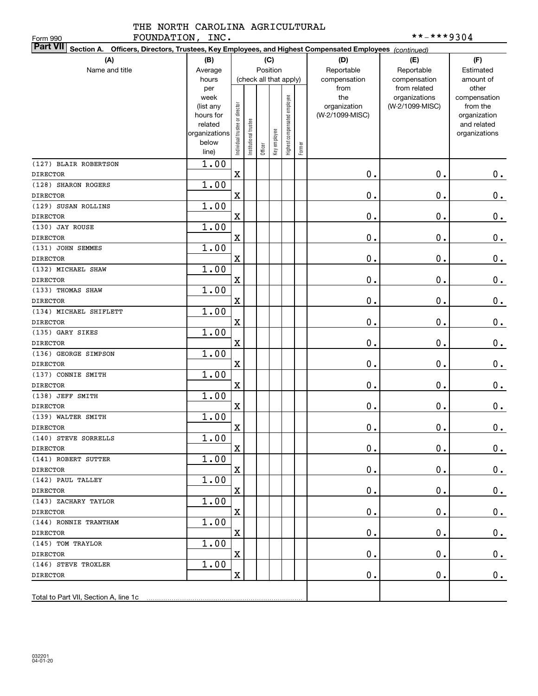| FOUNDATION, INC.<br>Form 990                                                                                              |                        |                                |                       |                        |              |                              |        |                                 | **-***9304      |                          |
|---------------------------------------------------------------------------------------------------------------------------|------------------------|--------------------------------|-----------------------|------------------------|--------------|------------------------------|--------|---------------------------------|-----------------|--------------------------|
| <b>Part VII</b><br>Section A. Officers, Directors, Trustees, Key Employees, and Highest Compensated Employees (continued) |                        |                                |                       |                        |              |                              |        |                                 |                 |                          |
| (A)                                                                                                                       | (B)                    |                                |                       | (C)                    |              |                              |        | (D)                             | (E)             | (F)                      |
| Name and title                                                                                                            | Average                |                                |                       | Position               |              |                              |        | Reportable                      | Reportable      | Estimated                |
|                                                                                                                           | hours                  |                                |                       | (check all that apply) |              |                              |        | compensation                    | compensation    | amount of                |
|                                                                                                                           | per                    |                                |                       |                        |              |                              |        | from                            | from related    | other                    |
|                                                                                                                           | week                   |                                |                       |                        |              | Highest compensated employee |        | the                             | organizations   | compensation             |
|                                                                                                                           | (list any<br>hours for |                                |                       |                        |              |                              |        | organization<br>(W-2/1099-MISC) | (W-2/1099-MISC) | from the<br>organization |
|                                                                                                                           | related                |                                |                       |                        |              |                              |        |                                 |                 | and related              |
|                                                                                                                           | organizations          |                                |                       |                        |              |                              |        |                                 |                 | organizations            |
|                                                                                                                           | below                  | Individual trustee or director | Institutional trustee |                        | Key employee |                              |        |                                 |                 |                          |
|                                                                                                                           | line)                  |                                |                       | Officer                |              |                              | Former |                                 |                 |                          |
| (127) BLAIR ROBERTSON                                                                                                     | 1.00                   |                                |                       |                        |              |                              |        |                                 |                 |                          |
| <b>DIRECTOR</b>                                                                                                           |                        | $\mathbf X$                    |                       |                        |              |                              |        | 0.                              | 0.              | 0.                       |
| (128) SHARON ROGERS                                                                                                       | 1.00                   |                                |                       |                        |              |                              |        |                                 |                 |                          |
| <b>DIRECTOR</b>                                                                                                           |                        | $\mathbf X$                    |                       |                        |              |                              |        | 0.                              | 0.              | $0$ .                    |
| (129) SUSAN ROLLINS                                                                                                       | 1.00                   |                                |                       |                        |              |                              |        |                                 |                 |                          |
| <b>DIRECTOR</b>                                                                                                           |                        | $\mathbf X$                    |                       |                        |              |                              |        | 0.                              | 0.              | $0$ .                    |
| (130) JAY ROUSE                                                                                                           | 1.00                   |                                |                       |                        |              |                              |        |                                 |                 |                          |
| <b>DIRECTOR</b>                                                                                                           |                        | $\mathbf X$                    |                       |                        |              |                              |        | 0.                              | 0.              | $\mathbf 0$ .            |
| (131) JOHN SEMMES                                                                                                         | 1.00                   |                                |                       |                        |              |                              |        |                                 |                 |                          |
| <b>DIRECTOR</b>                                                                                                           |                        | $\mathbf X$                    |                       |                        |              |                              |        | 0.                              | 0.              | $\mathbf 0$ .            |
| (132) MICHAEL SHAW                                                                                                        | 1.00                   |                                |                       |                        |              |                              |        |                                 |                 |                          |
| <b>DIRECTOR</b>                                                                                                           |                        | $\mathbf X$                    |                       |                        |              |                              |        | 0.                              | 0.              | $\mathbf 0$ .            |
| (133) THOMAS SHAW                                                                                                         | 1.00                   |                                |                       |                        |              |                              |        |                                 |                 |                          |
| <b>DIRECTOR</b>                                                                                                           |                        | $\mathbf X$                    |                       |                        |              |                              |        | 0.                              | 0.              | $\mathbf 0$ .            |
| (134) MICHAEL SHIFLETT                                                                                                    | 1.00                   |                                |                       |                        |              |                              |        |                                 |                 |                          |
| <b>DIRECTOR</b>                                                                                                           |                        | $\mathbf X$                    |                       |                        |              |                              |        | 0.                              | 0.              | $\mathbf 0$ .            |
| (135) GARY SIKES                                                                                                          | 1.00                   |                                |                       |                        |              |                              |        |                                 |                 |                          |
| <b>DIRECTOR</b>                                                                                                           |                        | $\mathbf X$                    |                       |                        |              |                              |        | 0.                              | 0.              | $\mathbf 0$ .            |
| (136) GEORGE SIMPSON                                                                                                      | 1.00                   |                                |                       |                        |              |                              |        |                                 |                 |                          |
| <b>DIRECTOR</b>                                                                                                           |                        | $\mathbf X$                    |                       |                        |              |                              |        | 0.                              | 0.              | $\mathbf 0$ .            |
| (137) CONNIE SMITH                                                                                                        | 1.00                   |                                |                       |                        |              |                              |        |                                 |                 |                          |
| <b>DIRECTOR</b>                                                                                                           |                        | $\mathbf X$                    |                       |                        |              |                              |        | 0.                              | 0.              | $0$ .                    |
| (138) JEFF SMITH                                                                                                          | 1.00                   |                                |                       |                        |              |                              |        |                                 |                 |                          |
| <b>DIRECTOR</b>                                                                                                           |                        | $\mathbf X$                    |                       |                        |              |                              |        | 0.                              | 0.              | $\mathbf 0$ .            |
| (139) WALTER SMITH                                                                                                        | 1.00                   |                                |                       |                        |              |                              |        |                                 |                 |                          |
| <b>DIRECTOR</b>                                                                                                           |                        | $\mathbf X$                    |                       |                        |              |                              |        | $\mathbf 0$ .                   | $\mathbf 0$ .   | $\mathbf 0$ .            |
| (140) STEVE SORRELLS                                                                                                      | 1.00                   |                                |                       |                        |              |                              |        |                                 |                 |                          |
| DIRECTOR                                                                                                                  |                        | X                              |                       |                        |              |                              |        | $\mathbf 0$ .                   | $\mathbf 0$ .   | $0_{.}$                  |
| (141) ROBERT SUTTER                                                                                                       | 1.00                   |                                |                       |                        |              |                              |        |                                 |                 |                          |
| DIRECTOR                                                                                                                  |                        | $\mathbf X$                    |                       |                        |              |                              |        | $\mathbf 0$ .                   | 0.              | $\mathbf{0}$ .           |
| (142) PAUL TALLEY                                                                                                         | 1.00                   | $\mathbf X$                    |                       |                        |              |                              |        |                                 |                 |                          |
| DIRECTOR<br>(143) ZACHARY TAYLOR                                                                                          | 1.00                   |                                |                       |                        |              |                              |        | $\mathbf 0$ .                   | 0.              | $\mathbf{0}$ .           |
| <b>DIRECTOR</b>                                                                                                           |                        | $\mathbf X$                    |                       |                        |              |                              |        | $\mathbf 0$ .                   | 0.              |                          |
| (144) RONNIE TRANTHAM                                                                                                     | 1.00                   |                                |                       |                        |              |                              |        |                                 |                 | 0.                       |
| DIRECTOR                                                                                                                  |                        | $\mathbf X$                    |                       |                        |              |                              |        | $\mathbf 0$ .                   | $\mathbf 0$ .   | 0.                       |
| (145) TOM TRAYLOR                                                                                                         | 1.00                   |                                |                       |                        |              |                              |        |                                 |                 |                          |
| DIRECTOR                                                                                                                  |                        | $\mathbf X$                    |                       |                        |              |                              |        | $\mathbf 0$ .                   | $\mathbf 0$ .   | 0.                       |
| (146) STEVE TROXLER                                                                                                       | 1.00                   |                                |                       |                        |              |                              |        |                                 |                 |                          |
| DIRECTOR                                                                                                                  |                        | $\mathbf X$                    |                       |                        |              |                              |        | $\mathbf 0$ .                   | $\mathbf 0$ .   | $0$ .                    |
|                                                                                                                           |                        |                                |                       |                        |              |                              |        |                                 |                 |                          |
| Total to Part VII, Section A, line 1c [10] [10] Total to Part VII, Section A, line 1c                                     |                        |                                |                       |                        |              |                              |        |                                 |                 |                          |
|                                                                                                                           |                        |                                |                       |                        |              |                              |        |                                 |                 |                          |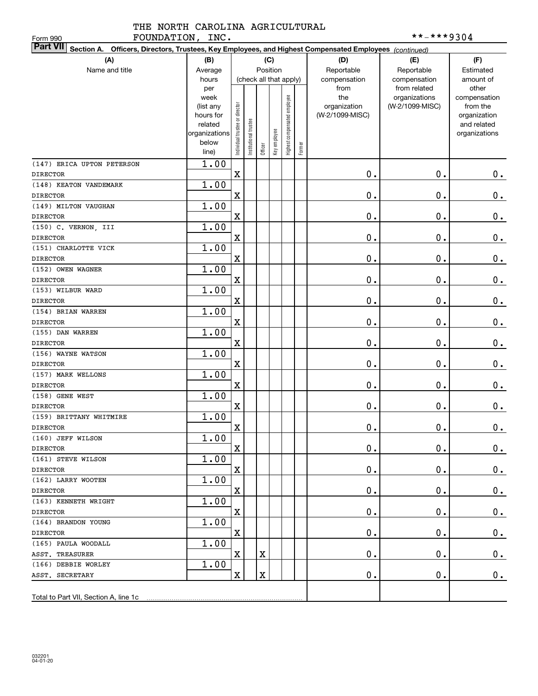| FOUNDATION, INC.<br>Form 990                                                                                              |                   |                                |                       |         |              |                              |        |                     | **-***9304                       |                          |
|---------------------------------------------------------------------------------------------------------------------------|-------------------|--------------------------------|-----------------------|---------|--------------|------------------------------|--------|---------------------|----------------------------------|--------------------------|
| <b>Part VII</b><br>Section A. Officers, Directors, Trustees, Key Employees, and Highest Compensated Employees (continued) |                   |                                |                       |         |              |                              |        |                     |                                  |                          |
| (A)                                                                                                                       | (B)               |                                |                       |         | (C)          |                              |        | (D)                 | (E)                              | (F)                      |
| Name and title                                                                                                            | Average           |                                |                       |         | Position     |                              |        | Reportable          | Reportable                       | Estimated                |
|                                                                                                                           | hours             |                                |                       |         |              | (check all that apply)       |        | compensation        | compensation                     | amount of                |
|                                                                                                                           | per               |                                |                       |         |              |                              |        | from                | from related                     | other                    |
|                                                                                                                           | week<br>(list any |                                |                       |         |              |                              |        | the<br>organization | organizations<br>(W-2/1099-MISC) | compensation<br>from the |
|                                                                                                                           | hours for         |                                |                       |         |              |                              |        | (W-2/1099-MISC)     |                                  | organization             |
|                                                                                                                           | related           |                                |                       |         |              |                              |        |                     |                                  | and related              |
|                                                                                                                           | organizations     |                                |                       |         |              |                              |        |                     |                                  | organizations            |
|                                                                                                                           | below             | Individual trustee or director | Institutional trustee | Officer | Key employee | Highest compensated employee | Former |                     |                                  |                          |
|                                                                                                                           | line)             |                                |                       |         |              |                              |        |                     |                                  |                          |
| (147) ERICA UPTON PETERSON                                                                                                | 1.00              |                                |                       |         |              |                              |        |                     |                                  |                          |
| <b>DIRECTOR</b>                                                                                                           |                   | $\mathbf X$                    |                       |         |              |                              |        | 0.                  | 0.                               | 0.                       |
| (148) KEATON VANDEMARK                                                                                                    | 1.00              |                                |                       |         |              |                              |        |                     |                                  |                          |
| <b>DIRECTOR</b>                                                                                                           |                   | $\mathbf X$                    |                       |         |              |                              |        | 0.                  | 0.                               | $\mathbf 0$ .            |
| (149) MILTON VAUGHAN                                                                                                      | 1.00              |                                |                       |         |              |                              |        |                     |                                  |                          |
| <b>DIRECTOR</b>                                                                                                           | 1.00              | $\mathbf X$                    |                       |         |              |                              |        | 0.                  | 0.                               | $\mathbf 0$ .            |
| (150) C. VERNON, III<br><b>DIRECTOR</b>                                                                                   |                   | $\mathbf X$                    |                       |         |              |                              |        | 0.                  | 0.                               | $\mathbf 0$ .            |
| (151) CHARLOTTE VICK                                                                                                      | 1.00              |                                |                       |         |              |                              |        |                     |                                  |                          |
| <b>DIRECTOR</b>                                                                                                           |                   | $\mathbf X$                    |                       |         |              |                              |        | 0.                  | 0.                               | $\mathbf 0$ .            |
| (152) OWEN WAGNER                                                                                                         | 1.00              |                                |                       |         |              |                              |        |                     |                                  |                          |
| <b>DIRECTOR</b>                                                                                                           |                   | $\mathbf X$                    |                       |         |              |                              |        | 0.                  | $\mathbf 0$ .                    | $\mathbf 0$ .            |
| (153) WILBUR WARD                                                                                                         | 1.00              |                                |                       |         |              |                              |        |                     |                                  |                          |
| <b>DIRECTOR</b>                                                                                                           |                   | $\mathbf X$                    |                       |         |              |                              |        | 0.                  | $\mathbf 0$ .                    | $\mathbf 0$ .            |
| (154) BRIAN WARREN                                                                                                        | 1.00              |                                |                       |         |              |                              |        |                     |                                  |                          |
| <b>DIRECTOR</b>                                                                                                           |                   | $\mathbf X$                    |                       |         |              |                              |        | 0.                  | $\mathbf 0$ .                    | $\mathbf 0$ .            |
| (155) DAN WARREN                                                                                                          | 1.00              |                                |                       |         |              |                              |        |                     |                                  |                          |
| <b>DIRECTOR</b>                                                                                                           |                   | $\mathbf X$                    |                       |         |              |                              |        | $\mathbf 0$ .       | $\mathbf 0$ .                    | $\mathbf 0$ .            |
| (156) WAYNE WATSON                                                                                                        | 1.00              |                                |                       |         |              |                              |        |                     |                                  |                          |
| <b>DIRECTOR</b>                                                                                                           |                   | $\mathbf X$                    |                       |         |              |                              |        | $\mathbf 0$ .       | $\mathbf 0$ .                    | $\mathbf 0$ .            |
| (157) MARK WELLONS                                                                                                        | 1.00              |                                |                       |         |              |                              |        |                     |                                  |                          |
| <b>DIRECTOR</b>                                                                                                           |                   | $\mathbf X$                    |                       |         |              |                              |        | $\mathbf 0$ .       | $\mathbf 0$ .                    | $0$ .                    |
| (158) GENE WEST                                                                                                           | 1.00              |                                |                       |         |              |                              |        |                     |                                  |                          |
| <b>DIRECTOR</b>                                                                                                           |                   | $\mathbf X$                    |                       |         |              |                              |        | 0.                  | $\mathbf 0$ .                    | $0$ .                    |
| (159) BRITTANY WHITMIRE                                                                                                   | 1.00              |                                |                       |         |              |                              |        |                     |                                  |                          |
| DIRECTOR                                                                                                                  |                   | $\mathbf X$                    |                       |         |              |                              |        | $\mathbf 0$ .       | $\mathbf 0$ .                    | 0.                       |
| (160) JEFF WILSON                                                                                                         | 1.00              |                                |                       |         |              |                              |        |                     |                                  |                          |
| <b>DIRECTOR</b>                                                                                                           |                   | X                              |                       |         |              |                              |        | $\mathbf 0$ .       | 0.                               | 0.                       |
| (161) STEVE WILSON                                                                                                        | 1.00              |                                |                       |         |              |                              |        |                     |                                  |                          |
| <b>DIRECTOR</b>                                                                                                           |                   | $\mathbf X$                    |                       |         |              |                              |        | $\mathbf 0$ .       | 0.                               | 0.                       |
| (162) LARRY WOOTEN                                                                                                        | 1.00              |                                |                       |         |              |                              |        |                     |                                  |                          |
| <b>DIRECTOR</b>                                                                                                           |                   | $\mathbf X$                    |                       |         |              |                              |        | $\mathbf 0$ .       | 0.                               | 0.                       |
| (163) KENNETH WRIGHT                                                                                                      | 1.00              |                                |                       |         |              |                              |        |                     |                                  |                          |
| <b>DIRECTOR</b>                                                                                                           |                   | $\mathbf X$                    |                       |         |              |                              |        | $\mathbf 0$ .       | 0.                               | 0.                       |
| (164) BRANDON YOUNG                                                                                                       | 1.00              |                                |                       |         |              |                              |        |                     |                                  |                          |
| <b>DIRECTOR</b>                                                                                                           |                   | $\mathbf X$                    |                       |         |              |                              |        | $\mathbf 0$ .       | 0.                               | 0.                       |
| (165) PAULA WOODALL                                                                                                       | 1.00              |                                |                       |         |              |                              |        |                     |                                  |                          |
| ASST. TREASURER                                                                                                           |                   | $\mathbf X$                    |                       | X       |              |                              |        | $\mathbf 0$ .       | 0.                               | $0$ .                    |
| (166) DEBBIE WORLEY                                                                                                       | 1.00              |                                |                       |         |              |                              |        |                     |                                  |                          |
| ASST. SECRETARY                                                                                                           |                   | X                              |                       | X       |              |                              |        | $\mathbf 0$ .       | 0.                               | 0.                       |
|                                                                                                                           |                   |                                |                       |         |              |                              |        |                     |                                  |                          |
| Total to Part VII, Section A, line 1c                                                                                     |                   |                                |                       |         |              |                              |        |                     |                                  |                          |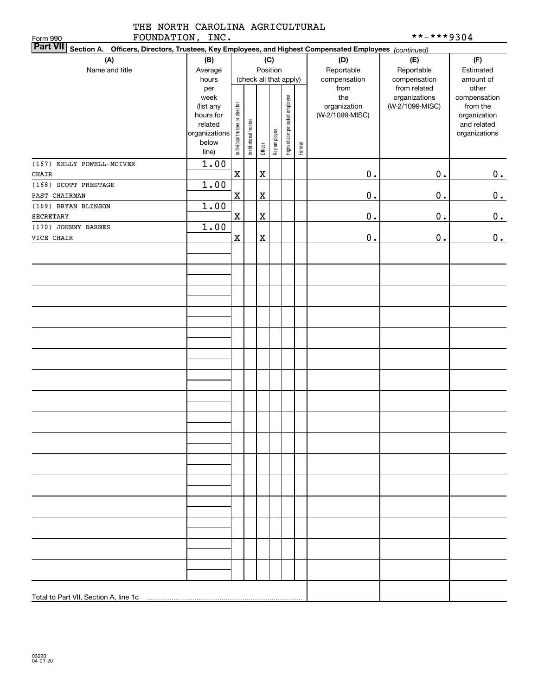|                 | THE NORTH CAROLINA AGRICULTURAL |
|-----------------|---------------------------------|
| 80. IND & BLAIR |                                 |

| **-***9304 |  |  |  |  |  |
|------------|--|--|--|--|--|
|------------|--|--|--|--|--|

| FOUNDATION, INC.<br>Form 990                                                                                              |                        |                                |                        |             |              |                              |        |                                 | **-***9304                 |                          |
|---------------------------------------------------------------------------------------------------------------------------|------------------------|--------------------------------|------------------------|-------------|--------------|------------------------------|--------|---------------------------------|----------------------------|--------------------------|
| <b>Part VII</b><br>Section A. Officers, Directors, Trustees, Key Employees, and Highest Compensated Employees (continued) |                        |                                |                        |             |              |                              |        |                                 |                            |                          |
| (A)                                                                                                                       | (B)                    |                                |                        |             | (C)          |                              |        | (D)                             | (E)                        | (F)                      |
| Name and title                                                                                                            | Average                |                                |                        |             | Position     |                              |        | Reportable                      | Reportable<br>compensation | Estimated                |
|                                                                                                                           | hours                  |                                | (check all that apply) |             |              |                              |        | compensation                    |                            | amount of                |
|                                                                                                                           | per                    |                                |                        |             |              |                              |        | from                            | from related               | other                    |
|                                                                                                                           | week                   |                                |                        |             |              | Highest compensated employee |        | the                             | organizations              | compensation             |
|                                                                                                                           | (list any<br>hours for |                                |                        |             |              |                              |        | organization<br>(W-2/1099-MISC) | (W-2/1099-MISC)            | from the<br>organization |
|                                                                                                                           | related                |                                |                        |             |              |                              |        |                                 |                            | and related              |
|                                                                                                                           | organizations          |                                |                        |             |              |                              |        |                                 |                            | organizations            |
|                                                                                                                           | below                  | Individual trustee or director | Institutional trustee  |             | Key employee |                              |        |                                 |                            |                          |
|                                                                                                                           | line)                  |                                |                        | Officer     |              |                              | Former |                                 |                            |                          |
| (167) KELLY POWELL-MCIVER                                                                                                 | 1.00                   |                                |                        |             |              |                              |        |                                 |                            |                          |
| <b>CHAIR</b>                                                                                                              |                        | $\mathbf x$                    |                        | $\mathbf X$ |              |                              |        | $\mathbf 0$ .                   | $0$ .                      | 0.                       |
| (168) SCOTT PRESTAGE                                                                                                      | 1.00                   |                                |                        |             |              |                              |        |                                 |                            |                          |
| PAST CHAIRMAN                                                                                                             |                        | $\mathbf x$                    |                        | $\mathbf X$ |              |                              |        | $\mathbf 0$ .                   | $0$ .                      | 0.                       |
| (169) BRYAN BLINSON                                                                                                       | 1.00                   |                                |                        |             |              |                              |        |                                 |                            |                          |
| SECRETARY                                                                                                                 |                        | $\mathbf X$                    |                        | $\mathbf X$ |              |                              |        | $0$ .                           | $0$ .                      | 0.                       |
| (170) JOHNNY BARNES                                                                                                       | 1.00                   |                                |                        |             |              |                              |        |                                 |                            |                          |
| VICE CHAIR                                                                                                                |                        | $\mathbf x$                    |                        | $\rm X$     |              |                              |        | $\mathbf 0$ .                   | $0$ .                      | 0.                       |
|                                                                                                                           |                        |                                |                        |             |              |                              |        |                                 |                            |                          |
|                                                                                                                           |                        |                                |                        |             |              |                              |        |                                 |                            |                          |
|                                                                                                                           |                        |                                |                        |             |              |                              |        |                                 |                            |                          |
|                                                                                                                           |                        |                                |                        |             |              |                              |        |                                 |                            |                          |
|                                                                                                                           |                        |                                |                        |             |              |                              |        |                                 |                            |                          |
|                                                                                                                           |                        |                                |                        |             |              |                              |        |                                 |                            |                          |
|                                                                                                                           |                        |                                |                        |             |              |                              |        |                                 |                            |                          |
|                                                                                                                           |                        |                                |                        |             |              |                              |        |                                 |                            |                          |
|                                                                                                                           |                        |                                |                        |             |              |                              |        |                                 |                            |                          |
|                                                                                                                           |                        |                                |                        |             |              |                              |        |                                 |                            |                          |
|                                                                                                                           |                        |                                |                        |             |              |                              |        |                                 |                            |                          |
|                                                                                                                           |                        |                                |                        |             |              |                              |        |                                 |                            |                          |
|                                                                                                                           |                        |                                |                        |             |              |                              |        |                                 |                            |                          |
|                                                                                                                           |                        |                                |                        |             |              |                              |        |                                 |                            |                          |
|                                                                                                                           |                        |                                |                        |             |              |                              |        |                                 |                            |                          |
|                                                                                                                           |                        |                                |                        |             |              |                              |        |                                 |                            |                          |
|                                                                                                                           |                        |                                |                        |             |              |                              |        |                                 |                            |                          |
|                                                                                                                           |                        |                                |                        |             |              |                              |        |                                 |                            |                          |
|                                                                                                                           |                        |                                |                        |             |              |                              |        |                                 |                            |                          |
|                                                                                                                           |                        |                                |                        |             |              |                              |        |                                 |                            |                          |
|                                                                                                                           |                        |                                |                        |             |              |                              |        |                                 |                            |                          |
|                                                                                                                           |                        |                                |                        |             |              |                              |        |                                 |                            |                          |
|                                                                                                                           |                        |                                |                        |             |              |                              |        |                                 |                            |                          |
|                                                                                                                           |                        |                                |                        |             |              |                              |        |                                 |                            |                          |
|                                                                                                                           |                        |                                |                        |             |              |                              |        |                                 |                            |                          |
|                                                                                                                           |                        |                                |                        |             |              |                              |        |                                 |                            |                          |
|                                                                                                                           |                        |                                |                        |             |              |                              |        |                                 |                            |                          |
|                                                                                                                           |                        |                                |                        |             |              |                              |        |                                 |                            |                          |
|                                                                                                                           |                        |                                |                        |             |              |                              |        |                                 |                            |                          |
|                                                                                                                           |                        |                                |                        |             |              |                              |        |                                 |                            |                          |
|                                                                                                                           |                        |                                |                        |             |              |                              |        |                                 |                            |                          |
|                                                                                                                           |                        |                                |                        |             |              |                              |        |                                 |                            |                          |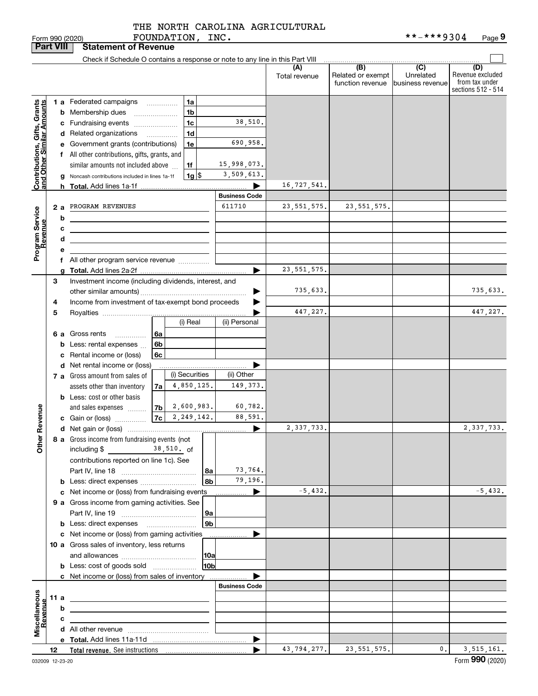FOUNDATION, INC. THE NORTH CAROLINA AGRICULTURAL

|                                               | <b>Part VIII</b> |   | <b>Statement of Revenue</b>                                                                                            |                       |                      |                                                           |                                                 |                                                                 |
|-----------------------------------------------|------------------|---|------------------------------------------------------------------------------------------------------------------------|-----------------------|----------------------|-----------------------------------------------------------|-------------------------------------------------|-----------------------------------------------------------------|
|                                               |                  |   | Check if Schedule O contains a response or note to any line in this Part VIII                                          |                       |                      |                                                           |                                                 |                                                                 |
|                                               |                  |   |                                                                                                                        |                       | (A)<br>Total revenue | $\overline{(B)}$<br>Related or exempt<br>function revenue | $\overline{C}$<br>Unrelated<br>business revenue | (D)<br>Revenue excluded<br>from tax under<br>sections 512 - 514 |
|                                               |                  |   | 1 a Federated campaigns<br>1a                                                                                          |                       |                      |                                                           |                                                 |                                                                 |
| , Grants<br>mounts                            |                  |   | <b>b</b> Membership dues<br>1b<br>$\ldots \ldots \ldots \ldots \ldots$                                                 |                       |                      |                                                           |                                                 |                                                                 |
|                                               |                  |   | 1c<br>c Fundraising events                                                                                             | 38,510.               |                      |                                                           |                                                 |                                                                 |
| Contributions, Gifts,<br>and Other Similar Ar |                  |   | 1 <sub>d</sub><br>d Related organizations<br>$\overline{\phantom{a}}$                                                  |                       |                      |                                                           |                                                 |                                                                 |
|                                               |                  |   | e Government grants (contributions)<br>1e                                                                              | 690,958.              |                      |                                                           |                                                 |                                                                 |
|                                               |                  |   | f All other contributions, gifts, grants, and                                                                          |                       |                      |                                                           |                                                 |                                                                 |
|                                               |                  |   | similar amounts not included above<br>1f                                                                               | 15,998,073.           |                      |                                                           |                                                 |                                                                 |
|                                               |                  |   | Noncash contributions included in lines 1a-1f<br>1g S                                                                  | 3,509,613.            |                      |                                                           |                                                 |                                                                 |
|                                               |                  |   |                                                                                                                        |                       | 16,727,541.          |                                                           |                                                 |                                                                 |
|                                               |                  |   |                                                                                                                        | <b>Business Code</b>  |                      |                                                           |                                                 |                                                                 |
|                                               | 2а               |   | PROGRAM REVENUES                                                                                                       | 611710                | 23,551,575.          | 23, 551, 575.                                             |                                                 |                                                                 |
| Program Service<br>Revenue                    |                  | b | <u> 1989 - Johann Barn, amerikansk politiker (</u>                                                                     |                       |                      |                                                           |                                                 |                                                                 |
|                                               |                  | с | the control of the control of the control of the control of the control of                                             |                       |                      |                                                           |                                                 |                                                                 |
|                                               |                  | d | <u> 1989 - Johann Stein, mars an deus an deus Amerikaanse komme</u>                                                    |                       |                      |                                                           |                                                 |                                                                 |
|                                               |                  | е |                                                                                                                        |                       |                      |                                                           |                                                 |                                                                 |
|                                               |                  |   | f All other program service revenue                                                                                    |                       |                      |                                                           |                                                 |                                                                 |
|                                               |                  | a |                                                                                                                        | ▶                     | 23, 551, 575.        |                                                           |                                                 |                                                                 |
|                                               | З                |   | Investment income (including dividends, interest, and                                                                  |                       | 735,633.             |                                                           |                                                 | 735,633.                                                        |
|                                               | 4                |   | Income from investment of tax-exempt bond proceeds                                                                     |                       |                      |                                                           |                                                 |                                                                 |
|                                               | 5                |   |                                                                                                                        |                       | 447,227.             |                                                           |                                                 | 447,227.                                                        |
|                                               |                  |   | (i) Real                                                                                                               | (ii) Personal         |                      |                                                           |                                                 |                                                                 |
|                                               |                  |   | <b>6 a</b> Gross rents<br>6а<br>.                                                                                      |                       |                      |                                                           |                                                 |                                                                 |
|                                               |                  |   | <b>b</b> Less: rental expenses<br>6b                                                                                   |                       |                      |                                                           |                                                 |                                                                 |
|                                               |                  |   | c Rental income or (loss)<br>6c                                                                                        |                       |                      |                                                           |                                                 |                                                                 |
|                                               |                  |   | d Net rental income or (loss)                                                                                          |                       |                      |                                                           |                                                 |                                                                 |
|                                               |                  |   | (i) Securities<br>7 a Gross amount from sales of                                                                       | (ii) Other            |                      |                                                           |                                                 |                                                                 |
|                                               |                  |   | 4,850,125.<br>assets other than inventory<br>7a                                                                        | 149,373.              |                      |                                                           |                                                 |                                                                 |
|                                               |                  |   | <b>b</b> Less: cost or other basis                                                                                     |                       |                      |                                                           |                                                 |                                                                 |
|                                               |                  |   | $ 7b $ 2,600,983.<br>and sales expenses                                                                                | 60,782.               |                      |                                                           |                                                 |                                                                 |
| Revenue                                       |                  |   | $ 7c $ 2, 249, 142.<br>c Gain or (loss)                                                                                | 88,591.               |                      |                                                           |                                                 |                                                                 |
|                                               |                  |   |                                                                                                                        | $\blacktriangleright$ | 2,337,733.           |                                                           |                                                 | 2,337,733.                                                      |
| <b>Othe</b>                                   |                  |   | 8 a Gross income from fundraising events (not<br>$38,510.$ of<br>including $$$                                         |                       |                      |                                                           |                                                 |                                                                 |
|                                               |                  |   | contributions reported on line 1c). See                                                                                |                       |                      |                                                           |                                                 |                                                                 |
|                                               |                  |   |                                                                                                                        | 73,764.<br>8a         |                      |                                                           |                                                 |                                                                 |
|                                               |                  |   |                                                                                                                        | 79,196.<br>8b         |                      |                                                           |                                                 |                                                                 |
|                                               |                  |   | c Net income or (loss) from fundraising events                                                                         | ▶                     | $-5,432.$            |                                                           |                                                 | $-5,432.$                                                       |
|                                               |                  |   | 9 a Gross income from gaming activities. See                                                                           |                       |                      |                                                           |                                                 |                                                                 |
|                                               |                  |   |                                                                                                                        | 9a                    |                      |                                                           |                                                 |                                                                 |
|                                               |                  |   | <b>b</b> Less: direct expenses <b>manually</b>                                                                         | 9 <sub>b</sub>        |                      |                                                           |                                                 |                                                                 |
|                                               |                  |   | c Net income or (loss) from gaming activities                                                                          | .                     |                      |                                                           |                                                 |                                                                 |
|                                               |                  |   | 10 a Gross sales of inventory, less returns                                                                            |                       |                      |                                                           |                                                 |                                                                 |
|                                               |                  |   |                                                                                                                        | 10a                   |                      |                                                           |                                                 |                                                                 |
|                                               |                  |   | <b>b</b> Less: cost of goods sold                                                                                      | 10b                   |                      |                                                           |                                                 |                                                                 |
|                                               |                  |   | c Net income or (loss) from sales of inventory                                                                         | <b>Business Code</b>  |                      |                                                           |                                                 |                                                                 |
|                                               | 11 a             |   |                                                                                                                        |                       |                      |                                                           |                                                 |                                                                 |
|                                               |                  | b | <u> 1989 - Johann Barn, mars ann an t-Amhain ann an t-Amhain an t-Amhain an t-Amhain an t-Amhain an t-Amhain an t-</u> |                       |                      |                                                           |                                                 |                                                                 |
|                                               |                  | c | the contract of the contract of the contract of the contract of the contract of                                        |                       |                      |                                                           |                                                 |                                                                 |
| Miscellaneous<br>Revenue                      |                  |   |                                                                                                                        |                       |                      |                                                           |                                                 |                                                                 |
|                                               |                  |   |                                                                                                                        | ▶                     |                      |                                                           |                                                 |                                                                 |
|                                               | 12               |   |                                                                                                                        |                       | 43,794,277.          | 23, 551, 575.                                             | $\mathbf{0}$ .                                  | 3, 515, 161.                                                    |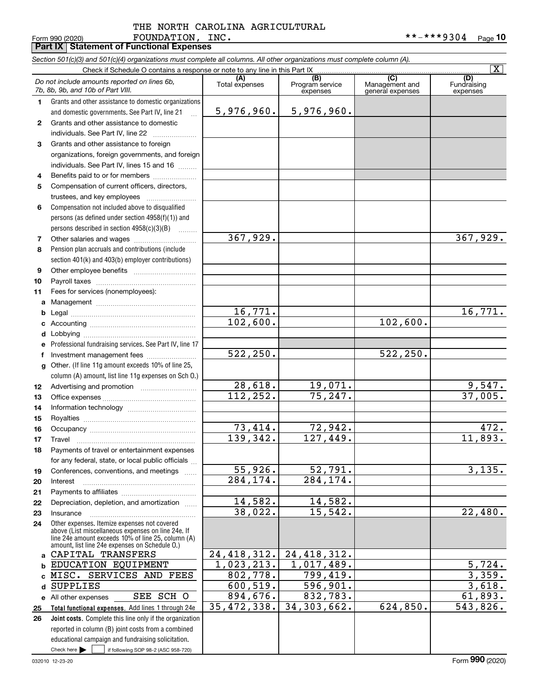### Form 990 (2020) Page **Part IX Statement of Functional Expenses** FOUNDATION, INC. \*\*-\*\*\*9304 THE NORTH CAROLINA AGRICULTURAL

|              | Section 501(c)(3) and 501(c)(4) organizations must complete all columns. All other organizations must complete column (A).                                                                                 |                            |                                    |                                           |                                |
|--------------|------------------------------------------------------------------------------------------------------------------------------------------------------------------------------------------------------------|----------------------------|------------------------------------|-------------------------------------------|--------------------------------|
|              | Check if Schedule O contains a response or note to any line in this Part IX                                                                                                                                |                            |                                    |                                           | $\overline{\textbf{x}}$        |
|              | Do not include amounts reported on lines 6b,<br>7b, 8b, 9b, and 10b of Part VIII.                                                                                                                          | (A)<br>Total expenses      | (B)<br>Program service<br>expenses | (C)<br>Management and<br>general expenses | (D)<br>Fundraising<br>expenses |
| 1.           | Grants and other assistance to domestic organizations                                                                                                                                                      |                            |                                    |                                           |                                |
|              | and domestic governments. See Part IV, line 21                                                                                                                                                             | 5,976,960.                 | 5,976,960.                         |                                           |                                |
| $\mathbf{2}$ | Grants and other assistance to domestic                                                                                                                                                                    |                            |                                    |                                           |                                |
|              | individuals. See Part IV, line 22                                                                                                                                                                          |                            |                                    |                                           |                                |
| 3            | Grants and other assistance to foreign                                                                                                                                                                     |                            |                                    |                                           |                                |
|              | organizations, foreign governments, and foreign                                                                                                                                                            |                            |                                    |                                           |                                |
|              | individuals. See Part IV, lines 15 and 16                                                                                                                                                                  |                            |                                    |                                           |                                |
| 4            | Benefits paid to or for members                                                                                                                                                                            |                            |                                    |                                           |                                |
| 5            | Compensation of current officers, directors,                                                                                                                                                               |                            |                                    |                                           |                                |
|              | trustees, and key employees                                                                                                                                                                                |                            |                                    |                                           |                                |
| 6            | Compensation not included above to disqualified                                                                                                                                                            |                            |                                    |                                           |                                |
|              | persons (as defined under section 4958(f)(1)) and                                                                                                                                                          |                            |                                    |                                           |                                |
|              | persons described in section 4958(c)(3)(B)                                                                                                                                                                 |                            |                                    |                                           |                                |
| 7            | Other salaries and wages                                                                                                                                                                                   | 367,929.                   |                                    |                                           | 367,929.                       |
| 8            | Pension plan accruals and contributions (include                                                                                                                                                           |                            |                                    |                                           |                                |
|              | section 401(k) and 403(b) employer contributions)                                                                                                                                                          |                            |                                    |                                           |                                |
| 9            |                                                                                                                                                                                                            |                            |                                    |                                           |                                |
| 10           |                                                                                                                                                                                                            |                            |                                    |                                           |                                |
| 11           | Fees for services (nonemployees):                                                                                                                                                                          |                            |                                    |                                           |                                |
| a            |                                                                                                                                                                                                            |                            |                                    |                                           |                                |
| b            |                                                                                                                                                                                                            | $\frac{16,771.}{102,600.}$ |                                    |                                           | 16,771.                        |
| c            |                                                                                                                                                                                                            |                            |                                    | 102,600.                                  |                                |
| d            |                                                                                                                                                                                                            |                            |                                    |                                           |                                |
| е            | Professional fundraising services. See Part IV, line 17                                                                                                                                                    |                            |                                    |                                           |                                |
| f            | Investment management fees                                                                                                                                                                                 | 522, 250.                  |                                    | 522, 250.                                 |                                |
| g            | Other. (If line 11g amount exceeds 10% of line 25,                                                                                                                                                         |                            |                                    |                                           |                                |
|              | column (A) amount, list line 11g expenses on Sch O.)                                                                                                                                                       |                            |                                    |                                           |                                |
| 12           |                                                                                                                                                                                                            | $\frac{28,618.}{112,252.}$ | $\frac{19,071.}{75,247.}$          |                                           | $\frac{9,547}{37,005}$         |
| 13           |                                                                                                                                                                                                            |                            |                                    |                                           |                                |
| 14           |                                                                                                                                                                                                            |                            |                                    |                                           |                                |
| 15           |                                                                                                                                                                                                            |                            |                                    |                                           |                                |
| 16           |                                                                                                                                                                                                            | 73,414.                    | 72,942.                            |                                           | 472.                           |
| 17           |                                                                                                                                                                                                            | 139,342.                   | 127,449.                           |                                           | 11,893.                        |
| 18           | Payments of travel or entertainment expenses                                                                                                                                                               |                            |                                    |                                           |                                |
|              | for any federal, state, or local public officials                                                                                                                                                          |                            |                                    |                                           |                                |
| 19           | Conferences, conventions, and meetings                                                                                                                                                                     | 55,926.                    | 52,791.                            |                                           | 3,135.                         |
| 20           | Interest                                                                                                                                                                                                   | $\overline{284,174}$ .     | $\overline{284,174}$ .             |                                           |                                |
| 21           |                                                                                                                                                                                                            |                            |                                    |                                           |                                |
| 22           | Depreciation, depletion, and amortization                                                                                                                                                                  | 14,582.                    | 14,582.                            |                                           |                                |
| 23           | Insurance                                                                                                                                                                                                  | 38,022.                    | 15, 542.                           |                                           | 22,480.                        |
| 24           | Other expenses. Itemize expenses not covered<br>above (List miscellaneous expenses on line 24e. If<br>line 24e amount exceeds 10% of line 25, column (A)<br>amount, list line 24e expenses on Schedule O.) |                            |                                    |                                           |                                |
| a            | CAPITAL TRANSFERS                                                                                                                                                                                          | 24, 418, 312.              | 24, 418, 312.                      |                                           |                                |
| b            | EDUCATION EQUIPMENT                                                                                                                                                                                        | 1,023,213.                 | 1,017,489.                         |                                           | 5,724.                         |
| C            | MISC. SERVICES AND FEES                                                                                                                                                                                    | 802,778.                   | 799,419.                           |                                           | 3,359.                         |
| d            | <b>SUPPLIES</b>                                                                                                                                                                                            | 600, 519.                  | 596,901.                           |                                           | 3,618.                         |
|              | SEE SCH O<br>e All other expenses                                                                                                                                                                          | 894,676.                   | 832,783.                           |                                           | 61,893.                        |
| 25           | Total functional expenses. Add lines 1 through 24e                                                                                                                                                         | 35, 472, 338.              | 34, 303, 662.                      | 624,850.                                  | 543,826.                       |
| 26           | Joint costs. Complete this line only if the organization                                                                                                                                                   |                            |                                    |                                           |                                |
|              | reported in column (B) joint costs from a combined                                                                                                                                                         |                            |                                    |                                           |                                |
|              | educational campaign and fundraising solicitation.                                                                                                                                                         |                            |                                    |                                           |                                |
|              | Check here $\blacktriangleright$<br>if following SOP 98-2 (ASC 958-720)                                                                                                                                    |                            |                                    |                                           |                                |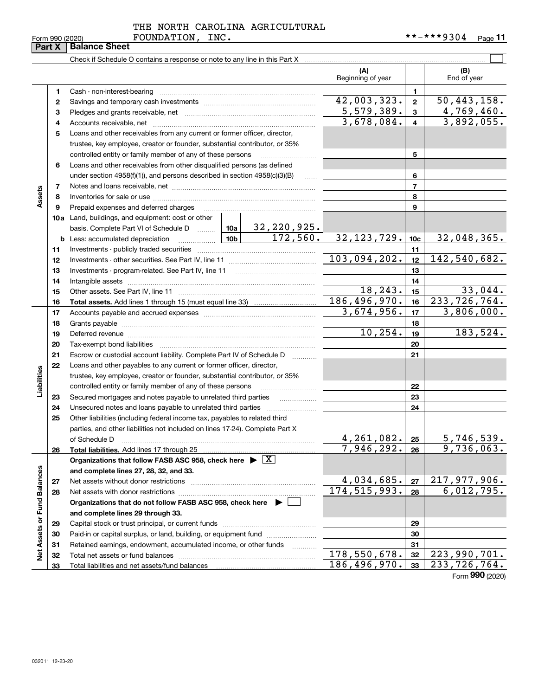|  | Form 990 (2020) |
|--|-----------------|
|  |                 |

### FOUNDATION, INC. THE NORTH CAROLINA AGRICULTURAL

#### **Part X** | **Balance Sheet**  $\mathcal{L}^{\text{max}}$ Check if Schedule O contains a response or note to any line in this Part X **(A) (B)** Beginning of year | | End of year **11**Cash - non-interest-bearing ~~~~~~~~~~~~~~~~~~~~~~~~~  $42,003,323.$   $2 \mid 50,443,158.$ **22**Savings and temporary cash investments ~~~~~~~~~~~~~~~~~~ **3** $5,579,389. | 3 | 4,769,460.$ **3**Pledges and grants receivable, net ~~~~~~~~~~~~~~~~~~~~~ $3,678,084.$  4 3,892,055. Accounts receivable, net ~~~~~~~~~~~~~~~~~~~~~~~~~~ **445**Loans and other receivables from any current or former officer, director, trustee, key employee, creator or founder, substantial contributor, or 35% controlled entity or family member of any of these persons ~~~~~~~~~ **56**Loans and other receivables from other disqualified persons (as defined under section  $4958(f)(1)$ , and persons described in section  $4958(c)(3)(B)$ **677**Notes and loans receivable, net ~~~~~~~~~~~~~~~~~~~~~~~ **Assets 88**Inventories for sale or use ~~~~~~~~~~~~~~~~~~~~~~~~~~Prepaid expenses and deferred charges **9910a**Land, buildings, and equipment: cost or other 32,220,925. basis. Complete Part VI of Schedule D ......... Letting <u>172,560.| 32,123,729.|10c| 32,048,365.</u> **b** Less: accumulated depreciation  $\ldots$  **10b 1111**Investments - publicly traded securities ~~~~~~~~~~~~~~~~~~~ 103,094,202. 12 142,540,682. **1212**Investments - other securities. See Part IV, line 11 ~~~~~~~~~~~~~~ **1313**Investments - program-related. See Part IV, line 11 ~~~~~~~~~~~~~**1414**Intangible assets ~~~~~~~~~~~~~~~~~~~~~~~~~~~~~~ Other assets. See Part IV, line 11 ~~~~~~~~~~~~~~~~~~~~~~  $18,243.$   $15$  33,044. **1515**186,496,970. 233,726,764. **1616Total assets.**  Add lines 1 through 15 (must equal line 33)  $3,674,956.$   $17$  3,806,000. **1717**Accounts payable and accrued expenses ~~~~~~~~~~~~~~~~~~ **1818**Grants payable ~~~~~~~~~~~~~~~~~~~~~~~~~~~~~~~ 10,254. 19 183,524. **1919**Deferred revenue ~~~~~~~~~~~~~~~~~~~~~~~~~~~~~~ **2020**Tax-exempt bond liabilities …………………………………………………………… Escrow or custodial account liability. Complete Part IV of Schedule D **212122**Loans and other payables to any current or former officer, director, **Liabilities** iabilities trustee, key employee, creator or founder, substantial contributor, or 35% controlled entity or family member of any of these persons ~~~~~~~~~**2223**Secured mortgages and notes payable to unrelated third parties **23**Unsecured notes and loans payable to unrelated third parties ~~~~~~~~ **242425**Other liabilities (including federal income tax, payables to related third parties, and other liabilities not included on lines 17-24). Complete Part X of Schedule D ~~~~~~~~~~~~~~~~~~~~~~~~~~~~~~~  $4,261,082.$  |  $25$  | 5,746,539. **25** $7,946,292.$  26 9,736,063. **2626Total liabilities.**  Add lines 17 through 25 **Organizations that follow FASB ASC 958, check here** | X Assets or Fund Balances **Net Assets or Fund Balances and complete lines 27, 28, 32, and 33.** 4,034,685. 217,977,906. **2727**Net assets without donor restrictions ~~~~~~~~~~~~~~~~~~~~ 174,515,993. | 28 | 6,012,795. **2828**Net assets with donor restrictions ~~~~~~~~~~~~~~~~~~~~~~ **Organizations that do not follow FASB ASC 958, check here** | **and complete lines 29 through 33. 2929**Capital stock or trust principal, or current funds ~~~~~~~~~~~~~~~ **3030**Paid-in or capital surplus, or land, building, or equipment fund www.commun.com **3131**Retained earnings, endowment, accumulated income, or other funds www.com Total net assets or fund balances ~~~~~~~~~~~~~~~~~~~~~~ اقع<br>ح 178,550,678. 223,990,701. **3232**

Form (2020) **990**

**33**

186,496,970. 33 233,726,764.

**33**

Total liabilities and net assets/fund balances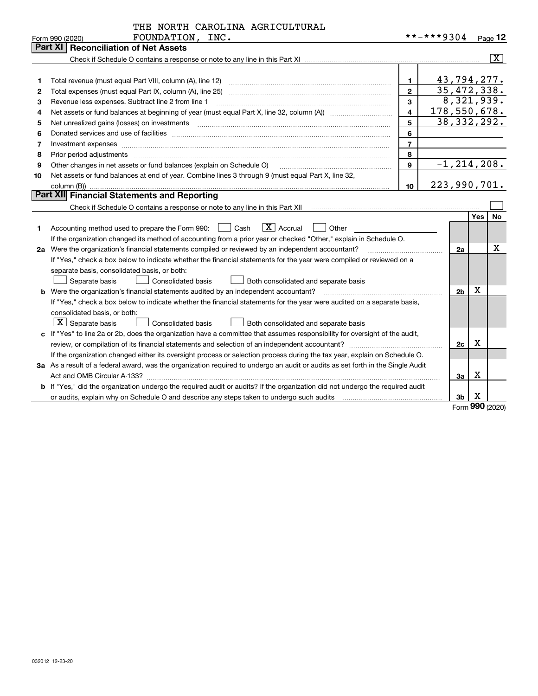|    | Part XI   Reconciliation of Net Assets                                                                                                                                                                                               |                |                 |            |                         |
|----|--------------------------------------------------------------------------------------------------------------------------------------------------------------------------------------------------------------------------------------|----------------|-----------------|------------|-------------------------|
|    |                                                                                                                                                                                                                                      |                |                 |            | $\overline{\mathbf{x}}$ |
|    |                                                                                                                                                                                                                                      |                |                 |            |                         |
| 1  |                                                                                                                                                                                                                                      | $\mathbf{1}$   | 43,794,277.     |            |                         |
| 2  |                                                                                                                                                                                                                                      | $\overline{2}$ | 35,472,338.     |            |                         |
| 3  | Revenue less expenses. Subtract line 2 from line 1                                                                                                                                                                                   | 3              |                 | 8,321,939. |                         |
| 4  |                                                                                                                                                                                                                                      | $\overline{4}$ | 178,550,678.    |            |                         |
| 5  |                                                                                                                                                                                                                                      | 5              | 38, 332, 292.   |            |                         |
| 6  |                                                                                                                                                                                                                                      | 6              |                 |            |                         |
| 7  | Investment expenses <b>continuum continuum continuum continuum continuum continuum continuum continuum continuum continuum continuum continuum continuum continuum continuum continuum continuum continuum continuum continuum c</b> | $\overline{7}$ |                 |            |                         |
| 8  | Prior period adjustments www.communication.communication.com/news/communication.com/news/communication.com/news/                                                                                                                     | 8              |                 |            |                         |
| 9  | Other changes in net assets or fund balances (explain on Schedule O)                                                                                                                                                                 | 9              | $-1, 214, 208.$ |            |                         |
| 10 | Net assets or fund balances at end of year. Combine lines 3 through 9 (must equal Part X, line 32,                                                                                                                                   |                |                 |            |                         |
|    | column (B))                                                                                                                                                                                                                          | 10             | 223,990,701.    |            |                         |
|    | <b>Part XII</b> Financial Statements and Reporting                                                                                                                                                                                   |                |                 |            |                         |
|    |                                                                                                                                                                                                                                      |                |                 |            |                         |
|    |                                                                                                                                                                                                                                      |                |                 | <b>Yes</b> | No                      |
| 1  | $\boxed{\text{X}}$ Accrual<br>Accounting method used to prepare the Form 990:<br>Cash<br>Other                                                                                                                                       |                |                 |            |                         |
|    | If the organization changed its method of accounting from a prior year or checked "Other," explain in Schedule O.                                                                                                                    |                |                 |            |                         |
|    | 2a Were the organization's financial statements compiled or reviewed by an independent accountant?                                                                                                                                   |                |                 |            | х                       |
|    | If "Yes," check a box below to indicate whether the financial statements for the year were compiled or reviewed on a                                                                                                                 |                |                 |            |                         |
|    | separate basis, consolidated basis, or both:                                                                                                                                                                                         |                |                 |            |                         |
|    | Separate basis<br><b>Consolidated basis</b><br>Both consolidated and separate basis                                                                                                                                                  |                |                 |            |                         |
|    | <b>b</b> Were the organization's financial statements audited by an independent accountant?                                                                                                                                          |                | 2 <sub>b</sub>  | X          |                         |
|    | If "Yes," check a box below to indicate whether the financial statements for the year were audited on a separate basis,                                                                                                              |                |                 |            |                         |
|    | consolidated basis, or both:                                                                                                                                                                                                         |                |                 |            |                         |
|    | $\boxed{\textbf{X}}$ Separate basis<br><b>Consolidated basis</b><br>Both consolidated and separate basis                                                                                                                             |                |                 |            |                         |
|    | c If "Yes" to line 2a or 2b, does the organization have a committee that assumes responsibility for oversight of the audit,                                                                                                          |                |                 |            |                         |
|    |                                                                                                                                                                                                                                      |                | 2c              | x          |                         |
|    | If the organization changed either its oversight process or selection process during the tax year, explain on Schedule O.                                                                                                            |                |                 |            |                         |
|    | 3a As a result of a federal award, was the organization required to undergo an audit or audits as set forth in the Single Audit                                                                                                      |                |                 |            |                         |
|    | Act and OMB Circular A-133?                                                                                                                                                                                                          |                | За              | х          |                         |
|    | b If "Yes," did the organization undergo the required audit or audits? If the organization did not undergo the required audit                                                                                                        |                |                 |            |                         |
|    |                                                                                                                                                                                                                                      |                | 3 <sub>b</sub>  | X          |                         |

Form (2020) **990**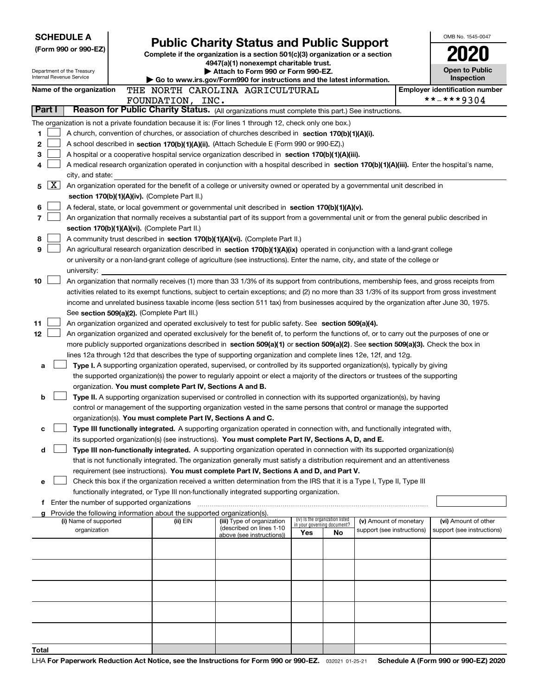| <b>SCHEDULE A</b>    |        |                                                        | <b>Public Charity Status and Public Support</b>                               |                                                                                                                                                                                                                                                                                       |     |                                                                | OMB No. 1545-0047                                    |                                                    |
|----------------------|--------|--------------------------------------------------------|-------------------------------------------------------------------------------|---------------------------------------------------------------------------------------------------------------------------------------------------------------------------------------------------------------------------------------------------------------------------------------|-----|----------------------------------------------------------------|------------------------------------------------------|----------------------------------------------------|
| (Form 990 or 990-EZ) |        |                                                        | Complete if the organization is a section 501(c)(3) organization or a section |                                                                                                                                                                                                                                                                                       |     |                                                                |                                                      |                                                    |
|                      |        |                                                        | 4947(a)(1) nonexempt charitable trust.                                        |                                                                                                                                                                                                                                                                                       |     |                                                                |                                                      |                                                    |
|                      |        | Department of the Treasury<br>Internal Revenue Service |                                                                               | Attach to Form 990 or Form 990-EZ.                                                                                                                                                                                                                                                    |     |                                                                |                                                      | <b>Open to Public</b><br>Inspection                |
|                      |        | Name of the organization                               |                                                                               | Go to www.irs.gov/Form990 for instructions and the latest information.<br>THE NORTH CAROLINA AGRICULTURAL                                                                                                                                                                             |     |                                                                |                                                      | <b>Employer identification number</b>              |
|                      |        |                                                        | FOUNDATION, INC.                                                              |                                                                                                                                                                                                                                                                                       |     |                                                                |                                                      | **-***9304                                         |
|                      | Part I |                                                        |                                                                               | Reason for Public Charity Status. (All organizations must complete this part.) See instructions.                                                                                                                                                                                      |     |                                                                |                                                      |                                                    |
|                      |        |                                                        |                                                                               | The organization is not a private foundation because it is: (For lines 1 through 12, check only one box.)                                                                                                                                                                             |     |                                                                |                                                      |                                                    |
| 1                    |        |                                                        |                                                                               | A church, convention of churches, or association of churches described in section 170(b)(1)(A)(i).                                                                                                                                                                                    |     |                                                                |                                                      |                                                    |
| 2                    |        |                                                        |                                                                               | A school described in section 170(b)(1)(A)(ii). (Attach Schedule E (Form 990 or 990-EZ).)                                                                                                                                                                                             |     |                                                                |                                                      |                                                    |
| 3                    |        |                                                        |                                                                               | A hospital or a cooperative hospital service organization described in section 170(b)(1)(A)(iii).                                                                                                                                                                                     |     |                                                                |                                                      |                                                    |
| 4                    |        |                                                        |                                                                               | A medical research organization operated in conjunction with a hospital described in section 170(b)(1)(A)(iii). Enter the hospital's name,                                                                                                                                            |     |                                                                |                                                      |                                                    |
|                      |        | city, and state:                                       |                                                                               |                                                                                                                                                                                                                                                                                       |     |                                                                |                                                      |                                                    |
| 5                    | X      |                                                        |                                                                               | An organization operated for the benefit of a college or university owned or operated by a governmental unit described in                                                                                                                                                             |     |                                                                |                                                      |                                                    |
| 6                    |        |                                                        | section 170(b)(1)(A)(iv). (Complete Part II.)                                 | A federal, state, or local government or governmental unit described in section 170(b)(1)(A)(v).                                                                                                                                                                                      |     |                                                                |                                                      |                                                    |
| 7                    |        |                                                        |                                                                               | An organization that normally receives a substantial part of its support from a governmental unit or from the general public described in                                                                                                                                             |     |                                                                |                                                      |                                                    |
|                      |        |                                                        | section 170(b)(1)(A)(vi). (Complete Part II.)                                 |                                                                                                                                                                                                                                                                                       |     |                                                                |                                                      |                                                    |
| 8                    |        |                                                        |                                                                               | A community trust described in section 170(b)(1)(A)(vi). (Complete Part II.)                                                                                                                                                                                                          |     |                                                                |                                                      |                                                    |
| 9                    |        |                                                        |                                                                               | An agricultural research organization described in section 170(b)(1)(A)(ix) operated in conjunction with a land-grant college                                                                                                                                                         |     |                                                                |                                                      |                                                    |
|                      |        |                                                        |                                                                               | or university or a non-land-grant college of agriculture (see instructions). Enter the name, city, and state of the college or                                                                                                                                                        |     |                                                                |                                                      |                                                    |
|                      |        | university:                                            |                                                                               |                                                                                                                                                                                                                                                                                       |     |                                                                |                                                      |                                                    |
| 10                   |        |                                                        |                                                                               | An organization that normally receives (1) more than 33 1/3% of its support from contributions, membership fees, and gross receipts from                                                                                                                                              |     |                                                                |                                                      |                                                    |
|                      |        |                                                        |                                                                               | activities related to its exempt functions, subject to certain exceptions; and (2) no more than 33 1/3% of its support from gross investment<br>income and unrelated business taxable income (less section 511 tax) from businesses acquired by the organization after June 30, 1975. |     |                                                                |                                                      |                                                    |
|                      |        |                                                        | See section 509(a)(2). (Complete Part III.)                                   |                                                                                                                                                                                                                                                                                       |     |                                                                |                                                      |                                                    |
| 11                   |        |                                                        |                                                                               | An organization organized and operated exclusively to test for public safety. See section 509(a)(4).                                                                                                                                                                                  |     |                                                                |                                                      |                                                    |
| 12                   |        |                                                        |                                                                               | An organization organized and operated exclusively for the benefit of, to perform the functions of, or to carry out the purposes of one or                                                                                                                                            |     |                                                                |                                                      |                                                    |
|                      |        |                                                        |                                                                               | more publicly supported organizations described in section 509(a)(1) or section 509(a)(2). See section 509(a)(3). Check the box in                                                                                                                                                    |     |                                                                |                                                      |                                                    |
|                      |        |                                                        |                                                                               | lines 12a through 12d that describes the type of supporting organization and complete lines 12e, 12f, and 12g.                                                                                                                                                                        |     |                                                                |                                                      |                                                    |
| a                    |        |                                                        |                                                                               | Type I. A supporting organization operated, supervised, or controlled by its supported organization(s), typically by giving                                                                                                                                                           |     |                                                                |                                                      |                                                    |
|                      |        |                                                        | organization. You must complete Part IV, Sections A and B.                    | the supported organization(s) the power to regularly appoint or elect a majority of the directors or trustees of the supporting                                                                                                                                                       |     |                                                                |                                                      |                                                    |
| b                    |        |                                                        |                                                                               | Type II. A supporting organization supervised or controlled in connection with its supported organization(s), by having                                                                                                                                                               |     |                                                                |                                                      |                                                    |
|                      |        |                                                        |                                                                               | control or management of the supporting organization vested in the same persons that control or manage the supported                                                                                                                                                                  |     |                                                                |                                                      |                                                    |
|                      |        |                                                        | organization(s). You must complete Part IV, Sections A and C.                 |                                                                                                                                                                                                                                                                                       |     |                                                                |                                                      |                                                    |
| с                    |        |                                                        |                                                                               | Type III functionally integrated. A supporting organization operated in connection with, and functionally integrated with,                                                                                                                                                            |     |                                                                |                                                      |                                                    |
|                      |        |                                                        |                                                                               | its supported organization(s) (see instructions). You must complete Part IV, Sections A, D, and E.                                                                                                                                                                                    |     |                                                                |                                                      |                                                    |
| d                    |        |                                                        |                                                                               | Type III non-functionally integrated. A supporting organization operated in connection with its supported organization(s)                                                                                                                                                             |     |                                                                |                                                      |                                                    |
|                      |        |                                                        |                                                                               | that is not functionally integrated. The organization generally must satisfy a distribution requirement and an attentiveness                                                                                                                                                          |     |                                                                |                                                      |                                                    |
| е                    |        |                                                        |                                                                               | requirement (see instructions). You must complete Part IV, Sections A and D, and Part V.<br>Check this box if the organization received a written determination from the IRS that it is a Type I, Type II, Type III                                                                   |     |                                                                |                                                      |                                                    |
|                      |        |                                                        |                                                                               | functionally integrated, or Type III non-functionally integrated supporting organization.                                                                                                                                                                                             |     |                                                                |                                                      |                                                    |
|                      |        |                                                        |                                                                               |                                                                                                                                                                                                                                                                                       |     |                                                                |                                                      |                                                    |
|                      |        |                                                        | g Provide the following information about the supported organization(s).      |                                                                                                                                                                                                                                                                                       |     |                                                                |                                                      |                                                    |
|                      |        | (i) Name of supported<br>organization                  | (ii) EIN                                                                      | (iii) Type of organization<br>(described on lines 1-10                                                                                                                                                                                                                                |     | (iv) Is the organization listed<br>in your governing document? | (v) Amount of monetary<br>support (see instructions) | (vi) Amount of other<br>support (see instructions) |
|                      |        |                                                        |                                                                               | above (see instructions))                                                                                                                                                                                                                                                             | Yes | No                                                             |                                                      |                                                    |
|                      |        |                                                        |                                                                               |                                                                                                                                                                                                                                                                                       |     |                                                                |                                                      |                                                    |
|                      |        |                                                        |                                                                               |                                                                                                                                                                                                                                                                                       |     |                                                                |                                                      |                                                    |
|                      |        |                                                        |                                                                               |                                                                                                                                                                                                                                                                                       |     |                                                                |                                                      |                                                    |
|                      |        |                                                        |                                                                               |                                                                                                                                                                                                                                                                                       |     |                                                                |                                                      |                                                    |
|                      |        |                                                        |                                                                               |                                                                                                                                                                                                                                                                                       |     |                                                                |                                                      |                                                    |
|                      |        |                                                        |                                                                               |                                                                                                                                                                                                                                                                                       |     |                                                                |                                                      |                                                    |
|                      |        |                                                        |                                                                               |                                                                                                                                                                                                                                                                                       |     |                                                                |                                                      |                                                    |
|                      |        |                                                        |                                                                               |                                                                                                                                                                                                                                                                                       |     |                                                                |                                                      |                                                    |
| Total                |        |                                                        |                                                                               |                                                                                                                                                                                                                                                                                       |     |                                                                |                                                      |                                                    |
|                      |        |                                                        |                                                                               |                                                                                                                                                                                                                                                                                       |     |                                                                |                                                      |                                                    |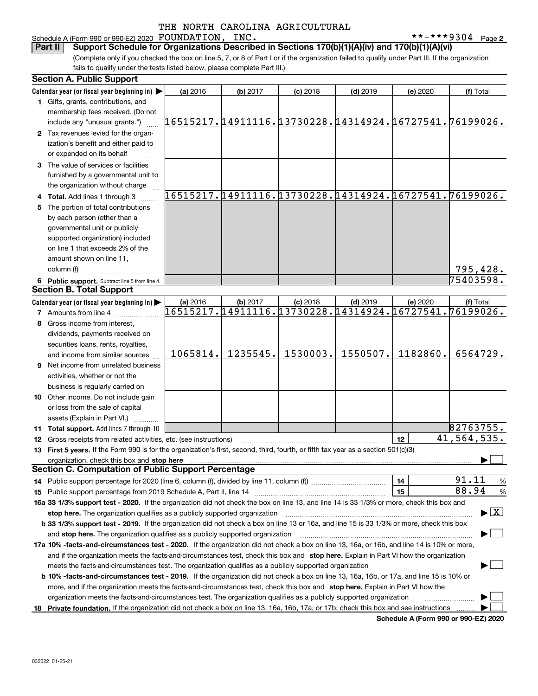## Schedule A (Form 990 or 990-EZ) 2020 Page FOUNDATION, INC. \*\*-\*\*\*9304

**2**

(Complete only if you checked the box on line 5, 7, or 8 of Part I or if the organization failed to qualify under Part III. If the organization fails to qualify under the tests listed below, please complete Part III.) **Part II Support Schedule for Organizations Described in Sections 170(b)(1)(A)(iv) and 170(b)(1)(A)(vi)**

|    | <b>Section A. Public Support</b>                                                                                                               |                                                        |          |            |            |          |                                          |
|----|------------------------------------------------------------------------------------------------------------------------------------------------|--------------------------------------------------------|----------|------------|------------|----------|------------------------------------------|
|    | Calendar year (or fiscal year beginning in) $\blacktriangleright$                                                                              | (a) 2016                                               | (b) 2017 | $(c)$ 2018 | $(d)$ 2019 | (e) 2020 | (f) Total                                |
|    | 1 Gifts, grants, contributions, and                                                                                                            |                                                        |          |            |            |          |                                          |
|    | membership fees received. (Do not                                                                                                              |                                                        |          |            |            |          |                                          |
|    | include any "unusual grants.")                                                                                                                 | 16515217.14911116.13730228.14314924.16727541.76199026. |          |            |            |          |                                          |
|    | 2 Tax revenues levied for the organ-                                                                                                           |                                                        |          |            |            |          |                                          |
|    | ization's benefit and either paid to                                                                                                           |                                                        |          |            |            |          |                                          |
|    | or expended on its behalf                                                                                                                      |                                                        |          |            |            |          |                                          |
|    | 3 The value of services or facilities                                                                                                          |                                                        |          |            |            |          |                                          |
|    | furnished by a governmental unit to                                                                                                            |                                                        |          |            |            |          |                                          |
|    | the organization without charge                                                                                                                |                                                        |          |            |            |          |                                          |
|    | 4 Total. Add lines 1 through 3                                                                                                                 | 16515217.14911116.13730228.14314924.16727541.76199026. |          |            |            |          |                                          |
| 5. | The portion of total contributions                                                                                                             |                                                        |          |            |            |          |                                          |
|    | by each person (other than a                                                                                                                   |                                                        |          |            |            |          |                                          |
|    | governmental unit or publicly                                                                                                                  |                                                        |          |            |            |          |                                          |
|    |                                                                                                                                                |                                                        |          |            |            |          |                                          |
|    | supported organization) included                                                                                                               |                                                        |          |            |            |          |                                          |
|    | on line 1 that exceeds 2% of the                                                                                                               |                                                        |          |            |            |          |                                          |
|    | amount shown on line 11,                                                                                                                       |                                                        |          |            |            |          |                                          |
|    | column (f)                                                                                                                                     |                                                        |          |            |            |          | 795,428.                                 |
|    | 6 Public support. Subtract line 5 from line 4.                                                                                                 |                                                        |          |            |            |          | 75403598.                                |
|    | <b>Section B. Total Support</b>                                                                                                                |                                                        |          |            |            |          |                                          |
|    | Calendar year (or fiscal year beginning in)                                                                                                    | (a) 2016                                               | (b) 2017 | $(c)$ 2018 | $(d)$ 2019 | (e) 2020 | (f) Total                                |
|    | <b>7</b> Amounts from line 4                                                                                                                   | 16515217.14911116.13730228.14314924.16727541.          |          |            |            |          | 76199026.                                |
|    | 8 Gross income from interest,                                                                                                                  |                                                        |          |            |            |          |                                          |
|    | dividends, payments received on                                                                                                                |                                                        |          |            |            |          |                                          |
|    | securities loans, rents, royalties,                                                                                                            |                                                        |          |            |            |          |                                          |
|    | and income from similar sources                                                                                                                | 1065814.                                               | 1235545. | 1530003.   | 1550507.   | 1182860. | 6564729.                                 |
|    | 9 Net income from unrelated business                                                                                                           |                                                        |          |            |            |          |                                          |
|    | activities, whether or not the                                                                                                                 |                                                        |          |            |            |          |                                          |
|    | business is regularly carried on                                                                                                               |                                                        |          |            |            |          |                                          |
|    | 10 Other income. Do not include gain                                                                                                           |                                                        |          |            |            |          |                                          |
|    |                                                                                                                                                |                                                        |          |            |            |          |                                          |
|    | or loss from the sale of capital                                                                                                               |                                                        |          |            |            |          |                                          |
|    | assets (Explain in Part VI.) <b>Constant</b>                                                                                                   |                                                        |          |            |            |          |                                          |
|    | 11 Total support. Add lines 7 through 10                                                                                                       |                                                        |          |            |            |          | 82763755.                                |
|    | <b>12</b> Gross receipts from related activities, etc. (see instructions)                                                                      |                                                        |          |            |            | 12       | 41, 564, 535.                            |
|    | 13 First 5 years. If the Form 990 is for the organization's first, second, third, fourth, or fifth tax year as a section 501(c)(3)             |                                                        |          |            |            |          |                                          |
|    | organization, check this box and stop here                                                                                                     |                                                        |          |            |            |          |                                          |
|    | <b>Section C. Computation of Public Support Percentage</b>                                                                                     |                                                        |          |            |            |          |                                          |
|    | 14 Public support percentage for 2020 (line 6, column (f), divided by line 11, column (f) <i>mummumumum</i>                                    |                                                        |          |            |            | 14       | 91.11<br>%                               |
|    |                                                                                                                                                |                                                        |          |            |            | 15       | 88.94<br>%                               |
|    | 16a 33 1/3% support test - 2020. If the organization did not check the box on line 13, and line 14 is 33 1/3% or more, check this box and      |                                                        |          |            |            |          |                                          |
|    | stop here. The organization qualifies as a publicly supported organization                                                                     |                                                        |          |            |            |          | $\blacktriangleright$ $\boxed{\text{X}}$ |
|    | b 33 1/3% support test - 2019. If the organization did not check a box on line 13 or 16a, and line 15 is 33 1/3% or more, check this box       |                                                        |          |            |            |          |                                          |
|    | and stop here. The organization qualifies as a publicly supported organization                                                                 |                                                        |          |            |            |          |                                          |
|    | 17a 10% -facts-and-circumstances test - 2020. If the organization did not check a box on line 13, 16a, or 16b, and line 14 is 10% or more,     |                                                        |          |            |            |          |                                          |
|    | and if the organization meets the facts-and-circumstances test, check this box and stop here. Explain in Part VI how the organization          |                                                        |          |            |            |          |                                          |
|    | meets the facts-and-circumstances test. The organization qualifies as a publicly supported organization                                        |                                                        |          |            |            |          |                                          |
|    | <b>b 10% -facts-and-circumstances test - 2019.</b> If the organization did not check a box on line 13, 16a, 16b, or 17a, and line 15 is 10% or |                                                        |          |            |            |          |                                          |
|    | more, and if the organization meets the facts-and-circumstances test, check this box and stop here. Explain in Part VI how the                 |                                                        |          |            |            |          |                                          |
|    | organization meets the facts-and-circumstances test. The organization qualifies as a publicly supported organization                           |                                                        |          |            |            |          |                                          |
|    |                                                                                                                                                |                                                        |          |            |            |          |                                          |
|    | 18 Private foundation. If the organization did not check a box on line 13, 16a, 16b, 17a, or 17b, check this box and see instructions          |                                                        |          |            |            |          |                                          |

**Schedule A (Form 990 or 990-EZ) 2020**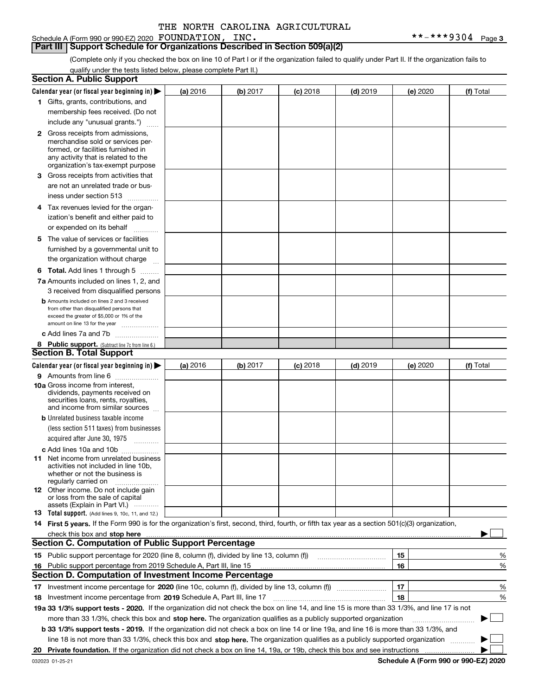Schedule A (Form 990 or 990-EZ) 2020 Page FOUNDATION, INC. \*\*-\*\*\*9304

**Part III Support Schedule for Organizations Described in Section 509(a)(2)** 

(Complete only if you checked the box on line 10 of Part I or if the organization failed to qualify under Part II. If the organization fails to qualify under the tests listed below, please complete Part II.)

|    | <b>Section A. Public Support</b>                                                                                                                                                                                               |          |          |            |            |          |             |
|----|--------------------------------------------------------------------------------------------------------------------------------------------------------------------------------------------------------------------------------|----------|----------|------------|------------|----------|-------------|
|    | Calendar year (or fiscal year beginning in) $\blacktriangleright$                                                                                                                                                              | (a) 2016 | (b) 2017 | $(c)$ 2018 | $(d)$ 2019 | (e) 2020 | (f) Total   |
|    | 1 Gifts, grants, contributions, and                                                                                                                                                                                            |          |          |            |            |          |             |
|    | membership fees received. (Do not                                                                                                                                                                                              |          |          |            |            |          |             |
|    | include any "unusual grants.")                                                                                                                                                                                                 |          |          |            |            |          |             |
|    | <b>2</b> Gross receipts from admissions,                                                                                                                                                                                       |          |          |            |            |          |             |
|    | merchandise sold or services per-                                                                                                                                                                                              |          |          |            |            |          |             |
|    | formed, or facilities furnished in                                                                                                                                                                                             |          |          |            |            |          |             |
|    | any activity that is related to the<br>organization's tax-exempt purpose                                                                                                                                                       |          |          |            |            |          |             |
|    | 3 Gross receipts from activities that                                                                                                                                                                                          |          |          |            |            |          |             |
|    | are not an unrelated trade or bus-                                                                                                                                                                                             |          |          |            |            |          |             |
|    | iness under section 513                                                                                                                                                                                                        |          |          |            |            |          |             |
|    | 4 Tax revenues levied for the organ-                                                                                                                                                                                           |          |          |            |            |          |             |
|    | ization's benefit and either paid to                                                                                                                                                                                           |          |          |            |            |          |             |
|    | or expended on its behalf<br>.                                                                                                                                                                                                 |          |          |            |            |          |             |
|    | 5 The value of services or facilities                                                                                                                                                                                          |          |          |            |            |          |             |
|    | furnished by a governmental unit to                                                                                                                                                                                            |          |          |            |            |          |             |
|    | the organization without charge                                                                                                                                                                                                |          |          |            |            |          |             |
|    | <b>6 Total.</b> Add lines 1 through 5                                                                                                                                                                                          |          |          |            |            |          |             |
|    | 7a Amounts included on lines 1, 2, and                                                                                                                                                                                         |          |          |            |            |          |             |
|    | 3 received from disqualified persons                                                                                                                                                                                           |          |          |            |            |          |             |
|    | <b>b</b> Amounts included on lines 2 and 3 received                                                                                                                                                                            |          |          |            |            |          |             |
|    | from other than disqualified persons that                                                                                                                                                                                      |          |          |            |            |          |             |
|    | exceed the greater of \$5,000 or 1% of the<br>amount on line 13 for the year                                                                                                                                                   |          |          |            |            |          |             |
|    | c Add lines 7a and 7b                                                                                                                                                                                                          |          |          |            |            |          |             |
|    | 8 Public support. (Subtract line 7c from line 6.)                                                                                                                                                                              |          |          |            |            |          |             |
|    | <b>Section B. Total Support</b>                                                                                                                                                                                                |          |          |            |            |          |             |
|    | Calendar year (or fiscal year beginning in)                                                                                                                                                                                    | (a) 2016 | (b) 2017 | $(c)$ 2018 | $(d)$ 2019 | (e) 2020 | (f) Total   |
|    | 9 Amounts from line 6                                                                                                                                                                                                          |          |          |            |            |          |             |
|    | <b>10a</b> Gross income from interest,                                                                                                                                                                                         |          |          |            |            |          |             |
|    | dividends, payments received on                                                                                                                                                                                                |          |          |            |            |          |             |
|    | securities loans, rents, royalties,<br>and income from similar sources                                                                                                                                                         |          |          |            |            |          |             |
|    | <b>b</b> Unrelated business taxable income                                                                                                                                                                                     |          |          |            |            |          |             |
|    | (less section 511 taxes) from businesses                                                                                                                                                                                       |          |          |            |            |          |             |
|    | acquired after June 30, 1975 [10001]                                                                                                                                                                                           |          |          |            |            |          |             |
|    | c Add lines 10a and 10b                                                                                                                                                                                                        |          |          |            |            |          |             |
|    | 11 Net income from unrelated business                                                                                                                                                                                          |          |          |            |            |          |             |
|    | activities not included in line 10b,                                                                                                                                                                                           |          |          |            |            |          |             |
|    | whether or not the business is<br>regularly carried on                                                                                                                                                                         |          |          |            |            |          |             |
|    | <b>12</b> Other income. Do not include gain                                                                                                                                                                                    |          |          |            |            |          |             |
|    | or loss from the sale of capital                                                                                                                                                                                               |          |          |            |            |          |             |
|    | assets (Explain in Part VI.)<br><b>13</b> Total support. (Add lines 9, 10c, 11, and 12.)                                                                                                                                       |          |          |            |            |          |             |
|    | 14 First 5 years. If the Form 990 is for the organization's first, second, third, fourth, or fifth tax year as a section 501(c)(3) organization,                                                                               |          |          |            |            |          |             |
|    | check this box and stop here manufactured and control the state of the state of the state of the state of the state of the state of the state of the state of the state of the state of the state of the state of the state of |          |          |            |            |          |             |
|    | <b>Section C. Computation of Public Support Percentage</b>                                                                                                                                                                     |          |          |            |            |          |             |
|    | 15 Public support percentage for 2020 (line 8, column (f), divided by line 13, column (f))                                                                                                                                     |          |          |            |            | 15       | %           |
|    | 16 Public support percentage from 2019 Schedule A, Part III, line 15                                                                                                                                                           |          |          |            |            | 16       | %           |
|    | <b>Section D. Computation of Investment Income Percentage</b>                                                                                                                                                                  |          |          |            |            |          |             |
|    | 17 Investment income percentage for 2020 (line 10c, column (f), divided by line 13, column (f))                                                                                                                                |          |          |            |            | 17       | %           |
|    | <b>18</b> Investment income percentage from <b>2019</b> Schedule A, Part III, line 17                                                                                                                                          |          |          |            |            | 18       | %           |
|    | 19a 33 1/3% support tests - 2020. If the organization did not check the box on line 14, and line 15 is more than 33 1/3%, and line 17 is not                                                                                   |          |          |            |            |          |             |
|    | more than 33 1/3%, check this box and stop here. The organization qualifies as a publicly supported organization                                                                                                               |          |          |            |            |          | $\sim$<br>▶ |
|    | b 33 1/3% support tests - 2019. If the organization did not check a box on line 14 or line 19a, and line 16 is more than 33 1/3%, and                                                                                          |          |          |            |            |          |             |
|    | line 18 is not more than 33 1/3%, check this box and stop here. The organization qualifies as a publicly supported organization                                                                                                |          |          |            |            |          |             |
| 20 |                                                                                                                                                                                                                                |          |          |            |            |          |             |
|    |                                                                                                                                                                                                                                |          |          |            |            |          |             |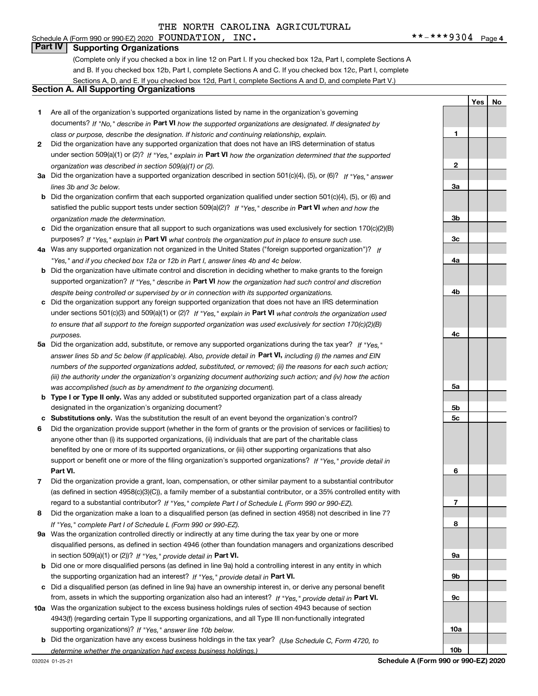#### $***$   $***$  9304 Page 4 Schedule A (Form 990 or 990-EZ) 2020 Page FOUNDATION, INC. \*\*-\*\*\*9304

# **Part IV Supporting Organizations**

(Complete only if you checked a box in line 12 on Part I. If you checked box 12a, Part I, complete Sections A and B. If you checked box 12b, Part I, complete Sections A and C. If you checked box 12c, Part I, complete Sections A, D, and E. If you checked box 12d, Part I, complete Sections A and D, and complete Part V.)

## **Section A. All Supporting Organizations**

- **1** Are all of the organization's supported organizations listed by name in the organization's governing documents? If "No," describe in **Part VI** how the supported organizations are designated. If designated by *class or purpose, describe the designation. If historic and continuing relationship, explain.*
- **2** Did the organization have any supported organization that does not have an IRS determination of status under section 509(a)(1) or (2)? If "Yes," explain in Part VI how the organization determined that the supported *organization was described in section 509(a)(1) or (2).*
- **3a** Did the organization have a supported organization described in section 501(c)(4), (5), or (6)? If "Yes," answer *lines 3b and 3c below.*
- **b** Did the organization confirm that each supported organization qualified under section 501(c)(4), (5), or (6) and satisfied the public support tests under section 509(a)(2)? If "Yes," describe in **Part VI** when and how the *organization made the determination.*
- **c**Did the organization ensure that all support to such organizations was used exclusively for section 170(c)(2)(B) purposes? If "Yes," explain in **Part VI** what controls the organization put in place to ensure such use.
- **4a***If* Was any supported organization not organized in the United States ("foreign supported organization")? *"Yes," and if you checked box 12a or 12b in Part I, answer lines 4b and 4c below.*
- **b** Did the organization have ultimate control and discretion in deciding whether to make grants to the foreign supported organization? If "Yes," describe in **Part VI** how the organization had such control and discretion *despite being controlled or supervised by or in connection with its supported organizations.*
- **c** Did the organization support any foreign supported organization that does not have an IRS determination under sections 501(c)(3) and 509(a)(1) or (2)? If "Yes," explain in **Part VI** what controls the organization used *to ensure that all support to the foreign supported organization was used exclusively for section 170(c)(2)(B) purposes.*
- **5a***If "Yes,"* Did the organization add, substitute, or remove any supported organizations during the tax year? answer lines 5b and 5c below (if applicable). Also, provide detail in **Part VI,** including (i) the names and EIN *numbers of the supported organizations added, substituted, or removed; (ii) the reasons for each such action; (iii) the authority under the organization's organizing document authorizing such action; and (iv) how the action was accomplished (such as by amendment to the organizing document).*
- **b** Type I or Type II only. Was any added or substituted supported organization part of a class already designated in the organization's organizing document?
- **cSubstitutions only.**  Was the substitution the result of an event beyond the organization's control?
- **6** Did the organization provide support (whether in the form of grants or the provision of services or facilities) to **Part VI.** *If "Yes," provide detail in* support or benefit one or more of the filing organization's supported organizations? anyone other than (i) its supported organizations, (ii) individuals that are part of the charitable class benefited by one or more of its supported organizations, or (iii) other supporting organizations that also
- **7**Did the organization provide a grant, loan, compensation, or other similar payment to a substantial contributor *If "Yes," complete Part I of Schedule L (Form 990 or 990-EZ).* regard to a substantial contributor? (as defined in section 4958(c)(3)(C)), a family member of a substantial contributor, or a 35% controlled entity with
- **8** Did the organization make a loan to a disqualified person (as defined in section 4958) not described in line 7? *If "Yes," complete Part I of Schedule L (Form 990 or 990-EZ).*
- **9a** Was the organization controlled directly or indirectly at any time during the tax year by one or more in section 509(a)(1) or (2))? If "Yes," *provide detail in* <code>Part VI.</code> disqualified persons, as defined in section 4946 (other than foundation managers and organizations described
- **b** Did one or more disqualified persons (as defined in line 9a) hold a controlling interest in any entity in which the supporting organization had an interest? If "Yes," provide detail in P**art VI**.
- **c** Did a disqualified person (as defined in line 9a) have an ownership interest in, or derive any personal benefit from, assets in which the supporting organization also had an interest? If "Yes," provide detail in P**art VI.**
- **10a** Was the organization subject to the excess business holdings rules of section 4943 because of section supporting organizations)? If "Yes," answer line 10b below. 4943(f) (regarding certain Type II supporting organizations, and all Type III non-functionally integrated
- **b** Did the organization have any excess business holdings in the tax year? (Use Schedule C, Form 4720, to *determine whether the organization had excess business holdings.)*

**123a3b3c4a4b4c5a5b5c6789a 9b9c10a**

**YesNo**

**10b**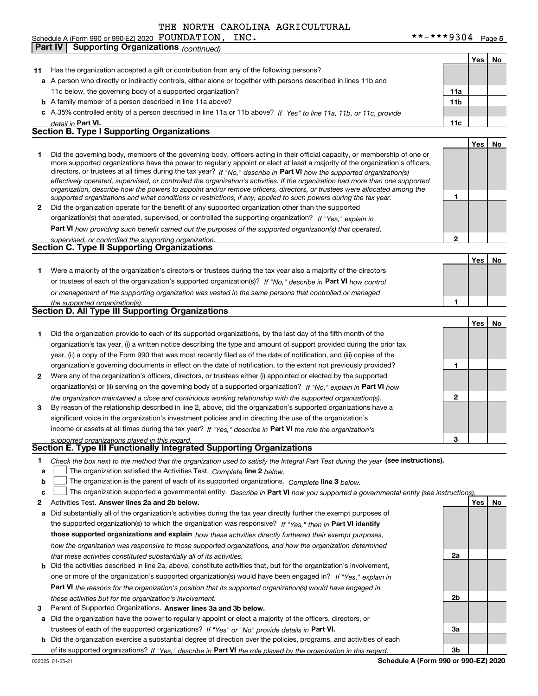| 11 | Has the organization accepted a gift or contribution from any of the following persons?                                                                                                                                                                  |                 |     |    |
|----|----------------------------------------------------------------------------------------------------------------------------------------------------------------------------------------------------------------------------------------------------------|-----------------|-----|----|
|    | a A person who directly or indirectly controls, either alone or together with persons described in lines 11b and                                                                                                                                         |                 |     |    |
|    | 11c below, the governing body of a supported organization?                                                                                                                                                                                               | 11a             |     |    |
| b  | A family member of a person described in line 11a above?                                                                                                                                                                                                 | 11 <sub>b</sub> |     |    |
| c  | A 35% controlled entity of a person described in line 11a or 11b above? If "Yes" to line 11a, 11b, or 11c, provide                                                                                                                                       |                 |     |    |
|    | detail in Part VI.                                                                                                                                                                                                                                       | 11c             |     |    |
|    | <b>Section B. Type I Supporting Organizations</b>                                                                                                                                                                                                        |                 |     |    |
|    |                                                                                                                                                                                                                                                          |                 | Yes | No |
| 1  | Did the governing body, members of the governing body, officers acting in their official capacity, or membership of one or                                                                                                                               |                 |     |    |
|    | more supported organizations have the power to regularly appoint or elect at least a majority of the organization's officers,<br>directors, or trustees at all times during the tax year? If "No," describe in Part VI how the supported organization(s) |                 |     |    |
|    | effectively operated, supervised, or controlled the organization's activities. If the organization had more than one supported                                                                                                                           |                 |     |    |
|    | organization, describe how the powers to appoint and/or remove officers, directors, or trustees were allocated among the                                                                                                                                 |                 |     |    |
|    | supported organizations and what conditions or restrictions, if any, applied to such powers during the tax year.                                                                                                                                         | 1               |     |    |
| 2  | Did the organization operate for the benefit of any supported organization other than the supported                                                                                                                                                      |                 |     |    |
|    | organization(s) that operated, supervised, or controlled the supporting organization? If "Yes," explain in                                                                                                                                               |                 |     |    |
|    | <b>Part VI</b> how providing such benefit carried out the purposes of the supported organization(s) that operated,                                                                                                                                       |                 |     |    |
|    | supervised, or controlled the supporting organization.<br>Section C. Type II Supporting Organizations                                                                                                                                                    | 2               |     |    |
|    |                                                                                                                                                                                                                                                          |                 |     |    |
|    |                                                                                                                                                                                                                                                          |                 | Yes | No |
| 1  | Were a majority of the organization's directors or trustees during the tax year also a majority of the directors                                                                                                                                         |                 |     |    |
|    | or trustees of each of the organization's supported organization(s)? If "No," describe in Part VI how control                                                                                                                                            |                 |     |    |
|    | or management of the supporting organization was vested in the same persons that controlled or managed                                                                                                                                                   | 1               |     |    |
|    | the supported organization(s).<br>Section D. All Type III Supporting Organizations                                                                                                                                                                       |                 |     |    |
|    |                                                                                                                                                                                                                                                          |                 | Yes | No |
| 1  | Did the organization provide to each of its supported organizations, by the last day of the fifth month of the                                                                                                                                           |                 |     |    |
|    | organization's tax year, (i) a written notice describing the type and amount of support provided during the prior tax                                                                                                                                    |                 |     |    |
|    | year, (ii) a copy of the Form 990 that was most recently filed as of the date of notification, and (iii) copies of the                                                                                                                                   |                 |     |    |
|    | organization's governing documents in effect on the date of notification, to the extent not previously provided?                                                                                                                                         | 1               |     |    |
| 2  | Were any of the organization's officers, directors, or trustees either (i) appointed or elected by the supported                                                                                                                                         |                 |     |    |
|    | organization(s) or (ii) serving on the governing body of a supported organization? If "No," explain in Part VI how                                                                                                                                       |                 |     |    |
|    | the organization maintained a close and continuous working relationship with the supported organization(s).                                                                                                                                              | 2               |     |    |
| 3  | By reason of the relationship described in line 2, above, did the organization's supported organizations have a                                                                                                                                          |                 |     |    |
|    | significant voice in the organization's investment policies and in directing the use of the organization's                                                                                                                                               |                 |     |    |
|    | income or assets at all times during the tax year? If "Yes," describe in Part VI the role the organization's                                                                                                                                             |                 |     |    |
|    | supported organizations played in this regard.                                                                                                                                                                                                           | 3               |     |    |
|    | Section E. Type III Functionally Integrated Supporting Organizations                                                                                                                                                                                     |                 |     |    |
|    | Check the box next to the method that the organization used to satisfy the Integral Part Test during the year (see instructions).                                                                                                                        |                 |     |    |
| a  | The organization satisfied the Activities Test. Complete line 2 below.                                                                                                                                                                                   |                 |     |    |
| b  | The organization is the parent of each of its supported organizations. Complete line 3 below.                                                                                                                                                            |                 |     |    |
| c  | The organization supported a governmental entity. Describe in Part VI how you supported a governmental entity (see instructions).                                                                                                                        |                 |     |    |
| 2  | Activities Test. Answer lines 2a and 2b below.                                                                                                                                                                                                           |                 | Yes | No |
| a  | Did substantially all of the organization's activities during the tax year directly further the exempt purposes of                                                                                                                                       |                 |     |    |
|    | the supported organization(s) to which the organization was responsive? If "Yes." then in Part VI identify                                                                                                                                               |                 |     |    |
|    | those supported organizations and explain how these activities directly furthered their exempt purposes,                                                                                                                                                 |                 |     |    |
|    | how the organization was responsive to those supported organizations, and how the organization determined                                                                                                                                                |                 |     |    |
|    | that these activities constituted substantially all of its activities.                                                                                                                                                                                   | 2a              |     |    |
| b  | Did the activities described in line 2a, above, constitute activities that, but for the organization's involvement,                                                                                                                                      |                 |     |    |
|    | one or more of the organization's supported organization(s) would have been engaged in? If "Yes," explain in                                                                                                                                             |                 |     |    |
|    | <b>Part VI</b> the reasons for the organization's position that its supported organization(s) would have engaged in                                                                                                                                      |                 |     |    |
|    | these activities but for the organization's involvement.                                                                                                                                                                                                 | 2b              |     |    |
| з  | Parent of Supported Organizations. Answer lines 3a and 3b below.                                                                                                                                                                                         |                 |     |    |
| а  | Did the organization have the power to regularly appoint or elect a majority of the officers, directors, or                                                                                                                                              |                 |     |    |
|    | trustees of each of the supported organizations? If "Yes" or "No" provide details in Part VI.                                                                                                                                                            | За              |     |    |
| b  | Did the organization exercise a substantial degree of direction over the policies, programs, and activities of each<br>of its supported organizations? If "Yes." describe in Part VI the role played by the organization in this regard.                 | 3b              |     |    |
|    |                                                                                                                                                                                                                                                          |                 |     |    |

c

**Yes No**

**Part IV Supporting Organizations** *(continued)*

**Schedule A (Form 990 or 990-EZ) 2020**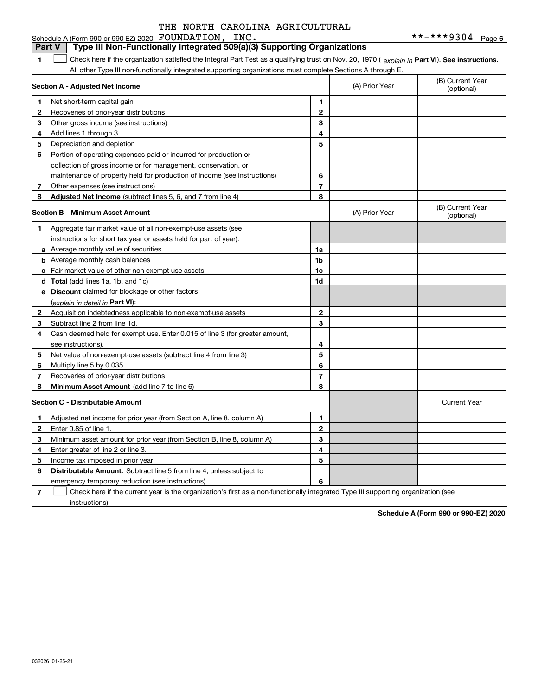#### **1Part VI** Check here if the organization satisfied the Integral Part Test as a qualifying trust on Nov. 20, 1970 ( explain in Part **VI**). See instructions. **Section A - Adjusted Net Income 123** Other gross income (see instructions) **4**Add lines 1 through 3. **56** Portion of operating expenses paid or incurred for production or **7** Other expenses (see instructions) **8** Adjusted Net Income (subtract lines 5, 6, and 7 from line 4) **8 8 1234567Section B - Minimum Asset Amount 1**Aggregate fair market value of all non-exempt-use assets (see **2**Acquisition indebtedness applicable to non-exempt-use assets **3** Subtract line 2 from line 1d. **4**Cash deemed held for exempt use. Enter 0.015 of line 3 (for greater amount, **5** Net value of non-exempt-use assets (subtract line 4 from line 3) **678a** Average monthly value of securities **b** Average monthly cash balances **c**Fair market value of other non-exempt-use assets **dTotal**  (add lines 1a, 1b, and 1c) **eDiscount** claimed for blockage or other factors **1a1b1c1d2345678**(explain in detail in Part VI): **Minimum Asset Amount**  (add line 7 to line 6) **Section C - Distributable Amount 123456123456Distributable Amount.** Subtract line 5 from line 4, unless subject to Schedule A (Form 990 or 990-EZ) 2020 Page FOUNDATION, INC. \*\*-\*\*\*9304 All other Type III non-functionally integrated supporting organizations must complete Sections A through E. (B) Current Year (optional)(A) Prior Year Net short-term capital gain Recoveries of prior-year distributions Depreciation and depletion collection of gross income or for management, conservation, or maintenance of property held for production of income (see instructions) (B) Current Year (optional)(A) Prior Year instructions for short tax year or assets held for part of year): see instructions). Multiply line 5 by 0.035. Recoveries of prior-year distributions Current Year Adjusted net income for prior year (from Section A, line 8, column A) Enter 0.85 of line 1. Minimum asset amount for prior year (from Section B, line 8, column A) Enter greater of line 2 or line 3. Income tax imposed in prior year emergency temporary reduction (see instructions). **Part V Type III Non-Functionally Integrated 509(a)(3) Supporting Organizations**   $\mathcal{L}^{\text{max}}$

**7**Check here if the current year is the organization's first as a non-functionally integrated Type III supporting organization (see instructions). $\mathcal{L}^{\text{max}}$ 

**Schedule A (Form 990 or 990-EZ) 2020**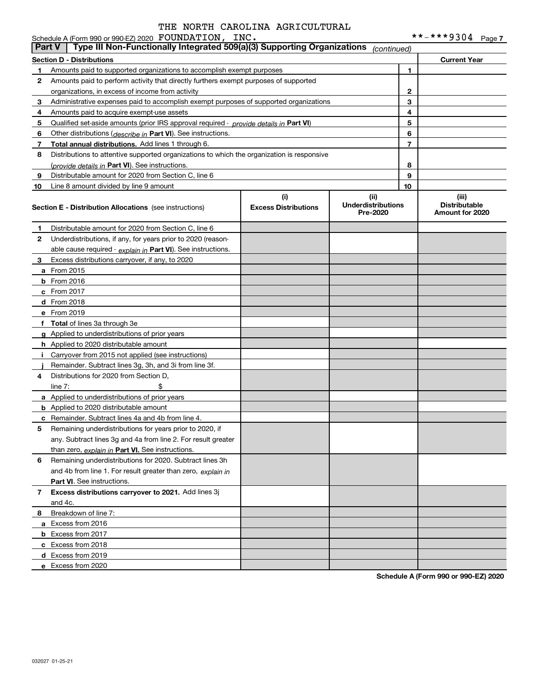|    |                                                                                                      |                           | **-***9304<br>Page 7                             |                     |
|----|------------------------------------------------------------------------------------------------------|---------------------------|--------------------------------------------------|---------------------|
|    | Type III Non-Functionally Integrated 509(a)(3) Supporting Organizations<br><b>Part V</b>             | (continued)               |                                                  |                     |
|    | Section D - Distributions                                                                            |                           |                                                  | <b>Current Year</b> |
|    | Amounts paid to supported organizations to accomplish exempt purposes                                |                           |                                                  |                     |
| 2  | Amounts paid to perform activity that directly furthers exempt purposes of supported                 |                           |                                                  |                     |
|    | organizations, in excess of income from activity                                                     |                           | 2                                                |                     |
| 3  | Administrative expenses paid to accomplish exempt purposes of supported organizations                |                           | 3                                                |                     |
|    | Amounts paid to acquire exempt-use assets                                                            |                           | 4                                                |                     |
| 5  | Qualified set-aside amounts (prior IRS approval required - provide details in Part VI)               |                           | 5                                                |                     |
| 6  | Other distributions ( <i>describe in</i> Part VI). See instructions.                                 |                           | 6                                                |                     |
|    | Total annual distributions. Add lines 1 through 6.                                                   |                           |                                                  |                     |
| 8  | Distributions to attentive supported organizations to which the organization is responsive           |                           |                                                  |                     |
|    | (provide details in Part VI). See instructions.                                                      |                           | 8                                                |                     |
| 9  | Distributable amount for 2020 from Section C, line 6                                                 |                           | 9                                                |                     |
| 10 | Line 8 amount divided by line 9 amount                                                               |                           | 10                                               |                     |
|    | (i)<br><b>Excess Distributions</b><br><b>Section E - Distribution Allocations</b> (see instructions) | <b>Underdistributions</b> | (iii)<br><b>Distributable</b><br>Amount for 2020 |                     |

**56** Remaining underdistributions for 2020. Subtract lines 3h **7Excess distributions carryover to 2021.**  Add lines 3j **8**Breakdown of line 7: <u>than zero, *explain in* Part VI. See instructions.</u> **Part VI** . See instructions. **a** Excess from 2016 **b** Excess from 2017 **c**Excess from 2018 **d**Excess from 2019 **e**Excess from 2020 and 4b from line 1. For result greater than zero, *explain in* Remaining underdistributions for years prior to 2020, if any. Subtract lines 3g and 4a from line 2. For result greater and 4c.

**Schedule A (Form 990 or 990-EZ) 2020**

**1**

**3**

**ij**

i.

**a** From 2015 **b** From 2016 **c**From 2017 **d** From 2018 **e** From 2019

**2**Underdistributions, if any, for years prior to 2020 (reason-

Excess distributions carryover, if any, to 2020

Distributable amount for 2020 from Section C, line 6

<u>able cause required - *explain in* Part VI). See instructions.</u>

**4**Distributions for 2020 from Section D,

 $line 7:$   $\frac{1}{2}$ 

**g**Applied to underdistributions of prior years **h** Applied to 2020 distributable amount

Carryover from 2015 not applied (see instructions) Remainder. Subtract lines 3g, 3h, and 3i from line 3f.

**a** Applied to underdistributions of prior years **b** Applied to 2020 distributable amount

**c** Remainder. Subtract lines 4a and 4b from line 4.

**fTotal**  of lines 3a through 3e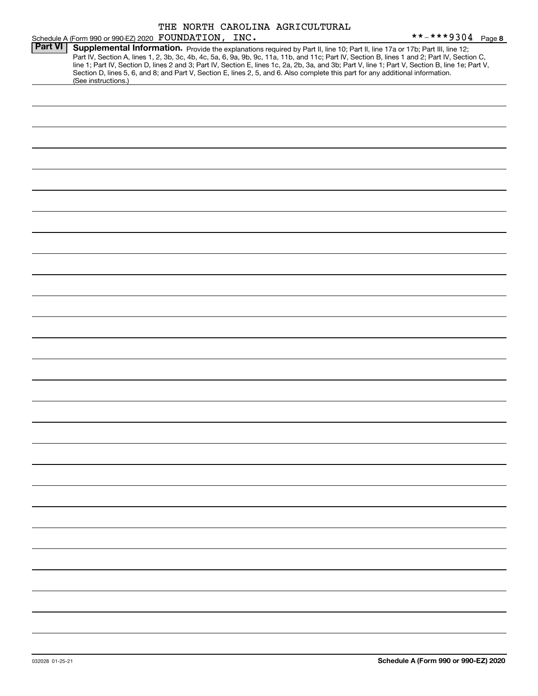|                |                                                       |  | THE NORTH CAROLINA AGRICULTURAL |                                                                                                                                                                                                                                                                                                                                                                                                                                                                                                                                                                      |  |
|----------------|-------------------------------------------------------|--|---------------------------------|----------------------------------------------------------------------------------------------------------------------------------------------------------------------------------------------------------------------------------------------------------------------------------------------------------------------------------------------------------------------------------------------------------------------------------------------------------------------------------------------------------------------------------------------------------------------|--|
|                | Schedule A (Form 990 or 990-EZ) 2020 FOUNDATION, INC. |  |                                 | **-***9304 Page 8                                                                                                                                                                                                                                                                                                                                                                                                                                                                                                                                                    |  |
| <b>Part VI</b> | (See instructions.)                                   |  |                                 | Supplemental Information. Provide the explanations required by Part II, line 10; Part II, line 17a or 17b; Part III, line 12;<br>Part IV, Section A, lines 1, 2, 3b, 3c, 4b, 4c, 5a, 6, 9a, 9b, 9c, 11a, 11b, and 11c; Part IV, Section B, lines 1 and 2; Part IV, Section C,<br>line 1; Part IV, Section D, lines 2 and 3; Part IV, Section E, lines 1c, 2a, 2b, 3a, and 3b; Part V, line 1; Part V, Section B, line 1e; Part V,<br>Section D, lines 5, 6, and 8; and Part V, Section E, lines 2, 5, and 6. Also complete this part for any additional information. |  |
|                |                                                       |  |                                 |                                                                                                                                                                                                                                                                                                                                                                                                                                                                                                                                                                      |  |
|                |                                                       |  |                                 |                                                                                                                                                                                                                                                                                                                                                                                                                                                                                                                                                                      |  |
|                |                                                       |  |                                 |                                                                                                                                                                                                                                                                                                                                                                                                                                                                                                                                                                      |  |
|                |                                                       |  |                                 |                                                                                                                                                                                                                                                                                                                                                                                                                                                                                                                                                                      |  |
|                |                                                       |  |                                 |                                                                                                                                                                                                                                                                                                                                                                                                                                                                                                                                                                      |  |
|                |                                                       |  |                                 |                                                                                                                                                                                                                                                                                                                                                                                                                                                                                                                                                                      |  |
|                |                                                       |  |                                 |                                                                                                                                                                                                                                                                                                                                                                                                                                                                                                                                                                      |  |
|                |                                                       |  |                                 |                                                                                                                                                                                                                                                                                                                                                                                                                                                                                                                                                                      |  |
|                |                                                       |  |                                 |                                                                                                                                                                                                                                                                                                                                                                                                                                                                                                                                                                      |  |
|                |                                                       |  |                                 |                                                                                                                                                                                                                                                                                                                                                                                                                                                                                                                                                                      |  |
|                |                                                       |  |                                 |                                                                                                                                                                                                                                                                                                                                                                                                                                                                                                                                                                      |  |
|                |                                                       |  |                                 |                                                                                                                                                                                                                                                                                                                                                                                                                                                                                                                                                                      |  |
|                |                                                       |  |                                 |                                                                                                                                                                                                                                                                                                                                                                                                                                                                                                                                                                      |  |
|                |                                                       |  |                                 |                                                                                                                                                                                                                                                                                                                                                                                                                                                                                                                                                                      |  |
|                |                                                       |  |                                 |                                                                                                                                                                                                                                                                                                                                                                                                                                                                                                                                                                      |  |
|                |                                                       |  |                                 |                                                                                                                                                                                                                                                                                                                                                                                                                                                                                                                                                                      |  |
|                |                                                       |  |                                 |                                                                                                                                                                                                                                                                                                                                                                                                                                                                                                                                                                      |  |
|                |                                                       |  |                                 |                                                                                                                                                                                                                                                                                                                                                                                                                                                                                                                                                                      |  |
|                |                                                       |  |                                 |                                                                                                                                                                                                                                                                                                                                                                                                                                                                                                                                                                      |  |
|                |                                                       |  |                                 |                                                                                                                                                                                                                                                                                                                                                                                                                                                                                                                                                                      |  |
|                |                                                       |  |                                 |                                                                                                                                                                                                                                                                                                                                                                                                                                                                                                                                                                      |  |
|                |                                                       |  |                                 |                                                                                                                                                                                                                                                                                                                                                                                                                                                                                                                                                                      |  |
|                |                                                       |  |                                 |                                                                                                                                                                                                                                                                                                                                                                                                                                                                                                                                                                      |  |
|                |                                                       |  |                                 |                                                                                                                                                                                                                                                                                                                                                                                                                                                                                                                                                                      |  |
|                |                                                       |  |                                 |                                                                                                                                                                                                                                                                                                                                                                                                                                                                                                                                                                      |  |
|                |                                                       |  |                                 |                                                                                                                                                                                                                                                                                                                                                                                                                                                                                                                                                                      |  |
|                |                                                       |  |                                 |                                                                                                                                                                                                                                                                                                                                                                                                                                                                                                                                                                      |  |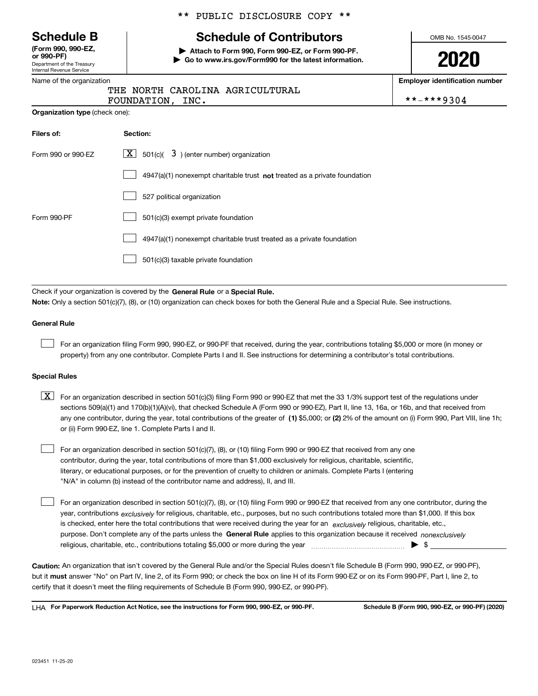Department of the Treasury Internal Revenue Service **(Form 990, 990-EZ, or 990-PF)**

|  | Name of the organization |
|--|--------------------------|
|  |                          |

## \*\* PUBLIC DISCLOSURE COPY \*\*

# **Schedule B Schedule of Contributors**

**| Attach to Form 990, Form 990-EZ, or Form 990-PF. | Go to www.irs.gov/Form990 for the latest information.** OMB No. 1545-0047

**2020**

**Employer identification number**

|                  | THE NORTH CAROLINA AGRICULTURAL |            |
|------------------|---------------------------------|------------|
| FOUNDATION, INC. |                                 | **-***9304 |

| Filers of:         | Section:                                                                           |
|--------------------|------------------------------------------------------------------------------------|
| Form 990 or 990-EZ | $\lfloor x \rfloor$ 501(c)( 3) (enter number) organization                         |
|                    | $4947(a)(1)$ nonexempt charitable trust <b>not</b> treated as a private foundation |
|                    | 527 political organization                                                         |
| Form 990-PF        | 501(c)(3) exempt private foundation                                                |
|                    | 4947(a)(1) nonexempt charitable trust treated as a private foundation              |
|                    | 501(c)(3) taxable private foundation                                               |

Check if your organization is covered by the **General Rule** or a **Special Rule. Note:**  Only a section 501(c)(7), (8), or (10) organization can check boxes for both the General Rule and a Special Rule. See instructions.

### **General Rule**

 $\mathcal{L}^{\text{max}}$ 

For an organization filing Form 990, 990-EZ, or 990-PF that received, during the year, contributions totaling \$5,000 or more (in money or property) from any one contributor. Complete Parts I and II. See instructions for determining a contributor's total contributions.

### **Special Rules**

any one contributor, during the year, total contributions of the greater of  $\,$  (1) \$5,000; or **(2)** 2% of the amount on (i) Form 990, Part VIII, line 1h;  $\boxed{\textbf{X}}$  For an organization described in section 501(c)(3) filing Form 990 or 990-EZ that met the 33 1/3% support test of the regulations under sections 509(a)(1) and 170(b)(1)(A)(vi), that checked Schedule A (Form 990 or 990-EZ), Part II, line 13, 16a, or 16b, and that received from or (ii) Form 990-EZ, line 1. Complete Parts I and II.

For an organization described in section 501(c)(7), (8), or (10) filing Form 990 or 990-EZ that received from any one contributor, during the year, total contributions of more than \$1,000 exclusively for religious, charitable, scientific, literary, or educational purposes, or for the prevention of cruelty to children or animals. Complete Parts I (entering "N/A" in column (b) instead of the contributor name and address), II, and III.  $\mathcal{L}^{\text{max}}$ 

purpose. Don't complete any of the parts unless the **General Rule** applies to this organization because it received *nonexclusively* year, contributions <sub>exclusively</sub> for religious, charitable, etc., purposes, but no such contributions totaled more than \$1,000. If this box is checked, enter here the total contributions that were received during the year for an  $\;$ exclusively religious, charitable, etc., For an organization described in section 501(c)(7), (8), or (10) filing Form 990 or 990-EZ that received from any one contributor, during the religious, charitable, etc., contributions totaling \$5,000 or more during the year  $\Box$ — $\Box$   $\Box$  $\mathcal{L}^{\text{max}}$ 

**Caution:**  An organization that isn't covered by the General Rule and/or the Special Rules doesn't file Schedule B (Form 990, 990-EZ, or 990-PF),  **must** but it answer "No" on Part IV, line 2, of its Form 990; or check the box on line H of its Form 990-EZ or on its Form 990-PF, Part I, line 2, to certify that it doesn't meet the filing requirements of Schedule B (Form 990, 990-EZ, or 990-PF).

**For Paperwork Reduction Act Notice, see the instructions for Form 990, 990-EZ, or 990-PF. Schedule B (Form 990, 990-EZ, or 990-PF) (2020)** LHA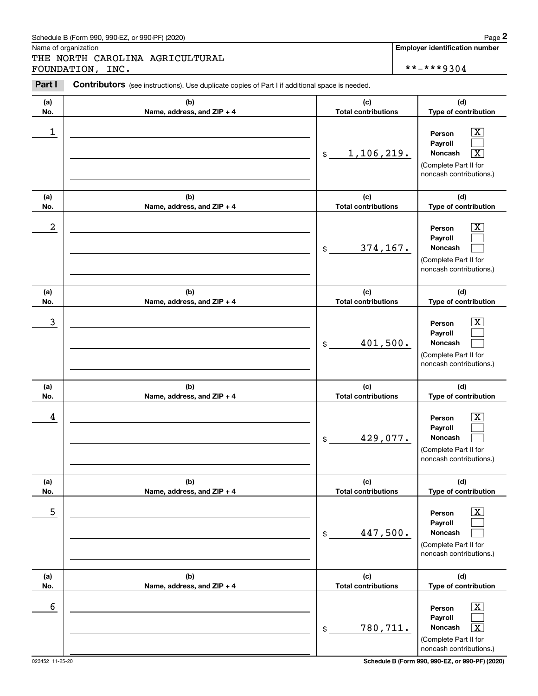# Schedule B (Form 990, 990-EZ, or 990-PF) (2020) Page 2

Name of organization

Chedule B (Form 990, 990-EZ, or 990-PF) (2020)<br> **2Page 2**<br> **2PART II CAROLINA AGRICULTURAL**<br> **2PART I** Contributors (see instructions). Use duplicate copies of Part I if additional space is needed.<br> **2PART I** Contributors THE NORTH CAROLINA AGRICULTURAL FOUNDATION, INC.  $****9304$ 

**Employer identification number**

| Part I     | <b>Contributors</b> (see instructions). Use duplicate copies of Part I if additional space is needed. |                                                      |                                                                                                                                      |
|------------|-------------------------------------------------------------------------------------------------------|------------------------------------------------------|--------------------------------------------------------------------------------------------------------------------------------------|
| (a)<br>No. | (b)<br>Name, address, and ZIP + 4                                                                     | (c)<br><b>Total contributions</b>                    | (d)<br>Type of contribution                                                                                                          |
| 1          |                                                                                                       | 1,106,219.<br>\$                                     | $\overline{\text{X}}$<br>Person<br>Payroll<br>Noncash<br>$\overline{\textbf{X}}$<br>(Complete Part II for<br>noncash contributions.) |
| (a)        | (b)                                                                                                   | (c)                                                  | (d)                                                                                                                                  |
| No.<br>2   | Name, address, and ZIP + 4                                                                            | <b>Total contributions</b><br>374, 167.<br>$$\circ$$ | Type of contribution<br>$\overline{\mathbf{X}}$<br>Person<br>Payroll<br>Noncash<br>(Complete Part II for<br>noncash contributions.)  |
| (a)<br>No. | (b)<br>Name, address, and ZIP + 4                                                                     | (c)<br><b>Total contributions</b>                    | (d)<br>Type of contribution                                                                                                          |
| 3          |                                                                                                       | 401,500.<br>\$                                       | $\overline{\text{X}}$<br>Person<br>Payroll<br>Noncash<br>(Complete Part II for<br>noncash contributions.)                            |
| (a)        | (b)                                                                                                   | (c)                                                  | (d)                                                                                                                                  |
| No.<br>4   | Name, address, and ZIP + 4                                                                            | <b>Total contributions</b><br>429,077.<br>\$         | Type of contribution<br>$\overline{\text{X}}$<br>Person<br>Payroll<br>Noncash<br>(Complete Part II for<br>noncash contributions.)    |
| (a)<br>No. | (b)<br>Name, address, and ZIP + 4                                                                     | (c)<br><b>Total contributions</b>                    | (d)<br>Type of contribution                                                                                                          |
| 5          |                                                                                                       | 447,500.<br>\$                                       | $\mathbf{X}$<br>Person<br>Payroll<br>Noncash<br>(Complete Part II for<br>noncash contributions.)                                     |
| (a)<br>No. | (b)<br>Name, address, and ZIP + 4                                                                     | (c)<br><b>Total contributions</b>                    | (d)<br>Type of contribution                                                                                                          |
| 6          |                                                                                                       | 780,711.<br>\$                                       | $\mathbf{X}$<br>Person<br>Payroll<br>Noncash<br>$\overline{\text{X}}$<br>(Complete Part II for<br>noncash contributions.)            |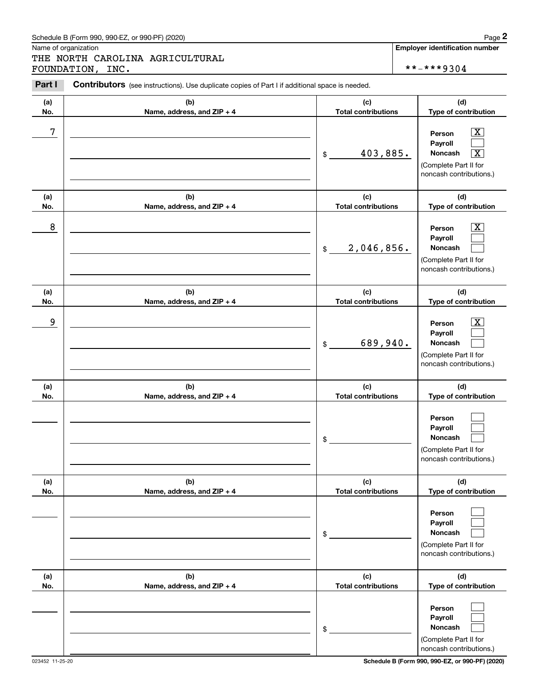|            | Schedule B (Form 990, 990-EZ, or 990-PF) (2020)                                                |                                   | Page 2                                                                                                                            |
|------------|------------------------------------------------------------------------------------------------|-----------------------------------|-----------------------------------------------------------------------------------------------------------------------------------|
|            | Name of organization<br>THE NORTH CAROLINA AGRICULTURAL<br>FOUNDATION, INC.                    |                                   | <b>Employer identification number</b><br>**-***9304                                                                               |
| Part I     | Contributors (see instructions). Use duplicate copies of Part I if additional space is needed. |                                   |                                                                                                                                   |
| (a)<br>No. | (b)<br>Name, address, and ZIP + 4                                                              | (c)<br><b>Total contributions</b> | (d)<br>Type of contribution                                                                                                       |
| 7          |                                                                                                | 403,885.<br>\$                    | $\boxed{\text{X}}$<br>Person<br>Payroll<br>$\overline{\mathbf{x}}$<br>Noncash<br>(Complete Part II for<br>noncash contributions.) |
| (a)<br>No. | (b)<br>Name, address, and ZIP + 4                                                              | (c)<br><b>Total contributions</b> | (d)<br>Type of contribution                                                                                                       |
| 8          |                                                                                                | 2,046,856.<br>$\mathfrak{S}$      | $\overline{\mathbf{X}}$<br>Person<br>Payroll<br>Noncash<br>(Complete Part II for<br>noncash contributions.)                       |
| (a)<br>No. | (b)<br>Name, address, and ZIP + 4                                                              | (c)<br><b>Total contributions</b> | (d)<br>Type of contribution                                                                                                       |
| 9          |                                                                                                | 689,940.<br>\$                    | $\overline{\mathbf{X}}$<br>Person<br>Payroll<br>Noncash<br>(Complete Part II for<br>noncash contributions.)                       |
| (a)<br>No. | (b)<br>Name, address, and ZIP + 4                                                              | (c)<br><b>Total contributions</b> | (d)<br>Type of contribution                                                                                                       |
|            |                                                                                                | \$                                | Person<br>Payroll<br>Noncash<br>(Complete Part II for<br>noncash contributions.)                                                  |
| (a)<br>No. | (b)<br>Name, address, and ZIP + 4                                                              | (c)<br><b>Total contributions</b> | (d)<br>Type of contribution                                                                                                       |
|            |                                                                                                | \$                                | Person<br>Payroll<br>Noncash<br>(Complete Part II for<br>noncash contributions.)                                                  |
| (a)<br>No. | (b)<br>Name, address, and ZIP + 4                                                              | (c)<br><b>Total contributions</b> | (d)<br>Type of contribution                                                                                                       |
|            |                                                                                                | \$                                | Person<br>Payroll<br>Noncash<br>(Complete Part II for<br>noncash contributions.)                                                  |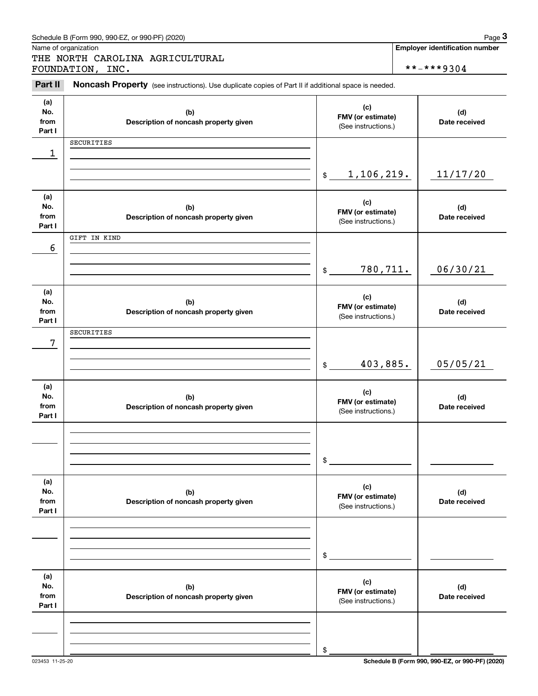|                              | Schedule B (Form 990, 990-EZ, or 990-PF) (2020)                                                     |                                                 | Page 3                                |
|------------------------------|-----------------------------------------------------------------------------------------------------|-------------------------------------------------|---------------------------------------|
|                              | Name of organization<br>THE NORTH CAROLINA AGRICULTURAL                                             |                                                 | <b>Employer identification number</b> |
|                              | FOUNDATION, INC.                                                                                    |                                                 | **-***9304                            |
| Part II                      | Noncash Property (see instructions). Use duplicate copies of Part II if additional space is needed. |                                                 |                                       |
| (a)<br>No.<br>from<br>Part I | (b)<br>Description of noncash property given                                                        | (c)<br>FMV (or estimate)<br>(See instructions.) | (d)<br>Date received                  |
| 1                            | SECURITIES                                                                                          |                                                 |                                       |
|                              |                                                                                                     | <u>1,106,219.</u><br>$$\circ$$                  | 11/17/20                              |
| (a)<br>No.<br>from<br>Part I | (b)<br>Description of noncash property given                                                        | (c)<br>FMV (or estimate)<br>(See instructions.) | (d)<br>Date received                  |
| 6                            | GIFT IN KIND                                                                                        |                                                 |                                       |
|                              |                                                                                                     | 780,711.<br>\$                                  | 06/30/21                              |
| (a)<br>No.<br>from<br>Part I | (b)<br>Description of noncash property given                                                        | (c)<br>FMV (or estimate)<br>(See instructions.) | (d)<br>Date received                  |
| 7                            | SECURITIES                                                                                          |                                                 |                                       |
|                              |                                                                                                     | 403,885.<br>\$                                  | 05/05/21                              |
| (a)<br>No.<br>from<br>Part I | (b)<br>Description of noncash property given                                                        | (c)<br>FMV (or estimate)<br>(See instructions.) | (d)<br>Date received                  |
|                              |                                                                                                     | \$                                              |                                       |
| (a)<br>No.<br>from<br>Part I | (b)<br>Description of noncash property given                                                        | (c)<br>FMV (or estimate)<br>(See instructions.) | (d)<br>Date received                  |
|                              |                                                                                                     | \$                                              |                                       |
| (a)<br>No.<br>from<br>Part I | (b)<br>Description of noncash property given                                                        | (c)<br>FMV (or estimate)<br>(See instructions.) | (d)<br>Date received                  |
|                              |                                                                                                     | \$                                              |                                       |

023453 11-25-20 **Schedule B (Form 990, 990-EZ, or 990-PF) (2020)**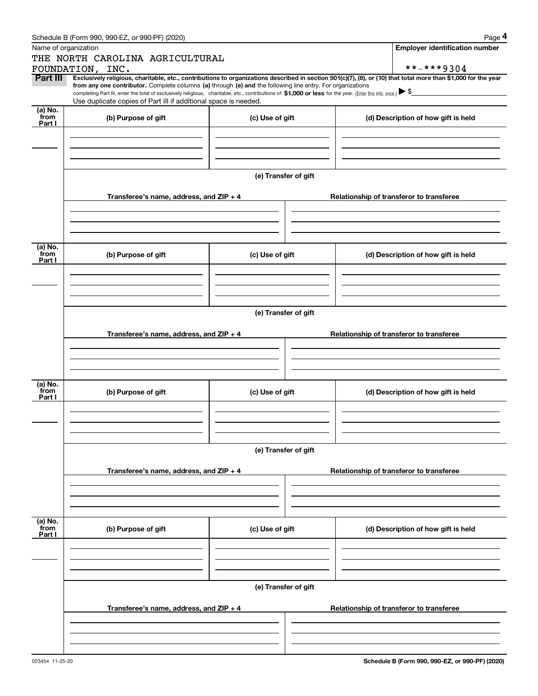|                 | Schedule B (Form 990, 990-EZ, or 990-PF) (2020)                                                                                                                                                                                                                                                                                                                                                                                              |                      |                                          | Page 4 |
|-----------------|----------------------------------------------------------------------------------------------------------------------------------------------------------------------------------------------------------------------------------------------------------------------------------------------------------------------------------------------------------------------------------------------------------------------------------------------|----------------------|------------------------------------------|--------|
|                 | Name of organization                                                                                                                                                                                                                                                                                                                                                                                                                         |                      | <b>Employer identification number</b>    |        |
|                 | THE NORTH CAROLINA AGRICULTURAL                                                                                                                                                                                                                                                                                                                                                                                                              |                      |                                          |        |
|                 | FOUNDATION, INC.                                                                                                                                                                                                                                                                                                                                                                                                                             |                      | **-***9304                               |        |
| Part III        | Exclusively religious, charitable, etc., contributions to organizations described in section 501(c)(7), (8), or (10) that total more than \$1,000 for the year<br>from any one contributor. Complete columns (a) through (e) and the following line entry. For organizations<br>completing Part III, enter the total of exclusively religious, charitable, etc., contributions of \$1,000 or less for the year. (Enter this info. once.) \\$ |                      |                                          |        |
|                 | Use duplicate copies of Part III if additional space is needed.                                                                                                                                                                                                                                                                                                                                                                              |                      |                                          |        |
| (a) No.         |                                                                                                                                                                                                                                                                                                                                                                                                                                              |                      |                                          |        |
| from<br>Part I  | (b) Purpose of gift                                                                                                                                                                                                                                                                                                                                                                                                                          | (c) Use of gift      | (d) Description of how gift is held      |        |
|                 |                                                                                                                                                                                                                                                                                                                                                                                                                                              |                      |                                          |        |
|                 |                                                                                                                                                                                                                                                                                                                                                                                                                                              |                      |                                          |        |
|                 |                                                                                                                                                                                                                                                                                                                                                                                                                                              |                      |                                          |        |
|                 |                                                                                                                                                                                                                                                                                                                                                                                                                                              |                      |                                          |        |
|                 |                                                                                                                                                                                                                                                                                                                                                                                                                                              | (e) Transfer of gift |                                          |        |
|                 |                                                                                                                                                                                                                                                                                                                                                                                                                                              |                      |                                          |        |
|                 | Transferee's name, address, and ZIP + 4                                                                                                                                                                                                                                                                                                                                                                                                      |                      | Relationship of transferor to transferee |        |
|                 |                                                                                                                                                                                                                                                                                                                                                                                                                                              |                      |                                          |        |
|                 |                                                                                                                                                                                                                                                                                                                                                                                                                                              |                      |                                          |        |
|                 |                                                                                                                                                                                                                                                                                                                                                                                                                                              |                      |                                          |        |
| (a) No.         |                                                                                                                                                                                                                                                                                                                                                                                                                                              |                      |                                          |        |
| from<br>Part I  | (b) Purpose of gift                                                                                                                                                                                                                                                                                                                                                                                                                          | (c) Use of gift      | (d) Description of how gift is held      |        |
|                 |                                                                                                                                                                                                                                                                                                                                                                                                                                              |                      |                                          |        |
|                 |                                                                                                                                                                                                                                                                                                                                                                                                                                              |                      |                                          |        |
|                 |                                                                                                                                                                                                                                                                                                                                                                                                                                              |                      |                                          |        |
|                 |                                                                                                                                                                                                                                                                                                                                                                                                                                              |                      |                                          |        |
|                 |                                                                                                                                                                                                                                                                                                                                                                                                                                              | (e) Transfer of gift |                                          |        |
|                 |                                                                                                                                                                                                                                                                                                                                                                                                                                              |                      |                                          |        |
|                 | Transferee's name, address, and $ZIP + 4$                                                                                                                                                                                                                                                                                                                                                                                                    |                      | Relationship of transferor to transferee |        |
|                 |                                                                                                                                                                                                                                                                                                                                                                                                                                              |                      |                                          |        |
|                 |                                                                                                                                                                                                                                                                                                                                                                                                                                              |                      |                                          |        |
|                 |                                                                                                                                                                                                                                                                                                                                                                                                                                              |                      |                                          |        |
| (a) No.         |                                                                                                                                                                                                                                                                                                                                                                                                                                              |                      |                                          |        |
| from<br>Part I  | (b) Purpose of gift                                                                                                                                                                                                                                                                                                                                                                                                                          | (c) Use of gift      | (d) Description of how gift is held      |        |
|                 |                                                                                                                                                                                                                                                                                                                                                                                                                                              |                      |                                          |        |
|                 |                                                                                                                                                                                                                                                                                                                                                                                                                                              |                      |                                          |        |
|                 |                                                                                                                                                                                                                                                                                                                                                                                                                                              |                      |                                          |        |
|                 |                                                                                                                                                                                                                                                                                                                                                                                                                                              |                      |                                          |        |
|                 |                                                                                                                                                                                                                                                                                                                                                                                                                                              | (e) Transfer of gift |                                          |        |
|                 | Transferee's name, address, and $ZIP + 4$                                                                                                                                                                                                                                                                                                                                                                                                    |                      | Relationship of transferor to transferee |        |
|                 |                                                                                                                                                                                                                                                                                                                                                                                                                                              |                      |                                          |        |
|                 |                                                                                                                                                                                                                                                                                                                                                                                                                                              |                      |                                          |        |
|                 |                                                                                                                                                                                                                                                                                                                                                                                                                                              |                      |                                          |        |
|                 |                                                                                                                                                                                                                                                                                                                                                                                                                                              |                      |                                          |        |
| (a) No.<br>from | (b) Purpose of gift                                                                                                                                                                                                                                                                                                                                                                                                                          | (c) Use of gift      | (d) Description of how gift is held      |        |
| Part I          |                                                                                                                                                                                                                                                                                                                                                                                                                                              |                      |                                          |        |
|                 |                                                                                                                                                                                                                                                                                                                                                                                                                                              |                      |                                          |        |
|                 |                                                                                                                                                                                                                                                                                                                                                                                                                                              |                      |                                          |        |
|                 |                                                                                                                                                                                                                                                                                                                                                                                                                                              |                      |                                          |        |
|                 |                                                                                                                                                                                                                                                                                                                                                                                                                                              | (e) Transfer of gift |                                          |        |
|                 |                                                                                                                                                                                                                                                                                                                                                                                                                                              |                      |                                          |        |
|                 | Transferee's name, address, and $ZIP + 4$                                                                                                                                                                                                                                                                                                                                                                                                    |                      | Relationship of transferor to transferee |        |
|                 |                                                                                                                                                                                                                                                                                                                                                                                                                                              |                      |                                          |        |
|                 |                                                                                                                                                                                                                                                                                                                                                                                                                                              |                      |                                          |        |
|                 |                                                                                                                                                                                                                                                                                                                                                                                                                                              |                      |                                          |        |
|                 |                                                                                                                                                                                                                                                                                                                                                                                                                                              |                      |                                          |        |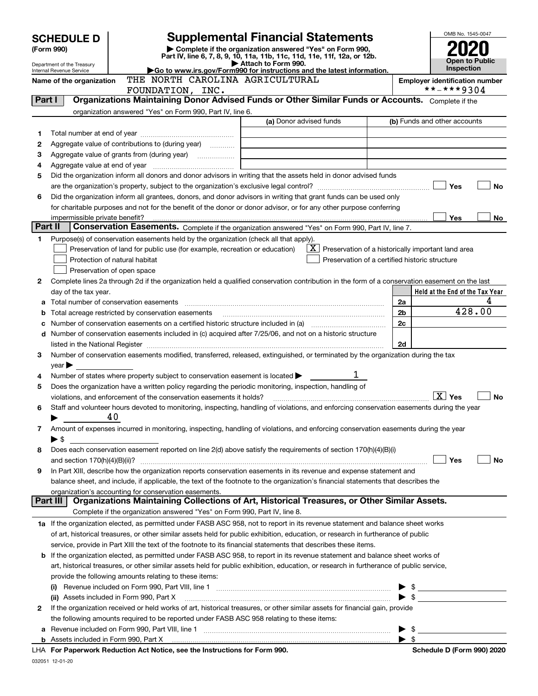|         |                                                                                                                                                    |                                                                                                                                                                                                                               |                                                                        | OMB No. 1545-0047                   |                                                     |
|---------|----------------------------------------------------------------------------------------------------------------------------------------------------|-------------------------------------------------------------------------------------------------------------------------------------------------------------------------------------------------------------------------------|------------------------------------------------------------------------|-------------------------------------|-----------------------------------------------------|
|         | <b>Supplemental Financial Statements</b><br><b>SCHEDULE D</b>                                                                                      |                                                                                                                                                                                                                               |                                                                        |                                     |                                                     |
|         | Complete if the organization answered "Yes" on Form 990,<br>(Form 990)<br>Part IV, line 6, 7, 8, 9, 10, 11a, 11b, 11c, 11d, 11e, 11f, 12a, or 12b. |                                                                                                                                                                                                                               |                                                                        |                                     |                                                     |
|         | Attach to Form 990.<br>Department of the Treasury<br>Go to www.irs.gov/Form990 for instructions and the latest information.                        |                                                                                                                                                                                                                               |                                                                        | Open to Public<br><b>Inspection</b> |                                                     |
|         | Internal Revenue Service                                                                                                                           | THE NORTH CAROLINA AGRICULTURAL                                                                                                                                                                                               |                                                                        |                                     |                                                     |
|         | Name of the organization                                                                                                                           | FOUNDATION, INC.                                                                                                                                                                                                              |                                                                        |                                     | <b>Employer identification number</b><br>**-***9304 |
| Part I  |                                                                                                                                                    | Organizations Maintaining Donor Advised Funds or Other Similar Funds or Accounts. Complete if the                                                                                                                             |                                                                        |                                     |                                                     |
|         |                                                                                                                                                    | organization answered "Yes" on Form 990, Part IV, line 6.                                                                                                                                                                     |                                                                        |                                     |                                                     |
|         |                                                                                                                                                    |                                                                                                                                                                                                                               | (a) Donor advised funds                                                |                                     | (b) Funds and other accounts                        |
| 1       |                                                                                                                                                    |                                                                                                                                                                                                                               |                                                                        |                                     |                                                     |
| 2       |                                                                                                                                                    | Aggregate value of contributions to (during year) <i>mimimal</i>                                                                                                                                                              |                                                                        |                                     |                                                     |
| З       |                                                                                                                                                    |                                                                                                                                                                                                                               |                                                                        |                                     |                                                     |
| 4       |                                                                                                                                                    |                                                                                                                                                                                                                               | <u> 1989 - Johann Barbara, martin amerikan personal (</u>              |                                     |                                                     |
| 5       |                                                                                                                                                    | Did the organization inform all donors and donor advisors in writing that the assets held in donor advised funds                                                                                                              |                                                                        |                                     |                                                     |
|         |                                                                                                                                                    |                                                                                                                                                                                                                               |                                                                        |                                     | Yes<br>No                                           |
| 6       |                                                                                                                                                    | Did the organization inform all grantees, donors, and donor advisors in writing that grant funds can be used only                                                                                                             |                                                                        |                                     |                                                     |
|         |                                                                                                                                                    | for charitable purposes and not for the benefit of the donor or donor advisor, or for any other purpose conferring                                                                                                            |                                                                        |                                     |                                                     |
|         | impermissible private benefit?                                                                                                                     |                                                                                                                                                                                                                               |                                                                        |                                     | Yes<br>No                                           |
| Part II |                                                                                                                                                    | Conservation Easements. Complete if the organization answered "Yes" on Form 990, Part IV, line 7.                                                                                                                             |                                                                        |                                     |                                                     |
| 1       |                                                                                                                                                    | Purpose(s) of conservation easements held by the organization (check all that apply).                                                                                                                                         |                                                                        |                                     |                                                     |
|         |                                                                                                                                                    | Preservation of land for public use (for example, recreation or education)                                                                                                                                                    | $\lfloor x \rfloor$ Preservation of a historically important land area |                                     |                                                     |
|         |                                                                                                                                                    | Protection of natural habitat                                                                                                                                                                                                 | Preservation of a certified historic structure                         |                                     |                                                     |
|         |                                                                                                                                                    | Preservation of open space                                                                                                                                                                                                    |                                                                        |                                     |                                                     |
| 2       |                                                                                                                                                    | Complete lines 2a through 2d if the organization held a qualified conservation contribution in the form of a conservation easement on the last                                                                                |                                                                        |                                     |                                                     |
|         | day of the tax year.                                                                                                                               |                                                                                                                                                                                                                               |                                                                        |                                     | Held at the End of the Tax Year                     |
| a       |                                                                                                                                                    |                                                                                                                                                                                                                               |                                                                        | 2a                                  | 4                                                   |
| b       |                                                                                                                                                    | Total acreage restricted by conservation easements                                                                                                                                                                            |                                                                        | 2b                                  | 428.00                                              |
| c       |                                                                                                                                                    |                                                                                                                                                                                                                               |                                                                        | 2c                                  |                                                     |
| d       |                                                                                                                                                    | Number of conservation easements included in (c) acquired after 7/25/06, and not on a historic structure                                                                                                                      |                                                                        |                                     |                                                     |
|         |                                                                                                                                                    | listed in the National Register [111] Marshall Register [11] Marshall Register [11] Marshall Register [11] Marshall Register [11] Marshall Register [11] Marshall Register [11] Marshall Register [11] Marshall Register [11] |                                                                        | 2d                                  |                                                     |
| З.      |                                                                                                                                                    | Number of conservation easements modified, transferred, released, extinguished, or terminated by the organization during the tax                                                                                              |                                                                        |                                     |                                                     |
|         | $year \blacktriangleright$                                                                                                                         |                                                                                                                                                                                                                               |                                                                        |                                     |                                                     |
| 4       |                                                                                                                                                    | Number of states where property subject to conservation easement is located $\blacktriangleright$                                                                                                                             |                                                                        |                                     |                                                     |
| 5       |                                                                                                                                                    | Does the organization have a written policy regarding the periodic monitoring, inspection, handling of                                                                                                                        |                                                                        |                                     |                                                     |
|         |                                                                                                                                                    | violations, and enforcement of the conservation easements it holds?                                                                                                                                                           |                                                                        |                                     | $\mid$ $\rm X\mid$ Yes<br><b>No</b>                 |
| 6       |                                                                                                                                                    | Staff and volunteer hours devoted to monitoring, inspecting, handling of violations, and enforcing conservation easements during the year                                                                                     |                                                                        |                                     |                                                     |
|         |                                                                                                                                                    | 40                                                                                                                                                                                                                            |                                                                        |                                     |                                                     |
| 7       |                                                                                                                                                    | Amount of expenses incurred in monitoring, inspecting, handling of violations, and enforcing conservation easements during the year                                                                                           |                                                                        |                                     |                                                     |
|         | $\blacktriangleright$ \$                                                                                                                           |                                                                                                                                                                                                                               |                                                                        |                                     |                                                     |
| 8       |                                                                                                                                                    | Does each conservation easement reported on line $2(d)$ above satisfy the requirements of section 170(h)(4)(B)(i)                                                                                                             |                                                                        |                                     |                                                     |
|         |                                                                                                                                                    |                                                                                                                                                                                                                               |                                                                        |                                     | Yes<br>No                                           |
| 9       |                                                                                                                                                    | In Part XIII, describe how the organization reports conservation easements in its revenue and expense statement and                                                                                                           |                                                                        |                                     |                                                     |
|         |                                                                                                                                                    | balance sheet, and include, if applicable, the text of the footnote to the organization's financial statements that describes the                                                                                             |                                                                        |                                     |                                                     |
|         |                                                                                                                                                    | organization's accounting for conservation easements.                                                                                                                                                                         |                                                                        |                                     |                                                     |
|         | Part III                                                                                                                                           | Organizations Maintaining Collections of Art, Historical Treasures, or Other Similar Assets.                                                                                                                                  |                                                                        |                                     |                                                     |
|         |                                                                                                                                                    | Complete if the organization answered "Yes" on Form 990, Part IV, line 8.                                                                                                                                                     |                                                                        |                                     |                                                     |
|         |                                                                                                                                                    | 1a If the organization elected, as permitted under FASB ASC 958, not to report in its revenue statement and balance sheet works                                                                                               |                                                                        |                                     |                                                     |
|         |                                                                                                                                                    | of art, historical treasures, or other similar assets held for public exhibition, education, or research in furtherance of public                                                                                             |                                                                        |                                     |                                                     |
|         |                                                                                                                                                    | service, provide in Part XIII the text of the footnote to its financial statements that describes these items.                                                                                                                |                                                                        |                                     |                                                     |
| b       |                                                                                                                                                    | If the organization elected, as permitted under FASB ASC 958, to report in its revenue statement and balance sheet works of                                                                                                   |                                                                        |                                     |                                                     |
|         |                                                                                                                                                    | art, historical treasures, or other similar assets held for public exhibition, education, or research in furtherance of public service,                                                                                       |                                                                        |                                     |                                                     |
|         |                                                                                                                                                    | provide the following amounts relating to these items:                                                                                                                                                                        |                                                                        |                                     |                                                     |
|         |                                                                                                                                                    |                                                                                                                                                                                                                               |                                                                        |                                     | $\blacktriangleright$ \$                            |
|         |                                                                                                                                                    | (ii) Assets included in Form 990, Part X [11] [2000] [2010] Assets included in Form 990, Part X [11] [11] [200                                                                                                                |                                                                        |                                     |                                                     |
| 2       |                                                                                                                                                    | If the organization received or held works of art, historical treasures, or other similar assets for financial gain, provide                                                                                                  |                                                                        |                                     |                                                     |
|         |                                                                                                                                                    | the following amounts required to be reported under FASB ASC 958 relating to these items:                                                                                                                                     |                                                                        |                                     |                                                     |
| а       |                                                                                                                                                    |                                                                                                                                                                                                                               |                                                                        |                                     |                                                     |
| b       |                                                                                                                                                    | Assets included in Form 990, Part X [111] Marten and Martin Martin Martin Martin Martin Martin Martin Martin M                                                                                                                |                                                                        | $\blacktriangleright$ s             |                                                     |
|         |                                                                                                                                                    | LHA For Paperwork Reduction Act Notice, see the Instructions for Form 990.                                                                                                                                                    |                                                                        |                                     | Schedule D (Form 990) 2020                          |

032051 12-01-20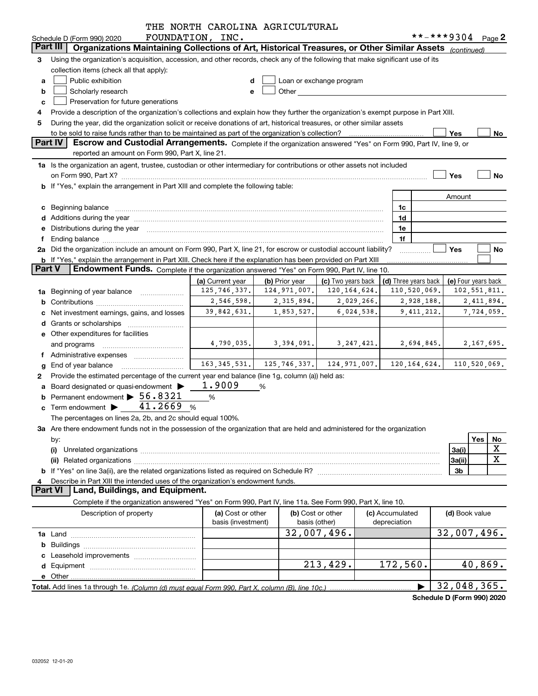|               |                                                                                                                                                                                                                                                                  | THE NORTH CAROLINA AGRICULTURAL |                           |                                                                                                                                                                                                                                |                      |                            |                       |
|---------------|------------------------------------------------------------------------------------------------------------------------------------------------------------------------------------------------------------------------------------------------------------------|---------------------------------|---------------------------|--------------------------------------------------------------------------------------------------------------------------------------------------------------------------------------------------------------------------------|----------------------|----------------------------|-----------------------|
|               | Schedule D (Form 990) 2020<br>Part III                                                                                                                                                                                                                           | FOUNDATION, INC.                |                           |                                                                                                                                                                                                                                |                      | **-***9304 Page 2          |                       |
|               | Organizations Maintaining Collections of Art, Historical Treasures, or Other Similar Assets (continued)                                                                                                                                                          |                                 |                           |                                                                                                                                                                                                                                |                      |                            |                       |
| 3             | Using the organization's acquisition, accession, and other records, check any of the following that make significant use of its                                                                                                                                  |                                 |                           |                                                                                                                                                                                                                                |                      |                            |                       |
|               | collection items (check all that apply):                                                                                                                                                                                                                         |                                 |                           |                                                                                                                                                                                                                                |                      |                            |                       |
| a             | Public exhibition                                                                                                                                                                                                                                                |                                 |                           | Loan or exchange program                                                                                                                                                                                                       |                      |                            |                       |
| b             | Scholarly research                                                                                                                                                                                                                                               |                                 |                           | Other and the control of the control of the control of the control of the control of the control of the control of the control of the control of the control of the control of the control of the control of the control of th |                      |                            |                       |
| c             | Preservation for future generations                                                                                                                                                                                                                              |                                 |                           |                                                                                                                                                                                                                                |                      |                            |                       |
|               | Provide a description of the organization's collections and explain how they further the organization's exempt purpose in Part XIII.<br>During the year, did the organization solicit or receive donations of art, historical treasures, or other similar assets |                                 |                           |                                                                                                                                                                                                                                |                      |                            |                       |
| 5             | to be sold to raise funds rather than to be maintained as part of the organization's collection?                                                                                                                                                                 |                                 |                           |                                                                                                                                                                                                                                |                      | Yes                        | No                    |
|               | <b>Part IV</b><br>Escrow and Custodial Arrangements. Complete if the organization answered "Yes" on Form 990, Part IV, line 9, or                                                                                                                                |                                 |                           |                                                                                                                                                                                                                                |                      |                            |                       |
|               | reported an amount on Form 990, Part X, line 21.                                                                                                                                                                                                                 |                                 |                           |                                                                                                                                                                                                                                |                      |                            |                       |
|               | 1a Is the organization an agent, trustee, custodian or other intermediary for contributions or other assets not included                                                                                                                                         |                                 |                           |                                                                                                                                                                                                                                |                      |                            |                       |
|               | on Form 990, Part X? [11] matter contracts and contracts and contracts are contracted and contracts are contracted and contract and contract of the contract of the contract of the contract of the contract of the contract o                                   |                                 |                           |                                                                                                                                                                                                                                |                      | Yes                        | No                    |
|               | b If "Yes," explain the arrangement in Part XIII and complete the following table:                                                                                                                                                                               |                                 |                           |                                                                                                                                                                                                                                |                      |                            |                       |
|               |                                                                                                                                                                                                                                                                  |                                 |                           |                                                                                                                                                                                                                                |                      | Amount                     |                       |
|               | c Beginning balance measurements and the state of the state of the state of the state of the state of the state of the state of the state of the state of the state of the state of the state of the state of the state of the                                   |                                 |                           |                                                                                                                                                                                                                                | 1c                   |                            |                       |
|               |                                                                                                                                                                                                                                                                  |                                 |                           |                                                                                                                                                                                                                                | 1d                   |                            |                       |
|               | e Distributions during the year manufactured and continuum and control of the control of the control of the control of the control of the control of the control of the control of the control of the control of the control o                                   |                                 |                           |                                                                                                                                                                                                                                | 1e                   |                            |                       |
| f             |                                                                                                                                                                                                                                                                  |                                 |                           |                                                                                                                                                                                                                                | 1f                   |                            |                       |
|               | 2a Did the organization include an amount on Form 990, Part X, line 21, for escrow or custodial account liability?                                                                                                                                               |                                 |                           |                                                                                                                                                                                                                                |                      | Yes                        | No                    |
|               | b If "Yes," explain the arrangement in Part XIII. Check here if the explanation has been provided on Part XIII                                                                                                                                                   |                                 |                           |                                                                                                                                                                                                                                |                      |                            |                       |
| <b>Part V</b> | Endowment Funds. Complete if the organization answered "Yes" on Form 990, Part IV, line 10.                                                                                                                                                                      |                                 |                           |                                                                                                                                                                                                                                |                      |                            |                       |
|               |                                                                                                                                                                                                                                                                  | (a) Current year                | (b) Prior year            | (c) Two years back                                                                                                                                                                                                             | (d) Three years back |                            | (e) Four years back   |
|               | <b>1a</b> Beginning of year balance <i>manument</i>                                                                                                                                                                                                              | 125, 746, 337.                  | 124, 971, 007.            | 120,164,624.                                                                                                                                                                                                                   | 110,520,069.         |                            | 102,551,811.          |
|               |                                                                                                                                                                                                                                                                  | 2,546,598.                      | 2,315,894.                | 2,029,266.                                                                                                                                                                                                                     | 2,928,188.           |                            | 2,411,894.            |
|               | Net investment earnings, gains, and losses                                                                                                                                                                                                                       | 39,842,631.                     | 1,853,527.                | 6,024,538.                                                                                                                                                                                                                     | 9, 411, 212.         |                            | 7,724,059.            |
|               |                                                                                                                                                                                                                                                                  |                                 |                           |                                                                                                                                                                                                                                |                      |                            |                       |
|               | e Other expenditures for facilities                                                                                                                                                                                                                              |                                 |                           |                                                                                                                                                                                                                                |                      |                            |                       |
|               | and programs                                                                                                                                                                                                                                                     | 4,790,035.                      | $3,394,091.$ $3,247,421.$ |                                                                                                                                                                                                                                | 2,694,845.           |                            | 2,167,695.            |
|               | f Administrative expenses                                                                                                                                                                                                                                        |                                 |                           |                                                                                                                                                                                                                                |                      |                            |                       |
|               | <b>g</b> End of year balance $\ldots$                                                                                                                                                                                                                            | 163, 345, 531.                  | 125,746,337. 124,971,007. |                                                                                                                                                                                                                                | 120, 164, 624.       |                            | 110,520,069.          |
| 2             | Provide the estimated percentage of the current year end balance (line 1g, column (a)) held as:                                                                                                                                                                  |                                 |                           |                                                                                                                                                                                                                                |                      |                            |                       |
|               | a Board designated or quasi-endowment >                                                                                                                                                                                                                          | 1.9009                          | %                         |                                                                                                                                                                                                                                |                      |                            |                       |
|               | Permanent endowment $\triangleright$ 56.8321                                                                                                                                                                                                                     | %                               |                           |                                                                                                                                                                                                                                |                      |                            |                       |
|               | c Term endowment $\blacktriangleright$ $\_\_\_$ 41.2669                                                                                                                                                                                                          | %                               |                           |                                                                                                                                                                                                                                |                      |                            |                       |
|               | The percentages on lines 2a, 2b, and 2c should equal 100%.                                                                                                                                                                                                       |                                 |                           |                                                                                                                                                                                                                                |                      |                            |                       |
|               | 3a Are there endowment funds not in the possession of the organization that are held and administered for the organization                                                                                                                                       |                                 |                           |                                                                                                                                                                                                                                |                      |                            |                       |
|               | by:                                                                                                                                                                                                                                                              |                                 |                           |                                                                                                                                                                                                                                |                      |                            | <b>Yes</b><br>No<br>х |
|               | (i)                                                                                                                                                                                                                                                              |                                 |                           |                                                                                                                                                                                                                                |                      | 3a(i)                      | X                     |
|               |                                                                                                                                                                                                                                                                  |                                 |                           |                                                                                                                                                                                                                                |                      | 3a(ii)                     |                       |
| 4             |                                                                                                                                                                                                                                                                  |                                 |                           |                                                                                                                                                                                                                                |                      | 3b                         |                       |
|               | Describe in Part XIII the intended uses of the organization's endowment funds.<br>Land, Buildings, and Equipment.<br><b>Part VI</b>                                                                                                                              |                                 |                           |                                                                                                                                                                                                                                |                      |                            |                       |
|               | Complete if the organization answered "Yes" on Form 990, Part IV, line 11a. See Form 990, Part X, line 10.                                                                                                                                                       |                                 |                           |                                                                                                                                                                                                                                |                      |                            |                       |
|               | Description of property                                                                                                                                                                                                                                          | (a) Cost or other               |                           | (b) Cost or other                                                                                                                                                                                                              | (c) Accumulated      | (d) Book value             |                       |
|               |                                                                                                                                                                                                                                                                  | basis (investment)              |                           | basis (other)                                                                                                                                                                                                                  | depreciation         |                            |                       |
|               |                                                                                                                                                                                                                                                                  |                                 |                           | 32,007,496.                                                                                                                                                                                                                    |                      | 32,007,496.                |                       |
|               |                                                                                                                                                                                                                                                                  |                                 |                           |                                                                                                                                                                                                                                |                      |                            |                       |
|               |                                                                                                                                                                                                                                                                  |                                 |                           |                                                                                                                                                                                                                                |                      |                            |                       |
|               |                                                                                                                                                                                                                                                                  |                                 |                           | 213,429.                                                                                                                                                                                                                       | 172,560.             |                            | 40,869.               |
|               |                                                                                                                                                                                                                                                                  |                                 |                           |                                                                                                                                                                                                                                |                      |                            |                       |
|               |                                                                                                                                                                                                                                                                  |                                 |                           |                                                                                                                                                                                                                                |                      | 32,048,365.                |                       |
|               |                                                                                                                                                                                                                                                                  |                                 |                           |                                                                                                                                                                                                                                |                      | Schodule D (Form 000) 2020 |                       |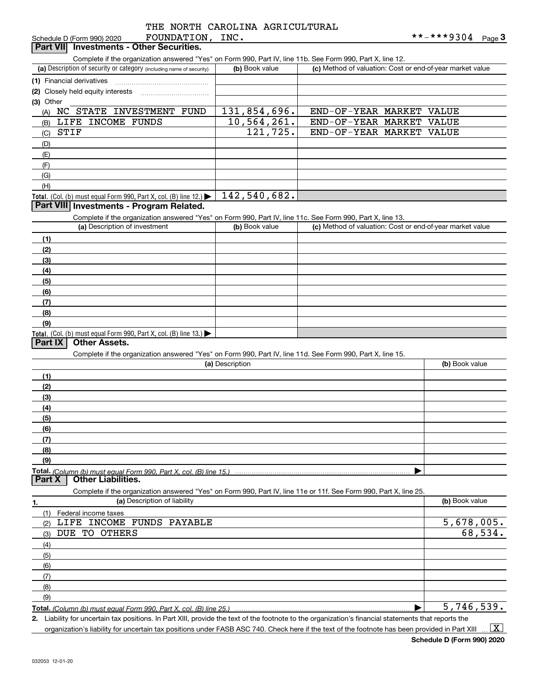| FOUNDATION,<br>Schedule D (Form 990) 2020                                                                         | INC.            |                                                           | **-***9304<br>Page $\bf{3}$ |
|-------------------------------------------------------------------------------------------------------------------|-----------------|-----------------------------------------------------------|-----------------------------|
| Part VII Investments - Other Securities.                                                                          |                 |                                                           |                             |
| Complete if the organization answered "Yes" on Form 990, Part IV, line 11b. See Form 990, Part X, line 12.        |                 |                                                           |                             |
| (a) Description of security or category (including name of security)                                              | (b) Book value  | (c) Method of valuation: Cost or end-of-year market value |                             |
| (1) Financial derivatives                                                                                         |                 |                                                           |                             |
| (2) Closely held equity interests                                                                                 |                 |                                                           |                             |
| (3) Other                                                                                                         |                 |                                                           |                             |
| NC STATE INVESTMENT FUND<br>(A)                                                                                   | 131,854,696.    | END-OF-YEAR MARKET                                        | <b>VALUE</b>                |
| LIFE INCOME FUNDS<br>(B)                                                                                          | 10,564,261.     | END-OF-YEAR MARKET                                        | VALUE                       |
| STIF<br>(C)                                                                                                       | 121,725.        | END-OF-YEAR MARKET                                        | VALUE                       |
| (D)                                                                                                               |                 |                                                           |                             |
| (E)                                                                                                               |                 |                                                           |                             |
| (F)                                                                                                               |                 |                                                           |                             |
| (G)                                                                                                               |                 |                                                           |                             |
| (H)                                                                                                               |                 |                                                           |                             |
| Total. (Col. (b) must equal Form 990, Part X, col. (B) line $12$ .)                                               | 142,540,682.    |                                                           |                             |
| Part VIII Investments - Program Related.                                                                          |                 |                                                           |                             |
| Complete if the organization answered "Yes" on Form 990, Part IV, line 11c. See Form 990, Part X, line 13.        |                 |                                                           |                             |
| (a) Description of investment                                                                                     | (b) Book value  | (c) Method of valuation: Cost or end-of-year market value |                             |
| (1)                                                                                                               |                 |                                                           |                             |
| (2)                                                                                                               |                 |                                                           |                             |
| (3)                                                                                                               |                 |                                                           |                             |
| (4)                                                                                                               |                 |                                                           |                             |
| (5)                                                                                                               |                 |                                                           |                             |
| (6)                                                                                                               |                 |                                                           |                             |
| (7)                                                                                                               |                 |                                                           |                             |
| (8)                                                                                                               |                 |                                                           |                             |
| (9)                                                                                                               |                 |                                                           |                             |
| Total. (Col. (b) must equal Form 990, Part X, col. (B) line 13.)                                                  |                 |                                                           |                             |
| <b>Other Assets.</b><br>Part IX                                                                                   |                 |                                                           |                             |
| Complete if the organization answered "Yes" on Form 990, Part IV, line 11d. See Form 990, Part X, line 15.        |                 |                                                           |                             |
|                                                                                                                   | (a) Description |                                                           | (b) Book value              |
| (1)                                                                                                               |                 |                                                           |                             |
| (2)                                                                                                               |                 |                                                           |                             |
| (3)                                                                                                               |                 |                                                           |                             |
| (4)                                                                                                               |                 |                                                           |                             |
| (5)                                                                                                               |                 |                                                           |                             |
| (6)                                                                                                               |                 |                                                           |                             |
| (7)                                                                                                               |                 |                                                           |                             |
| (8)                                                                                                               |                 |                                                           |                             |
| (9)                                                                                                               |                 |                                                           |                             |
| Total. (Column (b) must equal Form 990. Part X, col. (B) line 15.)                                                | .               |                                                           |                             |
| <b>Other Liabilities.</b><br>Part X                                                                               |                 |                                                           |                             |
| Complete if the organization answered "Yes" on Form 990, Part IV, line 11e or 11f. See Form 990, Part X, line 25. |                 |                                                           |                             |
| (a) Description of liability<br>1.                                                                                |                 |                                                           | (b) Book value              |
| (1)<br>Federal income taxes                                                                                       |                 |                                                           |                             |
| LIFE INCOME FUNDS PAYABLE<br>(2)                                                                                  |                 |                                                           | 5,678,005.                  |
| DUE TO OTHERS<br>(3)                                                                                              |                 |                                                           | 68,534.                     |
| (4)                                                                                                               |                 |                                                           |                             |
| (5)                                                                                                               |                 |                                                           |                             |
| (6)                                                                                                               |                 |                                                           |                             |
| (7)                                                                                                               |                 |                                                           |                             |
| (8)                                                                                                               |                 |                                                           |                             |
| (9)                                                                                                               |                 |                                                           |                             |
| Total. (Column (b) must equal Form 990. Part X, col. (B) line 25.)                                                |                 | ▶                                                         | 5,746,539.                  |
|                                                                                                                   |                 |                                                           |                             |

**2.** Liability for uncertain tax positions. In Part XIII, provide the text of the footnote to the organization's financial statements that reports the organization's liability for uncertain tax positions under FASB ASC 740. Check here if the text of the footnote has been provided in Part XIII  $\vert$  X  $\vert$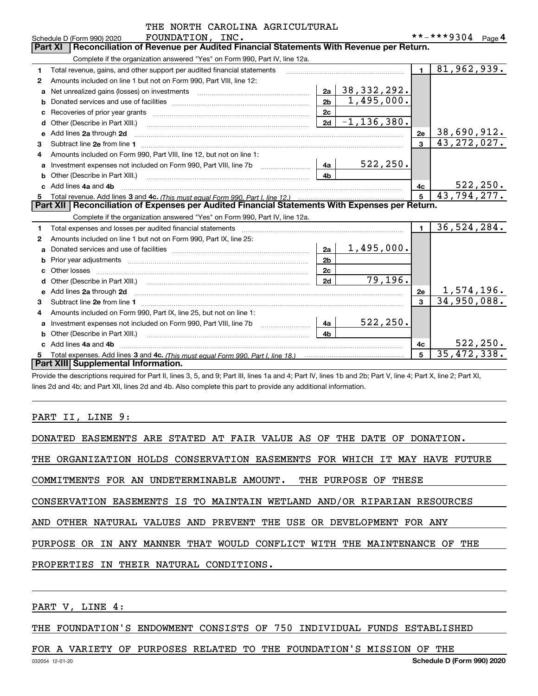|              | IAL NORIA CAROLINA AGRICULIURAL                                                                                                                                                                                                     |                |                 |                |                   |
|--------------|-------------------------------------------------------------------------------------------------------------------------------------------------------------------------------------------------------------------------------------|----------------|-----------------|----------------|-------------------|
|              | FOUNDATION, INC.<br>Schedule D (Form 990) 2020                                                                                                                                                                                      |                |                 |                | **-***9304 Page 4 |
|              | Reconciliation of Revenue per Audited Financial Statements With Revenue per Return.<br><b>Part XI</b>                                                                                                                               |                |                 |                |                   |
|              | Complete if the organization answered "Yes" on Form 990, Part IV, line 12a.                                                                                                                                                         |                |                 |                |                   |
| 1            | Total revenue, gains, and other support per audited financial statements                                                                                                                                                            |                |                 | $\mathbf{1}$   | 81,962,939.       |
| $\mathbf{2}$ | Amounts included on line 1 but not on Form 990, Part VIII, line 12:                                                                                                                                                                 |                |                 |                |                   |
| a            | Net unrealized gains (losses) on investments [11] matter contracts and the unrealized gains (losses) on investments                                                                                                                 | 2a             | 38, 332, 292.   |                |                   |
| b            |                                                                                                                                                                                                                                     | 2 <sub>b</sub> | 1,495,000.      |                |                   |
| C            |                                                                                                                                                                                                                                     | 2c             |                 |                |                   |
| d            | Other (Describe in Part XIII.) <b>Construction Contract Construction</b> Chern Construction Construction Construction                                                                                                               | 2d             | $-1, 136, 380.$ |                |                   |
|              | Add lines 2a through 2d                                                                                                                                                                                                             |                |                 | 2e             | 38,690,912.       |
| З.           |                                                                                                                                                                                                                                     |                |                 | $\mathbf{a}$   | 43, 272, 027.     |
| 4            | Amounts included on Form 990, Part VIII, line 12, but not on line 1:                                                                                                                                                                |                |                 |                |                   |
| a            |                                                                                                                                                                                                                                     | 4a             | 522, 250.       |                |                   |
| b            | Other (Describe in Part XIII.)                                                                                                                                                                                                      | 4b             |                 |                |                   |
|              | Add lines 4a and 4b                                                                                                                                                                                                                 |                |                 | 4с             | 522, 250.         |
|              |                                                                                                                                                                                                                                     |                |                 | 5              | 43,794,277.       |
|              | Part XII   Reconciliation of Expenses per Audited Financial Statements With Expenses per Return.                                                                                                                                    |                |                 |                |                   |
|              | Complete if the organization answered "Yes" on Form 990, Part IV, line 12a.                                                                                                                                                         |                |                 |                |                   |
| 1            | Total expenses and losses per audited financial statements                                                                                                                                                                          |                |                 | $\blacksquare$ | 36,524,284.       |
| $\mathbf{2}$ | Amounts included on line 1 but not on Form 990, Part IX, line 25:                                                                                                                                                                   |                |                 |                |                   |
| a            |                                                                                                                                                                                                                                     | 2a             | 1,495,000.      |                |                   |
| b            |                                                                                                                                                                                                                                     | 2 <sub>b</sub> |                 |                |                   |
|              |                                                                                                                                                                                                                                     | 2 <sub>c</sub> |                 |                |                   |
| d            |                                                                                                                                                                                                                                     | 2d             | 79,196.         |                |                   |
| e            | Add lines 2a through 2d <b>must be a constructed as the constant of the constant of the constant of the construction</b>                                                                                                            |                |                 | 2e             | 1,574,196.        |
| 3            |                                                                                                                                                                                                                                     |                |                 | 3              | 34,950,088.       |
| 4            | Amounts included on Form 990, Part IX, line 25, but not on line 1:                                                                                                                                                                  |                |                 |                |                   |
| a            |                                                                                                                                                                                                                                     | 4a             | 522, 250.       |                |                   |
|              | Other (Describe in Part XIII.) <b>Construction Contract Construction</b> Chern Construction Chern Chern Chern Chern Chern Chern Chern Chern Chern Chern Chern Chern Chern Chern Chern Chern Chern Chern Chern Chern Chern Chern Che | 4 <sub>h</sub> |                 |                |                   |
|              | Add lines 4a and 4b                                                                                                                                                                                                                 |                |                 | 4c             | 522, 250.         |
| 5            |                                                                                                                                                                                                                                     |                |                 | 5              | 35,472,338.       |
|              | Part XIII Supplemental Information.                                                                                                                                                                                                 |                |                 |                |                   |

 $\Omega$ BRICULTURALINA AGRICULTURALINA AGRICULTURALINA AGRICULTURALINA AGRICULTURALINA AGRICULTURALINA AGRICULTURALINA AGRICULTURALINA AGRICULTURALINA AGRICULTURALINA AGRICULTURALINA AGRICULTURALINA AGRICULTURALINA AGRICULTUR

Provide the descriptions required for Part II, lines 3, 5, and 9; Part III, lines 1a and 4; Part IV, lines 1b and 2b; Part V, line 4; Part X, line 2; Part XI, lines 2d and 4b; and Part XII, lines 2d and 4b. Also complete this part to provide any additional information.

## PART II, LINE 9:

| DONATED EASEMENTS ARE STATED AT FAIR VALUE AS OF THE DATE OF DONATION. |  |
|------------------------------------------------------------------------|--|
|------------------------------------------------------------------------|--|

THE ORGANIZATION HOLDS CONSERVATION EASEMENTS FOR WHICH IT MAY HAVE FUTURE

COMMITMENTS FOR AN UNDETERMINABLE AMOUNT. THE PURPOSE OF THESE

CONSERVATION EASEMENTS IS TO MAINTAIN WETLAND AND/OR RIPARIAN RESOURCES

AND OTHER NATURAL VALUES AND PREVENT THE USE OR DEVELOPMENT FOR ANY

PURPOSE OR IN ANY MANNER THAT WOULD CONFLICT WITH THE MAINTENANCE OF THE

PROPERTIES IN THEIR NATURAL CONDITIONS.

PART V, LINE 4:

THE FOUNDATION'S ENDOWMENT CONSISTS OF 750 INDIVIDUAL FUNDS ESTABLISHED

### FOR A VARIETY OF PURPOSES RELATED TO THE FOUNDATION'S MISSION OF THE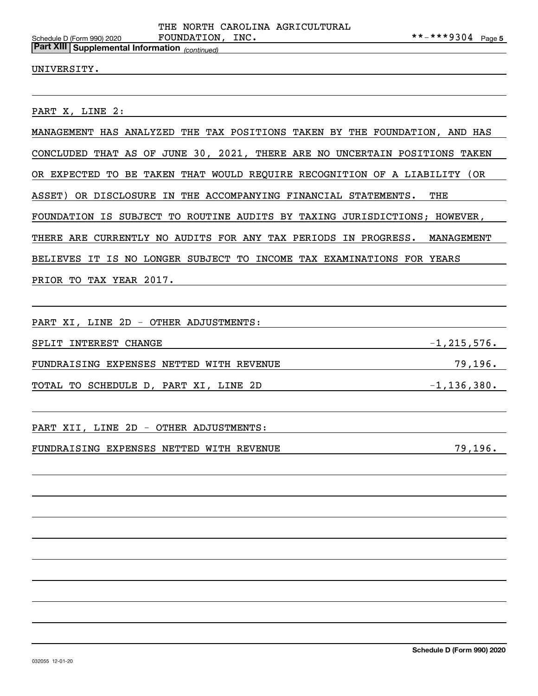*(continued)* **Part XIII Supplemental Information** 

### UNIVERSITY.

PART X, LINE 2:

MANAGEMENT HAS ANALYZED THE TAX POSITIONS TAKEN BY THE FOUNDATION, AND HAS CONCLUDED THAT AS OF JUNE 30, 2021, THERE ARE NO UNCERTAIN POSITIONS TAKEN OR EXPECTED TO BE TAKEN THAT WOULD REQUIRE RECOGNITION OF A LIABILITY (OR ASSET) OR DISCLOSURE IN THE ACCOMPANYING FINANCIAL STATEMENTS. THE FOUNDATION IS SUBJECT TO ROUTINE AUDITS BY TAXING JURISDICTIONS; HOWEVER, THERE ARE CURRENTLY NO AUDITS FOR ANY TAX PERIODS IN PROGRESS. MANAGEMENT BELIEVES IT IS NO LONGER SUBJECT TO INCOME TAX EXAMINATIONS FOR YEARS PRIOR TO TAX YEAR 2017.

PART XI, LINE 2D - OTHER ADJUSTMENTS:

SPLIT INTEREST CHANGE  $-1,215,576$ .

FUNDRAISING EXPENSES NETTED WITH REVENUE THE REVENUE TO MALL TO A 29,196.

TOTAL TO SCHEDULE D, PART XI, LINE 2D  $-1,136,380$ .

PART XII, LINE 2D - OTHER ADJUSTMENTS:

# FUNDRAISING EXPENSES NETTED WITH REVENUE 79,196.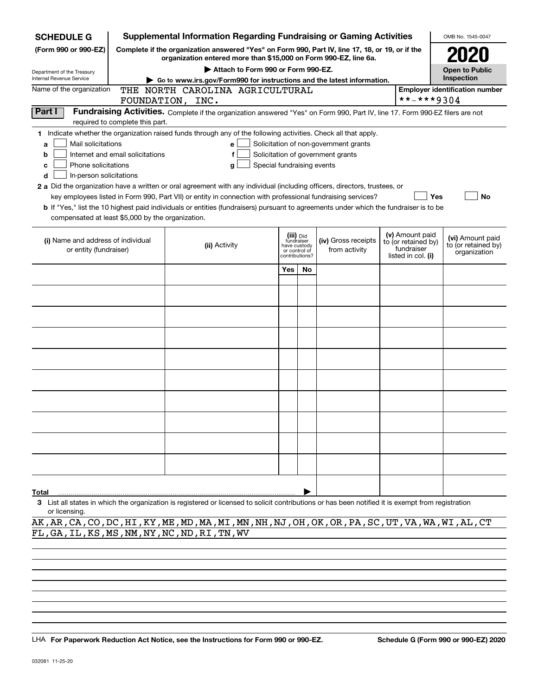| <b>SCHEDULE G</b>                                                                                                                                            | <b>Supplemental Information Regarding Fundraising or Gaming Activities</b>                                                                                          |              |                         |                                       |  |                                        | OMB No. 1545-0047                     |
|--------------------------------------------------------------------------------------------------------------------------------------------------------------|---------------------------------------------------------------------------------------------------------------------------------------------------------------------|--------------|-------------------------|---------------------------------------|--|----------------------------------------|---------------------------------------|
| (Form 990 or 990-EZ)                                                                                                                                         | Complete if the organization answered "Yes" on Form 990, Part IV, line 17, 18, or 19, or if the<br>organization entered more than \$15,000 on Form 990-EZ, line 6a. |              |                         |                                       |  |                                        |                                       |
| Department of the Treasury                                                                                                                                   | Attach to Form 990 or Form 990-EZ.                                                                                                                                  |              |                         |                                       |  |                                        | <b>Open to Public</b>                 |
| Internal Revenue Service                                                                                                                                     | Go to www.irs.gov/Form990 for instructions and the latest information.                                                                                              |              |                         |                                       |  |                                        | Inspection                            |
| Name of the organization                                                                                                                                     | THE NORTH CAROLINA AGRICULTURAL                                                                                                                                     |              |                         |                                       |  |                                        | <b>Employer identification number</b> |
|                                                                                                                                                              | FOUNDATION, INC.                                                                                                                                                    |              |                         |                                       |  | **-***9304                             |                                       |
| Part I<br>required to complete this part.                                                                                                                    | Fundraising Activities. Complete if the organization answered "Yes" on Form 990, Part IV, line 17. Form 990-EZ filers are not                                       |              |                         |                                       |  |                                        |                                       |
| 1 Indicate whether the organization raised funds through any of the following activities. Check all that apply.                                              |                                                                                                                                                                     |              |                         |                                       |  |                                        |                                       |
| Mail solicitations<br>a                                                                                                                                      | e                                                                                                                                                                   |              |                         | Solicitation of non-government grants |  |                                        |                                       |
| Internet and email solicitations<br>b                                                                                                                        |                                                                                                                                                                     |              |                         | Solicitation of government grants     |  |                                        |                                       |
| Phone solicitations<br>с                                                                                                                                     | Special fundraising events<br>g                                                                                                                                     |              |                         |                                       |  |                                        |                                       |
| In-person solicitations<br>d                                                                                                                                 |                                                                                                                                                                     |              |                         |                                       |  |                                        |                                       |
| 2 a Did the organization have a written or oral agreement with any individual (including officers, directors, trustees, or                                   |                                                                                                                                                                     |              |                         |                                       |  |                                        |                                       |
| b If "Yes," list the 10 highest paid individuals or entities (fundraisers) pursuant to agreements under which the fundraiser is to be                        | key employees listed in Form 990, Part VII) or entity in connection with professional fundraising services?                                                         |              |                         |                                       |  | Yes                                    | No                                    |
| compensated at least \$5,000 by the organization.                                                                                                            |                                                                                                                                                                     |              |                         |                                       |  |                                        |                                       |
|                                                                                                                                                              |                                                                                                                                                                     |              |                         |                                       |  |                                        |                                       |
| (i) Name and address of individual                                                                                                                           |                                                                                                                                                                     |              | (iii) Did<br>fundraiser | (iv) Gross receipts                   |  | (v) Amount paid<br>to (or retained by) | (vi) Amount paid                      |
| or entity (fundraiser)                                                                                                                                       | (ii) Activity                                                                                                                                                       | have custody | or control of           | from activity                         |  | fundraiser                             | to (or retained by)<br>organization   |
|                                                                                                                                                              |                                                                                                                                                                     |              | contributions?          |                                       |  | listed in col. (i)                     |                                       |
|                                                                                                                                                              |                                                                                                                                                                     | Yes          | No.                     |                                       |  |                                        |                                       |
|                                                                                                                                                              |                                                                                                                                                                     |              |                         |                                       |  |                                        |                                       |
|                                                                                                                                                              |                                                                                                                                                                     |              |                         |                                       |  |                                        |                                       |
|                                                                                                                                                              |                                                                                                                                                                     |              |                         |                                       |  |                                        |                                       |
|                                                                                                                                                              |                                                                                                                                                                     |              |                         |                                       |  |                                        |                                       |
|                                                                                                                                                              |                                                                                                                                                                     |              |                         |                                       |  |                                        |                                       |
|                                                                                                                                                              |                                                                                                                                                                     |              |                         |                                       |  |                                        |                                       |
|                                                                                                                                                              |                                                                                                                                                                     |              |                         |                                       |  |                                        |                                       |
|                                                                                                                                                              |                                                                                                                                                                     |              |                         |                                       |  |                                        |                                       |
|                                                                                                                                                              |                                                                                                                                                                     |              |                         |                                       |  |                                        |                                       |
|                                                                                                                                                              |                                                                                                                                                                     |              |                         |                                       |  |                                        |                                       |
|                                                                                                                                                              |                                                                                                                                                                     |              |                         |                                       |  |                                        |                                       |
|                                                                                                                                                              |                                                                                                                                                                     |              |                         |                                       |  |                                        |                                       |
| Total<br>3. List all states in which the organization is registered or licensed to solicit contributions or has been notified it is exempt from registration |                                                                                                                                                                     |              |                         |                                       |  |                                        |                                       |

**3**List all states in which the organization is registered or licensed to solicit contributions or has been notified it is exempt from registration or licensing.

AK,AR,CA,CO,DC,HI,KY,ME,MD,MA,MI,MN,NH,NJ,OH,OK,OR,PA,SC,UT,VA,WA,WI,AL,CT FL,GA,IL,KS,MS,NM,NY,NC,ND,RI,TN,WV

LHA For Paperwork Reduction Act Notice, see the Instructions for Form 990 or 990-EZ. Schedule G (Form 990 or 990-EZ) 2020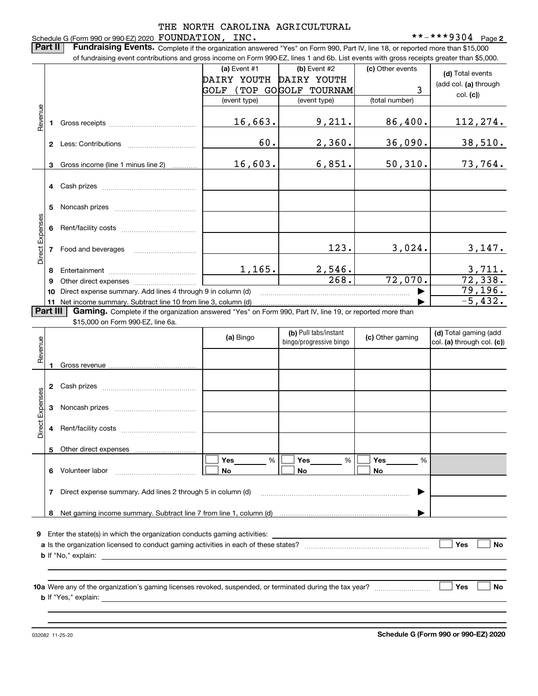# Schedule G (Form 990 or 990-EZ) 2020 Page FOUNDATION, INC. \*\*-\*\*\*9304 THE NORTH CAROLINA AGRICULTURAL

**Part II** | Fundraising Events. Complete if the organization answered "Yes" on Form 990, Part IV, line 18, or reported more than \$15,000

|                    |          | of fundraising event contributions and gross income on Form 990-EZ, lines 1 and 6b. List events with gross receipts greater than \$5,000.     |                         |                          |                  |                            |
|--------------------|----------|-----------------------------------------------------------------------------------------------------------------------------------------------|-------------------------|--------------------------|------------------|----------------------------|
|                    |          |                                                                                                                                               | (a) Event #1            | $(b)$ Event #2           | (c) Other events | (d) Total events           |
|                    |          |                                                                                                                                               | DAIRY YOUTH DAIRY YOUTH |                          |                  | (add col. (a) through      |
|                    |          |                                                                                                                                               |                         | GOLF (TOP GOGOLF TOURNAM | 3                | col. (c)                   |
|                    |          |                                                                                                                                               | (event type)            | (event type)             | (total number)   |                            |
| Revenue            |          |                                                                                                                                               | 16,663.                 | 9,211.                   | 86,400.          | <u> 112,274.</u>           |
|                    |          |                                                                                                                                               | 60.                     | 2,360.                   | 36,090.          | 38,510.                    |
|                    |          | 3 Gross income (line 1 minus line 2)                                                                                                          | 16, 603.                | 6,851.                   | 50, 310.         | 73,764.                    |
|                    |          |                                                                                                                                               |                         |                          |                  |                            |
|                    | 5        |                                                                                                                                               |                         |                          |                  |                            |
| Direct Expenses    |          |                                                                                                                                               |                         |                          |                  |                            |
|                    |          | 7 Food and beverages                                                                                                                          |                         | 123.                     | 3,024.           | <u>3,147.</u>              |
|                    |          |                                                                                                                                               | <u>1,165.</u>           | $\frac{2,546}{268}$      |                  | $\frac{3,711}{72,338}$ .   |
|                    | 9        |                                                                                                                                               |                         |                          | 72,070.          |                            |
|                    | 10       | Direct expense summary. Add lines 4 through 9 in column (d)                                                                                   |                         |                          |                  | 79, 196.                   |
|                    |          | 11 Net income summary. Subtract line 10 from line 3, column (d)                                                                               |                         |                          |                  | $-5,432.$                  |
|                    | Part III | Gaming. Complete if the organization answered "Yes" on Form 990, Part IV, line 19, or reported more than<br>\$15,000 on Form 990-EZ, line 6a. |                         |                          |                  |                            |
|                    |          |                                                                                                                                               |                         | (b) Pull tabs/instant    |                  | (d) Total gaming (add      |
|                    |          |                                                                                                                                               |                         |                          |                  |                            |
| Revenue            |          |                                                                                                                                               | (a) Bingo               | bingo/progressive bingo  | (c) Other gaming |                            |
|                    |          |                                                                                                                                               |                         |                          |                  | col. (a) through col. (c)) |
|                    |          |                                                                                                                                               |                         |                          |                  |                            |
|                    |          |                                                                                                                                               |                         |                          |                  |                            |
|                    |          |                                                                                                                                               |                         |                          |                  |                            |
|                    |          |                                                                                                                                               |                         |                          |                  |                            |
| Expenses<br>Direct |          |                                                                                                                                               |                         |                          |                  |                            |
|                    | 5        | Other direct expenses                                                                                                                         |                         |                          |                  |                            |
|                    |          |                                                                                                                                               | %<br>Yes                | %<br>Yes_                | %<br>Yes_        |                            |
|                    | 6        | Volunteer labor                                                                                                                               | No                      | No                       | No               |                            |
|                    | 7        | Direct expense summary. Add lines 2 through 5 in column (d)                                                                                   |                         |                          |                  |                            |
|                    | 8        |                                                                                                                                               |                         |                          |                  |                            |
|                    |          | Enter the state(s) in which the organization conducts gaming activities:                                                                      |                         |                          |                  |                            |

| a Is the organization licensed to conduct gaming activities in each of these states? | Yes | No |
|--------------------------------------------------------------------------------------|-----|----|
| <b>b</b> If "No," explain:                                                           |     |    |

**10a** Were any of the organization's gaming licenses revoked, suspended, or terminated during the tax year? \_\_\_\_\_\_\_\_\_\_\_\_\_\_\_\_ **b** If "Yes," explain: **Yes No**

032082 11-25-20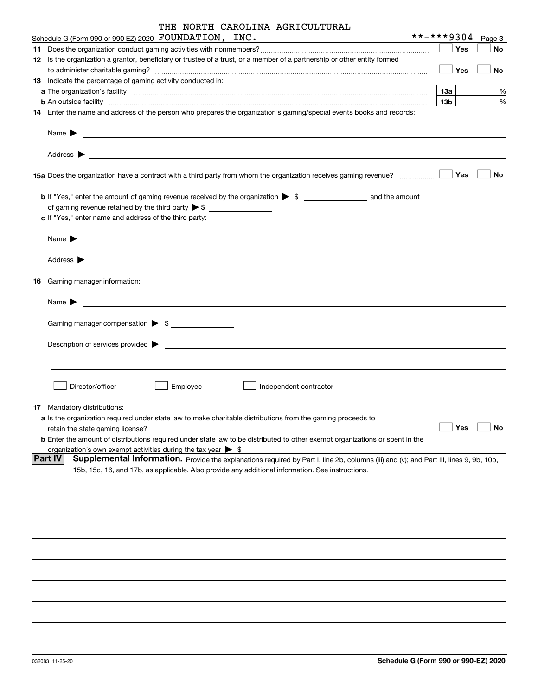| THE NORTH CAROLINA AGRICULTURAL |  |
|---------------------------------|--|
|---------------------------------|--|

| Schedule G (Form 990 or 99 <u>0-EZ) 2020</u> $\hbox{\tt FOUNDATION}$ , $\hbox{\tt INC.}$                                                                      | **-***9304  |            | Page 3    |
|---------------------------------------------------------------------------------------------------------------------------------------------------------------|-------------|------------|-----------|
|                                                                                                                                                               |             | Yes        | No        |
| 12 Is the organization a grantor, beneficiary or trustee of a trust, or a member of a partnership or other entity formed                                      |             |            |           |
|                                                                                                                                                               | $\vert$ Yes |            | No        |
| 13 Indicate the percentage of gaming activity conducted in:                                                                                                   |             |            |           |
|                                                                                                                                                               | 13а         |            | %         |
| <b>b</b> An outside facility <i>www.communicality www.communicality.communicality www.communicality www.communicality.communicality www.communicality.com</i> | 13b         |            | $\%$      |
| 14 Enter the name and address of the person who prepares the organization's gaming/special events books and records:                                          |             |            |           |
|                                                                                                                                                               |             |            |           |
|                                                                                                                                                               |             |            | No        |
|                                                                                                                                                               |             |            |           |
| <b>b</b> If "Yes," enter the amount of gaming revenue received by the organization $\triangleright$ \$                                                        |             |            |           |
| c If "Yes," enter name and address of the third party:                                                                                                        |             |            |           |
|                                                                                                                                                               |             |            |           |
|                                                                                                                                                               |             |            |           |
| 16 Gaming manager information:                                                                                                                                |             |            |           |
| <u> 1989 - Johann Harry Harry Harry Harry Harry Harry Harry Harry Harry Harry Harry Harry Harry Harry Harry Harry</u><br>Name $\blacktriangleright$           |             |            |           |
| Gaming manager compensation > \$                                                                                                                              |             |            |           |
|                                                                                                                                                               |             |            |           |
| $\blacksquare$ Description of services provided $\blacktriangleright$                                                                                         |             |            |           |
|                                                                                                                                                               |             |            |           |
| Director/officer<br>Employee<br>Independent contractor                                                                                                        |             |            |           |
| 17 Mandatory distributions:                                                                                                                                   |             |            |           |
| a Is the organization required under state law to make charitable distributions from the gaming proceeds to                                                   |             |            |           |
| retain the state gaming license?                                                                                                                              |             | $\Box$ Yes | $\Box$ No |
| <b>b</b> Enter the amount of distributions required under state law to be distributed to other exempt organizations or spent in the                           |             |            |           |
| organization's own exempt activities during the tax year $\triangleright$ \$                                                                                  |             |            |           |
| <b>Part IV</b><br>Supplemental Information. Provide the explanations required by Part I, line 2b, columns (iii) and (v); and Part III, lines 9, 9b, 10b,      |             |            |           |
| 15b, 15c, 16, and 17b, as applicable. Also provide any additional information. See instructions.                                                              |             |            |           |
|                                                                                                                                                               |             |            |           |
|                                                                                                                                                               |             |            |           |
|                                                                                                                                                               |             |            |           |
|                                                                                                                                                               |             |            |           |
|                                                                                                                                                               |             |            |           |
|                                                                                                                                                               |             |            |           |
|                                                                                                                                                               |             |            |           |
|                                                                                                                                                               |             |            |           |
|                                                                                                                                                               |             |            |           |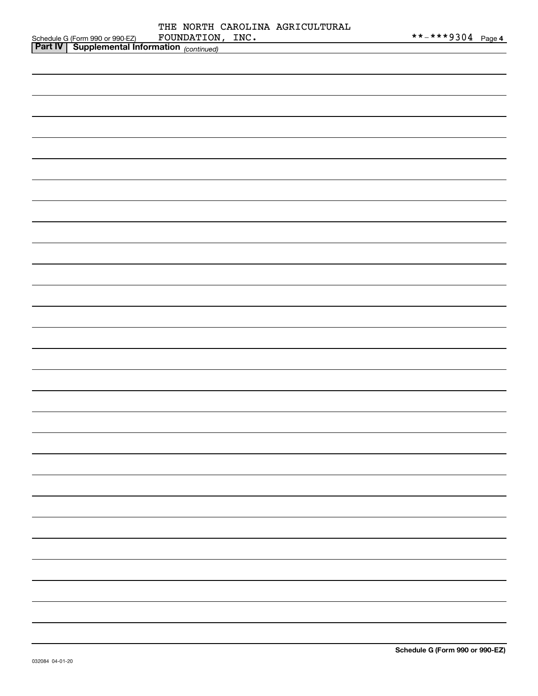|                                         | THE NORTH CAROLINA AGRICULTURAL |  |  |
|-----------------------------------------|---------------------------------|--|--|
| Schedule G (Form 990 or 990-EZ)         | FOUNDATION, INC.                |  |  |
| <b>Part IV Supplemental Information</b> |                                 |  |  |

| <u>Part IV</u> Supplemental Information <sub>(continued)</sub> |  |
|----------------------------------------------------------------|--|
|                                                                |  |
|                                                                |  |
|                                                                |  |
|                                                                |  |
|                                                                |  |
|                                                                |  |
|                                                                |  |
|                                                                |  |
|                                                                |  |
|                                                                |  |
|                                                                |  |
|                                                                |  |
|                                                                |  |
|                                                                |  |
|                                                                |  |
|                                                                |  |
|                                                                |  |
|                                                                |  |
|                                                                |  |
|                                                                |  |
|                                                                |  |
|                                                                |  |
|                                                                |  |
|                                                                |  |
|                                                                |  |
|                                                                |  |
|                                                                |  |
|                                                                |  |
|                                                                |  |
|                                                                |  |
|                                                                |  |
|                                                                |  |
|                                                                |  |
|                                                                |  |
|                                                                |  |
|                                                                |  |
|                                                                |  |
|                                                                |  |
|                                                                |  |
|                                                                |  |
|                                                                |  |
|                                                                |  |
|                                                                |  |
|                                                                |  |
|                                                                |  |
|                                                                |  |
|                                                                |  |
|                                                                |  |
|                                                                |  |
|                                                                |  |
|                                                                |  |
|                                                                |  |
|                                                                |  |
|                                                                |  |
|                                                                |  |
|                                                                |  |
|                                                                |  |
|                                                                |  |
|                                                                |  |
|                                                                |  |
|                                                                |  |
|                                                                |  |
|                                                                |  |
|                                                                |  |
|                                                                |  |
|                                                                |  |
|                                                                |  |
|                                                                |  |
|                                                                |  |
|                                                                |  |
|                                                                |  |
|                                                                |  |
|                                                                |  |
|                                                                |  |
|                                                                |  |
|                                                                |  |
|                                                                |  |
|                                                                |  |
|                                                                |  |
|                                                                |  |
|                                                                |  |
|                                                                |  |
|                                                                |  |
|                                                                |  |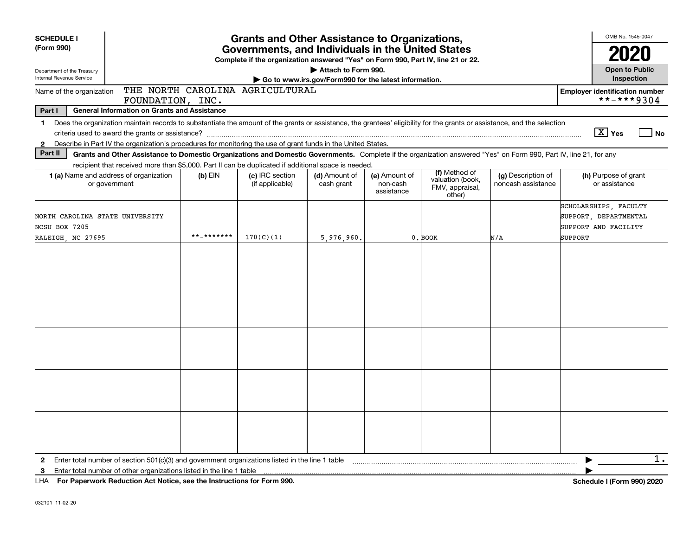| Inspection<br>Go to www.irs.gov/Form990 for the latest information.<br>THE NORTH CAROLINA AGRICULTURAL<br><b>Employer identification number</b><br>Name of the organization<br>**-***9304<br>FOUNDATION, INC.                                                                                                                                                                                                                                                                                                                                                                                                                     |      |
|-----------------------------------------------------------------------------------------------------------------------------------------------------------------------------------------------------------------------------------------------------------------------------------------------------------------------------------------------------------------------------------------------------------------------------------------------------------------------------------------------------------------------------------------------------------------------------------------------------------------------------------|------|
|                                                                                                                                                                                                                                                                                                                                                                                                                                                                                                                                                                                                                                   |      |
| Part I<br><b>General Information on Grants and Assistance</b>                                                                                                                                                                                                                                                                                                                                                                                                                                                                                                                                                                     |      |
| Does the organization maintain records to substantiate the amount of the grants or assistance, the grantees' eligibility for the grants or assistance, and the selection<br>1.<br>$\boxed{\text{X}}$ Yes<br>Describe in Part IV the organization's procedures for monitoring the use of grant funds in the United States.<br>$\mathbf{2}$<br>Part II<br>Grants and Other Assistance to Domestic Organizations and Domestic Governments. Complete if the organization answered "Yes" on Form 990, Part IV, line 21, for any<br>recipient that received more than \$5,000. Part II can be duplicated if additional space is needed. | l No |
| (f) Method of<br>(c) IRC section<br>(d) Amount of<br>(g) Description of<br><b>1 (a)</b> Name and address of organization<br>$(b)$ EIN<br>(e) Amount of<br>(h) Purpose of grant<br>valuation (book,<br>or government<br>(if applicable)<br>cash grant<br>non-cash<br>noncash assistance<br>or assistance<br>FMV, appraisal,<br>assistance<br>other)                                                                                                                                                                                                                                                                                |      |
| SCHOLARSHIPS, FACULTY<br>NORTH CAROLINA STATE UNIVERSITY<br>SUPPORT, DEPARTMENTAL<br>NCSU BOX 7205<br>SUPPORT AND FACILITY<br>**_*******<br>170(C)(1)<br>5,976,960<br>0. BOOK<br>N/A<br>SUPPORT<br>RALEIGH, NC 27695                                                                                                                                                                                                                                                                                                                                                                                                              |      |
|                                                                                                                                                                                                                                                                                                                                                                                                                                                                                                                                                                                                                                   |      |
|                                                                                                                                                                                                                                                                                                                                                                                                                                                                                                                                                                                                                                   |      |
|                                                                                                                                                                                                                                                                                                                                                                                                                                                                                                                                                                                                                                   |      |
|                                                                                                                                                                                                                                                                                                                                                                                                                                                                                                                                                                                                                                   |      |
|                                                                                                                                                                                                                                                                                                                                                                                                                                                                                                                                                                                                                                   |      |
| Enter total number of section $501(c)(3)$ and government organizations listed in the line 1 table<br>$\mathbf{2}$<br>Enter total number of other organizations listed in the line 1 table<br>3<br>LHA For Paperwork Reduction Act Notice, see the Instructions for Form 990.<br><b>Schedule I (Form 990) 2020</b>                                                                                                                                                                                                                                                                                                                 | 1.   |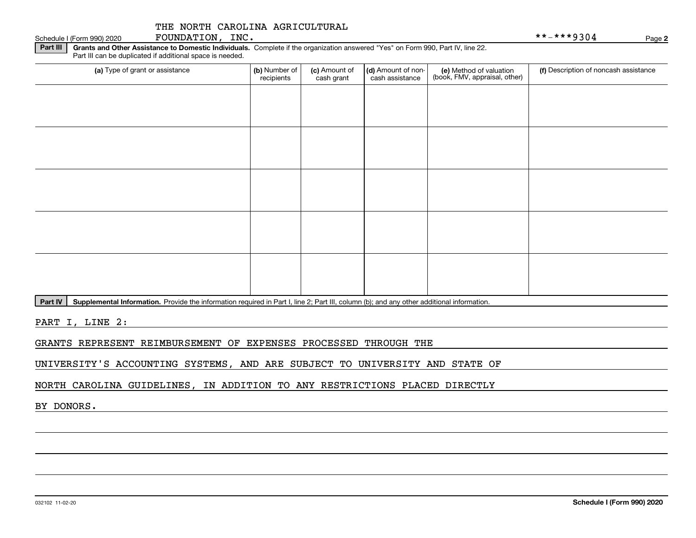| Part III | Grants and Other Assistance to Domestic Individuals. Complete if the organization answered "Yes" on Form 990, Part IV, line 22.<br>Part III can be duplicated if additional space is needed. |                             |                             |                                       |                                                          |                                       |  |  |  |  |
|----------|----------------------------------------------------------------------------------------------------------------------------------------------------------------------------------------------|-----------------------------|-----------------------------|---------------------------------------|----------------------------------------------------------|---------------------------------------|--|--|--|--|
|          | (a) Type of grant or assistance                                                                                                                                                              | (b) Number of<br>recipients | (c) Amount of<br>cash grant | (d) Amount of non-<br>cash assistance | (e) Method of valuation<br>(book, FMV, appraisal, other) | (f) Description of noncash assistance |  |  |  |  |
|          |                                                                                                                                                                                              |                             |                             |                                       |                                                          |                                       |  |  |  |  |
|          |                                                                                                                                                                                              |                             |                             |                                       |                                                          |                                       |  |  |  |  |
|          |                                                                                                                                                                                              |                             |                             |                                       |                                                          |                                       |  |  |  |  |
|          |                                                                                                                                                                                              |                             |                             |                                       |                                                          |                                       |  |  |  |  |
|          |                                                                                                                                                                                              |                             |                             |                                       |                                                          |                                       |  |  |  |  |
|          |                                                                                                                                                                                              |                             |                             |                                       |                                                          |                                       |  |  |  |  |
|          |                                                                                                                                                                                              |                             |                             |                                       |                                                          |                                       |  |  |  |  |
|          |                                                                                                                                                                                              |                             |                             |                                       |                                                          |                                       |  |  |  |  |
|          |                                                                                                                                                                                              |                             |                             |                                       |                                                          |                                       |  |  |  |  |
|          |                                                                                                                                                                                              |                             |                             |                                       |                                                          |                                       |  |  |  |  |

Part IV | Supplemental Information. Provide the information required in Part I, line 2; Part III, column (b); and any other additional information.

PART I, LINE 2:

GRANTS REPRESENT REIMBURSEMENT OF EXPENSES PROCESSED THROUGH THE

UNIVERSITY'S ACCOUNTING SYSTEMS, AND ARE SUBJECT TO UNIVERSITY AND STATE OF

NORTH CAROLINA GUIDELINES, IN ADDITION TO ANY RESTRICTIONS PLACED DIRECTLY

BY DONORS.

Schedule I (Form 990) 2020 Page FOUNDATION, INC. \*\*-\*\*\*9304

**2**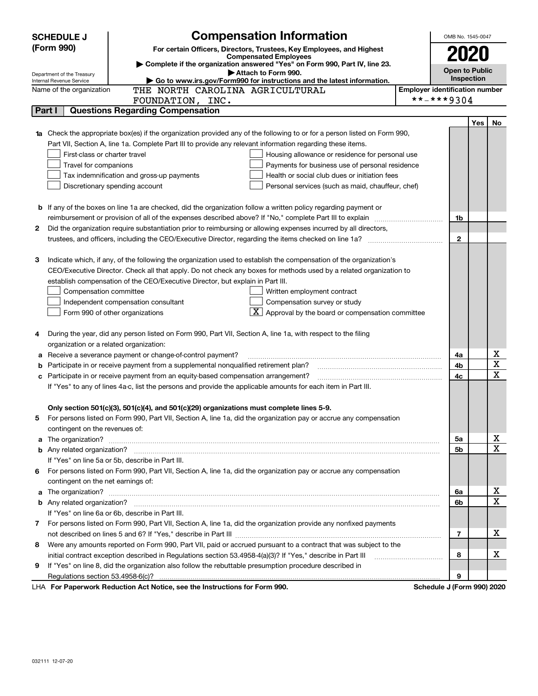| (Form 990)<br>For certain Officers, Directors, Trustees, Key Employees, and Highest<br>2020<br><b>Compensated Employees</b><br>Complete if the organization answered "Yes" on Form 990, Part IV, line 23.<br><b>Open to Public</b><br>Attach to Form 990.<br>Department of the Treasury<br>Inspection<br>Go to www.irs.gov/Form990 for instructions and the latest information.<br>Internal Revenue Service<br>THE NORTH CAROLINA AGRICULTURAL<br><b>Employer identification number</b><br>Name of the organization<br>**-***9304<br>FOUNDATION, INC.<br>Part I<br><b>Questions Regarding Compensation</b><br>Yes<br>No<br>Check the appropriate box(es) if the organization provided any of the following to or for a person listed on Form 990,<br>1a<br>Part VII, Section A, line 1a. Complete Part III to provide any relevant information regarding these items.<br>First-class or charter travel<br>Housing allowance or residence for personal use<br>Travel for companions<br>Payments for business use of personal residence<br>Health or social club dues or initiation fees<br>Tax indemnification and gross-up payments<br>Discretionary spending account<br>Personal services (such as maid, chauffeur, chef)<br><b>b</b> If any of the boxes on line 1a are checked, did the organization follow a written policy regarding payment or<br>reimbursement or provision of all of the expenses described above? If "No," complete Part III to explain<br>1b<br>Did the organization require substantiation prior to reimbursing or allowing expenses incurred by all directors,<br>2<br>$\mathbf{2}$<br>Indicate which, if any, of the following the organization used to establish the compensation of the organization's<br>з<br>CEO/Executive Director. Check all that apply. Do not check any boxes for methods used by a related organization to<br>establish compensation of the CEO/Executive Director, but explain in Part III.<br>Compensation committee<br>Written employment contract<br>Compensation survey or study<br>Independent compensation consultant<br>$\lfloor x \rfloor$ Approval by the board or compensation committee<br>Form 990 of other organizations<br>During the year, did any person listed on Form 990, Part VII, Section A, line 1a, with respect to the filing<br>4<br>organization or a related organization:<br>х<br>Receive a severance payment or change-of-control payment?<br>4a<br>а<br>X<br>Participate in or receive payment from a supplemental nonqualified retirement plan?<br>4b<br>b<br>X<br>Participate in or receive payment from an equity-based compensation arrangement?<br>4с<br>c<br>If "Yes" to any of lines 4a-c, list the persons and provide the applicable amounts for each item in Part III.<br>Only section 501(c)(3), 501(c)(4), and 501(c)(29) organizations must complete lines 5-9.<br>For persons listed on Form 990, Part VII, Section A, line 1a, did the organization pay or accrue any compensation<br>contingent on the revenues of:<br>х<br>The organization? <b>With the contract of the contract of the contract of the contract of the contract of the contract of the contract of the contract of the contract of the contract of the contract of the contract of the co</b><br>5a<br>a<br>X<br>5b<br>If "Yes" on line 5a or 5b, describe in Part III.<br>For persons listed on Form 990, Part VII, Section A, line 1a, did the organization pay or accrue any compensation<br>6<br>contingent on the net earnings of:<br>х<br>The organization? <b>With the organization</b> ? <b>With the organization with the organization? With the organization?</b><br>6a<br>a<br>$\mathbf X$<br>6b<br>If "Yes" on line 6a or 6b, describe in Part III.<br>For persons listed on Form 990, Part VII, Section A, line 1a, did the organization provide any nonfixed payments<br>7<br>х<br>$\overline{7}$<br>Were any amounts reported on Form 990, Part VII, paid or accrued pursuant to a contract that was subject to the<br>8<br>х<br>initial contract exception described in Regulations section 53.4958-4(a)(3)? If "Yes," describe in Part III<br>8<br>If "Yes" on line 8, did the organization also follow the rebuttable presumption procedure described in<br>9<br>9<br>LHA For Paperwork Reduction Act Notice, see the Instructions for Form 990.<br>Schedule J (Form 990) 2020 | <b>SCHEDULE J</b> |  | <b>Compensation Information</b> | OMB No. 1545-0047 |  |
|--------------------------------------------------------------------------------------------------------------------------------------------------------------------------------------------------------------------------------------------------------------------------------------------------------------------------------------------------------------------------------------------------------------------------------------------------------------------------------------------------------------------------------------------------------------------------------------------------------------------------------------------------------------------------------------------------------------------------------------------------------------------------------------------------------------------------------------------------------------------------------------------------------------------------------------------------------------------------------------------------------------------------------------------------------------------------------------------------------------------------------------------------------------------------------------------------------------------------------------------------------------------------------------------------------------------------------------------------------------------------------------------------------------------------------------------------------------------------------------------------------------------------------------------------------------------------------------------------------------------------------------------------------------------------------------------------------------------------------------------------------------------------------------------------------------------------------------------------------------------------------------------------------------------------------------------------------------------------------------------------------------------------------------------------------------------------------------------------------------------------------------------------------------------------------------------------------------------------------------------------------------------------------------------------------------------------------------------------------------------------------------------------------------------------------------------------------------------------------------------------------------------------------------------------------------------------------------------------------------------------------------------------------------------------------------------------------------------------------------------------------------------------------------------------------------------------------------------------------------------------------------------------------------------------------------------------------------------------------------------------------------------------------------------------------------------------------------------------------------------------------------------------------------------------------------------------------------------------------------------------------------------------------------------------------------------------------------------------------------------------------------------------------------------------------------------------------------------------------------------------------------------------------------------------------------------------------------------------------------------------------------------------------------------------------------------------------------------------------------------------------------------------------------------------------------------------------------------------------------------------------------------------------------------------------------------------------------------------------------------------------------------------------------------------------------------------------------------------------------------------------------------------------------------------------------------------------------------------------------------------------------------------------------------------------------------------------------------------------------------------|-------------------|--|---------------------------------|-------------------|--|
|                                                                                                                                                                                                                                                                                                                                                                                                                                                                                                                                                                                                                                                                                                                                                                                                                                                                                                                                                                                                                                                                                                                                                                                                                                                                                                                                                                                                                                                                                                                                                                                                                                                                                                                                                                                                                                                                                                                                                                                                                                                                                                                                                                                                                                                                                                                                                                                                                                                                                                                                                                                                                                                                                                                                                                                                                                                                                                                                                                                                                                                                                                                                                                                                                                                                                                                                                                                                                                                                                                                                                                                                                                                                                                                                                                                                                                                                                                                                                                                                                                                                                                                                                                                                                                                                                                                                                                          |                   |  |                                 |                   |  |
|                                                                                                                                                                                                                                                                                                                                                                                                                                                                                                                                                                                                                                                                                                                                                                                                                                                                                                                                                                                                                                                                                                                                                                                                                                                                                                                                                                                                                                                                                                                                                                                                                                                                                                                                                                                                                                                                                                                                                                                                                                                                                                                                                                                                                                                                                                                                                                                                                                                                                                                                                                                                                                                                                                                                                                                                                                                                                                                                                                                                                                                                                                                                                                                                                                                                                                                                                                                                                                                                                                                                                                                                                                                                                                                                                                                                                                                                                                                                                                                                                                                                                                                                                                                                                                                                                                                                                                          |                   |  |                                 |                   |  |
|                                                                                                                                                                                                                                                                                                                                                                                                                                                                                                                                                                                                                                                                                                                                                                                                                                                                                                                                                                                                                                                                                                                                                                                                                                                                                                                                                                                                                                                                                                                                                                                                                                                                                                                                                                                                                                                                                                                                                                                                                                                                                                                                                                                                                                                                                                                                                                                                                                                                                                                                                                                                                                                                                                                                                                                                                                                                                                                                                                                                                                                                                                                                                                                                                                                                                                                                                                                                                                                                                                                                                                                                                                                                                                                                                                                                                                                                                                                                                                                                                                                                                                                                                                                                                                                                                                                                                                          |                   |  |                                 |                   |  |
|                                                                                                                                                                                                                                                                                                                                                                                                                                                                                                                                                                                                                                                                                                                                                                                                                                                                                                                                                                                                                                                                                                                                                                                                                                                                                                                                                                                                                                                                                                                                                                                                                                                                                                                                                                                                                                                                                                                                                                                                                                                                                                                                                                                                                                                                                                                                                                                                                                                                                                                                                                                                                                                                                                                                                                                                                                                                                                                                                                                                                                                                                                                                                                                                                                                                                                                                                                                                                                                                                                                                                                                                                                                                                                                                                                                                                                                                                                                                                                                                                                                                                                                                                                                                                                                                                                                                                                          |                   |  |                                 |                   |  |
|                                                                                                                                                                                                                                                                                                                                                                                                                                                                                                                                                                                                                                                                                                                                                                                                                                                                                                                                                                                                                                                                                                                                                                                                                                                                                                                                                                                                                                                                                                                                                                                                                                                                                                                                                                                                                                                                                                                                                                                                                                                                                                                                                                                                                                                                                                                                                                                                                                                                                                                                                                                                                                                                                                                                                                                                                                                                                                                                                                                                                                                                                                                                                                                                                                                                                                                                                                                                                                                                                                                                                                                                                                                                                                                                                                                                                                                                                                                                                                                                                                                                                                                                                                                                                                                                                                                                                                          |                   |  |                                 |                   |  |
|                                                                                                                                                                                                                                                                                                                                                                                                                                                                                                                                                                                                                                                                                                                                                                                                                                                                                                                                                                                                                                                                                                                                                                                                                                                                                                                                                                                                                                                                                                                                                                                                                                                                                                                                                                                                                                                                                                                                                                                                                                                                                                                                                                                                                                                                                                                                                                                                                                                                                                                                                                                                                                                                                                                                                                                                                                                                                                                                                                                                                                                                                                                                                                                                                                                                                                                                                                                                                                                                                                                                                                                                                                                                                                                                                                                                                                                                                                                                                                                                                                                                                                                                                                                                                                                                                                                                                                          |                   |  |                                 |                   |  |
|                                                                                                                                                                                                                                                                                                                                                                                                                                                                                                                                                                                                                                                                                                                                                                                                                                                                                                                                                                                                                                                                                                                                                                                                                                                                                                                                                                                                                                                                                                                                                                                                                                                                                                                                                                                                                                                                                                                                                                                                                                                                                                                                                                                                                                                                                                                                                                                                                                                                                                                                                                                                                                                                                                                                                                                                                                                                                                                                                                                                                                                                                                                                                                                                                                                                                                                                                                                                                                                                                                                                                                                                                                                                                                                                                                                                                                                                                                                                                                                                                                                                                                                                                                                                                                                                                                                                                                          |                   |  |                                 |                   |  |
|                                                                                                                                                                                                                                                                                                                                                                                                                                                                                                                                                                                                                                                                                                                                                                                                                                                                                                                                                                                                                                                                                                                                                                                                                                                                                                                                                                                                                                                                                                                                                                                                                                                                                                                                                                                                                                                                                                                                                                                                                                                                                                                                                                                                                                                                                                                                                                                                                                                                                                                                                                                                                                                                                                                                                                                                                                                                                                                                                                                                                                                                                                                                                                                                                                                                                                                                                                                                                                                                                                                                                                                                                                                                                                                                                                                                                                                                                                                                                                                                                                                                                                                                                                                                                                                                                                                                                                          |                   |  |                                 |                   |  |
|                                                                                                                                                                                                                                                                                                                                                                                                                                                                                                                                                                                                                                                                                                                                                                                                                                                                                                                                                                                                                                                                                                                                                                                                                                                                                                                                                                                                                                                                                                                                                                                                                                                                                                                                                                                                                                                                                                                                                                                                                                                                                                                                                                                                                                                                                                                                                                                                                                                                                                                                                                                                                                                                                                                                                                                                                                                                                                                                                                                                                                                                                                                                                                                                                                                                                                                                                                                                                                                                                                                                                                                                                                                                                                                                                                                                                                                                                                                                                                                                                                                                                                                                                                                                                                                                                                                                                                          |                   |  |                                 |                   |  |
|                                                                                                                                                                                                                                                                                                                                                                                                                                                                                                                                                                                                                                                                                                                                                                                                                                                                                                                                                                                                                                                                                                                                                                                                                                                                                                                                                                                                                                                                                                                                                                                                                                                                                                                                                                                                                                                                                                                                                                                                                                                                                                                                                                                                                                                                                                                                                                                                                                                                                                                                                                                                                                                                                                                                                                                                                                                                                                                                                                                                                                                                                                                                                                                                                                                                                                                                                                                                                                                                                                                                                                                                                                                                                                                                                                                                                                                                                                                                                                                                                                                                                                                                                                                                                                                                                                                                                                          |                   |  |                                 |                   |  |
|                                                                                                                                                                                                                                                                                                                                                                                                                                                                                                                                                                                                                                                                                                                                                                                                                                                                                                                                                                                                                                                                                                                                                                                                                                                                                                                                                                                                                                                                                                                                                                                                                                                                                                                                                                                                                                                                                                                                                                                                                                                                                                                                                                                                                                                                                                                                                                                                                                                                                                                                                                                                                                                                                                                                                                                                                                                                                                                                                                                                                                                                                                                                                                                                                                                                                                                                                                                                                                                                                                                                                                                                                                                                                                                                                                                                                                                                                                                                                                                                                                                                                                                                                                                                                                                                                                                                                                          |                   |  |                                 |                   |  |
|                                                                                                                                                                                                                                                                                                                                                                                                                                                                                                                                                                                                                                                                                                                                                                                                                                                                                                                                                                                                                                                                                                                                                                                                                                                                                                                                                                                                                                                                                                                                                                                                                                                                                                                                                                                                                                                                                                                                                                                                                                                                                                                                                                                                                                                                                                                                                                                                                                                                                                                                                                                                                                                                                                                                                                                                                                                                                                                                                                                                                                                                                                                                                                                                                                                                                                                                                                                                                                                                                                                                                                                                                                                                                                                                                                                                                                                                                                                                                                                                                                                                                                                                                                                                                                                                                                                                                                          |                   |  |                                 |                   |  |
|                                                                                                                                                                                                                                                                                                                                                                                                                                                                                                                                                                                                                                                                                                                                                                                                                                                                                                                                                                                                                                                                                                                                                                                                                                                                                                                                                                                                                                                                                                                                                                                                                                                                                                                                                                                                                                                                                                                                                                                                                                                                                                                                                                                                                                                                                                                                                                                                                                                                                                                                                                                                                                                                                                                                                                                                                                                                                                                                                                                                                                                                                                                                                                                                                                                                                                                                                                                                                                                                                                                                                                                                                                                                                                                                                                                                                                                                                                                                                                                                                                                                                                                                                                                                                                                                                                                                                                          |                   |  |                                 |                   |  |
|                                                                                                                                                                                                                                                                                                                                                                                                                                                                                                                                                                                                                                                                                                                                                                                                                                                                                                                                                                                                                                                                                                                                                                                                                                                                                                                                                                                                                                                                                                                                                                                                                                                                                                                                                                                                                                                                                                                                                                                                                                                                                                                                                                                                                                                                                                                                                                                                                                                                                                                                                                                                                                                                                                                                                                                                                                                                                                                                                                                                                                                                                                                                                                                                                                                                                                                                                                                                                                                                                                                                                                                                                                                                                                                                                                                                                                                                                                                                                                                                                                                                                                                                                                                                                                                                                                                                                                          |                   |  |                                 |                   |  |
|                                                                                                                                                                                                                                                                                                                                                                                                                                                                                                                                                                                                                                                                                                                                                                                                                                                                                                                                                                                                                                                                                                                                                                                                                                                                                                                                                                                                                                                                                                                                                                                                                                                                                                                                                                                                                                                                                                                                                                                                                                                                                                                                                                                                                                                                                                                                                                                                                                                                                                                                                                                                                                                                                                                                                                                                                                                                                                                                                                                                                                                                                                                                                                                                                                                                                                                                                                                                                                                                                                                                                                                                                                                                                                                                                                                                                                                                                                                                                                                                                                                                                                                                                                                                                                                                                                                                                                          |                   |  |                                 |                   |  |
|                                                                                                                                                                                                                                                                                                                                                                                                                                                                                                                                                                                                                                                                                                                                                                                                                                                                                                                                                                                                                                                                                                                                                                                                                                                                                                                                                                                                                                                                                                                                                                                                                                                                                                                                                                                                                                                                                                                                                                                                                                                                                                                                                                                                                                                                                                                                                                                                                                                                                                                                                                                                                                                                                                                                                                                                                                                                                                                                                                                                                                                                                                                                                                                                                                                                                                                                                                                                                                                                                                                                                                                                                                                                                                                                                                                                                                                                                                                                                                                                                                                                                                                                                                                                                                                                                                                                                                          |                   |  |                                 |                   |  |
|                                                                                                                                                                                                                                                                                                                                                                                                                                                                                                                                                                                                                                                                                                                                                                                                                                                                                                                                                                                                                                                                                                                                                                                                                                                                                                                                                                                                                                                                                                                                                                                                                                                                                                                                                                                                                                                                                                                                                                                                                                                                                                                                                                                                                                                                                                                                                                                                                                                                                                                                                                                                                                                                                                                                                                                                                                                                                                                                                                                                                                                                                                                                                                                                                                                                                                                                                                                                                                                                                                                                                                                                                                                                                                                                                                                                                                                                                                                                                                                                                                                                                                                                                                                                                                                                                                                                                                          |                   |  |                                 |                   |  |
|                                                                                                                                                                                                                                                                                                                                                                                                                                                                                                                                                                                                                                                                                                                                                                                                                                                                                                                                                                                                                                                                                                                                                                                                                                                                                                                                                                                                                                                                                                                                                                                                                                                                                                                                                                                                                                                                                                                                                                                                                                                                                                                                                                                                                                                                                                                                                                                                                                                                                                                                                                                                                                                                                                                                                                                                                                                                                                                                                                                                                                                                                                                                                                                                                                                                                                                                                                                                                                                                                                                                                                                                                                                                                                                                                                                                                                                                                                                                                                                                                                                                                                                                                                                                                                                                                                                                                                          |                   |  |                                 |                   |  |
|                                                                                                                                                                                                                                                                                                                                                                                                                                                                                                                                                                                                                                                                                                                                                                                                                                                                                                                                                                                                                                                                                                                                                                                                                                                                                                                                                                                                                                                                                                                                                                                                                                                                                                                                                                                                                                                                                                                                                                                                                                                                                                                                                                                                                                                                                                                                                                                                                                                                                                                                                                                                                                                                                                                                                                                                                                                                                                                                                                                                                                                                                                                                                                                                                                                                                                                                                                                                                                                                                                                                                                                                                                                                                                                                                                                                                                                                                                                                                                                                                                                                                                                                                                                                                                                                                                                                                                          |                   |  |                                 |                   |  |
|                                                                                                                                                                                                                                                                                                                                                                                                                                                                                                                                                                                                                                                                                                                                                                                                                                                                                                                                                                                                                                                                                                                                                                                                                                                                                                                                                                                                                                                                                                                                                                                                                                                                                                                                                                                                                                                                                                                                                                                                                                                                                                                                                                                                                                                                                                                                                                                                                                                                                                                                                                                                                                                                                                                                                                                                                                                                                                                                                                                                                                                                                                                                                                                                                                                                                                                                                                                                                                                                                                                                                                                                                                                                                                                                                                                                                                                                                                                                                                                                                                                                                                                                                                                                                                                                                                                                                                          |                   |  |                                 |                   |  |
|                                                                                                                                                                                                                                                                                                                                                                                                                                                                                                                                                                                                                                                                                                                                                                                                                                                                                                                                                                                                                                                                                                                                                                                                                                                                                                                                                                                                                                                                                                                                                                                                                                                                                                                                                                                                                                                                                                                                                                                                                                                                                                                                                                                                                                                                                                                                                                                                                                                                                                                                                                                                                                                                                                                                                                                                                                                                                                                                                                                                                                                                                                                                                                                                                                                                                                                                                                                                                                                                                                                                                                                                                                                                                                                                                                                                                                                                                                                                                                                                                                                                                                                                                                                                                                                                                                                                                                          |                   |  |                                 |                   |  |
|                                                                                                                                                                                                                                                                                                                                                                                                                                                                                                                                                                                                                                                                                                                                                                                                                                                                                                                                                                                                                                                                                                                                                                                                                                                                                                                                                                                                                                                                                                                                                                                                                                                                                                                                                                                                                                                                                                                                                                                                                                                                                                                                                                                                                                                                                                                                                                                                                                                                                                                                                                                                                                                                                                                                                                                                                                                                                                                                                                                                                                                                                                                                                                                                                                                                                                                                                                                                                                                                                                                                                                                                                                                                                                                                                                                                                                                                                                                                                                                                                                                                                                                                                                                                                                                                                                                                                                          |                   |  |                                 |                   |  |
|                                                                                                                                                                                                                                                                                                                                                                                                                                                                                                                                                                                                                                                                                                                                                                                                                                                                                                                                                                                                                                                                                                                                                                                                                                                                                                                                                                                                                                                                                                                                                                                                                                                                                                                                                                                                                                                                                                                                                                                                                                                                                                                                                                                                                                                                                                                                                                                                                                                                                                                                                                                                                                                                                                                                                                                                                                                                                                                                                                                                                                                                                                                                                                                                                                                                                                                                                                                                                                                                                                                                                                                                                                                                                                                                                                                                                                                                                                                                                                                                                                                                                                                                                                                                                                                                                                                                                                          |                   |  |                                 |                   |  |
|                                                                                                                                                                                                                                                                                                                                                                                                                                                                                                                                                                                                                                                                                                                                                                                                                                                                                                                                                                                                                                                                                                                                                                                                                                                                                                                                                                                                                                                                                                                                                                                                                                                                                                                                                                                                                                                                                                                                                                                                                                                                                                                                                                                                                                                                                                                                                                                                                                                                                                                                                                                                                                                                                                                                                                                                                                                                                                                                                                                                                                                                                                                                                                                                                                                                                                                                                                                                                                                                                                                                                                                                                                                                                                                                                                                                                                                                                                                                                                                                                                                                                                                                                                                                                                                                                                                                                                          |                   |  |                                 |                   |  |
|                                                                                                                                                                                                                                                                                                                                                                                                                                                                                                                                                                                                                                                                                                                                                                                                                                                                                                                                                                                                                                                                                                                                                                                                                                                                                                                                                                                                                                                                                                                                                                                                                                                                                                                                                                                                                                                                                                                                                                                                                                                                                                                                                                                                                                                                                                                                                                                                                                                                                                                                                                                                                                                                                                                                                                                                                                                                                                                                                                                                                                                                                                                                                                                                                                                                                                                                                                                                                                                                                                                                                                                                                                                                                                                                                                                                                                                                                                                                                                                                                                                                                                                                                                                                                                                                                                                                                                          |                   |  |                                 |                   |  |
|                                                                                                                                                                                                                                                                                                                                                                                                                                                                                                                                                                                                                                                                                                                                                                                                                                                                                                                                                                                                                                                                                                                                                                                                                                                                                                                                                                                                                                                                                                                                                                                                                                                                                                                                                                                                                                                                                                                                                                                                                                                                                                                                                                                                                                                                                                                                                                                                                                                                                                                                                                                                                                                                                                                                                                                                                                                                                                                                                                                                                                                                                                                                                                                                                                                                                                                                                                                                                                                                                                                                                                                                                                                                                                                                                                                                                                                                                                                                                                                                                                                                                                                                                                                                                                                                                                                                                                          |                   |  |                                 |                   |  |
|                                                                                                                                                                                                                                                                                                                                                                                                                                                                                                                                                                                                                                                                                                                                                                                                                                                                                                                                                                                                                                                                                                                                                                                                                                                                                                                                                                                                                                                                                                                                                                                                                                                                                                                                                                                                                                                                                                                                                                                                                                                                                                                                                                                                                                                                                                                                                                                                                                                                                                                                                                                                                                                                                                                                                                                                                                                                                                                                                                                                                                                                                                                                                                                                                                                                                                                                                                                                                                                                                                                                                                                                                                                                                                                                                                                                                                                                                                                                                                                                                                                                                                                                                                                                                                                                                                                                                                          |                   |  |                                 |                   |  |
|                                                                                                                                                                                                                                                                                                                                                                                                                                                                                                                                                                                                                                                                                                                                                                                                                                                                                                                                                                                                                                                                                                                                                                                                                                                                                                                                                                                                                                                                                                                                                                                                                                                                                                                                                                                                                                                                                                                                                                                                                                                                                                                                                                                                                                                                                                                                                                                                                                                                                                                                                                                                                                                                                                                                                                                                                                                                                                                                                                                                                                                                                                                                                                                                                                                                                                                                                                                                                                                                                                                                                                                                                                                                                                                                                                                                                                                                                                                                                                                                                                                                                                                                                                                                                                                                                                                                                                          |                   |  |                                 |                   |  |
|                                                                                                                                                                                                                                                                                                                                                                                                                                                                                                                                                                                                                                                                                                                                                                                                                                                                                                                                                                                                                                                                                                                                                                                                                                                                                                                                                                                                                                                                                                                                                                                                                                                                                                                                                                                                                                                                                                                                                                                                                                                                                                                                                                                                                                                                                                                                                                                                                                                                                                                                                                                                                                                                                                                                                                                                                                                                                                                                                                                                                                                                                                                                                                                                                                                                                                                                                                                                                                                                                                                                                                                                                                                                                                                                                                                                                                                                                                                                                                                                                                                                                                                                                                                                                                                                                                                                                                          |                   |  |                                 |                   |  |
|                                                                                                                                                                                                                                                                                                                                                                                                                                                                                                                                                                                                                                                                                                                                                                                                                                                                                                                                                                                                                                                                                                                                                                                                                                                                                                                                                                                                                                                                                                                                                                                                                                                                                                                                                                                                                                                                                                                                                                                                                                                                                                                                                                                                                                                                                                                                                                                                                                                                                                                                                                                                                                                                                                                                                                                                                                                                                                                                                                                                                                                                                                                                                                                                                                                                                                                                                                                                                                                                                                                                                                                                                                                                                                                                                                                                                                                                                                                                                                                                                                                                                                                                                                                                                                                                                                                                                                          |                   |  |                                 |                   |  |
|                                                                                                                                                                                                                                                                                                                                                                                                                                                                                                                                                                                                                                                                                                                                                                                                                                                                                                                                                                                                                                                                                                                                                                                                                                                                                                                                                                                                                                                                                                                                                                                                                                                                                                                                                                                                                                                                                                                                                                                                                                                                                                                                                                                                                                                                                                                                                                                                                                                                                                                                                                                                                                                                                                                                                                                                                                                                                                                                                                                                                                                                                                                                                                                                                                                                                                                                                                                                                                                                                                                                                                                                                                                                                                                                                                                                                                                                                                                                                                                                                                                                                                                                                                                                                                                                                                                                                                          |                   |  |                                 |                   |  |
|                                                                                                                                                                                                                                                                                                                                                                                                                                                                                                                                                                                                                                                                                                                                                                                                                                                                                                                                                                                                                                                                                                                                                                                                                                                                                                                                                                                                                                                                                                                                                                                                                                                                                                                                                                                                                                                                                                                                                                                                                                                                                                                                                                                                                                                                                                                                                                                                                                                                                                                                                                                                                                                                                                                                                                                                                                                                                                                                                                                                                                                                                                                                                                                                                                                                                                                                                                                                                                                                                                                                                                                                                                                                                                                                                                                                                                                                                                                                                                                                                                                                                                                                                                                                                                                                                                                                                                          |                   |  |                                 |                   |  |
|                                                                                                                                                                                                                                                                                                                                                                                                                                                                                                                                                                                                                                                                                                                                                                                                                                                                                                                                                                                                                                                                                                                                                                                                                                                                                                                                                                                                                                                                                                                                                                                                                                                                                                                                                                                                                                                                                                                                                                                                                                                                                                                                                                                                                                                                                                                                                                                                                                                                                                                                                                                                                                                                                                                                                                                                                                                                                                                                                                                                                                                                                                                                                                                                                                                                                                                                                                                                                                                                                                                                                                                                                                                                                                                                                                                                                                                                                                                                                                                                                                                                                                                                                                                                                                                                                                                                                                          |                   |  |                                 |                   |  |
|                                                                                                                                                                                                                                                                                                                                                                                                                                                                                                                                                                                                                                                                                                                                                                                                                                                                                                                                                                                                                                                                                                                                                                                                                                                                                                                                                                                                                                                                                                                                                                                                                                                                                                                                                                                                                                                                                                                                                                                                                                                                                                                                                                                                                                                                                                                                                                                                                                                                                                                                                                                                                                                                                                                                                                                                                                                                                                                                                                                                                                                                                                                                                                                                                                                                                                                                                                                                                                                                                                                                                                                                                                                                                                                                                                                                                                                                                                                                                                                                                                                                                                                                                                                                                                                                                                                                                                          |                   |  |                                 |                   |  |
|                                                                                                                                                                                                                                                                                                                                                                                                                                                                                                                                                                                                                                                                                                                                                                                                                                                                                                                                                                                                                                                                                                                                                                                                                                                                                                                                                                                                                                                                                                                                                                                                                                                                                                                                                                                                                                                                                                                                                                                                                                                                                                                                                                                                                                                                                                                                                                                                                                                                                                                                                                                                                                                                                                                                                                                                                                                                                                                                                                                                                                                                                                                                                                                                                                                                                                                                                                                                                                                                                                                                                                                                                                                                                                                                                                                                                                                                                                                                                                                                                                                                                                                                                                                                                                                                                                                                                                          |                   |  |                                 |                   |  |
|                                                                                                                                                                                                                                                                                                                                                                                                                                                                                                                                                                                                                                                                                                                                                                                                                                                                                                                                                                                                                                                                                                                                                                                                                                                                                                                                                                                                                                                                                                                                                                                                                                                                                                                                                                                                                                                                                                                                                                                                                                                                                                                                                                                                                                                                                                                                                                                                                                                                                                                                                                                                                                                                                                                                                                                                                                                                                                                                                                                                                                                                                                                                                                                                                                                                                                                                                                                                                                                                                                                                                                                                                                                                                                                                                                                                                                                                                                                                                                                                                                                                                                                                                                                                                                                                                                                                                                          |                   |  |                                 |                   |  |
|                                                                                                                                                                                                                                                                                                                                                                                                                                                                                                                                                                                                                                                                                                                                                                                                                                                                                                                                                                                                                                                                                                                                                                                                                                                                                                                                                                                                                                                                                                                                                                                                                                                                                                                                                                                                                                                                                                                                                                                                                                                                                                                                                                                                                                                                                                                                                                                                                                                                                                                                                                                                                                                                                                                                                                                                                                                                                                                                                                                                                                                                                                                                                                                                                                                                                                                                                                                                                                                                                                                                                                                                                                                                                                                                                                                                                                                                                                                                                                                                                                                                                                                                                                                                                                                                                                                                                                          |                   |  |                                 |                   |  |
|                                                                                                                                                                                                                                                                                                                                                                                                                                                                                                                                                                                                                                                                                                                                                                                                                                                                                                                                                                                                                                                                                                                                                                                                                                                                                                                                                                                                                                                                                                                                                                                                                                                                                                                                                                                                                                                                                                                                                                                                                                                                                                                                                                                                                                                                                                                                                                                                                                                                                                                                                                                                                                                                                                                                                                                                                                                                                                                                                                                                                                                                                                                                                                                                                                                                                                                                                                                                                                                                                                                                                                                                                                                                                                                                                                                                                                                                                                                                                                                                                                                                                                                                                                                                                                                                                                                                                                          |                   |  |                                 |                   |  |
|                                                                                                                                                                                                                                                                                                                                                                                                                                                                                                                                                                                                                                                                                                                                                                                                                                                                                                                                                                                                                                                                                                                                                                                                                                                                                                                                                                                                                                                                                                                                                                                                                                                                                                                                                                                                                                                                                                                                                                                                                                                                                                                                                                                                                                                                                                                                                                                                                                                                                                                                                                                                                                                                                                                                                                                                                                                                                                                                                                                                                                                                                                                                                                                                                                                                                                                                                                                                                                                                                                                                                                                                                                                                                                                                                                                                                                                                                                                                                                                                                                                                                                                                                                                                                                                                                                                                                                          |                   |  |                                 |                   |  |
|                                                                                                                                                                                                                                                                                                                                                                                                                                                                                                                                                                                                                                                                                                                                                                                                                                                                                                                                                                                                                                                                                                                                                                                                                                                                                                                                                                                                                                                                                                                                                                                                                                                                                                                                                                                                                                                                                                                                                                                                                                                                                                                                                                                                                                                                                                                                                                                                                                                                                                                                                                                                                                                                                                                                                                                                                                                                                                                                                                                                                                                                                                                                                                                                                                                                                                                                                                                                                                                                                                                                                                                                                                                                                                                                                                                                                                                                                                                                                                                                                                                                                                                                                                                                                                                                                                                                                                          |                   |  |                                 |                   |  |
|                                                                                                                                                                                                                                                                                                                                                                                                                                                                                                                                                                                                                                                                                                                                                                                                                                                                                                                                                                                                                                                                                                                                                                                                                                                                                                                                                                                                                                                                                                                                                                                                                                                                                                                                                                                                                                                                                                                                                                                                                                                                                                                                                                                                                                                                                                                                                                                                                                                                                                                                                                                                                                                                                                                                                                                                                                                                                                                                                                                                                                                                                                                                                                                                                                                                                                                                                                                                                                                                                                                                                                                                                                                                                                                                                                                                                                                                                                                                                                                                                                                                                                                                                                                                                                                                                                                                                                          |                   |  |                                 |                   |  |
|                                                                                                                                                                                                                                                                                                                                                                                                                                                                                                                                                                                                                                                                                                                                                                                                                                                                                                                                                                                                                                                                                                                                                                                                                                                                                                                                                                                                                                                                                                                                                                                                                                                                                                                                                                                                                                                                                                                                                                                                                                                                                                                                                                                                                                                                                                                                                                                                                                                                                                                                                                                                                                                                                                                                                                                                                                                                                                                                                                                                                                                                                                                                                                                                                                                                                                                                                                                                                                                                                                                                                                                                                                                                                                                                                                                                                                                                                                                                                                                                                                                                                                                                                                                                                                                                                                                                                                          |                   |  |                                 |                   |  |
|                                                                                                                                                                                                                                                                                                                                                                                                                                                                                                                                                                                                                                                                                                                                                                                                                                                                                                                                                                                                                                                                                                                                                                                                                                                                                                                                                                                                                                                                                                                                                                                                                                                                                                                                                                                                                                                                                                                                                                                                                                                                                                                                                                                                                                                                                                                                                                                                                                                                                                                                                                                                                                                                                                                                                                                                                                                                                                                                                                                                                                                                                                                                                                                                                                                                                                                                                                                                                                                                                                                                                                                                                                                                                                                                                                                                                                                                                                                                                                                                                                                                                                                                                                                                                                                                                                                                                                          |                   |  |                                 |                   |  |
|                                                                                                                                                                                                                                                                                                                                                                                                                                                                                                                                                                                                                                                                                                                                                                                                                                                                                                                                                                                                                                                                                                                                                                                                                                                                                                                                                                                                                                                                                                                                                                                                                                                                                                                                                                                                                                                                                                                                                                                                                                                                                                                                                                                                                                                                                                                                                                                                                                                                                                                                                                                                                                                                                                                                                                                                                                                                                                                                                                                                                                                                                                                                                                                                                                                                                                                                                                                                                                                                                                                                                                                                                                                                                                                                                                                                                                                                                                                                                                                                                                                                                                                                                                                                                                                                                                                                                                          |                   |  |                                 |                   |  |
|                                                                                                                                                                                                                                                                                                                                                                                                                                                                                                                                                                                                                                                                                                                                                                                                                                                                                                                                                                                                                                                                                                                                                                                                                                                                                                                                                                                                                                                                                                                                                                                                                                                                                                                                                                                                                                                                                                                                                                                                                                                                                                                                                                                                                                                                                                                                                                                                                                                                                                                                                                                                                                                                                                                                                                                                                                                                                                                                                                                                                                                                                                                                                                                                                                                                                                                                                                                                                                                                                                                                                                                                                                                                                                                                                                                                                                                                                                                                                                                                                                                                                                                                                                                                                                                                                                                                                                          |                   |  |                                 |                   |  |
|                                                                                                                                                                                                                                                                                                                                                                                                                                                                                                                                                                                                                                                                                                                                                                                                                                                                                                                                                                                                                                                                                                                                                                                                                                                                                                                                                                                                                                                                                                                                                                                                                                                                                                                                                                                                                                                                                                                                                                                                                                                                                                                                                                                                                                                                                                                                                                                                                                                                                                                                                                                                                                                                                                                                                                                                                                                                                                                                                                                                                                                                                                                                                                                                                                                                                                                                                                                                                                                                                                                                                                                                                                                                                                                                                                                                                                                                                                                                                                                                                                                                                                                                                                                                                                                                                                                                                                          |                   |  |                                 |                   |  |
|                                                                                                                                                                                                                                                                                                                                                                                                                                                                                                                                                                                                                                                                                                                                                                                                                                                                                                                                                                                                                                                                                                                                                                                                                                                                                                                                                                                                                                                                                                                                                                                                                                                                                                                                                                                                                                                                                                                                                                                                                                                                                                                                                                                                                                                                                                                                                                                                                                                                                                                                                                                                                                                                                                                                                                                                                                                                                                                                                                                                                                                                                                                                                                                                                                                                                                                                                                                                                                                                                                                                                                                                                                                                                                                                                                                                                                                                                                                                                                                                                                                                                                                                                                                                                                                                                                                                                                          |                   |  |                                 |                   |  |
|                                                                                                                                                                                                                                                                                                                                                                                                                                                                                                                                                                                                                                                                                                                                                                                                                                                                                                                                                                                                                                                                                                                                                                                                                                                                                                                                                                                                                                                                                                                                                                                                                                                                                                                                                                                                                                                                                                                                                                                                                                                                                                                                                                                                                                                                                                                                                                                                                                                                                                                                                                                                                                                                                                                                                                                                                                                                                                                                                                                                                                                                                                                                                                                                                                                                                                                                                                                                                                                                                                                                                                                                                                                                                                                                                                                                                                                                                                                                                                                                                                                                                                                                                                                                                                                                                                                                                                          |                   |  |                                 |                   |  |
|                                                                                                                                                                                                                                                                                                                                                                                                                                                                                                                                                                                                                                                                                                                                                                                                                                                                                                                                                                                                                                                                                                                                                                                                                                                                                                                                                                                                                                                                                                                                                                                                                                                                                                                                                                                                                                                                                                                                                                                                                                                                                                                                                                                                                                                                                                                                                                                                                                                                                                                                                                                                                                                                                                                                                                                                                                                                                                                                                                                                                                                                                                                                                                                                                                                                                                                                                                                                                                                                                                                                                                                                                                                                                                                                                                                                                                                                                                                                                                                                                                                                                                                                                                                                                                                                                                                                                                          |                   |  |                                 |                   |  |
|                                                                                                                                                                                                                                                                                                                                                                                                                                                                                                                                                                                                                                                                                                                                                                                                                                                                                                                                                                                                                                                                                                                                                                                                                                                                                                                                                                                                                                                                                                                                                                                                                                                                                                                                                                                                                                                                                                                                                                                                                                                                                                                                                                                                                                                                                                                                                                                                                                                                                                                                                                                                                                                                                                                                                                                                                                                                                                                                                                                                                                                                                                                                                                                                                                                                                                                                                                                                                                                                                                                                                                                                                                                                                                                                                                                                                                                                                                                                                                                                                                                                                                                                                                                                                                                                                                                                                                          |                   |  |                                 |                   |  |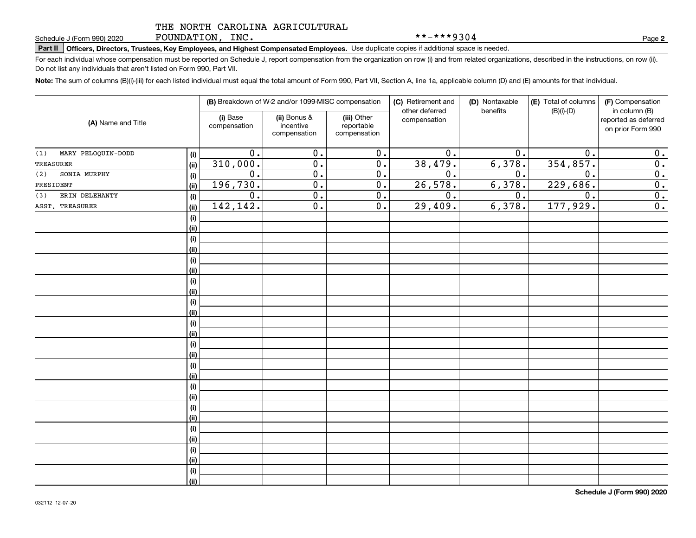FOUNDATION, INC.

Schedule J (Form 990) 2020 Page Page Page II**I (Form 990) 2020 Page Page Page III (Form 990) 2020 Page Page Page**<br>Part II | Officers, Directors, Trustees, Key Employees, and Highest Compensated Employees. Use duplicate co

For each individual whose compensation must be reported on Schedule J, report compensation from the organization on row (i) and from related organizations, described in the instructions, on row (ii). Do not list any individuals that aren't listed on Form 990, Part VII.

**Note:**  The sum of columns (B)(i)-(iii) for each listed individual must equal the total amount of Form 990, Part VII, Section A, line 1a, applicable column (D) and (E) amounts for that individual.

| (A) Name and Title        |             |                          | (B) Breakdown of W-2 and/or 1099-MISC compensation |                                           | (C) Retirement and<br>other deferred | (D) Nontaxable<br>benefits | (E) Total of columns<br>$(B)(i)$ - $(D)$ | (F) Compensation<br>in column (B)         |
|---------------------------|-------------|--------------------------|----------------------------------------------------|-------------------------------------------|--------------------------------------|----------------------------|------------------------------------------|-------------------------------------------|
|                           |             | (i) Base<br>compensation | (ii) Bonus &<br>incentive<br>compensation          | (iii) Other<br>reportable<br>compensation | compensation                         |                            |                                          | reported as deferred<br>on prior Form 990 |
| MARY PELOQUIN-DODD<br>(1) | (i)         | 0.                       | 0.                                                 | $\mathbf 0$ .                             | 0.                                   | 0.                         | 0.                                       | $\mathbf 0$ .                             |
| TREASURER                 | (ii)        | 310,000.                 | $\mathbf 0$ .                                      | $\overline{0}$ .                          | 38,479.                              | 6,378.                     | 354, 857.                                | $\overline{\mathbf{0}}$ .                 |
| SONIA MURPHY<br>(2)       | (i)         | $0$ .                    | $\overline{0}$ .                                   | 0.                                        | 0.                                   | 0.                         | 0.                                       | $\overline{\mathbf{0}}$ .                 |
| PRESIDENT                 | (ii)        | 196,730.                 | $\mathbf 0$ .                                      | 0.                                        | 26,578.                              | 6,378.                     | 229,686.                                 | $\overline{\mathbf{0}}$ .                 |
| ERIN DELEHANTY<br>(3)     | (i)         | $0$ .                    | $\overline{0}$ .                                   | 0.                                        | 0.                                   | 0.                         | 0.                                       | $\overline{\mathbf{0}}$ .                 |
| ASST. TREASURER           | (ii)        | 142,142.                 | $0$ .                                              | 0.                                        | 29,409.                              | 6,378.                     | 177,929.                                 | $\overline{0}$ .                          |
|                           | (i)         |                          |                                                    |                                           |                                      |                            |                                          |                                           |
|                           | (ii)        |                          |                                                    |                                           |                                      |                            |                                          |                                           |
|                           | (i)         |                          |                                                    |                                           |                                      |                            |                                          |                                           |
|                           | (ii)        |                          |                                                    |                                           |                                      |                            |                                          |                                           |
|                           | (i)         |                          |                                                    |                                           |                                      |                            |                                          |                                           |
|                           | (ii)        |                          |                                                    |                                           |                                      |                            |                                          |                                           |
|                           | (i)         |                          |                                                    |                                           |                                      |                            |                                          |                                           |
|                           | (ii)        |                          |                                                    |                                           |                                      |                            |                                          |                                           |
|                           | (i)         |                          |                                                    |                                           |                                      |                            |                                          |                                           |
|                           | (ii)        |                          |                                                    |                                           |                                      |                            |                                          |                                           |
|                           | (i)         |                          |                                                    |                                           |                                      |                            |                                          |                                           |
|                           | (ii)        |                          |                                                    |                                           |                                      |                            |                                          |                                           |
|                           | (i)         |                          |                                                    |                                           |                                      |                            |                                          |                                           |
|                           | (ii)        |                          |                                                    |                                           |                                      |                            |                                          |                                           |
|                           | (i)         |                          |                                                    |                                           |                                      |                            |                                          |                                           |
|                           | (ii)        |                          |                                                    |                                           |                                      |                            |                                          |                                           |
|                           | (i)         |                          |                                                    |                                           |                                      |                            |                                          |                                           |
|                           | (ii)        |                          |                                                    |                                           |                                      |                            |                                          |                                           |
|                           | (i)         |                          |                                                    |                                           |                                      |                            |                                          |                                           |
|                           | (ii)<br>(i) |                          |                                                    |                                           |                                      |                            |                                          |                                           |
|                           | (ii)        |                          |                                                    |                                           |                                      |                            |                                          |                                           |
|                           | (i)         |                          |                                                    |                                           |                                      |                            |                                          |                                           |
|                           | (ii)        |                          |                                                    |                                           |                                      |                            |                                          |                                           |
|                           | (i)         |                          |                                                    |                                           |                                      |                            |                                          |                                           |
|                           | (ii)        |                          |                                                    |                                           |                                      |                            |                                          |                                           |
|                           |             |                          |                                                    |                                           |                                      |                            |                                          |                                           |

**2**

\*\*-\*\*\*9304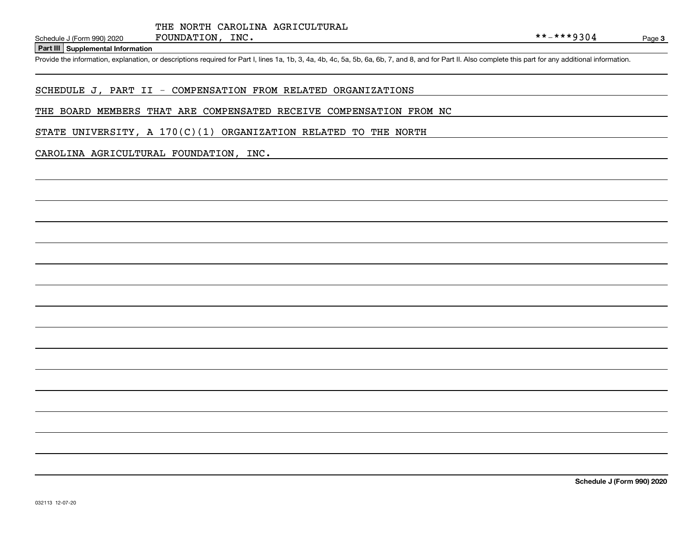### **Part III Supplemental Information**

Schedule J (Form 990) 2020 FOUNDATION, INC.<br>Part III Supplemental Information<br>Provide the information, explanation, or descriptions required for Part I, lines 1a, 1b, 3, 4a, 4b, 4c, 5a, 5b, 6a, 6b, 7, and 8, and for Part I

# SCHEDULE J, PART II - COMPENSATION FROM RELATED ORGANIZATIONS

### THE BOARD MEMBERS THAT ARE COMPENSATED RECEIVE COMPENSATION FROM NC

STATE UNIVERSITY, A  $170(C)(1)$  ORGANIZATION RELATED TO THE NORTH

### CAROLINA AGRICULTURAL FOUNDATION, INC.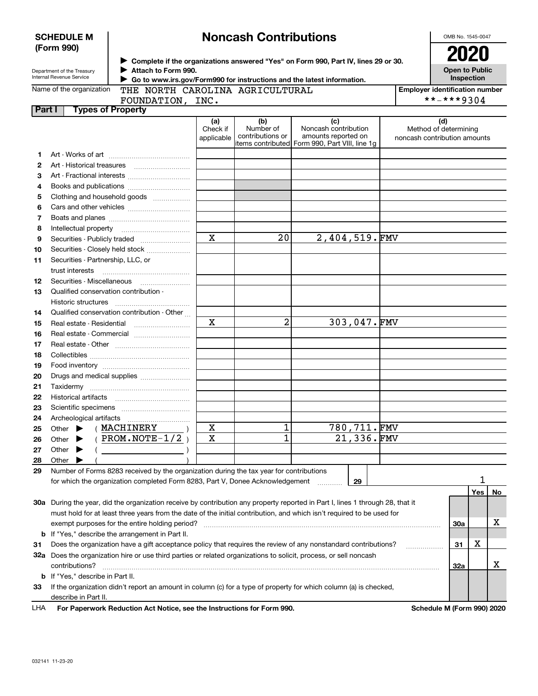|        | Internal Revenue Service                | Go to www.irs.gov/Form990 for instructions and the latest information.                                                         |                               |                                       |                                                                                                      |             | Inspection                                                   |     |    |
|--------|-----------------------------------------|--------------------------------------------------------------------------------------------------------------------------------|-------------------------------|---------------------------------------|------------------------------------------------------------------------------------------------------|-------------|--------------------------------------------------------------|-----|----|
|        | Name of the organization                | THE NORTH CAROLINA AGRICULTURAL                                                                                                |                               | <b>Employer identification number</b> |                                                                                                      |             |                                                              |     |    |
|        |                                         | FOUNDATION, INC.                                                                                                               |                               |                                       |                                                                                                      |             | **-***9304                                                   |     |    |
| Part I | <b>Types of Property</b>                |                                                                                                                                |                               |                                       |                                                                                                      |             |                                                              |     |    |
|        |                                         |                                                                                                                                | (a)<br>Check if<br>applicable | (b)<br>Number of<br>contributions or  | (c)<br>Noncash contribution<br>amounts reported on<br>items contributed Form 990, Part VIII, line 1g |             | (d)<br>Method of determining<br>noncash contribution amounts |     |    |
| 1      |                                         |                                                                                                                                |                               |                                       |                                                                                                      |             |                                                              |     |    |
| 2      |                                         |                                                                                                                                |                               |                                       |                                                                                                      |             |                                                              |     |    |
| з      |                                         | Art - Fractional interests                                                                                                     |                               |                                       |                                                                                                      |             |                                                              |     |    |
| 4      |                                         |                                                                                                                                |                               |                                       |                                                                                                      |             |                                                              |     |    |
| 5      |                                         | Clothing and household goods                                                                                                   |                               |                                       |                                                                                                      |             |                                                              |     |    |
| 6      |                                         |                                                                                                                                |                               |                                       |                                                                                                      |             |                                                              |     |    |
| 7      |                                         |                                                                                                                                |                               |                                       |                                                                                                      |             |                                                              |     |    |
| 8      |                                         |                                                                                                                                |                               |                                       |                                                                                                      |             |                                                              |     |    |
| 9      |                                         | Securities - Publicly traded                                                                                                   | $\overline{\mathbf{x}}$       | 20                                    | 2,404,519.FMV                                                                                        |             |                                                              |     |    |
| 10     |                                         | Securities - Closely held stock                                                                                                |                               |                                       |                                                                                                      |             |                                                              |     |    |
| 11     | Securities - Partnership, LLC, or       |                                                                                                                                |                               |                                       |                                                                                                      |             |                                                              |     |    |
|        | trust interests                         |                                                                                                                                |                               |                                       |                                                                                                      |             |                                                              |     |    |
| 12     | Securities - Miscellaneous              |                                                                                                                                |                               |                                       |                                                                                                      |             |                                                              |     |    |
| 13     | Qualified conservation contribution -   |                                                                                                                                |                               |                                       |                                                                                                      |             |                                                              |     |    |
|        |                                         |                                                                                                                                |                               |                                       |                                                                                                      |             |                                                              |     |    |
| 14     |                                         | Qualified conservation contribution - Other                                                                                    |                               |                                       |                                                                                                      |             |                                                              |     |    |
| 15     |                                         |                                                                                                                                | $\mathbf x$                   | $\overline{a}$                        |                                                                                                      | 303,047.FMV |                                                              |     |    |
| 16     |                                         | Real estate - Commercial                                                                                                       |                               |                                       |                                                                                                      |             |                                                              |     |    |
| 17     |                                         |                                                                                                                                |                               |                                       |                                                                                                      |             |                                                              |     |    |
| 18     |                                         |                                                                                                                                |                               |                                       |                                                                                                      |             |                                                              |     |    |
| 19     |                                         |                                                                                                                                |                               |                                       |                                                                                                      |             |                                                              |     |    |
| 20     |                                         | Drugs and medical supplies                                                                                                     |                               |                                       |                                                                                                      |             |                                                              |     |    |
| 21     |                                         |                                                                                                                                |                               |                                       |                                                                                                      |             |                                                              |     |    |
| 22     | Historical artifacts                    |                                                                                                                                |                               |                                       |                                                                                                      |             |                                                              |     |    |
| 23     |                                         |                                                                                                                                |                               |                                       |                                                                                                      |             |                                                              |     |    |
| 24     |                                         |                                                                                                                                |                               |                                       |                                                                                                      |             |                                                              |     |    |
| 25     | Other $\blacktriangleright$             | ( MACHINERY                                                                                                                    | $\mathbf X$                   | 1                                     |                                                                                                      | 780,711.FMV |                                                              |     |    |
| 26     | Other $\blacktriangleright$             | PROM.NOTE- $1/2$                                                                                                               | $\mathbf X$                   | 1                                     |                                                                                                      | 21,336.FMV  |                                                              |     |    |
| 27     | Other $\blacktriangleright$             |                                                                                                                                |                               |                                       |                                                                                                      |             |                                                              |     |    |
| 28     | Other $\blacktriangleright$             |                                                                                                                                |                               |                                       |                                                                                                      |             |                                                              |     |    |
| 29     |                                         | Number of Forms 8283 received by the organization during the tax year for contributions                                        |                               |                                       |                                                                                                      |             |                                                              |     |    |
|        |                                         | for which the organization completed Form 8283, Part V, Donee Acknowledgement                                                  |                               |                                       |                                                                                                      | 29          |                                                              | 1   |    |
|        |                                         |                                                                                                                                |                               |                                       |                                                                                                      |             |                                                              | Yes | No |
|        |                                         |                                                                                                                                |                               |                                       |                                                                                                      |             |                                                              |     |    |
|        |                                         | 30a During the year, did the organization receive by contribution any property reported in Part I, lines 1 through 28, that it |                               |                                       |                                                                                                      |             |                                                              |     |    |
|        |                                         | must hold for at least three years from the date of the initial contribution, and which isn't required to be used for          |                               |                                       |                                                                                                      |             |                                                              |     | х  |
|        |                                         |                                                                                                                                |                               |                                       |                                                                                                      |             | <b>30a</b>                                                   |     |    |
|        |                                         | <b>b</b> If "Yes," describe the arrangement in Part II.                                                                        |                               |                                       |                                                                                                      |             |                                                              |     |    |
| 31     |                                         | Does the organization have a gift acceptance policy that requires the review of any nonstandard contributions?                 |                               |                                       |                                                                                                      |             | 31                                                           | x   |    |
|        |                                         | 32a Does the organization hire or use third parties or related organizations to solicit, process, or sell noncash              |                               |                                       |                                                                                                      |             |                                                              |     |    |
|        | contributions?                          |                                                                                                                                |                               |                                       |                                                                                                      |             | 32a                                                          |     | х  |
|        | <b>b</b> If "Yes," describe in Part II. |                                                                                                                                |                               |                                       |                                                                                                      |             |                                                              |     |    |

**33**If the organization didn't report an amount in column (c) for a type of property for which column (a) is checked, describe in Part II.

For Paperwork Reduction Act Notice, see the Instructions for Form 990. **Schedule M (Form 990) 2020** LHA

# **Noncash Contributions**

**Complete if the organizations answered "Yes" on Form 990, Part IV, lines 29 or 30.** <sup>J</sup>**2020**

**Open to Public**

| Department of the Treasury |  |
|----------------------------|--|
|                            |  |
| Internal Pevenue Service   |  |

**Attach to Form 990.** J

**SCHEDULE M (Form 990)**

| OMB No. 1545-0047 |
|-------------------|
| - 1               |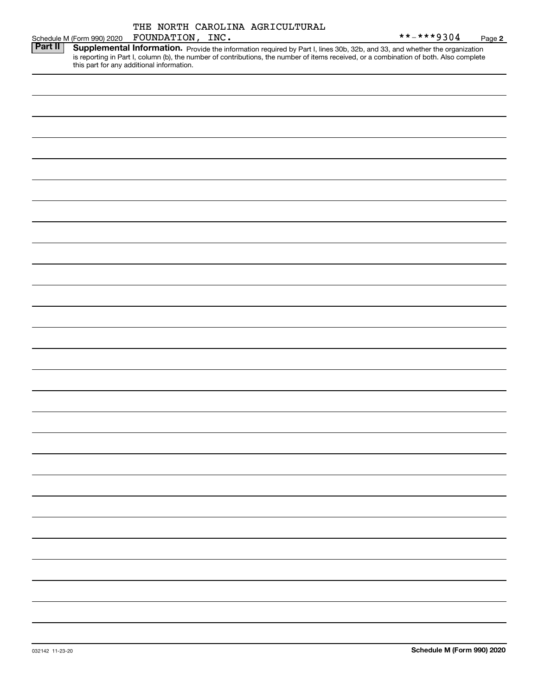**2**

|         |                                           |                                                                                                                                                                                                                                                                      | $***$ $***$ 9304 | Page |
|---------|-------------------------------------------|----------------------------------------------------------------------------------------------------------------------------------------------------------------------------------------------------------------------------------------------------------------------|------------------|------|
| Part II | this part for any additional information. | Supplemental Information. Provide the information required by Part I, lines 30b, 32b, and 33, and whether the organization<br>is reporting in Part I, column (b), the number of contributions, the number of items received, or a combination of both. Also complete |                  |      |
|         |                                           |                                                                                                                                                                                                                                                                      |                  |      |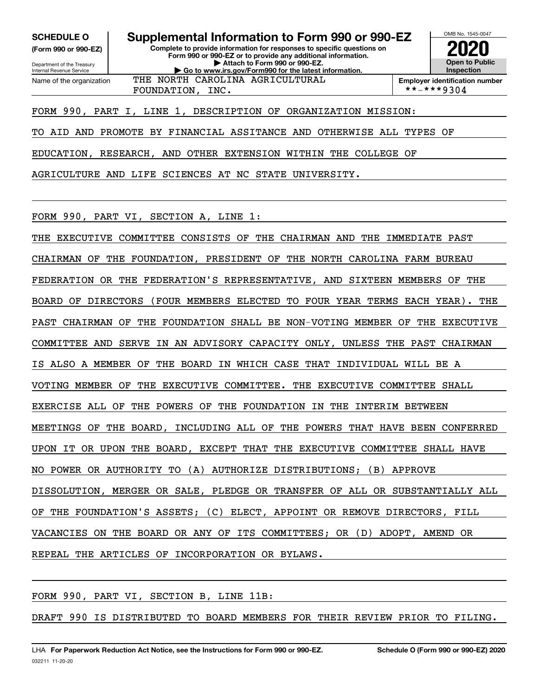**(Form 990 or 990-EZ)**

Department of the Treasury Internal Revenue Service Name of the organization

**Complete to provide information for responses to specific questions on Form 990 or 990-EZ or to provide any additional information. | Attach to Form 990 or 990-EZ. | Go to www.irs.gov/Form990 for the latest information. SCHEDULE O Supplemental Information to Form 990 or 990-EZ**



**Employer identification number** FOUNDATION, INC.  $|$  \*\*-\*\*\*9304

FORM 990, PART I, LINE 1, DESCRIPTION OF ORGANIZATION MISSION:

THE NORTH CAROLINA AGRICULTURAL

TO AID AND PROMOTE BY FINANCIAL ASSITANCE AND OTHERWISE ALL TYPES OF

EDUCATION, RESEARCH, AND OTHER EXTENSION WITHIN THE COLLEGE OF

AGRICULTURE AND LIFE SCIENCES AT NC STATE UNIVERSITY.

FORM 990, PART VI, SECTION A, LINE 1:

THE EXECUTIVE COMMITTEE CONSISTS OF THE CHAIRMAN AND THE IMMEDIATE PAST CHAIRMAN OF THE FOUNDATION, PRESIDENT OF THE NORTH CAROLINA FARM BUREAU FEDERATION OR THE FEDERATION'S REPRESENTATIVE, AND SIXTEEN MEMBERS OF THE BOARD OF DIRECTORS (FOUR MEMBERS ELECTED TO FOUR YEAR TERMS EACH YEAR). THE PAST CHAIRMAN OF THE FOUNDATION SHALL BE NON-VOTING MEMBER OF THE EXECUTIVE COMMITTEE AND SERVE IN AN ADVISORY CAPACITY ONLY, UNLESS THE PAST CHAIRMAN IS ALSO A MEMBER OF THE BOARD IN WHICH CASE THAT INDIVIDUAL WILL BE A VOTING MEMBER OF THE EXECUTIVE COMMITTEE. THE EXECUTIVE COMMITTEE SHALL EXERCISE ALL OF THE POWERS OF THE FOUNDATION IN THE INTERIM BETWEEN MEETINGS OF THE BOARD, INCLUDING ALL OF THE POWERS THAT HAVE BEEN CONFERRED UPON IT OR UPON THE BOARD, EXCEPT THAT THE EXECUTIVE COMMITTEE SHALL HAVE NO POWER OR AUTHORITY TO (A) AUTHORIZE DISTRIBUTIONS; (B) APPROVE DISSOLUTION, MERGER OR SALE, PLEDGE OR TRANSFER OF ALL OR SUBSTANTIALLY ALL OF THE FOUNDATION'S ASSETS; (C) ELECT, APPOINT OR REMOVE DIRECTORS, FILL VACANCIES ON THE BOARD OR ANY OF ITS COMMITTEES; OR (D) ADOPT, AMEND OR REPEAL THE ARTICLES OF INCORPORATION OR BYLAWS.

FORM 990, PART VI, SECTION B, LINE 11B:

DRAFT 990 IS DISTRIBUTED TO BOARD MEMBERS FOR THEIR REVIEW PRIOR TO FILING.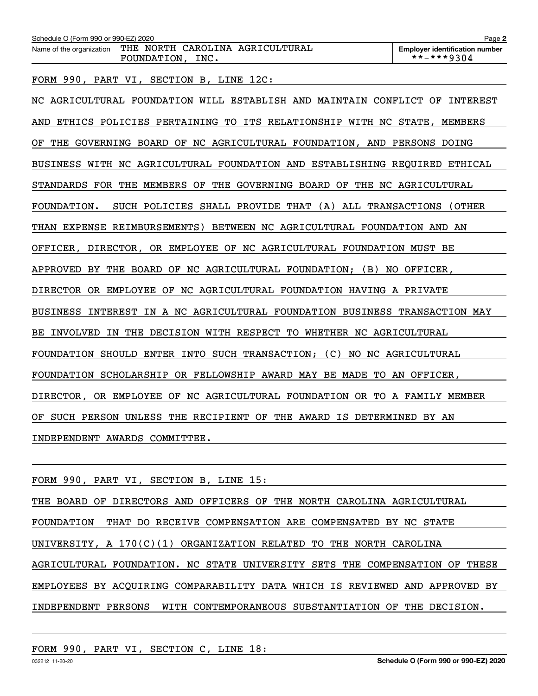| Schedule O (Form 990 or 990-EZ) 2020                                                    | Page 2                                              |
|-----------------------------------------------------------------------------------------|-----------------------------------------------------|
| THE NORTH CAROLINA AGRICULTURAL<br>Name of the organization<br>FOUNDATION, INC.         | <b>Employer identification number</b><br>**-***9304 |
| FORM 990, PART VI, SECTION B, LINE 12C:                                                 |                                                     |
| AGRICULTURAL FOUNDATION WILL ESTABLISH AND MAINTAIN CONFLICT OF<br>NC.                  | INTEREST                                            |
| ETHICS POLICIES PERTAINING TO ITS RELATIONSHIP WITH NC STATE, MEMBERS<br>AND            |                                                     |
| THE GOVERNING BOARD OF NC AGRICULTURAL FOUNDATION, AND PERSONS DOING<br>ΟF              |                                                     |
| BUSINESS WITH NC AGRICULTURAL FOUNDATION AND ESTABLISHING REQUIRED ETHICAL              |                                                     |
| STANDARDS FOR THE MEMBERS OF THE GOVERNING BOARD OF THE NC AGRICULTURAL                 |                                                     |
| SUCH POLICIES SHALL PROVIDE THAT (A) ALL TRANSACTIONS<br>FOUNDATION.                    | (OTHER)                                             |
| THAN EXPENSE REIMBURSEMENTS) BETWEEN NC AGRICULTURAL FOUNDATION AND AN                  |                                                     |
| OFFICER, DIRECTOR, OR EMPLOYEE OF NC AGRICULTURAL FOUNDATION MUST BE                    |                                                     |
| APPROVED BY THE BOARD OF NC AGRICULTURAL FOUNDATION; (B) NO OFFICER,                    |                                                     |
| DIRECTOR OR EMPLOYEE OF NC AGRICULTURAL FOUNDATION HAVING A PRIVATE                     |                                                     |
| INTEREST<br>IN A NC AGRICULTURAL FOUNDATION BUSINESS TRANSACTION MAY<br><b>BUSINESS</b> |                                                     |
| INVOLVED IN THE DECISION WITH RESPECT TO WHETHER NC AGRICULTURAL<br>BЕ                  |                                                     |
| FOUNDATION SHOULD ENTER INTO SUCH TRANSACTION; (C) NO NC AGRICULTURAL                   |                                                     |
| FOUNDATION SCHOLARSHIP OR FELLOWSHIP AWARD MAY BE MADE TO AN OFFICER,                   |                                                     |

DIRECTOR, OR EMPLOYEE OF NC AGRICULTURAL FOUNDATION OR TO A FAMILY MEMBER

OF SUCH PERSON UNLESS THE RECIPIENT OF THE AWARD IS DETERMINED BY AN

INDEPENDENT AWARDS COMMITTEE.

| FORM 990, PART VI, SECTION B, LINE 15:                                      |
|-----------------------------------------------------------------------------|
| THE BOARD OF DIRECTORS AND OFFICERS OF THE NORTH CAROLINA AGRICULTURAL      |
| THAT DO RECEIVE COMPENSATION ARE COMPENSATED BY NC STATE<br>FOUNDATION      |
| UNIVERSITY, A 170(C)(1) ORGANIZATION RELATED TO THE NORTH CAROLINA          |
| AGRICULTURAL FOUNDATION. NC STATE UNIVERSITY SETS THE COMPENSATION OF THESE |
| EMPLOYEES BY ACQUIRING COMPARABILITY DATA WHICH IS REVIEWED AND APPROVED BY |
| INDEPENDENT PERSONS WITH CONTEMPORANEOUS SUBSTANTIATION OF THE DECISION.    |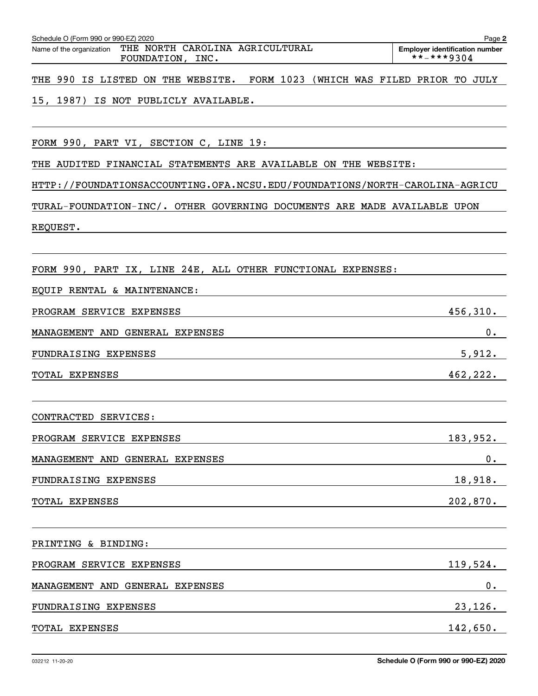| THE NORTH CAROLINA AGRICULTURAL<br>Name of the organization<br>FOUNDATION, INC.                                                                         | <b>Employer identification number</b><br>**-***9304 |  |  |  |  |  |  |  |  |
|---------------------------------------------------------------------------------------------------------------------------------------------------------|-----------------------------------------------------|--|--|--|--|--|--|--|--|
| FORM 1023<br>THE 990 IS LISTED ON THE WEBSITE.                                                                                                          | (WHICH WAS FILED PRIOR TO JULY                      |  |  |  |  |  |  |  |  |
| 15, 1987)<br>IS NOT PUBLICLY AVAILABLE.                                                                                                                 |                                                     |  |  |  |  |  |  |  |  |
|                                                                                                                                                         |                                                     |  |  |  |  |  |  |  |  |
| FORM 990, PART VI, SECTION C, LINE 19:                                                                                                                  |                                                     |  |  |  |  |  |  |  |  |
| THE AUDITED FINANCIAL STATEMENTS ARE AVAILABLE ON THE WEBSITE:                                                                                          |                                                     |  |  |  |  |  |  |  |  |
| HTTP://FOUNDATIONSACCOUNTING.OFA.NCSU.EDU/FOUNDATIONS/NORTH-CAROLINA-AGRICU                                                                             |                                                     |  |  |  |  |  |  |  |  |
| TURAL-FOUNDATION-INC/. OTHER GOVERNING DOCUMENTS ARE MADE AVAILABLE UPON                                                                                |                                                     |  |  |  |  |  |  |  |  |
| REQUEST.                                                                                                                                                |                                                     |  |  |  |  |  |  |  |  |
|                                                                                                                                                         |                                                     |  |  |  |  |  |  |  |  |
| FORM 990, PART IX, LINE 24E, ALL OTHER FUNCTIONAL EXPENSES:                                                                                             |                                                     |  |  |  |  |  |  |  |  |
| EQUIP RENTAL & MAINTENANCE:                                                                                                                             |                                                     |  |  |  |  |  |  |  |  |
| PROGRAM SERVICE EXPENSES                                                                                                                                | 456,310.                                            |  |  |  |  |  |  |  |  |
| MANAGEMENT AND GENERAL EXPENSES                                                                                                                         | $0$ .                                               |  |  |  |  |  |  |  |  |
| FUNDRAISING EXPENSES                                                                                                                                    | 5,912.                                              |  |  |  |  |  |  |  |  |
| TOTAL EXPENSES                                                                                                                                          | 462,222.                                            |  |  |  |  |  |  |  |  |
|                                                                                                                                                         |                                                     |  |  |  |  |  |  |  |  |
| CONTRACTED SERVICES:                                                                                                                                    |                                                     |  |  |  |  |  |  |  |  |
| PROGRAM SERVICE EXPENSES                                                                                                                                | 183,952.                                            |  |  |  |  |  |  |  |  |
| MANAGEMENT AND GENERAL EXPENSES                                                                                                                         | $0 \cdot$                                           |  |  |  |  |  |  |  |  |
| FUNDRAISING EXPENSES                                                                                                                                    | 18,918.                                             |  |  |  |  |  |  |  |  |
| TOTAL EXPENSES                                                                                                                                          | 202,870.                                            |  |  |  |  |  |  |  |  |
|                                                                                                                                                         |                                                     |  |  |  |  |  |  |  |  |
| PRINTING & BINDING:                                                                                                                                     |                                                     |  |  |  |  |  |  |  |  |
| PROGRAM SERVICE EXPENSES                                                                                                                                | 119, 524.                                           |  |  |  |  |  |  |  |  |
| MANAGEMENT AND GENERAL EXPENSES<br><u> 1989 - Johann Stein, mars an deutscher Stein und der Stein und der Stein und der Stein und der Stein und der</u> | 0.                                                  |  |  |  |  |  |  |  |  |
| FUNDRAISING EXPENSES                                                                                                                                    | 23,126.                                             |  |  |  |  |  |  |  |  |
| TOTAL EXPENSES<br><u> 1989 - Johann Stoff, amerikansk politiker (* 1908)</u>                                                                            | 142,650.                                            |  |  |  |  |  |  |  |  |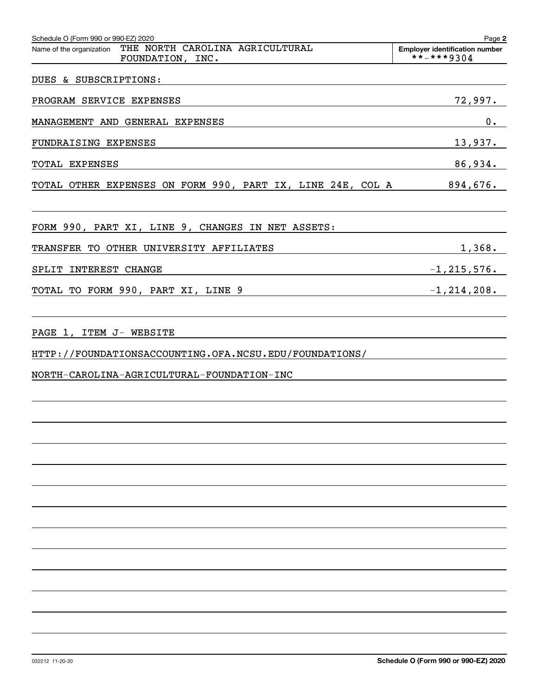| Schedule O (Form 990 or 990-EZ) 2020                                            | Page 2                                              |
|---------------------------------------------------------------------------------|-----------------------------------------------------|
| THE NORTH CAROLINA AGRICULTURAL<br>Name of the organization<br>FOUNDATION, INC. | <b>Employer identification number</b><br>**-***9304 |
| DUES & SUBSCRIPTIONS:                                                           |                                                     |
| PROGRAM SERVICE EXPENSES                                                        | 72,997.                                             |
| MANAGEMENT AND GENERAL EXPENSES                                                 | 0.                                                  |
| FUNDRAISING EXPENSES                                                            | 13,937.                                             |
| TOTAL EXPENSES                                                                  | 86,934.                                             |
| TOTAL OTHER EXPENSES ON FORM 990, PART IX, LINE 24E, COL A                      | $894,676$ .                                         |
| FORM 990, PART XI, LINE 9, CHANGES IN NET ASSETS:                               |                                                     |
| TRANSFER TO OTHER UNIVERSITY AFFILIATES                                         | 1,368.                                              |
| SPLIT INTEREST CHANGE                                                           | $-1, 215, 576.$                                     |
| TOTAL TO FORM 990, PART XI, LINE 9                                              | $-1$ ,214,208.                                      |
|                                                                                 |                                                     |
| PAGE 1, ITEM J- WEBSITE                                                         |                                                     |
| HTTP://FOUNDATIONSACCOUNTING.OFA.NCSU.EDU/FOUNDATIONS/                          |                                                     |
| NORTH-CAROLINA-AGRICULTURAL-FOUNDATION-INC                                      |                                                     |
|                                                                                 |                                                     |
|                                                                                 |                                                     |
|                                                                                 |                                                     |
|                                                                                 |                                                     |
|                                                                                 |                                                     |
|                                                                                 |                                                     |
|                                                                                 |                                                     |
|                                                                                 |                                                     |
|                                                                                 |                                                     |
|                                                                                 |                                                     |
|                                                                                 |                                                     |
|                                                                                 |                                                     |
|                                                                                 |                                                     |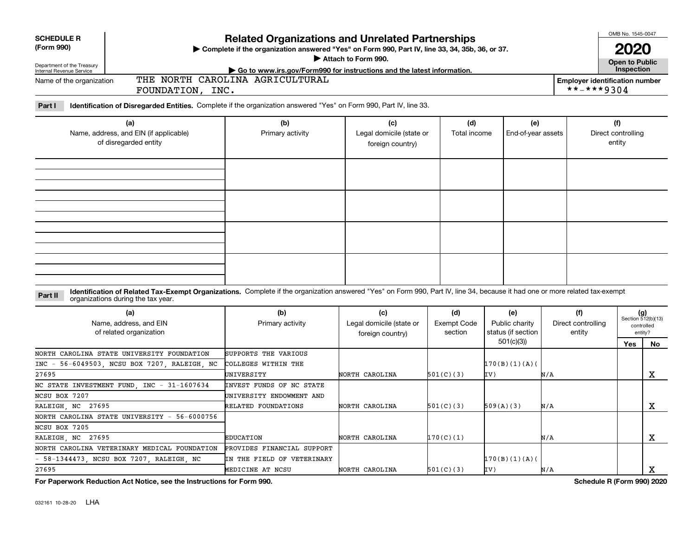|                                                                 |                                                                                                                                                                                                                    |                                                                                                                                                                                    |                          |                    |                    |     |                                                     | OMB No. 1545-0047                   |                             |  |  |
|-----------------------------------------------------------------|--------------------------------------------------------------------------------------------------------------------------------------------------------------------------------------------------------------------|------------------------------------------------------------------------------------------------------------------------------------------------------------------------------------|--------------------------|--------------------|--------------------|-----|-----------------------------------------------------|-------------------------------------|-----------------------------|--|--|
| <b>SCHEDULE R</b><br>(Form 990)                                 |                                                                                                                                                                                                                    | <b>Related Organizations and Unrelated Partnerships</b><br>> Complete if the organization answered "Yes" on Form 990, Part IV, line 33, 34, 35b, 36, or 37.<br>Attach to Form 990. |                          |                    |                    |     |                                                     |                                     |                             |  |  |
| Department of the Treasury<br>Internal Revenue Service          |                                                                                                                                                                                                                    | Go to www.irs.gov/Form990 for instructions and the latest information.                                                                                                             |                          |                    |                    |     |                                                     | <b>Open to Public</b><br>Inspection |                             |  |  |
| Name of the organization                                        | FOUNDATION, INC.                                                                                                                                                                                                   | THE NORTH CAROLINA AGRICULTURAL                                                                                                                                                    |                          |                    |                    |     | <b>Employer identification number</b><br>**-***9304 |                                     |                             |  |  |
| Part I                                                          | Identification of Disregarded Entities. Complete if the organization answered "Yes" on Form 990, Part IV, line 33.                                                                                                 |                                                                                                                                                                                    |                          |                    |                    |     |                                                     |                                     |                             |  |  |
|                                                                 | (a)                                                                                                                                                                                                                | (b)                                                                                                                                                                                | (c)                      | (d)                | (e)                |     |                                                     | (f)                                 |                             |  |  |
| Name, address, and EIN (if applicable)<br>of disregarded entity |                                                                                                                                                                                                                    | Primary activity<br>Legal domicile (state or<br>foreign country)                                                                                                                   |                          | Total income       | End-of-year assets |     | Direct controlling<br>entity                        |                                     |                             |  |  |
|                                                                 |                                                                                                                                                                                                                    |                                                                                                                                                                                    |                          |                    |                    |     |                                                     |                                     |                             |  |  |
|                                                                 |                                                                                                                                                                                                                    |                                                                                                                                                                                    |                          |                    |                    |     |                                                     |                                     |                             |  |  |
|                                                                 |                                                                                                                                                                                                                    |                                                                                                                                                                                    |                          |                    |                    |     |                                                     |                                     |                             |  |  |
|                                                                 |                                                                                                                                                                                                                    |                                                                                                                                                                                    |                          |                    |                    |     |                                                     |                                     |                             |  |  |
|                                                                 |                                                                                                                                                                                                                    |                                                                                                                                                                                    |                          |                    |                    |     |                                                     |                                     |                             |  |  |
|                                                                 |                                                                                                                                                                                                                    |                                                                                                                                                                                    |                          |                    |                    |     |                                                     |                                     |                             |  |  |
| Part II                                                         | Identification of Related Tax-Exempt Organizations. Complete if the organization answered "Yes" on Form 990, Part IV, line 34, because it had one or more related tax-exempt<br>organizations during the tax year. |                                                                                                                                                                                    |                          |                    |                    |     |                                                     |                                     |                             |  |  |
|                                                                 | (a)                                                                                                                                                                                                                | (b)                                                                                                                                                                                | (c)                      | (d)                | (e)                |     | (f)                                                 |                                     | $(g)$<br>Section 512(b)(13) |  |  |
|                                                                 | Name, address, and EIN                                                                                                                                                                                             | Primary activity                                                                                                                                                                   | Legal domicile (state or | <b>Exempt Code</b> | Public charity     |     | Direct controlling                                  |                                     | controlled                  |  |  |
| of related organization                                         |                                                                                                                                                                                                                    |                                                                                                                                                                                    | foreign country)         | section            | status (if section |     | entity                                              |                                     | entity?                     |  |  |
|                                                                 |                                                                                                                                                                                                                    |                                                                                                                                                                                    |                          |                    | 501(c)(3)          |     |                                                     | Yes                                 | No                          |  |  |
|                                                                 | NORTH CAROLINA STATE UNIVERSITY FOUNDATION                                                                                                                                                                         | SUPPORTS THE VARIOUS                                                                                                                                                               |                          |                    |                    |     |                                                     |                                     |                             |  |  |
|                                                                 | INC - 56-6049503, NCSU BOX 7207, RALEIGH, NC                                                                                                                                                                       | COLLEGES WITHIN THE                                                                                                                                                                |                          |                    | 170(B)(1)(A)       |     |                                                     |                                     |                             |  |  |
| 27695                                                           |                                                                                                                                                                                                                    | UNIVERSITY                                                                                                                                                                         | NORTH CAROLINA           | 501(C)(3)          | IV)                | N/A |                                                     |                                     | X                           |  |  |
|                                                                 | NC STATE INVESTMENT FUND, INC - 31-1607634                                                                                                                                                                         | INVEST FUNDS OF NC STATE                                                                                                                                                           |                          |                    |                    |     |                                                     |                                     |                             |  |  |
| NCSU BOX 7207                                                   |                                                                                                                                                                                                                    | UNIVERSITY ENDOWMENT AND                                                                                                                                                           |                          |                    |                    |     |                                                     |                                     |                             |  |  |
| RALEIGH, NC 27695                                               |                                                                                                                                                                                                                    | RELATED FOUNDATIONS                                                                                                                                                                | NORTH CAROLINA           | 501(C)(3)          | 509(A)(3)          | N/A |                                                     |                                     | х                           |  |  |

NORTH CAROLINA

EDUCATION

PROVIDES FINANCIAL SUPPORT IN THE FIELD OF VETERINARY X

X

170(B)(1)(A)(

IV)

170(C)(1)

501(C)(3)

N/A

N/A

RALEIGH, NC 27695

NCSU BOX 7205

NORTH CAROLINA STATE UNIVERSITY - 56-6000756

NORTH CAROLINA VETERINARY MEDICAL FOUNDATION

- 58-1344473, NCSU BOX 7207, RALEIGH, NC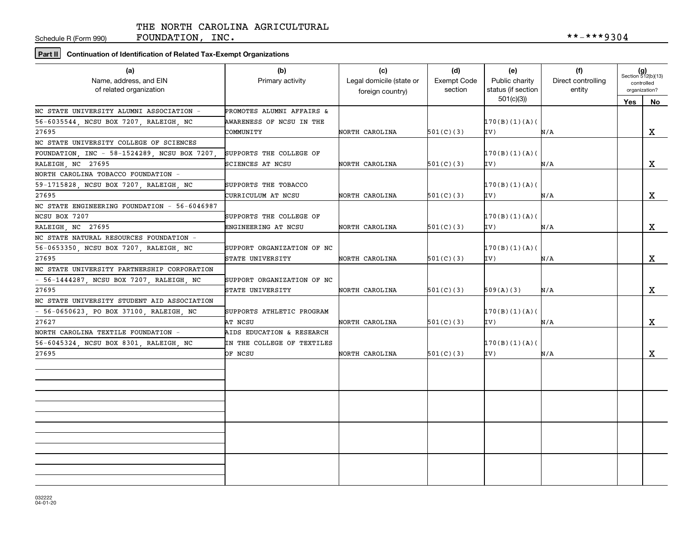Schedule R (Form 990)

FOUNDATION, INC.  $***-**9304$ 

**Part II Continuation of Identification of Related Tax-Exempt Organizations**

| (a)<br>Name, address, and EIN<br>of related organization | (b)<br>Primary activity    | (c)<br>Legal domicile (state or<br>foreign country) | (d)<br><b>Exempt Code</b><br>section | (e)<br>Public charity<br>status (if section | (f)<br>Direct controlling<br>entity | $(g)$<br>Section 512(b)(13)<br>controlled<br>organization? |             |
|----------------------------------------------------------|----------------------------|-----------------------------------------------------|--------------------------------------|---------------------------------------------|-------------------------------------|------------------------------------------------------------|-------------|
|                                                          |                            |                                                     |                                      | 501(c)(3)                                   |                                     | Yes                                                        | No          |
| NC STATE UNIVERSITY ALUMNI ASSOCIATION                   | PROMOTES ALUMNI AFFAIRS &  |                                                     |                                      |                                             |                                     |                                                            |             |
| 56-6035544, NCSU BOX 7207, RALEIGH, NC                   | AWARENESS OF NCSU IN THE   |                                                     |                                      | 170(B)(1)(A)                                |                                     |                                                            |             |
| 27695                                                    | <b>COMMUNITY</b>           | NORTH CAROLINA                                      | 501(C)(3)                            | IV)                                         | N/A                                 |                                                            | x           |
| NC STATE UNIVERSITY COLLEGE OF SCIENCES                  |                            |                                                     |                                      |                                             |                                     |                                                            |             |
| FOUNDATION, INC - 58-1524289, NCSU BOX 7207,             | SUPPORTS THE COLLEGE OF    |                                                     |                                      | 170(B)(1)(A)                                |                                     |                                                            |             |
| RALEIGH, NC 27695                                        | SCIENCES AT NCSU           | NORTH CAROLINA                                      | 501(C)(3)                            | IV)                                         | N/A                                 |                                                            | X           |
| NORTH CAROLINA TOBACCO FOUNDATION -                      |                            |                                                     |                                      |                                             |                                     |                                                            |             |
| 59-1715828, NCSU BOX 7207, RALEIGH, NC                   | SUPPORTS THE TOBACCO       |                                                     |                                      | 170(B)(1)(A)(                               |                                     |                                                            |             |
| 27695                                                    | CURRICULUM AT NCSU         | NORTH CAROLINA                                      | 501(C)(3)                            | IV)                                         | N/A                                 |                                                            | x           |
| NC STATE ENGINEERING FOUNDATION - 56-6046987             |                            |                                                     |                                      |                                             |                                     |                                                            |             |
| NCSU BOX 7207                                            | SUPPORTS THE COLLEGE OF    |                                                     |                                      | 170(B)(1)(A)(                               |                                     |                                                            |             |
| RALEIGH NC 27695                                         | ENGINEERING AT NCSU        | NORTH CAROLINA                                      | 501(C)(3)                            | IV)                                         | N/A                                 |                                                            | X           |
| NC STATE NATURAL RESOURCES FOUNDATION -                  |                            |                                                     |                                      |                                             |                                     |                                                            |             |
| 56-0653350, NCSU BOX 7207, RALEIGH, NC                   | SUPPORT ORGANIZATION OF NC |                                                     |                                      | 170(B)(1)(A)                                |                                     |                                                            |             |
| 27695                                                    | STATE UNIVERSITY           | NORTH CAROLINA                                      | 501(C)(3)                            | IV)                                         | N/A                                 |                                                            | $\mathbf X$ |
| NC STATE UNIVERSITY PARTNERSHIP CORPORATION              |                            |                                                     |                                      |                                             |                                     |                                                            |             |
| - 56-1444287, NCSU BOX 7207, RALEIGH, NC                 | SUPPORT ORGANIZATION OF NC |                                                     |                                      |                                             |                                     |                                                            |             |
| 27695                                                    | STATE UNIVERSITY           | NORTH CAROLINA                                      | 501(C)(3)                            | 509(A)(3)                                   | N/A                                 |                                                            | X           |
| NC STATE UNIVERSITY STUDENT AID ASSOCIATION              |                            |                                                     |                                      |                                             |                                     |                                                            |             |
| $-56-0650623$ , PO BOX 37100, RALEIGH, NC                | SUPPORTS ATHLETIC PROGRAM  |                                                     |                                      | 170(B)(1)(A)                                |                                     |                                                            |             |
| 27627                                                    | AT NCSU                    | NORTH CAROLINA                                      | 501(C)(3)                            | IV)                                         | N/A                                 |                                                            | X           |
| NORTH CAROLINA TEXTILE FOUNDATION -                      | AIDS EDUCATION & RESEARCH  |                                                     |                                      |                                             |                                     |                                                            |             |
| 56-6045324, NCSU BOX 8301, RALEIGH, NC                   | IN THE COLLEGE OF TEXTILES |                                                     |                                      | 170(B)(1)(A)(                               |                                     |                                                            |             |
| 27695                                                    | OF NCSU                    | NORTH CAROLINA                                      | 501(C)(3)                            | IV)                                         | N/A                                 |                                                            | x           |
|                                                          |                            |                                                     |                                      |                                             |                                     |                                                            |             |
|                                                          |                            |                                                     |                                      |                                             |                                     |                                                            |             |
|                                                          |                            |                                                     |                                      |                                             |                                     |                                                            |             |
|                                                          |                            |                                                     |                                      |                                             |                                     |                                                            |             |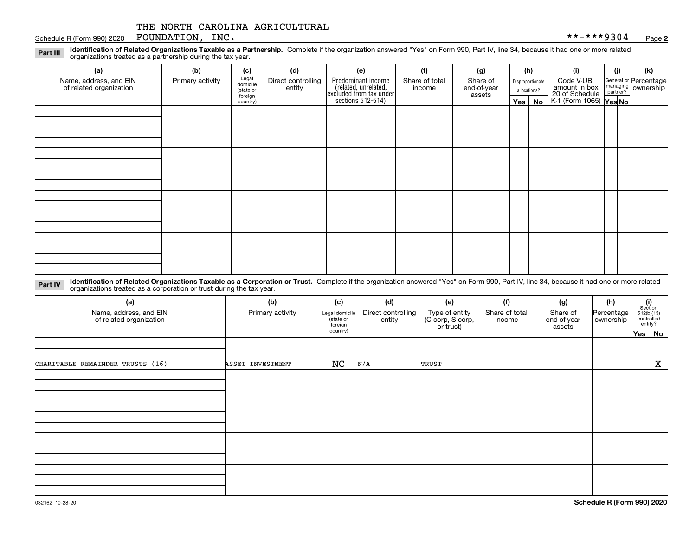### Schedule R (Form 990) 2020 Page FOUNDATION, INC. \*\*-\*\*\*9304

**Identification of Related Organizations Taxable as a Partnership.** Complete if the organization answered "Yes" on Form 990, Part IV, line 34, because it had one or more related **Part III** organizations treated as a partnership during the tax year.

| (a)                                               | (b)              | (c)                  | (d)                          | (e)                                                                                        | (f)                      | (g)                     |              | (h)              | (i)                                                              | (j) | (k)                                                     |
|---------------------------------------------------|------------------|----------------------|------------------------------|--------------------------------------------------------------------------------------------|--------------------------|-------------------------|--------------|------------------|------------------------------------------------------------------|-----|---------------------------------------------------------|
| Name, address, and EIN<br>of related organization | Primary activity | Legal<br>domicile    | Direct controlling<br>entity | Predominant income<br>(related, unrelated,<br>excluded from tax under<br>sections 512-514) | Share of total<br>income | Share of<br>end-of-year |              | Disproportionate | Code V-UBI                                                       |     | General or Percentage<br>managing ownership<br>partner? |
|                                                   |                  | (state or<br>foreign |                              |                                                                                            |                          | assets                  | allocations? |                  |                                                                  |     |                                                         |
|                                                   |                  | country)             |                              |                                                                                            |                          |                         | Yes $ $      | No               | amount in box<br>20 of Schedule<br>K-1 (Form 1065) <b>Yes No</b> |     |                                                         |
|                                                   |                  |                      |                              |                                                                                            |                          |                         |              |                  |                                                                  |     |                                                         |
|                                                   |                  |                      |                              |                                                                                            |                          |                         |              |                  |                                                                  |     |                                                         |
|                                                   |                  |                      |                              |                                                                                            |                          |                         |              |                  |                                                                  |     |                                                         |
|                                                   |                  |                      |                              |                                                                                            |                          |                         |              |                  |                                                                  |     |                                                         |
|                                                   |                  |                      |                              |                                                                                            |                          |                         |              |                  |                                                                  |     |                                                         |
|                                                   |                  |                      |                              |                                                                                            |                          |                         |              |                  |                                                                  |     |                                                         |
|                                                   |                  |                      |                              |                                                                                            |                          |                         |              |                  |                                                                  |     |                                                         |
|                                                   |                  |                      |                              |                                                                                            |                          |                         |              |                  |                                                                  |     |                                                         |
|                                                   |                  |                      |                              |                                                                                            |                          |                         |              |                  |                                                                  |     |                                                         |
|                                                   |                  |                      |                              |                                                                                            |                          |                         |              |                  |                                                                  |     |                                                         |
|                                                   |                  |                      |                              |                                                                                            |                          |                         |              |                  |                                                                  |     |                                                         |
|                                                   |                  |                      |                              |                                                                                            |                          |                         |              |                  |                                                                  |     |                                                         |
|                                                   |                  |                      |                              |                                                                                            |                          |                         |              |                  |                                                                  |     |                                                         |
|                                                   |                  |                      |                              |                                                                                            |                          |                         |              |                  |                                                                  |     |                                                         |
|                                                   |                  |                      |                              |                                                                                            |                          |                         |              |                  |                                                                  |     |                                                         |
|                                                   |                  |                      |                              |                                                                                            |                          |                         |              |                  |                                                                  |     |                                                         |
|                                                   |                  |                      |                              |                                                                                            |                          |                         |              |                  |                                                                  |     |                                                         |

**Identification of Related Organizations Taxable as a Corporation or Trust.** Complete if the organization answered "Yes" on Form 990, Part IV, line 34, because it had one or more related **Part IV** organizations treated as a corporation or trust during the tax year.

| (a)<br>Name, address, and EIN<br>of related organization | (b)<br>(c)<br>Primary activity<br>Legal domicile<br>state or<br>foreign |          | (d)<br>Direct controlling<br>entity | (e)<br>Type of entity<br>(C corp, S corp,<br>or trust) | (f)<br>Share of total<br>income | (g)<br>Share of<br>end-of-year<br>assets | (h)<br>Percentage<br>ownership | (i)<br>Section<br>512(b)(13)<br>controlled<br>entity? |
|----------------------------------------------------------|-------------------------------------------------------------------------|----------|-------------------------------------|--------------------------------------------------------|---------------------------------|------------------------------------------|--------------------------------|-------------------------------------------------------|
|                                                          |                                                                         | country) |                                     |                                                        |                                 |                                          |                                | Yes No                                                |
| CHARITABLE REMAINDER TRUSTS (16)                         | ASSET INVESTMENT                                                        | NC       | N/A                                 | TRUST                                                  |                                 |                                          |                                | X                                                     |
|                                                          |                                                                         |          |                                     |                                                        |                                 |                                          |                                |                                                       |
|                                                          |                                                                         |          |                                     |                                                        |                                 |                                          |                                |                                                       |
|                                                          |                                                                         |          |                                     |                                                        |                                 |                                          |                                |                                                       |
|                                                          |                                                                         |          |                                     |                                                        |                                 |                                          |                                |                                                       |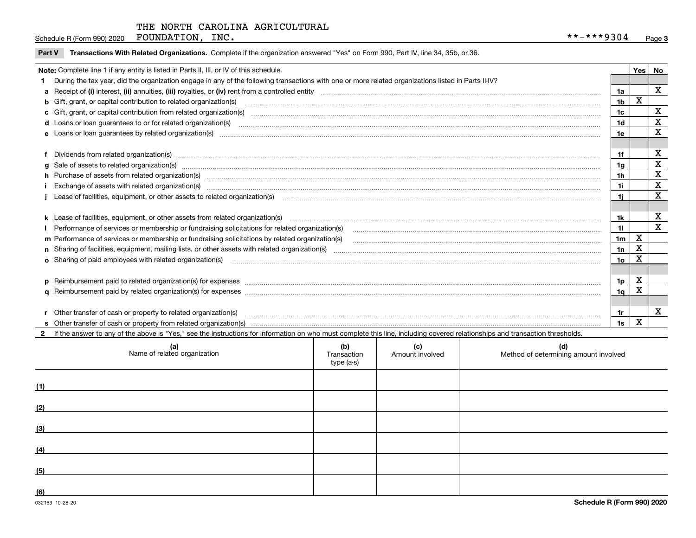Schedule R (Form 990) 2020 Page FOUNDATION, INC. \*\*-\*\*\*9304

|  | Part V Transactions With Related Organizations. Complete if the organization answered "Yes" on Form 990, Part IV, line 34, 35b, or 36 |  |  |
|--|---------------------------------------------------------------------------------------------------------------------------------------|--|--|
|--|---------------------------------------------------------------------------------------------------------------------------------------|--|--|

| Note: Complete line 1 if any entity is listed in Parts II, III, or IV of this schedule. |                                                                                                                                                                                                                                |                |   |                           |  |  |
|-----------------------------------------------------------------------------------------|--------------------------------------------------------------------------------------------------------------------------------------------------------------------------------------------------------------------------------|----------------|---|---------------------------|--|--|
|                                                                                         | During the tax year, did the organization engage in any of the following transactions with one or more related organizations listed in Parts II-IV?                                                                            |                |   |                           |  |  |
|                                                                                         |                                                                                                                                                                                                                                | 1a             |   | $\mathbf X$               |  |  |
|                                                                                         | b Gift, grant, or capital contribution to related organization(s) manufaction contracts and contribution to related organization(s)                                                                                            | 1 <sub>b</sub> | X |                           |  |  |
|                                                                                         |                                                                                                                                                                                                                                | 1 <sub>c</sub> |   | X                         |  |  |
|                                                                                         |                                                                                                                                                                                                                                | 1 <sub>d</sub> |   | $\mathbf X$               |  |  |
|                                                                                         |                                                                                                                                                                                                                                | 1e             |   | X                         |  |  |
|                                                                                         |                                                                                                                                                                                                                                |                |   |                           |  |  |
|                                                                                         | Dividends from related organization(s) manufactured and contract and contract or produced and contract and contract and contract and contract and contract and contract and contract and contract and contract and contract an | 1f             |   | X                         |  |  |
|                                                                                         |                                                                                                                                                                                                                                | 1a             |   | X                         |  |  |
|                                                                                         | h Purchase of assets from related organization(s) manufactured and content to content the content of assets from related organization(s)                                                                                       | 1 <sub>h</sub> |   | X                         |  |  |
|                                                                                         |                                                                                                                                                                                                                                | 1i             |   | X                         |  |  |
|                                                                                         | Lease of facilities, equipment, or other assets to related organization(s) [11] manufactured content and the state of facilities, equipment, or other assets to related organization(s) [11] manufactured content and the stat | 1i.            |   | X                         |  |  |
|                                                                                         |                                                                                                                                                                                                                                |                |   |                           |  |  |
|                                                                                         |                                                                                                                                                                                                                                | 1k             |   | $\boldsymbol{\mathrm{X}}$ |  |  |
|                                                                                         |                                                                                                                                                                                                                                | 11             |   | X                         |  |  |
|                                                                                         | m Performance of services or membership or fundraising solicitations by related organization(s)                                                                                                                                | 1 <sub>m</sub> | X |                           |  |  |
|                                                                                         |                                                                                                                                                                                                                                | 1n             | X |                           |  |  |
|                                                                                         | <b>o</b> Sharing of paid employees with related organization(s)                                                                                                                                                                | 1o             | х |                           |  |  |
|                                                                                         |                                                                                                                                                                                                                                |                |   |                           |  |  |
|                                                                                         |                                                                                                                                                                                                                                | 1 <sub>p</sub> | X |                           |  |  |
|                                                                                         |                                                                                                                                                                                                                                | 1 <sub>q</sub> | x |                           |  |  |
|                                                                                         |                                                                                                                                                                                                                                |                |   |                           |  |  |
|                                                                                         | r Other transfer of cash or property to related organization(s)                                                                                                                                                                | 1r             |   | х                         |  |  |
|                                                                                         |                                                                                                                                                                                                                                | 1s             | X |                           |  |  |
|                                                                                         | 2 If the answer to any of the above is "Yes," see the instructions for information on who must complete this line, including covered relationships and transaction thresholds.                                                 |                |   |                           |  |  |

| (a)<br>Name of related organization | (b)<br>Transaction<br>type (a-s) | (c)<br>Amount involved | (d)<br>Method of determining amount involved |
|-------------------------------------|----------------------------------|------------------------|----------------------------------------------|
| (1)                                 |                                  |                        |                                              |
| (2)                                 |                                  |                        |                                              |
| (3)                                 |                                  |                        |                                              |
| (4)                                 |                                  |                        |                                              |
| (5)                                 |                                  |                        |                                              |
| (6)                                 |                                  |                        |                                              |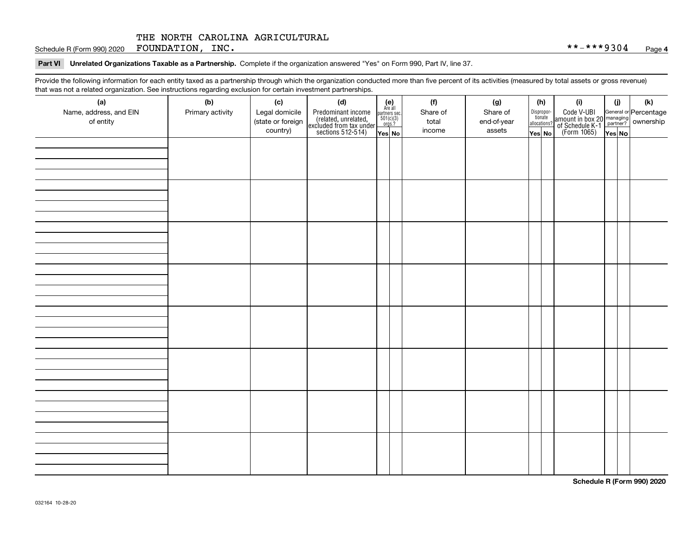Schedule R (Form 990) 2020 Page FOUNDATION, INC. \*\*-\*\*\*9304

#### **Part VI Unrelated Organizations Taxable as a Partnership. Complete if the organization answered "Yes" on Form 990, Part IV, line 37.**

Provide the following information for each entity taxed as a partnership through which the organization conducted more than five percent of its activities (measured by total assets or gross revenue) that was not a related organization. See instructions regarding exclusion for certain investment partnerships.

| ັ                      | ັ<br>ັ           |                   |                                                                                            |                                      |        |          |             |                                       |     |                                                                                                                                       |       |     |
|------------------------|------------------|-------------------|--------------------------------------------------------------------------------------------|--------------------------------------|--------|----------|-------------|---------------------------------------|-----|---------------------------------------------------------------------------------------------------------------------------------------|-------|-----|
| (a)                    | (b)              | (c)               | (d)                                                                                        | (e)<br>Are all                       | (f)    |          | (g)         |                                       | (h) | (i)                                                                                                                                   | (i)   | (k) |
| Name, address, and EIN | Primary activity | Legal domicile    | Predominant income<br>(related, unrelated,<br>excluded from tax under<br>sections 512-514) | partners sec.<br>501(c)(3)<br>orgs.? |        | Share of | Share of    | Dispropor-<br>tionate<br>allocations? |     | Code V-UBI<br>  amount in box 20 managing<br>  of Schedule K-1 partner? ownership<br>  of Schedule K-1 partner? ownership<br>  Yes No |       |     |
| of entity              |                  | (state or foreign |                                                                                            |                                      | total  |          | end-of-year |                                       |     |                                                                                                                                       |       |     |
|                        |                  | country)          |                                                                                            | Yes No                               | income |          | assets      | Yes No                                |     |                                                                                                                                       | YesNO |     |
|                        |                  |                   |                                                                                            |                                      |        |          |             |                                       |     |                                                                                                                                       |       |     |
|                        |                  |                   |                                                                                            |                                      |        |          |             |                                       |     |                                                                                                                                       |       |     |
|                        |                  |                   |                                                                                            |                                      |        |          |             |                                       |     |                                                                                                                                       |       |     |
|                        |                  |                   |                                                                                            |                                      |        |          |             |                                       |     |                                                                                                                                       |       |     |
|                        |                  |                   |                                                                                            |                                      |        |          |             |                                       |     |                                                                                                                                       |       |     |
|                        |                  |                   |                                                                                            |                                      |        |          |             |                                       |     |                                                                                                                                       |       |     |
|                        |                  |                   |                                                                                            |                                      |        |          |             |                                       |     |                                                                                                                                       |       |     |
|                        |                  |                   |                                                                                            |                                      |        |          |             |                                       |     |                                                                                                                                       |       |     |
|                        |                  |                   |                                                                                            |                                      |        |          |             |                                       |     |                                                                                                                                       |       |     |
|                        |                  |                   |                                                                                            |                                      |        |          |             |                                       |     |                                                                                                                                       |       |     |
|                        |                  |                   |                                                                                            |                                      |        |          |             |                                       |     |                                                                                                                                       |       |     |
|                        |                  |                   |                                                                                            |                                      |        |          |             |                                       |     |                                                                                                                                       |       |     |
|                        |                  |                   |                                                                                            |                                      |        |          |             |                                       |     |                                                                                                                                       |       |     |
|                        |                  |                   |                                                                                            |                                      |        |          |             |                                       |     |                                                                                                                                       |       |     |
|                        |                  |                   |                                                                                            |                                      |        |          |             |                                       |     |                                                                                                                                       |       |     |
|                        |                  |                   |                                                                                            |                                      |        |          |             |                                       |     |                                                                                                                                       |       |     |
|                        |                  |                   |                                                                                            |                                      |        |          |             |                                       |     |                                                                                                                                       |       |     |
|                        |                  |                   |                                                                                            |                                      |        |          |             |                                       |     |                                                                                                                                       |       |     |
|                        |                  |                   |                                                                                            |                                      |        |          |             |                                       |     |                                                                                                                                       |       |     |
|                        |                  |                   |                                                                                            |                                      |        |          |             |                                       |     |                                                                                                                                       |       |     |
|                        |                  |                   |                                                                                            |                                      |        |          |             |                                       |     |                                                                                                                                       |       |     |
|                        |                  |                   |                                                                                            |                                      |        |          |             |                                       |     |                                                                                                                                       |       |     |
|                        |                  |                   |                                                                                            |                                      |        |          |             |                                       |     |                                                                                                                                       |       |     |
|                        |                  |                   |                                                                                            |                                      |        |          |             |                                       |     |                                                                                                                                       |       |     |
|                        |                  |                   |                                                                                            |                                      |        |          |             |                                       |     |                                                                                                                                       |       |     |
|                        |                  |                   |                                                                                            |                                      |        |          |             |                                       |     |                                                                                                                                       |       |     |
|                        |                  |                   |                                                                                            |                                      |        |          |             |                                       |     |                                                                                                                                       |       |     |
|                        |                  |                   |                                                                                            |                                      |        |          |             |                                       |     |                                                                                                                                       |       |     |
|                        |                  |                   |                                                                                            |                                      |        |          |             |                                       |     |                                                                                                                                       |       |     |
|                        |                  |                   |                                                                                            |                                      |        |          |             |                                       |     |                                                                                                                                       |       |     |
|                        |                  |                   |                                                                                            |                                      |        |          |             |                                       |     |                                                                                                                                       |       |     |
|                        |                  |                   |                                                                                            |                                      |        |          |             |                                       |     |                                                                                                                                       |       |     |
|                        |                  |                   |                                                                                            |                                      |        |          |             |                                       |     |                                                                                                                                       |       |     |
|                        |                  |                   |                                                                                            |                                      |        |          |             |                                       |     |                                                                                                                                       |       |     |
|                        |                  |                   |                                                                                            |                                      |        |          |             |                                       |     |                                                                                                                                       |       |     |

**Schedule R (Form 990) 2020**